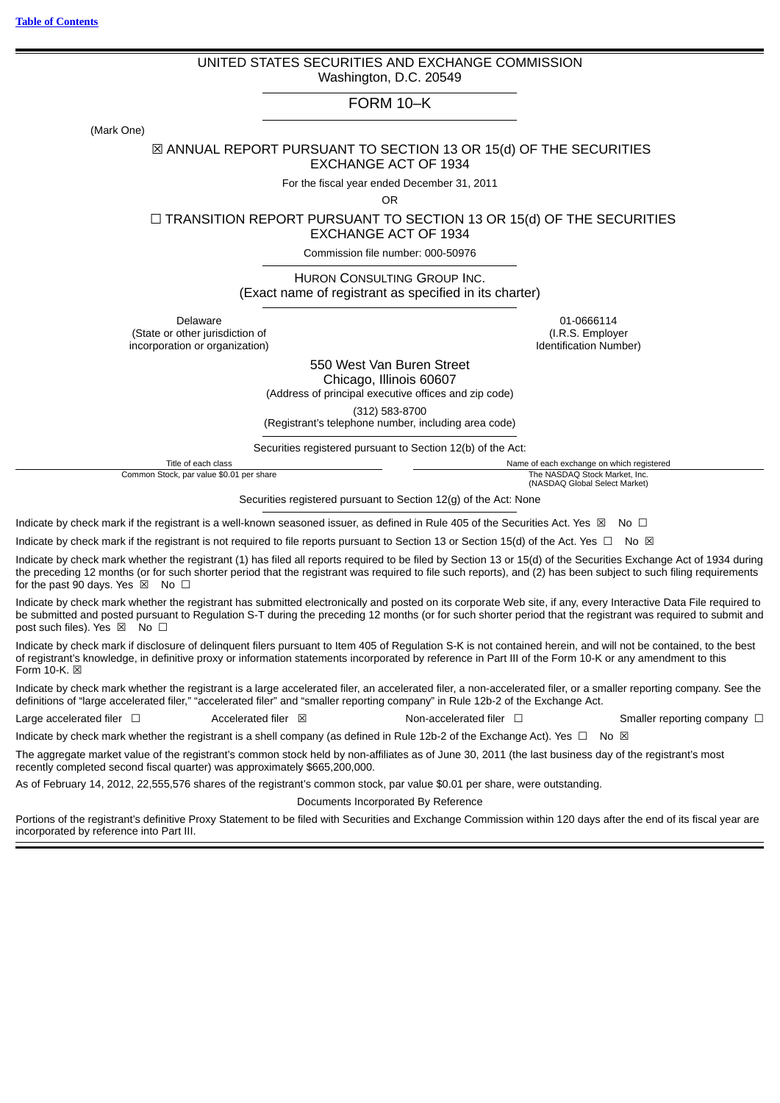# UNITED STATES SECURITIES AND EXCHANGE COMMISSION Washington, D.C. 20549

# FORM 10–K

(Mark One)

# ☒ ANNUAL REPORT PURSUANT TO SECTION 13 OR 15(d) OF THE SECURITIES EXCHANGE ACT OF 1934

For the fiscal year ended December 31, 2011

OR

 $\Box$  TRANSITION REPORT PURSUANT TO SECTION 13 OR 15(d) OF THE SECURITIES EXCHANGE ACT OF 1934

Commission file number: 000-50976

# HURON CONSULTING GROUP INC. (Exact name of registrant as specified in its charter)

Delaware 01-0666114 (State or other jurisdiction of incorporation or organization)

(I.R.S. Employer Identification Number)

550 West Van Buren Street

Chicago, Illinois 60607

(Address of principal executive offices and zip code)

(312) 583-8700

(Registrant's telephone number, including area code)

Securities registered pursuant to Section 12(b) of the Act:

| Title of each class                      | Name of each exchange on which registered                      |
|------------------------------------------|----------------------------------------------------------------|
| Common Stock, par value \$0.01 per share | The NASDAO Stock Market, Inc.<br>(NASDAQ Global Select Market) |

Securities registered pursuant to Section 12(g) of the Act: None

Indicate by check mark if the registrant is a well-known seasoned issuer, as defined in Rule 405 of the Securities Act. Yes  $\boxtimes$  No  $\Box$ 

Indicate by check mark if the registrant is not required to file reports pursuant to Section 13 or Section 15(d) of the Act. Yes  $\Box$  No  $\boxtimes$ 

Indicate by check mark whether the registrant (1) has filed all reports required to be filed by Section 13 or 15(d) of the Securities Exchange Act of 1934 during the preceding 12 months (or for such shorter period that the registrant was required to file such reports), and (2) has been subject to such filing requirements for the past  $90$  days. Yes  $\boxtimes$  No  $\Box$ 

Indicate by check mark whether the registrant has submitted electronically and posted on its corporate Web site, if any, every Interactive Data File required to be submitted and posted pursuant to Regulation S-T during the preceding 12 months (or for such shorter period that the registrant was required to submit and post such files). Yes  $\boxtimes$  No  $\Box$ 

Indicate by check mark if disclosure of delinquent filers pursuant to Item 405 of Regulation S-K is not contained herein, and will not be contained, to the best of registrant's knowledge, in definitive proxy or information statements incorporated by reference in Part III of the Form 10-K or any amendment to this Form  $10-K$ .  $\boxtimes$ 

Indicate by check mark whether the registrant is a large accelerated filer, an accelerated filer, a non-accelerated filer, or a smaller reporting company. See the definitions of "large accelerated filer," "accelerated filer" and "smaller reporting company" in Rule 12b-2 of the Exchange Act.

Large accelerated filer □ Accelerated filer 図 Non-accelerated filer □ Smaller reporting company □

Indicate by check mark whether the registrant is a shell company (as defined in Rule 12b-2 of the Exchange Act). Yes  $\Box$  No  $\boxtimes$ 

The aggregate market value of the registrant's common stock held by non-affiliates as of June 30, 2011 (the last business day of the registrant's most recently completed second fiscal quarter) was approximately \$665,200,000.

As of February 14, 2012, 22,555,576 shares of the registrant's common stock, par value \$0.01 per share, were outstanding.

Documents Incorporated By Reference

Portions of the registrant's definitive Proxy Statement to be filed with Securities and Exchange Commission within 120 days after the end of its fiscal year are incorporated by reference into Part III.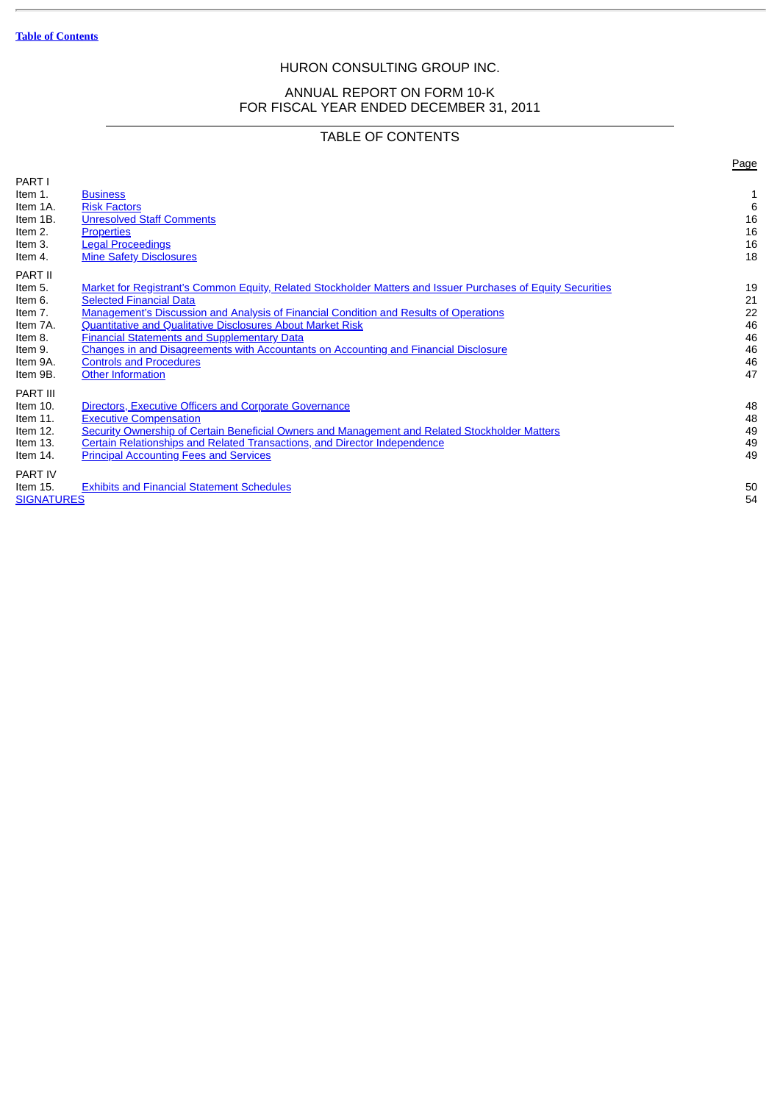# HURON CONSULTING GROUP INC.

# ANNUAL REPORT ON FORM 10-K FOR FISCAL YEAR ENDED DECEMBER 31, 2011

# TABLE OF CONTENTS

na di pagenda di pagenda di pagenda di pagenda di pagenda di pagenda di pagenda di pagenda di pagenda di pagen<br>Pagenda di pagenda di pagenda di pagenda di pagenda di pagenda di pagenda di pagenda di pagenda di pagenda di

<span id="page-1-0"></span>

| PART I<br>Item 1.<br>Item 1A.<br>Item 1B.<br>Item 2.<br>Item 3.<br>ltem 4.                         | <b>Business</b><br><b>Risk Factors</b><br><b>Unresolved Staff Comments</b><br><b>Properties</b><br><b>Legal Proceedings</b><br><b>Mine Safety Disclosures</b>                                                                                                                                                                                                                                                                                                                                                            | 1<br>$6\phantom{1}6$<br>16<br>16<br>16<br>18 |
|----------------------------------------------------------------------------------------------------|--------------------------------------------------------------------------------------------------------------------------------------------------------------------------------------------------------------------------------------------------------------------------------------------------------------------------------------------------------------------------------------------------------------------------------------------------------------------------------------------------------------------------|----------------------------------------------|
| PART II<br>Item 5.<br>Item 6.<br>Item 7.<br>Item 7A.<br>Item 8.<br>Item 9.<br>Item 9A.<br>Item 9B. | Market for Registrant's Common Equity, Related Stockholder Matters and Issuer Purchases of Equity Securities<br><b>Selected Financial Data</b><br>Management's Discussion and Analysis of Financial Condition and Results of Operations<br><b>Ouantitative and Oualitative Disclosures About Market Risk</b><br><b>Financial Statements and Supplementary Data</b><br>Changes in and Disagreements with Accountants on Accounting and Financial Disclosure<br><b>Controls and Procedures</b><br><b>Other Information</b> | 19<br>21<br>22<br>46<br>46<br>46<br>46<br>47 |
| PART III<br>Item 10.<br>Item 11.<br>Item 12.<br>Item 13.<br>ltem 14.                               | <b>Directors, Executive Officers and Corporate Governance</b><br><b>Executive Compensation</b><br>Security Ownership of Certain Beneficial Owners and Management and Related Stockholder Matters<br>Certain Relationships and Related Transactions, and Director Independence<br><b>Principal Accounting Fees and Services</b>                                                                                                                                                                                           | 48<br>48<br>49<br>49<br>49                   |
| PART IV<br>Item 15.<br><b>SIGNATURES</b>                                                           | <b>Exhibits and Financial Statement Schedules</b>                                                                                                                                                                                                                                                                                                                                                                                                                                                                        | 50<br>54                                     |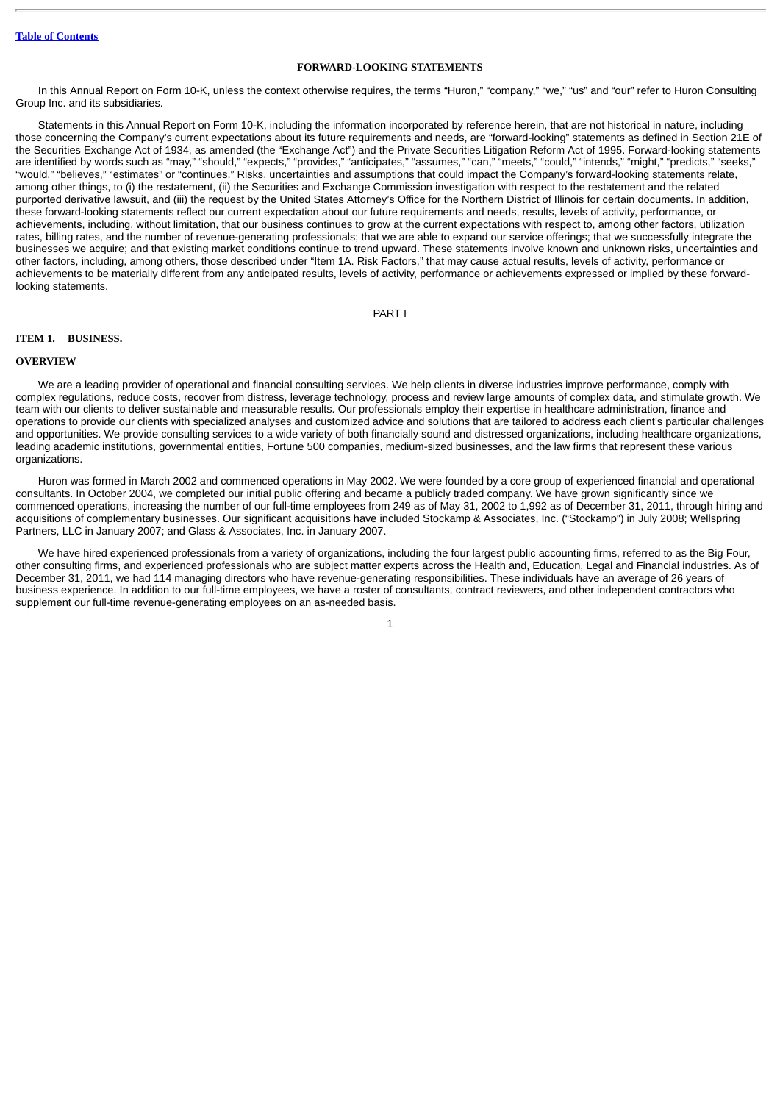### **FORWARD-LOOKING STATEMENTS**

In this Annual Report on Form 10-K, unless the context otherwise requires, the terms "Huron," "company," "we," "us" and "our" refer to Huron Consulting Group Inc. and its subsidiaries.

Statements in this Annual Report on Form 10-K, including the information incorporated by reference herein, that are not historical in nature, including those concerning the Company's current expectations about its future requirements and needs, are "forward-looking" statements as defined in Section 21E of the Securities Exchange Act of 1934, as amended (the "Exchange Act") and the Private Securities Litigation Reform Act of 1995. Forward-looking statements are identified by words such as "may," "should," "expects," "provides," "anticipates," "assumes," "can," "meets," "could," "intends," "might," "predicts," "seeks," "would," "believes," "estimates" or "continues." Risks, uncertainties and assumptions that could impact the Company's forward-looking statements relate, among other things, to (i) the restatement, (ii) the Securities and Exchange Commission investigation with respect to the restatement and the related purported derivative lawsuit, and (iii) the request by the United States Attorney's Office for the Northern District of Illinois for certain documents. In addition, these forward-looking statements reflect our current expectation about our future requirements and needs, results, levels of activity, performance, or achievements, including, without limitation, that our business continues to grow at the current expectations with respect to, among other factors, utilization rates, billing rates, and the number of revenue-generating professionals; that we are able to expand our service offerings; that we successfully integrate the businesses we acquire; and that existing market conditions continue to trend upward. These statements involve known and unknown risks, uncertainties and other factors, including, among others, those described under "Item 1A. Risk Factors," that may cause actual results, levels of activity, performance or achievements to be materially different from any anticipated results, levels of activity, performance or achievements expressed or implied by these forwardlooking statements.

PART I

#### <span id="page-2-0"></span>**ITEM 1. BUSINESS.**

### **OVERVIEW**

We are a leading provider of operational and financial consulting services. We help clients in diverse industries improve performance, comply with complex regulations, reduce costs, recover from distress, leverage technology, process and review large amounts of complex data, and stimulate growth. We team with our clients to deliver sustainable and measurable results. Our professionals employ their expertise in healthcare administration, finance and operations to provide our clients with specialized analyses and customized advice and solutions that are tailored to address each client's particular challenges and opportunities. We provide consulting services to a wide variety of both financially sound and distressed organizations, including healthcare organizations, leading academic institutions, governmental entities, Fortune 500 companies, medium-sized businesses, and the law firms that represent these various organizations.

Huron was formed in March 2002 and commenced operations in May 2002. We were founded by a core group of experienced financial and operational consultants. In October 2004, we completed our initial public offering and became a publicly traded company. We have grown significantly since we commenced operations, increasing the number of our full-time employees from 249 as of May 31, 2002 to 1,992 as of December 31, 2011, through hiring and acquisitions of complementary businesses. Our significant acquisitions have included Stockamp & Associates, Inc. ("Stockamp") in July 2008; Wellspring Partners, LLC in January 2007; and Glass & Associates, Inc. in January 2007.

We have hired experienced professionals from a variety of organizations, including the four largest public accounting firms, referred to as the Big Four, other consulting firms, and experienced professionals who are subject matter experts across the Health and, Education, Legal and Financial industries. As of December 31, 2011, we had 114 managing directors who have revenue-generating responsibilities. These individuals have an average of 26 years of business experience. In addition to our full-time employees, we have a roster of consultants, contract reviewers, and other independent contractors who supplement our full-time revenue-generating employees on an as-needed basis.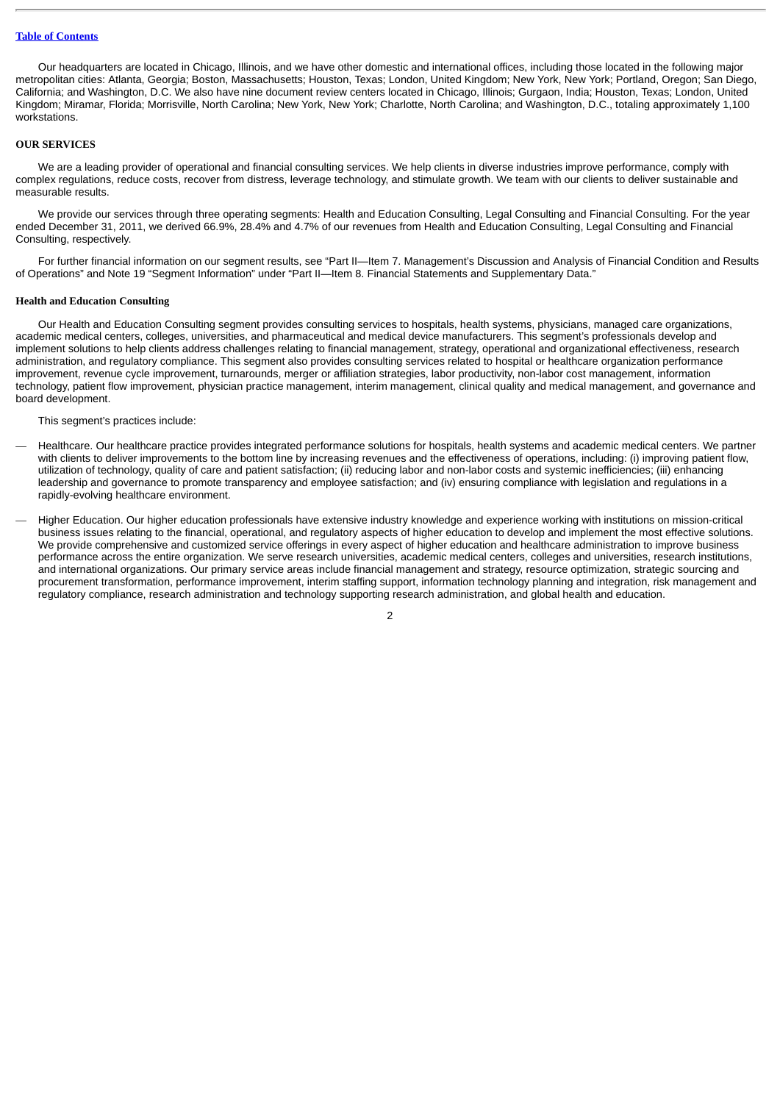Our headquarters are located in Chicago, Illinois, and we have other domestic and international offices, including those located in the following major metropolitan cities: Atlanta, Georgia; Boston, Massachusetts; Houston, Texas; London, United Kingdom; New York, New York; Portland, Oregon; San Diego, California; and Washington, D.C. We also have nine document review centers located in Chicago, Illinois; Gurgaon, India; Houston, Texas; London, United Kingdom; Miramar, Florida; Morrisville, North Carolina; New York, New York; Charlotte, North Carolina; and Washington, D.C., totaling approximately 1,100 workstations.

### **OUR SERVICES**

We are a leading provider of operational and financial consulting services. We help clients in diverse industries improve performance, comply with complex regulations, reduce costs, recover from distress, leverage technology, and stimulate growth. We team with our clients to deliver sustainable and measurable results.

We provide our services through three operating segments: Health and Education Consulting, Legal Consulting and Financial Consulting. For the year ended December 31, 2011, we derived 66.9%, 28.4% and 4.7% of our revenues from Health and Education Consulting, Legal Consulting and Financial Consulting, respectively.

For further financial information on our segment results, see "Part II—Item 7. Management's Discussion and Analysis of Financial Condition and Results of Operations" and Note 19 "Segment Information" under "Part II—Item 8. Financial Statements and Supplementary Data."

#### **Health and Education Consulting**

Our Health and Education Consulting segment provides consulting services to hospitals, health systems, physicians, managed care organizations, academic medical centers, colleges, universities, and pharmaceutical and medical device manufacturers. This segment's professionals develop and implement solutions to help clients address challenges relating to financial management, strategy, operational and organizational effectiveness, research administration, and regulatory compliance. This segment also provides consulting services related to hospital or healthcare organization performance improvement, revenue cycle improvement, turnarounds, merger or affiliation strategies, labor productivity, non-labor cost management, information technology, patient flow improvement, physician practice management, interim management, clinical quality and medical management, and governance and board development.

This segment's practices include:

- Healthcare. Our healthcare practice provides integrated performance solutions for hospitals, health systems and academic medical centers. We partner with clients to deliver improvements to the bottom line by increasing revenues and the effectiveness of operations, including: (i) improving patient flow, utilization of technology, quality of care and patient satisfaction; (ii) reducing labor and non-labor costs and systemic inefficiencies; (iii) enhancing leadership and governance to promote transparency and employee satisfaction; and (iv) ensuring compliance with legislation and regulations in a rapidly-evolving healthcare environment.
- Higher Education. Our higher education professionals have extensive industry knowledge and experience working with institutions on mission-critical business issues relating to the financial, operational, and regulatory aspects of higher education to develop and implement the most effective solutions. We provide comprehensive and customized service offerings in every aspect of higher education and healthcare administration to improve business performance across the entire organization. We serve research universities, academic medical centers, colleges and universities, research institutions, and international organizations. Our primary service areas include financial management and strategy, resource optimization, strategic sourcing and procurement transformation, performance improvement, interim staffing support, information technology planning and integration, risk management and regulatory compliance, research administration and technology supporting research administration, and global health and education.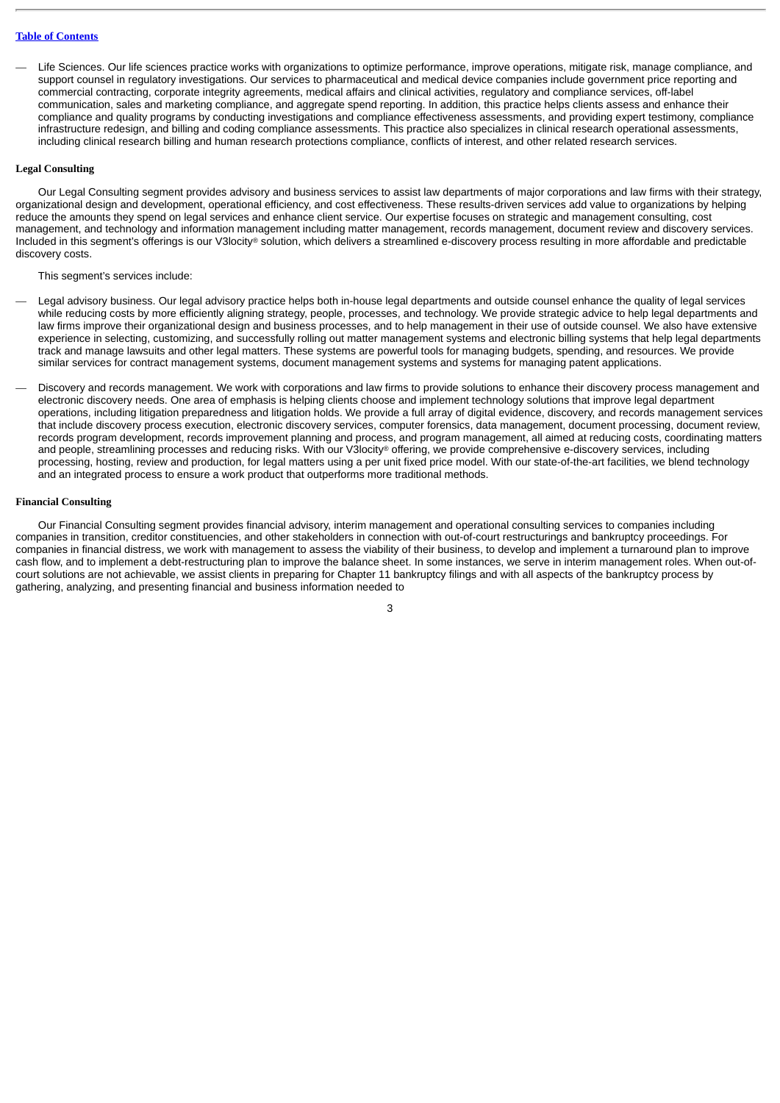— Life Sciences. Our life sciences practice works with organizations to optimize performance, improve operations, mitigate risk, manage compliance, and support counsel in regulatory investigations. Our services to pharmaceutical and medical device companies include government price reporting and commercial contracting, corporate integrity agreements, medical affairs and clinical activities, regulatory and compliance services, off-label communication, sales and marketing compliance, and aggregate spend reporting. In addition, this practice helps clients assess and enhance their compliance and quality programs by conducting investigations and compliance effectiveness assessments, and providing expert testimony, compliance infrastructure redesign, and billing and coding compliance assessments. This practice also specializes in clinical research operational assessments, including clinical research billing and human research protections compliance, conflicts of interest, and other related research services.

#### **Legal Consulting**

Our Legal Consulting segment provides advisory and business services to assist law departments of major corporations and law firms with their strategy, organizational design and development, operational efficiency, and cost effectiveness. These results-driven services add value to organizations by helping reduce the amounts they spend on legal services and enhance client service. Our expertise focuses on strategic and management consulting, cost management, and technology and information management including matter management, records management, document review and discovery services. Included in this segment's offerings is our V3locity® solution, which delivers a streamlined e-discovery process resulting in more affordable and predictable discovery costs.

This segment's services include:

- Legal advisory business. Our legal advisory practice helps both in-house legal departments and outside counsel enhance the quality of legal services while reducing costs by more efficiently aligning strategy, people, processes, and technology. We provide strategic advice to help legal departments and law firms improve their organizational design and business processes, and to help management in their use of outside counsel. We also have extensive experience in selecting, customizing, and successfully rolling out matter management systems and electronic billing systems that help legal departments track and manage lawsuits and other legal matters. These systems are powerful tools for managing budgets, spending, and resources. We provide similar services for contract management systems, document management systems and systems for managing patent applications.
- Discovery and records management. We work with corporations and law firms to provide solutions to enhance their discovery process management and electronic discovery needs. One area of emphasis is helping clients choose and implement technology solutions that improve legal department operations, including litigation preparedness and litigation holds. We provide a full array of digital evidence, discovery, and records management services that include discovery process execution, electronic discovery services, computer forensics, data management, document processing, document review, records program development, records improvement planning and process, and program management, all aimed at reducing costs, coordinating matters and people, streamlining processes and reducing risks. With our V3locity® offering, we provide comprehensive e-discovery services, including processing, hosting, review and production, for legal matters using a per unit fixed price model. With our state-of-the-art facilities, we blend technology and an integrated process to ensure a work product that outperforms more traditional methods.

#### **Financial Consulting**

Our Financial Consulting segment provides financial advisory, interim management and operational consulting services to companies including companies in transition, creditor constituencies, and other stakeholders in connection with out-of-court restructurings and bankruptcy proceedings. For companies in financial distress, we work with management to assess the viability of their business, to develop and implement a turnaround plan to improve cash flow, and to implement a debt-restructuring plan to improve the balance sheet. In some instances, we serve in interim management roles. When out-ofcourt solutions are not achievable, we assist clients in preparing for Chapter 11 bankruptcy filings and with all aspects of the bankruptcy process by gathering, analyzing, and presenting financial and business information needed to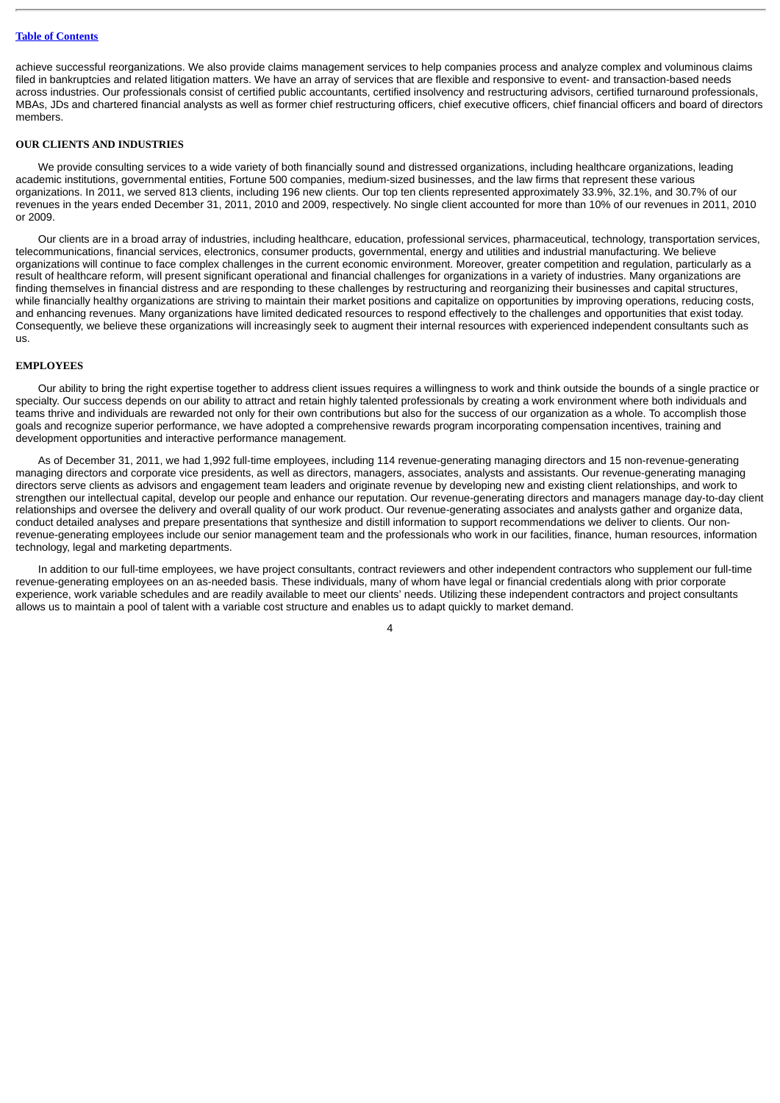achieve successful reorganizations. We also provide claims management services to help companies process and analyze complex and voluminous claims filed in bankruptcies and related litigation matters. We have an array of services that are flexible and responsive to event- and transaction-based needs across industries. Our professionals consist of certified public accountants, certified insolvency and restructuring advisors, certified turnaround professionals, MBAs, JDs and chartered financial analysts as well as former chief restructuring officers, chief executive officers, chief financial officers and board of directors members.

#### **OUR CLIENTS AND INDUSTRIES**

We provide consulting services to a wide variety of both financially sound and distressed organizations, including healthcare organizations, leading academic institutions, governmental entities, Fortune 500 companies, medium-sized businesses, and the law firms that represent these various organizations. In 2011, we served 813 clients, including 196 new clients. Our top ten clients represented approximately 33.9%, 32.1%, and 30.7% of our revenues in the years ended December 31, 2011, 2010 and 2009, respectively. No single client accounted for more than 10% of our revenues in 2011, 2010 or 2009.

Our clients are in a broad array of industries, including healthcare, education, professional services, pharmaceutical, technology, transportation services, telecommunications, financial services, electronics, consumer products, governmental, energy and utilities and industrial manufacturing. We believe organizations will continue to face complex challenges in the current economic environment. Moreover, greater competition and regulation, particularly as a result of healthcare reform, will present significant operational and financial challenges for organizations in a variety of industries. Many organizations are finding themselves in financial distress and are responding to these challenges by restructuring and reorganizing their businesses and capital structures, while financially healthy organizations are striving to maintain their market positions and capitalize on opportunities by improving operations, reducing costs, and enhancing revenues. Many organizations have limited dedicated resources to respond effectively to the challenges and opportunities that exist today. Consequently, we believe these organizations will increasingly seek to augment their internal resources with experienced independent consultants such as us.

# **EMPLOYEES**

Our ability to bring the right expertise together to address client issues requires a willingness to work and think outside the bounds of a single practice or specialty. Our success depends on our ability to attract and retain highly talented professionals by creating a work environment where both individuals and teams thrive and individuals are rewarded not only for their own contributions but also for the success of our organization as a whole. To accomplish those goals and recognize superior performance, we have adopted a comprehensive rewards program incorporating compensation incentives, training and development opportunities and interactive performance management.

As of December 31, 2011, we had 1,992 full-time employees, including 114 revenue-generating managing directors and 15 non-revenue-generating managing directors and corporate vice presidents, as well as directors, managers, associates, analysts and assistants. Our revenue-generating managing directors serve clients as advisors and engagement team leaders and originate revenue by developing new and existing client relationships, and work to strengthen our intellectual capital, develop our people and enhance our reputation. Our revenue-generating directors and managers manage day-to-day client relationships and oversee the delivery and overall quality of our work product. Our revenue-generating associates and analysts gather and organize data, conduct detailed analyses and prepare presentations that synthesize and distill information to support recommendations we deliver to clients. Our nonrevenue-generating employees include our senior management team and the professionals who work in our facilities, finance, human resources, information technology, legal and marketing departments.

In addition to our full-time employees, we have project consultants, contract reviewers and other independent contractors who supplement our full-time revenue-generating employees on an as-needed basis. These individuals, many of whom have legal or financial credentials along with prior corporate experience, work variable schedules and are readily available to meet our clients' needs. Utilizing these independent contractors and project consultants allows us to maintain a pool of talent with a variable cost structure and enables us to adapt quickly to market demand.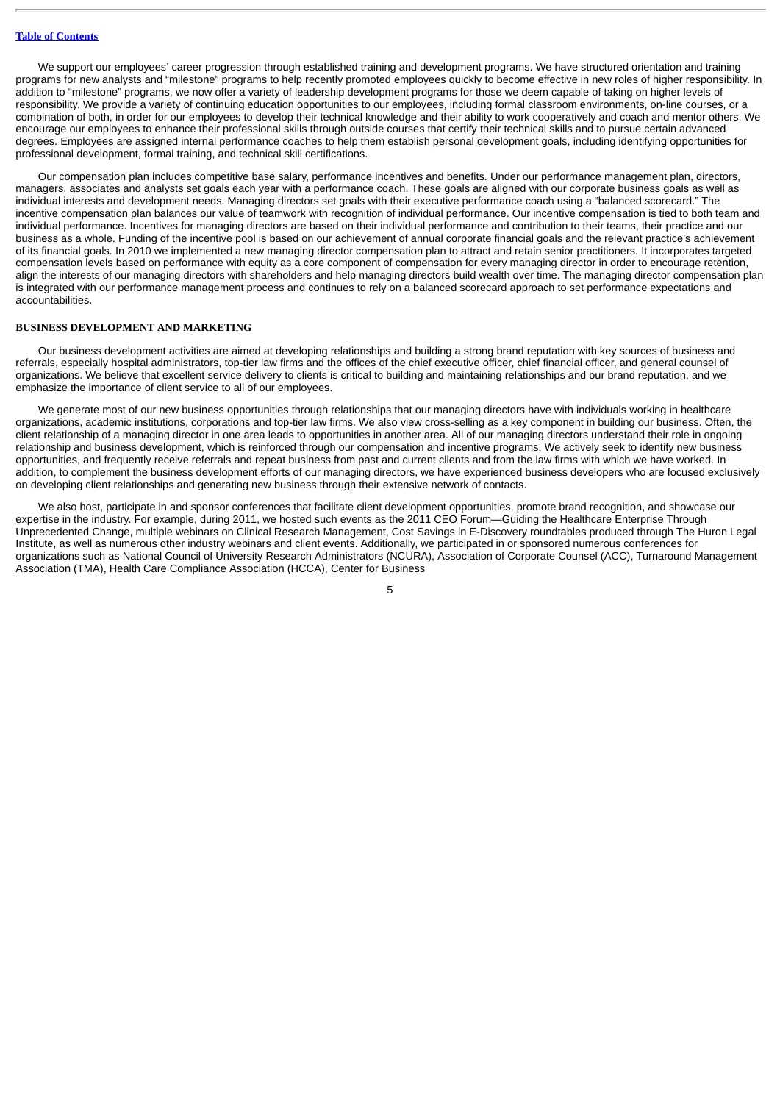We support our employees' career progression through established training and development programs. We have structured orientation and training programs for new analysts and "milestone" programs to help recently promoted employees quickly to become effective in new roles of higher responsibility. In addition to "milestone" programs, we now offer a variety of leadership development programs for those we deem capable of taking on higher levels of responsibility. We provide a variety of continuing education opportunities to our employees, including formal classroom environments, on-line courses, or a combination of both, in order for our employees to develop their technical knowledge and their ability to work cooperatively and coach and mentor others. We encourage our employees to enhance their professional skills through outside courses that certify their technical skills and to pursue certain advanced degrees. Employees are assigned internal performance coaches to help them establish personal development goals, including identifying opportunities for professional development, formal training, and technical skill certifications.

Our compensation plan includes competitive base salary, performance incentives and benefits. Under our performance management plan, directors, managers, associates and analysts set goals each year with a performance coach. These goals are aligned with our corporate business goals as well as individual interests and development needs. Managing directors set goals with their executive performance coach using a "balanced scorecard." The incentive compensation plan balances our value of teamwork with recognition of individual performance. Our incentive compensation is tied to both team and individual performance. Incentives for managing directors are based on their individual performance and contribution to their teams, their practice and our business as a whole. Funding of the incentive pool is based on our achievement of annual corporate financial goals and the relevant practice's achievement of its financial goals. In 2010 we implemented a new managing director compensation plan to attract and retain senior practitioners. It incorporates targeted compensation levels based on performance with equity as a core component of compensation for every managing director in order to encourage retention, align the interests of our managing directors with shareholders and help managing directors build wealth over time. The managing director compensation plan is integrated with our performance management process and continues to rely on a balanced scorecard approach to set performance expectations and accountabilities.

#### **BUSINESS DEVELOPMENT AND MARKETING**

Our business development activities are aimed at developing relationships and building a strong brand reputation with key sources of business and referrals, especially hospital administrators, top-tier law firms and the offices of the chief executive officer, chief financial officer, and general counsel of organizations. We believe that excellent service delivery to clients is critical to building and maintaining relationships and our brand reputation, and we emphasize the importance of client service to all of our employees.

We generate most of our new business opportunities through relationships that our managing directors have with individuals working in healthcare organizations, academic institutions, corporations and top-tier law firms. We also view cross-selling as a key component in building our business. Often, the client relationship of a managing director in one area leads to opportunities in another area. All of our managing directors understand their role in ongoing relationship and business development, which is reinforced through our compensation and incentive programs. We actively seek to identify new business opportunities, and frequently receive referrals and repeat business from past and current clients and from the law firms with which we have worked. In addition, to complement the business development efforts of our managing directors, we have experienced business developers who are focused exclusively on developing client relationships and generating new business through their extensive network of contacts.

We also host, participate in and sponsor conferences that facilitate client development opportunities, promote brand recognition, and showcase our expertise in the industry. For example, during 2011, we hosted such events as the 2011 CEO Forum—Guiding the Healthcare Enterprise Through Unprecedented Change, multiple webinars on Clinical Research Management, Cost Savings in E-Discovery roundtables produced through The Huron Legal Institute, as well as numerous other industry webinars and client events. Additionally, we participated in or sponsored numerous conferences for organizations such as National Council of University Research Administrators (NCURA), Association of Corporate Counsel (ACC), Turnaround Management Association (TMA), Health Care Compliance Association (HCCA), Center for Business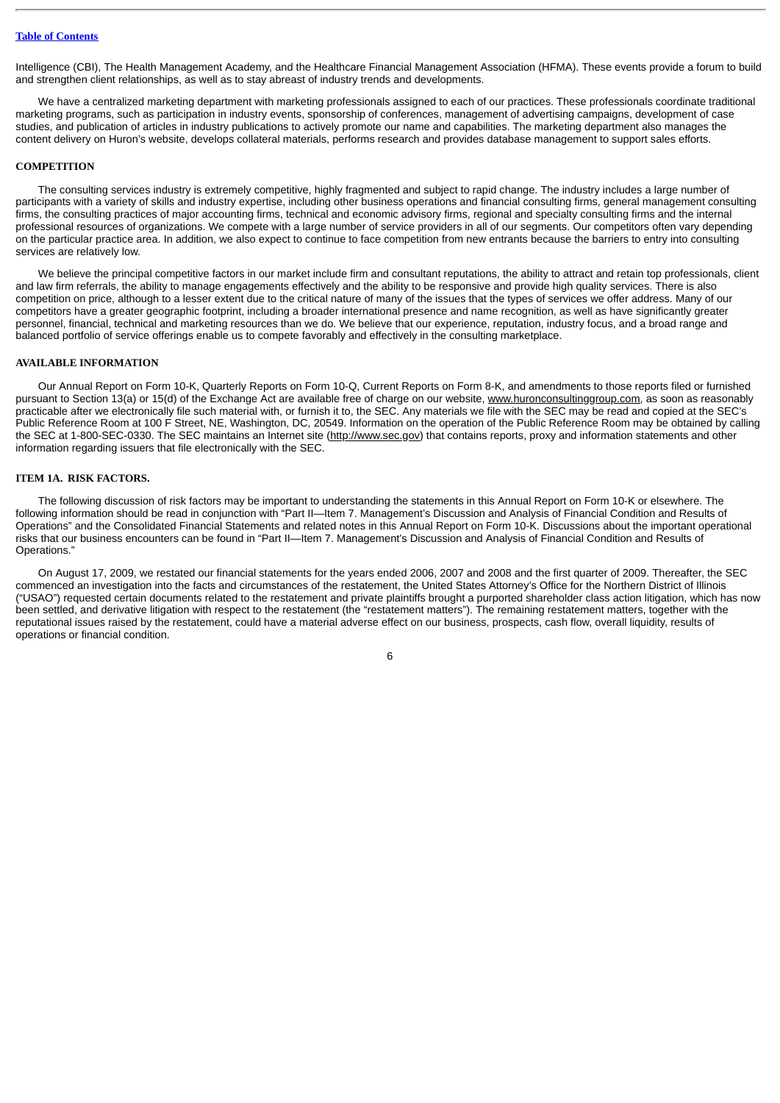Intelligence (CBI), The Health Management Academy, and the Healthcare Financial Management Association (HFMA). These events provide a forum to build and strengthen client relationships, as well as to stay abreast of industry trends and developments.

We have a centralized marketing department with marketing professionals assigned to each of our practices. These professionals coordinate traditional marketing programs, such as participation in industry events, sponsorship of conferences, management of advertising campaigns, development of case studies, and publication of articles in industry publications to actively promote our name and capabilities. The marketing department also manages the content delivery on Huron's website, develops collateral materials, performs research and provides database management to support sales efforts.

### **COMPETITION**

The consulting services industry is extremely competitive, highly fragmented and subject to rapid change. The industry includes a large number of participants with a variety of skills and industry expertise, including other business operations and financial consulting firms, general management consulting firms, the consulting practices of major accounting firms, technical and economic advisory firms, regional and specialty consulting firms and the internal professional resources of organizations. We compete with a large number of service providers in all of our segments. Our competitors often vary depending on the particular practice area. In addition, we also expect to continue to face competition from new entrants because the barriers to entry into consulting services are relatively low.

We believe the principal competitive factors in our market include firm and consultant reputations, the ability to attract and retain top professionals, client and law firm referrals, the ability to manage engagements effectively and the ability to be responsive and provide high quality services. There is also competition on price, although to a lesser extent due to the critical nature of many of the issues that the types of services we offer address. Many of our competitors have a greater geographic footprint, including a broader international presence and name recognition, as well as have significantly greater personnel, financial, technical and marketing resources than we do. We believe that our experience, reputation, industry focus, and a broad range and balanced portfolio of service offerings enable us to compete favorably and effectively in the consulting marketplace.

## **AVAILABLE INFORMATION**

Our Annual Report on Form 10-K, Quarterly Reports on Form 10-Q, Current Reports on Form 8-K, and amendments to those reports filed or furnished pursuant to Section 13(a) or 15(d) of the Exchange Act are available free of charge on our website, www.huronconsultinggroup.com, as soon as reasonably practicable after we electronically file such material with, or furnish it to, the SEC. Any materials we file with the SEC may be read and copied at the SEC's Public Reference Room at 100 F Street, NE, Washington, DC, 20549. Information on the operation of the Public Reference Room may be obtained by calling the SEC at 1-800-SEC-0330. The SEC maintains an Internet site (http://www.sec.gov) that contains reports, proxy and information statements and other information regarding issuers that file electronically with the SEC.

#### <span id="page-7-0"></span>**ITEM 1A. RISK FACTORS.**

The following discussion of risk factors may be important to understanding the statements in this Annual Report on Form 10-K or elsewhere. The following information should be read in conjunction with "Part II—Item 7. Management's Discussion and Analysis of Financial Condition and Results of Operations" and the Consolidated Financial Statements and related notes in this Annual Report on Form 10-K. Discussions about the important operational risks that our business encounters can be found in "Part II—Item 7. Management's Discussion and Analysis of Financial Condition and Results of Operations."

On August 17, 2009, we restated our financial statements for the years ended 2006, 2007 and 2008 and the first quarter of 2009. Thereafter, the SEC commenced an investigation into the facts and circumstances of the restatement, the United States Attorney's Office for the Northern District of Illinois ("USAO") requested certain documents related to the restatement and private plaintiffs brought a purported shareholder class action litigation, which has now been settled, and derivative litigation with respect to the restatement (the "restatement matters"). The remaining restatement matters, together with the reputational issues raised by the restatement, could have a material adverse effect on our business, prospects, cash flow, overall liquidity, results of operations or financial condition.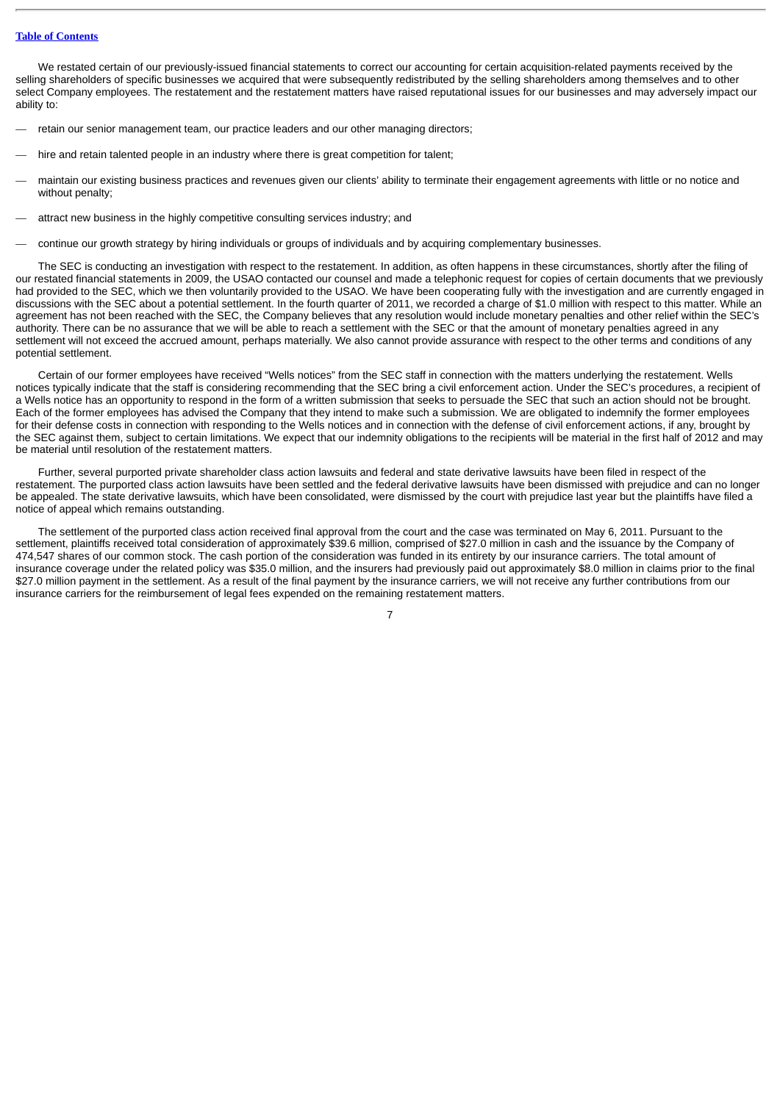We restated certain of our previously-issued financial statements to correct our accounting for certain acquisition-related payments received by the selling shareholders of specific businesses we acquired that were subsequently redistributed by the selling shareholders among themselves and to other select Company employees. The restatement and the restatement matters have raised reputational issues for our businesses and may adversely impact our ability to:

- retain our senior management team, our practice leaders and our other managing directors;
- hire and retain talented people in an industry where there is great competition for talent:
- maintain our existing business practices and revenues given our clients' ability to terminate their engagement agreements with little or no notice and without penalty;
- attract new business in the highly competitive consulting services industry; and
- continue our growth strategy by hiring individuals or groups of individuals and by acquiring complementary businesses.

The SEC is conducting an investigation with respect to the restatement. In addition, as often happens in these circumstances, shortly after the filing of our restated financial statements in 2009, the USAO contacted our counsel and made a telephonic request for copies of certain documents that we previously had provided to the SEC, which we then voluntarily provided to the USAO. We have been cooperating fully with the investigation and are currently engaged in discussions with the SEC about a potential settlement. In the fourth quarter of 2011, we recorded a charge of \$1.0 million with respect to this matter. While an agreement has not been reached with the SEC, the Company believes that any resolution would include monetary penalties and other relief within the SEC's authority. There can be no assurance that we will be able to reach a settlement with the SEC or that the amount of monetary penalties agreed in any settlement will not exceed the accrued amount, perhaps materially. We also cannot provide assurance with respect to the other terms and conditions of any potential settlement.

Certain of our former employees have received "Wells notices" from the SEC staff in connection with the matters underlying the restatement. Wells notices typically indicate that the staff is considering recommending that the SEC bring a civil enforcement action. Under the SEC's procedures, a recipient of a Wells notice has an opportunity to respond in the form of a written submission that seeks to persuade the SEC that such an action should not be brought. Each of the former employees has advised the Company that they intend to make such a submission. We are obligated to indemnify the former employees for their defense costs in connection with responding to the Wells notices and in connection with the defense of civil enforcement actions, if any, brought by the SEC against them, subject to certain limitations. We expect that our indemnity obligations to the recipients will be material in the first half of 2012 and may be material until resolution of the restatement matters.

Further, several purported private shareholder class action lawsuits and federal and state derivative lawsuits have been filed in respect of the restatement. The purported class action lawsuits have been settled and the federal derivative lawsuits have been dismissed with prejudice and can no longer be appealed. The state derivative lawsuits, which have been consolidated, were dismissed by the court with prejudice last year but the plaintiffs have filed a notice of appeal which remains outstanding.

The settlement of the purported class action received final approval from the court and the case was terminated on May 6, 2011. Pursuant to the settlement, plaintiffs received total consideration of approximately \$39.6 million, comprised of \$27.0 million in cash and the issuance by the Company of 474,547 shares of our common stock. The cash portion of the consideration was funded in its entirety by our insurance carriers. The total amount of insurance coverage under the related policy was \$35.0 million, and the insurers had previously paid out approximately \$8.0 million in claims prior to the final \$27.0 million payment in the settlement. As a result of the final payment by the insurance carriers, we will not receive any further contributions from our insurance carriers for the reimbursement of legal fees expended on the remaining restatement matters.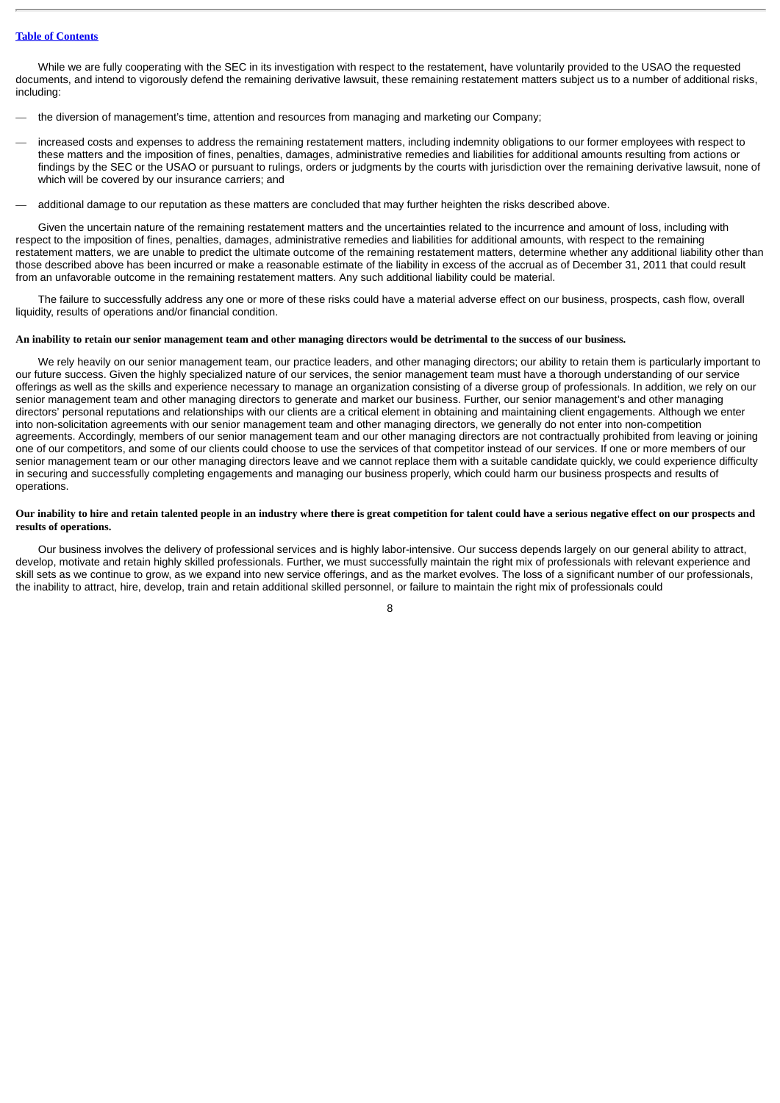While we are fully cooperating with the SEC in its investigation with respect to the restatement, have voluntarily provided to the USAO the requested documents, and intend to vigorously defend the remaining derivative lawsuit, these remaining restatement matters subject us to a number of additional risks, including:

- the diversion of management's time, attention and resources from managing and marketing our Company;
- increased costs and expenses to address the remaining restatement matters, including indemnity obligations to our former employees with respect to these matters and the imposition of fines, penalties, damages, administrative remedies and liabilities for additional amounts resulting from actions or findings by the SEC or the USAO or pursuant to rulings, orders or judgments by the courts with jurisdiction over the remaining derivative lawsuit, none of which will be covered by our insurance carriers; and
- additional damage to our reputation as these matters are concluded that may further heighten the risks described above.

Given the uncertain nature of the remaining restatement matters and the uncertainties related to the incurrence and amount of loss, including with respect to the imposition of fines, penalties, damages, administrative remedies and liabilities for additional amounts, with respect to the remaining restatement matters, we are unable to predict the ultimate outcome of the remaining restatement matters, determine whether any additional liability other than those described above has been incurred or make a reasonable estimate of the liability in excess of the accrual as of December 31, 2011 that could result from an unfavorable outcome in the remaining restatement matters. Any such additional liability could be material.

The failure to successfully address any one or more of these risks could have a material adverse effect on our business, prospects, cash flow, overall liquidity, results of operations and/or financial condition.

### **An inability to retain our senior management team and other managing directors would be detrimental to the success of our business.**

We rely heavily on our senior management team, our practice leaders, and other managing directors; our ability to retain them is particularly important to our future success. Given the highly specialized nature of our services, the senior management team must have a thorough understanding of our service offerings as well as the skills and experience necessary to manage an organization consisting of a diverse group of professionals. In addition, we rely on our senior management team and other managing directors to generate and market our business. Further, our senior management's and other managing directors' personal reputations and relationships with our clients are a critical element in obtaining and maintaining client engagements. Although we enter into non-solicitation agreements with our senior management team and other managing directors, we generally do not enter into non-competition agreements. Accordingly, members of our senior management team and our other managing directors are not contractually prohibited from leaving or joining one of our competitors, and some of our clients could choose to use the services of that competitor instead of our services. If one or more members of our senior management team or our other managing directors leave and we cannot replace them with a suitable candidate quickly, we could experience difficulty in securing and successfully completing engagements and managing our business properly, which could harm our business prospects and results of operations.

### **Our inability to hire and retain talented people in an industry where there is great competition for talent could have a serious negative effect on our prospects and results of operations.**

Our business involves the delivery of professional services and is highly labor-intensive. Our success depends largely on our general ability to attract, develop, motivate and retain highly skilled professionals. Further, we must successfully maintain the right mix of professionals with relevant experience and skill sets as we continue to grow, as we expand into new service offerings, and as the market evolves. The loss of a significant number of our professionals, the inability to attract, hire, develop, train and retain additional skilled personnel, or failure to maintain the right mix of professionals could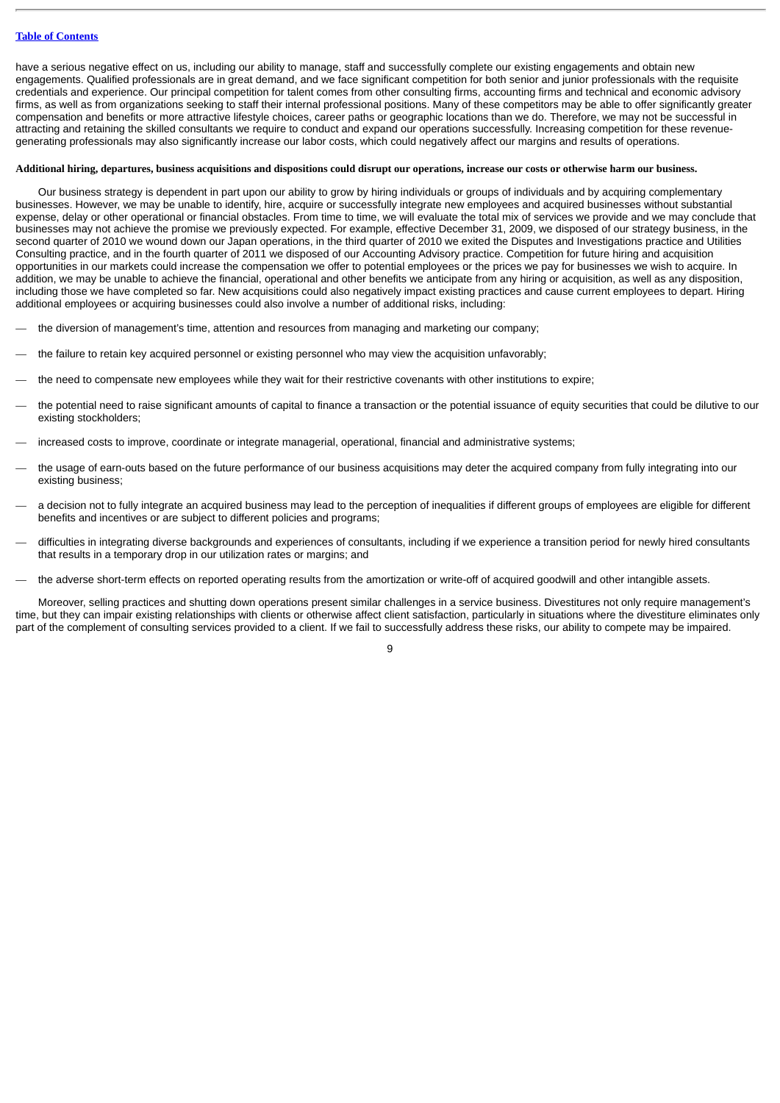have a serious negative effect on us, including our ability to manage, staff and successfully complete our existing engagements and obtain new engagements. Qualified professionals are in great demand, and we face significant competition for both senior and junior professionals with the requisite credentials and experience. Our principal competition for talent comes from other consulting firms, accounting firms and technical and economic advisory firms, as well as from organizations seeking to staff their internal professional positions. Many of these competitors may be able to offer significantly greater compensation and benefits or more attractive lifestyle choices, career paths or geographic locations than we do. Therefore, we may not be successful in attracting and retaining the skilled consultants we require to conduct and expand our operations successfully. Increasing competition for these revenuegenerating professionals may also significantly increase our labor costs, which could negatively affect our margins and results of operations.

## **Additional hiring, departures, business acquisitions and dispositions could disrupt our operations, increase our costs or otherwise harm our business.**

Our business strategy is dependent in part upon our ability to grow by hiring individuals or groups of individuals and by acquiring complementary businesses. However, we may be unable to identify, hire, acquire or successfully integrate new employees and acquired businesses without substantial expense, delay or other operational or financial obstacles. From time to time, we will evaluate the total mix of services we provide and we may conclude that businesses may not achieve the promise we previously expected. For example, effective December 31, 2009, we disposed of our strategy business, in the second quarter of 2010 we wound down our Japan operations, in the third quarter of 2010 we exited the Disputes and Investigations practice and Utilities Consulting practice, and in the fourth quarter of 2011 we disposed of our Accounting Advisory practice. Competition for future hiring and acquisition opportunities in our markets could increase the compensation we offer to potential employees or the prices we pay for businesses we wish to acquire. In addition, we may be unable to achieve the financial, operational and other benefits we anticipate from any hiring or acquisition, as well as any disposition, including those we have completed so far. New acquisitions could also negatively impact existing practices and cause current employees to depart. Hiring additional employees or acquiring businesses could also involve a number of additional risks, including:

- the diversion of management's time, attention and resources from managing and marketing our company;
- the failure to retain key acquired personnel or existing personnel who may view the acquisition unfavorably;
- the need to compensate new employees while they wait for their restrictive covenants with other institutions to expire:
- the potential need to raise significant amounts of capital to finance a transaction or the potential issuance of equity securities that could be dilutive to our existing stockholders;
- increased costs to improve, coordinate or integrate managerial, operational, financial and administrative systems;
- the usage of earn-outs based on the future performance of our business acquisitions may deter the acquired company from fully integrating into our existing business;
- a decision not to fully integrate an acquired business may lead to the perception of inequalities if different groups of employees are eligible for different benefits and incentives or are subject to different policies and programs;
- difficulties in integrating diverse backgrounds and experiences of consultants, including if we experience a transition period for newly hired consultants that results in a temporary drop in our utilization rates or margins; and
- the adverse short-term effects on reported operating results from the amortization or write-off of acquired goodwill and other intangible assets.

Moreover, selling practices and shutting down operations present similar challenges in a service business. Divestitures not only require management's time, but they can impair existing relationships with clients or otherwise affect client satisfaction, particularly in situations where the divestiture eliminates only part of the complement of consulting services provided to a client. If we fail to successfully address these risks, our ability to compete may be impaired.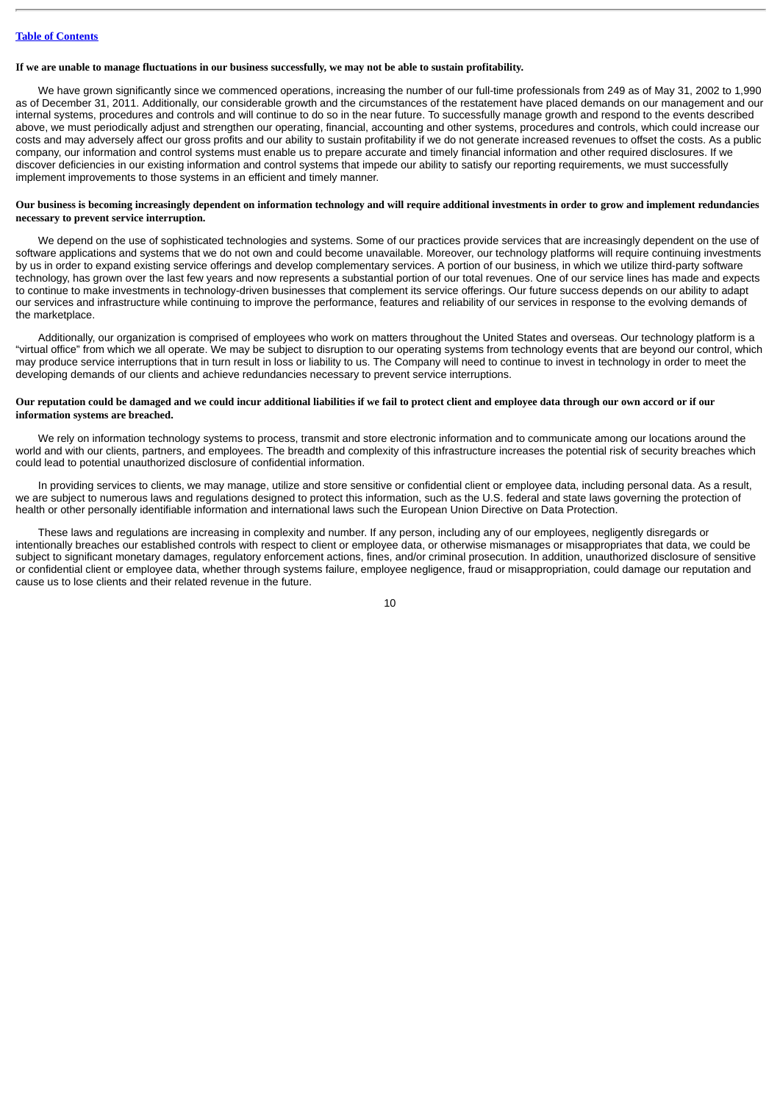### **If we are unable to manage fluctuations in our business successfully, we may not be able to sustain profitability.**

We have grown significantly since we commenced operations, increasing the number of our full-time professionals from 249 as of May 31, 2002 to 1,990 as of December 31, 2011. Additionally, our considerable growth and the circumstances of the restatement have placed demands on our management and our internal systems, procedures and controls and will continue to do so in the near future. To successfully manage growth and respond to the events described above, we must periodically adjust and strengthen our operating, financial, accounting and other systems, procedures and controls, which could increase our costs and may adversely affect our gross profits and our ability to sustain profitability if we do not generate increased revenues to offset the costs. As a public company, our information and control systems must enable us to prepare accurate and timely financial information and other required disclosures. If we discover deficiencies in our existing information and control systems that impede our ability to satisfy our reporting requirements, we must successfully implement improvements to those systems in an efficient and timely manner.

### **Our business is becoming increasingly dependent on information technology and will require additional investments in order to grow and implement redundancies necessary to prevent service interruption.**

We depend on the use of sophisticated technologies and systems. Some of our practices provide services that are increasingly dependent on the use of software applications and systems that we do not own and could become unavailable. Moreover, our technology platforms will require continuing investments by us in order to expand existing service offerings and develop complementary services. A portion of our business, in which we utilize third-party software technology, has grown over the last few years and now represents a substantial portion of our total revenues. One of our service lines has made and expects to continue to make investments in technology-driven businesses that complement its service offerings. Our future success depends on our ability to adapt our services and infrastructure while continuing to improve the performance, features and reliability of our services in response to the evolving demands of the marketplace.

Additionally, our organization is comprised of employees who work on matters throughout the United States and overseas. Our technology platform is a "virtual office" from which we all operate. We may be subject to disruption to our operating systems from technology events that are beyond our control, which may produce service interruptions that in turn result in loss or liability to us. The Company will need to continue to invest in technology in order to meet the developing demands of our clients and achieve redundancies necessary to prevent service interruptions.

### **Our reputation could be damaged and we could incur additional liabilities if we fail to protect client and employee data through our own accord or if our information systems are breached.**

We rely on information technology systems to process, transmit and store electronic information and to communicate among our locations around the world and with our clients, partners, and employees. The breadth and complexity of this infrastructure increases the potential risk of security breaches which could lead to potential unauthorized disclosure of confidential information.

In providing services to clients, we may manage, utilize and store sensitive or confidential client or employee data, including personal data. As a result, we are subject to numerous laws and regulations designed to protect this information, such as the U.S. federal and state laws governing the protection of health or other personally identifiable information and international laws such the European Union Directive on Data Protection.

These laws and regulations are increasing in complexity and number. If any person, including any of our employees, negligently disregards or intentionally breaches our established controls with respect to client or employee data, or otherwise mismanages or misappropriates that data, we could be subject to significant monetary damages, regulatory enforcement actions, fines, and/or criminal prosecution. In addition, unauthorized disclosure of sensitive or confidential client or employee data, whether through systems failure, employee negligence, fraud or misappropriation, could damage our reputation and cause us to lose clients and their related revenue in the future.

 $1<sub>0</sub>$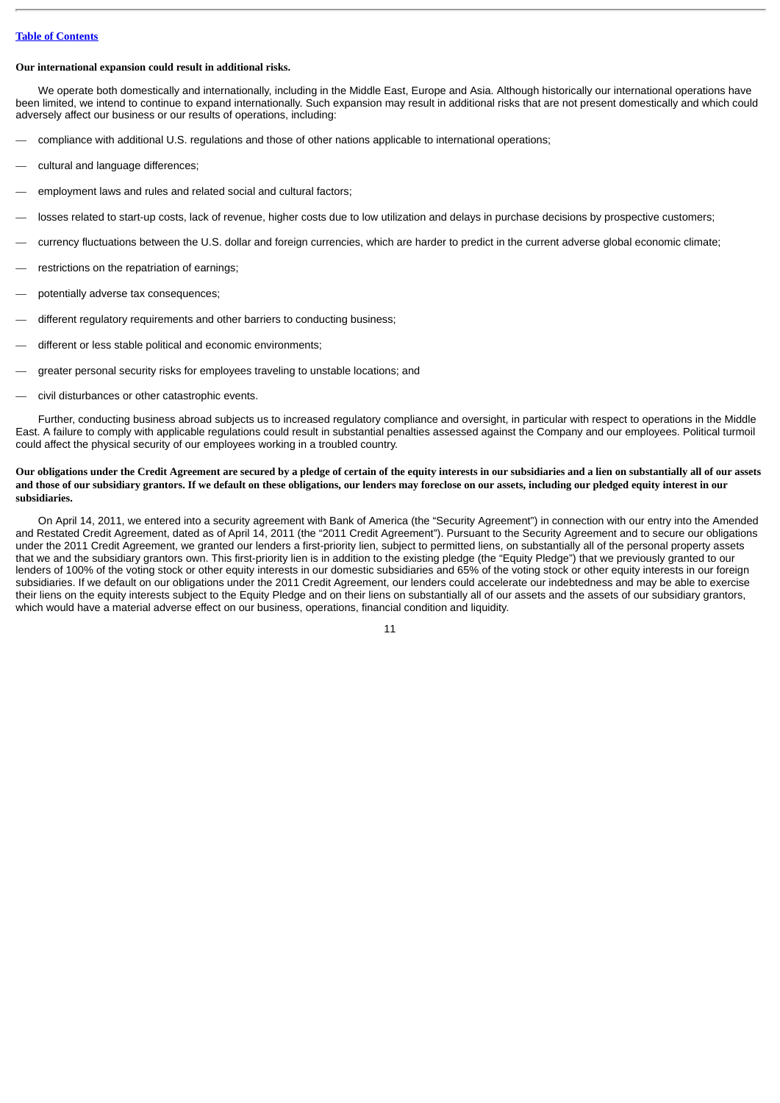### **Our international expansion could result in additional risks.**

We operate both domestically and internationally, including in the Middle East, Europe and Asia. Although historically our international operations have been limited, we intend to continue to expand internationally. Such expansion may result in additional risks that are not present domestically and which could adversely affect our business or our results of operations, including:

- compliance with additional U.S. regulations and those of other nations applicable to international operations;
- cultural and language differences;
- employment laws and rules and related social and cultural factors;
- losses related to start-up costs, lack of revenue, higher costs due to low utilization and delays in purchase decisions by prospective customers;
- currency fluctuations between the U.S. dollar and foreign currencies, which are harder to predict in the current adverse global economic climate;
- restrictions on the repatriation of earnings;
- potentially adverse tax consequences;
- different regulatory requirements and other barriers to conducting business;
- different or less stable political and economic environments;
- greater personal security risks for employees traveling to unstable locations; and
- civil disturbances or other catastrophic events.

Further, conducting business abroad subjects us to increased regulatory compliance and oversight, in particular with respect to operations in the Middle East. A failure to comply with applicable regulations could result in substantial penalties assessed against the Company and our employees. Political turmoil could affect the physical security of our employees working in a troubled country.

### **Our obligations under the Credit Agreement are secured by a pledge of certain of the equity interests in our subsidiaries and a lien on substantially all of our assets and those of our subsidiary grantors. If we default on these obligations, our lenders may foreclose on our assets, including our pledged equity interest in our subsidiaries.**

On April 14, 2011, we entered into a security agreement with Bank of America (the "Security Agreement") in connection with our entry into the Amended and Restated Credit Agreement, dated as of April 14, 2011 (the "2011 Credit Agreement"). Pursuant to the Security Agreement and to secure our obligations under the 2011 Credit Agreement, we granted our lenders a first-priority lien, subject to permitted liens, on substantially all of the personal property assets that we and the subsidiary grantors own. This first-priority lien is in addition to the existing pledge (the "Equity Pledge") that we previously granted to our lenders of 100% of the voting stock or other equity interests in our domestic subsidiaries and 65% of the voting stock or other equity interests in our foreign subsidiaries. If we default on our obligations under the 2011 Credit Agreement, our lenders could accelerate our indebtedness and may be able to exercise their liens on the equity interests subject to the Equity Pledge and on their liens on substantially all of our assets and the assets of our subsidiary grantors, which would have a material adverse effect on our business, operations, financial condition and liquidity.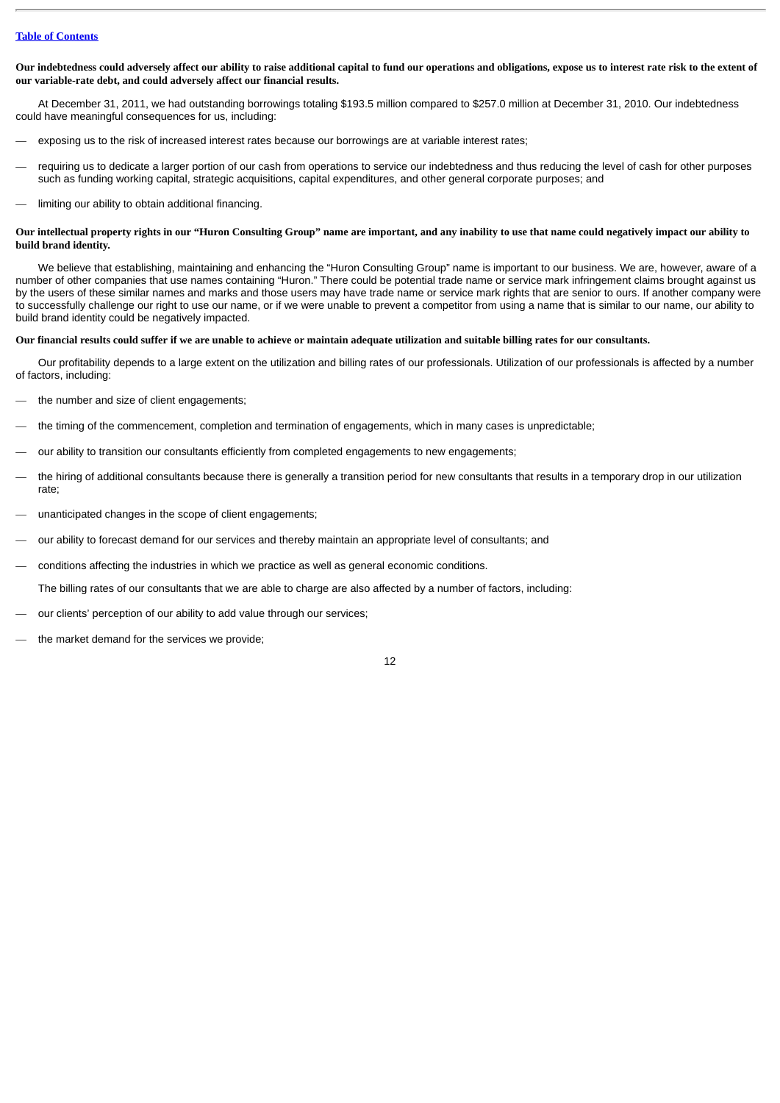**Our indebtedness could adversely affect our ability to raise additional capital to fund our operations and obligations, expose us to interest rate risk to the extent of our variable-rate debt, and could adversely affect our financial results.**

At December 31, 2011, we had outstanding borrowings totaling \$193.5 million compared to \$257.0 million at December 31, 2010. Our indebtedness could have meaningful consequences for us, including:

- exposing us to the risk of increased interest rates because our borrowings are at variable interest rates;
- requiring us to dedicate a larger portion of our cash from operations to service our indebtedness and thus reducing the level of cash for other purposes such as funding working capital, strategic acquisitions, capital expenditures, and other general corporate purposes; and
- limiting our ability to obtain additional financing.

### **Our intellectual property rights in our "Huron Consulting Group" name are important, and any inability to use that name could negatively impact our ability to build brand identity.**

We believe that establishing, maintaining and enhancing the "Huron Consulting Group" name is important to our business. We are, however, aware of a number of other companies that use names containing "Huron." There could be potential trade name or service mark infringement claims brought against us by the users of these similar names and marks and those users may have trade name or service mark rights that are senior to ours. If another company were to successfully challenge our right to use our name, or if we were unable to prevent a competitor from using a name that is similar to our name, our ability to build brand identity could be negatively impacted.

# **Our financial results could suffer if we are unable to achieve or maintain adequate utilization and suitable billing rates for our consultants.**

Our profitability depends to a large extent on the utilization and billing rates of our professionals. Utilization of our professionals is affected by a number of factors, including:

- the number and size of client engagements:
- the timing of the commencement, completion and termination of engagements, which in many cases is unpredictable;
- our ability to transition our consultants efficiently from completed engagements to new engagements;
- the hiring of additional consultants because there is generally a transition period for new consultants that results in a temporary drop in our utilization rate;
- unanticipated changes in the scope of client engagements;
- our ability to forecast demand for our services and thereby maintain an appropriate level of consultants; and
- conditions affecting the industries in which we practice as well as general economic conditions.

The billing rates of our consultants that we are able to charge are also affected by a number of factors, including:

- our clients' perception of our ability to add value through our services:
- the market demand for the services we provide;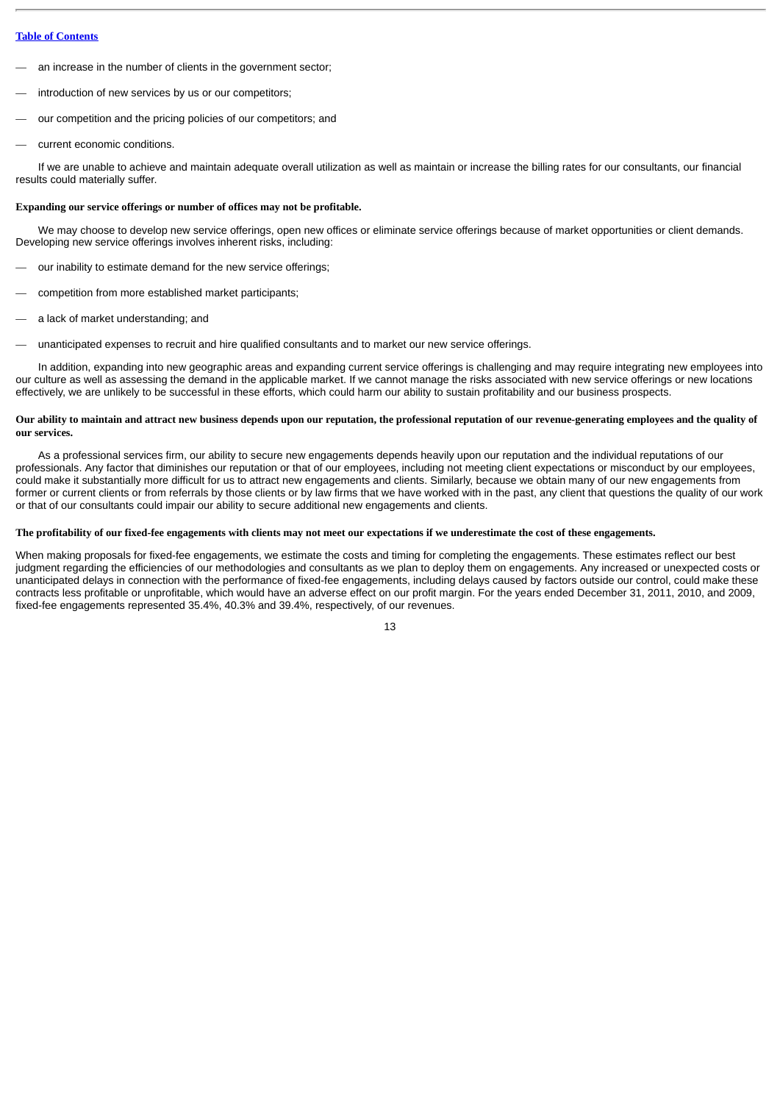- an increase in the number of clients in the government sector;
- introduction of new services by us or our competitors:
- our competition and the pricing policies of our competitors; and
- current economic conditions.

If we are unable to achieve and maintain adequate overall utilization as well as maintain or increase the billing rates for our consultants, our financial results could materially suffer.

# **Expanding our service offerings or number of offices may not be profitable.**

We may choose to develop new service offerings, open new offices or eliminate service offerings because of market opportunities or client demands. Developing new service offerings involves inherent risks, including:

- our inability to estimate demand for the new service offerings;
- competition from more established market participants;
- a lack of market understanding; and
- unanticipated expenses to recruit and hire qualified consultants and to market our new service offerings.

In addition, expanding into new geographic areas and expanding current service offerings is challenging and may require integrating new employees into our culture as well as assessing the demand in the applicable market. If we cannot manage the risks associated with new service offerings or new locations effectively, we are unlikely to be successful in these efforts, which could harm our ability to sustain profitability and our business prospects.

### **Our ability to maintain and attract new business depends upon our reputation, the professional reputation of our revenue-generating employees and the quality of our services.**

As a professional services firm, our ability to secure new engagements depends heavily upon our reputation and the individual reputations of our professionals. Any factor that diminishes our reputation or that of our employees, including not meeting client expectations or misconduct by our employees, could make it substantially more difficult for us to attract new engagements and clients. Similarly, because we obtain many of our new engagements from former or current clients or from referrals by those clients or by law firms that we have worked with in the past, any client that questions the quality of our work or that of our consultants could impair our ability to secure additional new engagements and clients.

#### **The profitability of our fixed-fee engagements with clients may not meet our expectations if we underestimate the cost of these engagements.**

When making proposals for fixed-fee engagements, we estimate the costs and timing for completing the engagements. These estimates reflect our best judgment regarding the efficiencies of our methodologies and consultants as we plan to deploy them on engagements. Any increased or unexpected costs or unanticipated delays in connection with the performance of fixed-fee engagements, including delays caused by factors outside our control, could make these contracts less profitable or unprofitable, which would have an adverse effect on our profit margin. For the years ended December 31, 2011, 2010, and 2009, fixed-fee engagements represented 35.4%, 40.3% and 39.4%, respectively, of our revenues.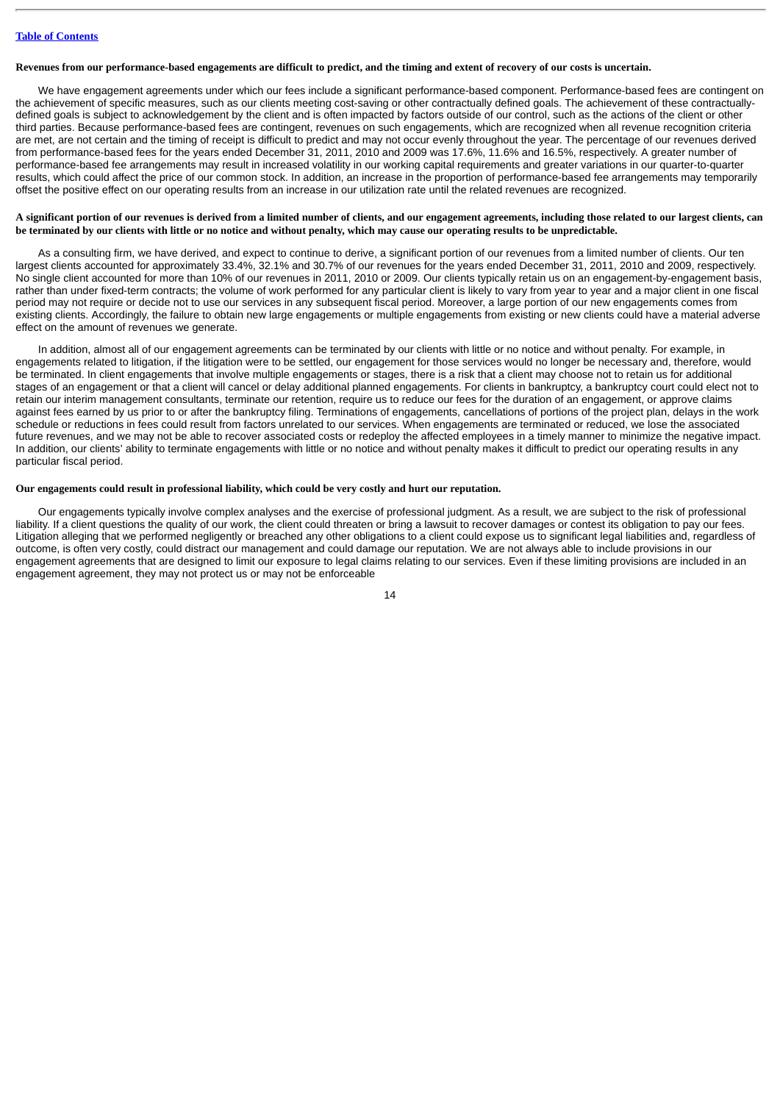### **Revenues from our performance-based engagements are difficult to predict, and the timing and extent of recovery of our costs is uncertain.**

We have engagement agreements under which our fees include a significant performance-based component. Performance-based fees are contingent on the achievement of specific measures, such as our clients meeting cost-saving or other contractually defined goals. The achievement of these contractuallydefined goals is subject to acknowledgement by the client and is often impacted by factors outside of our control, such as the actions of the client or other third parties. Because performance-based fees are contingent, revenues on such engagements, which are recognized when all revenue recognition criteria are met, are not certain and the timing of receipt is difficult to predict and may not occur evenly throughout the year. The percentage of our revenues derived from performance-based fees for the years ended December 31, 2011, 2010 and 2009 was 17.6%, 11.6% and 16.5%, respectively. A greater number of performance-based fee arrangements may result in increased volatility in our working capital requirements and greater variations in our quarter-to-quarter results, which could affect the price of our common stock. In addition, an increase in the proportion of performance-based fee arrangements may temporarily offset the positive effect on our operating results from an increase in our utilization rate until the related revenues are recognized.

#### **A significant portion of our revenues is derived from a limited number of clients, and our engagement agreements, including those related to our largest clients, can be terminated by our clients with little or no notice and without penalty, which may cause our operating results to be unpredictable.**

As a consulting firm, we have derived, and expect to continue to derive, a significant portion of our revenues from a limited number of clients. Our ten largest clients accounted for approximately 33.4%, 32.1% and 30.7% of our revenues for the years ended December 31, 2011, 2010 and 2009, respectively. No single client accounted for more than 10% of our revenues in 2011, 2010 or 2009. Our clients typically retain us on an engagement-by-engagement basis, rather than under fixed-term contracts; the volume of work performed for any particular client is likely to vary from year to year and a major client in one fiscal period may not require or decide not to use our services in any subsequent fiscal period. Moreover, a large portion of our new engagements comes from existing clients. Accordingly, the failure to obtain new large engagements or multiple engagements from existing or new clients could have a material adverse effect on the amount of revenues we generate.

In addition, almost all of our engagement agreements can be terminated by our clients with little or no notice and without penalty. For example, in engagements related to litigation, if the litigation were to be settled, our engagement for those services would no longer be necessary and, therefore, would be terminated. In client engagements that involve multiple engagements or stages, there is a risk that a client may choose not to retain us for additional stages of an engagement or that a client will cancel or delay additional planned engagements. For clients in bankruptcy, a bankruptcy court could elect not to retain our interim management consultants, terminate our retention, require us to reduce our fees for the duration of an engagement, or approve claims against fees earned by us prior to or after the bankruptcy filing. Terminations of engagements, cancellations of portions of the project plan, delays in the work schedule or reductions in fees could result from factors unrelated to our services. When engagements are terminated or reduced, we lose the associated future revenues, and we may not be able to recover associated costs or redeploy the affected employees in a timely manner to minimize the negative impact. In addition, our clients' ability to terminate engagements with little or no notice and without penalty makes it difficult to predict our operating results in any particular fiscal period.

#### **Our engagements could result in professional liability, which could be very costly and hurt our reputation.**

Our engagements typically involve complex analyses and the exercise of professional judgment. As a result, we are subject to the risk of professional liability. If a client questions the quality of our work, the client could threaten or bring a lawsuit to recover damages or contest its obligation to pay our fees. Litigation alleging that we performed negligently or breached any other obligations to a client could expose us to significant legal liabilities and, regardless of outcome, is often very costly, could distract our management and could damage our reputation. We are not always able to include provisions in our engagement agreements that are designed to limit our exposure to legal claims relating to our services. Even if these limiting provisions are included in an engagement agreement, they may not protect us or may not be enforceable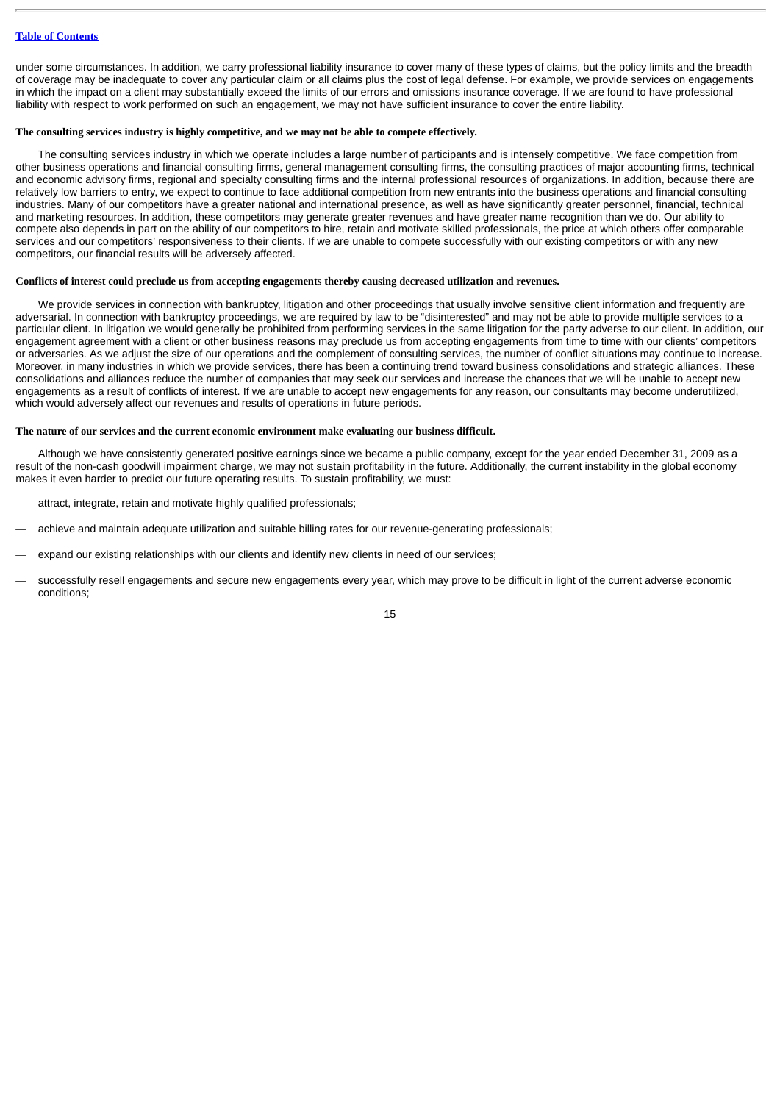under some circumstances. In addition, we carry professional liability insurance to cover many of these types of claims, but the policy limits and the breadth of coverage may be inadequate to cover any particular claim or all claims plus the cost of legal defense. For example, we provide services on engagements in which the impact on a client may substantially exceed the limits of our errors and omissions insurance coverage. If we are found to have professional liability with respect to work performed on such an engagement, we may not have sufficient insurance to cover the entire liability.

#### **The consulting services industry is highly competitive, and we may not be able to compete effectively.**

The consulting services industry in which we operate includes a large number of participants and is intensely competitive. We face competition from other business operations and financial consulting firms, general management consulting firms, the consulting practices of major accounting firms, technical and economic advisory firms, regional and specialty consulting firms and the internal professional resources of organizations. In addition, because there are relatively low barriers to entry, we expect to continue to face additional competition from new entrants into the business operations and financial consulting industries. Many of our competitors have a greater national and international presence, as well as have significantly greater personnel, financial, technical and marketing resources. In addition, these competitors may generate greater revenues and have greater name recognition than we do. Our ability to compete also depends in part on the ability of our competitors to hire, retain and motivate skilled professionals, the price at which others offer comparable services and our competitors' responsiveness to their clients. If we are unable to compete successfully with our existing competitors or with any new competitors, our financial results will be adversely affected.

#### **Conflicts of interest could preclude us from accepting engagements thereby causing decreased utilization and revenues.**

We provide services in connection with bankruptcy, litigation and other proceedings that usually involve sensitive client information and frequently are adversarial. In connection with bankruptcy proceedings, we are required by law to be "disinterested" and may not be able to provide multiple services to a particular client. In litigation we would generally be prohibited from performing services in the same litigation for the party adverse to our client. In addition, our engagement agreement with a client or other business reasons may preclude us from accepting engagements from time to time with our clients' competitors or adversaries. As we adjust the size of our operations and the complement of consulting services, the number of conflict situations may continue to increase. Moreover, in many industries in which we provide services, there has been a continuing trend toward business consolidations and strategic alliances. These consolidations and alliances reduce the number of companies that may seek our services and increase the chances that we will be unable to accept new engagements as a result of conflicts of interest. If we are unable to accept new engagements for any reason, our consultants may become underutilized, which would adversely affect our revenues and results of operations in future periods.

#### **The nature of our services and the current economic environment make evaluating our business difficult.**

Although we have consistently generated positive earnings since we became a public company, except for the year ended December 31, 2009 as a result of the non-cash goodwill impairment charge, we may not sustain profitability in the future. Additionally, the current instability in the global economy makes it even harder to predict our future operating results. To sustain profitability, we must:

- attract, integrate, retain and motivate highly qualified professionals;
- achieve and maintain adequate utilization and suitable billing rates for our revenue-generating professionals;
- expand our existing relationships with our clients and identify new clients in need of our services;
- successfully resell engagements and secure new engagements every year, which may prove to be difficult in light of the current adverse economic conditions;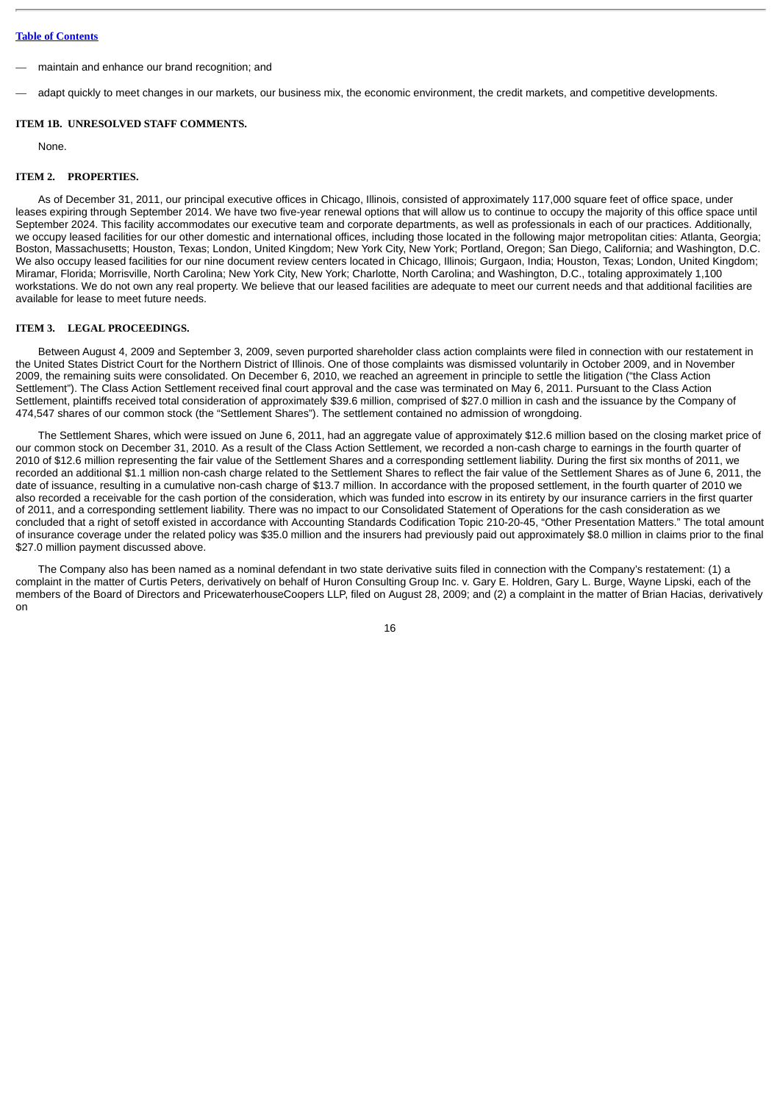- maintain and enhance our brand recognition; and
- adapt quickly to meet changes in our markets, our business mix, the economic environment, the credit markets, and competitive developments.

#### <span id="page-17-0"></span>**ITEM 1B. UNRESOLVED STAFF COMMENTS.**

None.

#### <span id="page-17-1"></span>**ITEM 2. PROPERTIES.**

As of December 31, 2011, our principal executive offices in Chicago, Illinois, consisted of approximately 117,000 square feet of office space, under leases expiring through September 2014. We have two five-year renewal options that will allow us to continue to occupy the majority of this office space until September 2024. This facility accommodates our executive team and corporate departments, as well as professionals in each of our practices. Additionally, we occupy leased facilities for our other domestic and international offices, including those located in the following major metropolitan cities: Atlanta, Georgia; Boston, Massachusetts; Houston, Texas; London, United Kingdom; New York City, New York; Portland, Oregon; San Diego, California; and Washington, D.C. We also occupy leased facilities for our nine document review centers located in Chicago, Illinois; Gurgaon, India; Houston, Texas; London, United Kingdom; Miramar, Florida; Morrisville, North Carolina; New York City, New York; Charlotte, North Carolina; and Washington, D.C., totaling approximately 1,100 workstations. We do not own any real property. We believe that our leased facilities are adequate to meet our current needs and that additional facilities are available for lease to meet future needs.

### <span id="page-17-2"></span>**ITEM 3. LEGAL PROCEEDINGS.**

Between August 4, 2009 and September 3, 2009, seven purported shareholder class action complaints were filed in connection with our restatement in the United States District Court for the Northern District of Illinois. One of those complaints was dismissed voluntarily in October 2009, and in November 2009, the remaining suits were consolidated. On December 6, 2010, we reached an agreement in principle to settle the litigation ("the Class Action Settlement"). The Class Action Settlement received final court approval and the case was terminated on May 6, 2011. Pursuant to the Class Action Settlement, plaintiffs received total consideration of approximately \$39.6 million, comprised of \$27.0 million in cash and the issuance by the Company of 474,547 shares of our common stock (the "Settlement Shares"). The settlement contained no admission of wrongdoing.

The Settlement Shares, which were issued on June 6, 2011, had an aggregate value of approximately \$12.6 million based on the closing market price of our common stock on December 31, 2010. As a result of the Class Action Settlement, we recorded a non-cash charge to earnings in the fourth quarter of 2010 of \$12.6 million representing the fair value of the Settlement Shares and a corresponding settlement liability. During the first six months of 2011, we recorded an additional \$1.1 million non-cash charge related to the Settlement Shares to reflect the fair value of the Settlement Shares as of June 6, 2011, the date of issuance, resulting in a cumulative non-cash charge of \$13.7 million. In accordance with the proposed settlement, in the fourth quarter of 2010 we also recorded a receivable for the cash portion of the consideration, which was funded into escrow in its entirety by our insurance carriers in the first quarter of 2011, and a corresponding settlement liability. There was no impact to our Consolidated Statement of Operations for the cash consideration as we concluded that a right of setoff existed in accordance with Accounting Standards Codification Topic 210-20-45, "Other Presentation Matters." The total amount of insurance coverage under the related policy was \$35.0 million and the insurers had previously paid out approximately \$8.0 million in claims prior to the final \$27.0 million payment discussed above.

The Company also has been named as a nominal defendant in two state derivative suits filed in connection with the Company's restatement: (1) a complaint in the matter of Curtis Peters, derivatively on behalf of Huron Consulting Group Inc. v. Gary E. Holdren, Gary L. Burge, Wayne Lipski, each of the members of the Board of Directors and PricewaterhouseCoopers LLP, filed on August 28, 2009; and (2) a complaint in the matter of Brian Hacias, derivatively on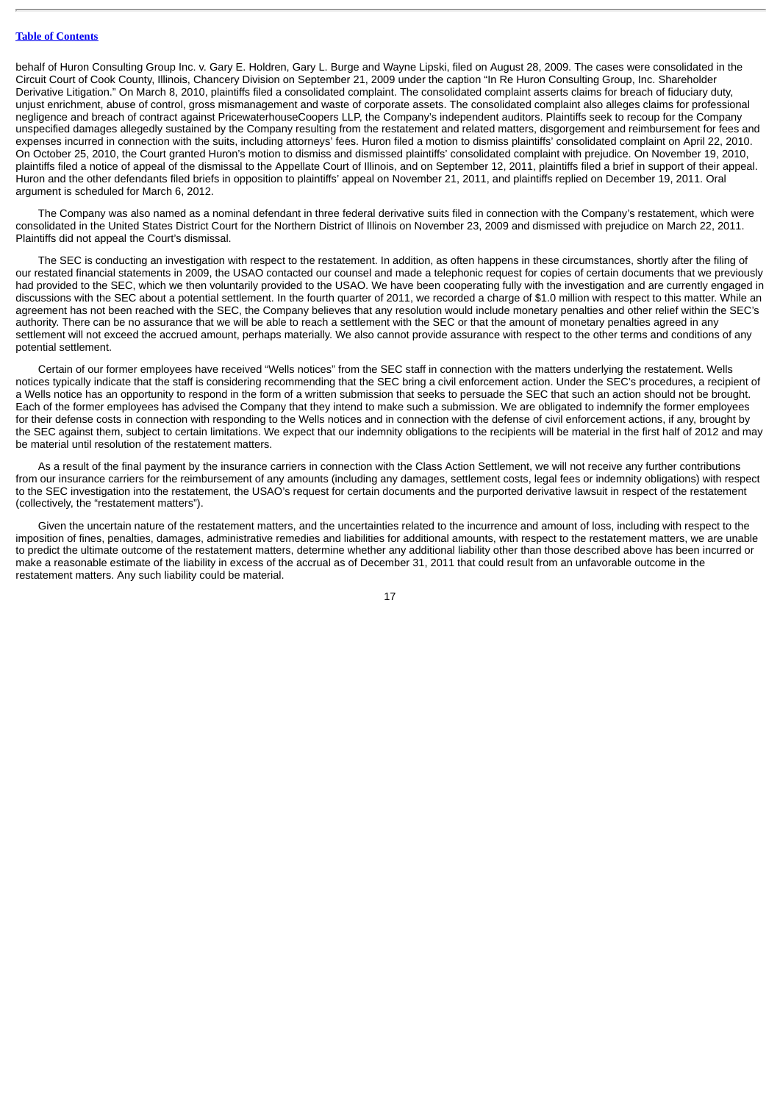behalf of Huron Consulting Group Inc. v. Gary E. Holdren, Gary L. Burge and Wayne Lipski, filed on August 28, 2009. The cases were consolidated in the Circuit Court of Cook County, Illinois, Chancery Division on September 21, 2009 under the caption "In Re Huron Consulting Group, Inc. Shareholder Derivative Litigation." On March 8, 2010, plaintiffs filed a consolidated complaint. The consolidated complaint asserts claims for breach of fiduciary duty, unjust enrichment, abuse of control, gross mismanagement and waste of corporate assets. The consolidated complaint also alleges claims for professional negligence and breach of contract against PricewaterhouseCoopers LLP, the Company's independent auditors. Plaintiffs seek to recoup for the Company unspecified damages allegedly sustained by the Company resulting from the restatement and related matters, disgorgement and reimbursement for fees and expenses incurred in connection with the suits, including attorneys' fees. Huron filed a motion to dismiss plaintiffs' consolidated complaint on April 22, 2010. On October 25, 2010, the Court granted Huron's motion to dismiss and dismissed plaintiffs' consolidated complaint with prejudice. On November 19, 2010, plaintiffs filed a notice of appeal of the dismissal to the Appellate Court of Illinois, and on September 12, 2011, plaintiffs filed a brief in support of their appeal. Huron and the other defendants filed briefs in opposition to plaintiffs' appeal on November 21, 2011, and plaintiffs replied on December 19, 2011. Oral argument is scheduled for March 6, 2012.

The Company was also named as a nominal defendant in three federal derivative suits filed in connection with the Company's restatement, which were consolidated in the United States District Court for the Northern District of Illinois on November 23, 2009 and dismissed with prejudice on March 22, 2011. Plaintiffs did not appeal the Court's dismissal.

The SEC is conducting an investigation with respect to the restatement. In addition, as often happens in these circumstances, shortly after the filing of our restated financial statements in 2009, the USAO contacted our counsel and made a telephonic request for copies of certain documents that we previously had provided to the SEC, which we then voluntarily provided to the USAO. We have been cooperating fully with the investigation and are currently engaged in discussions with the SEC about a potential settlement. In the fourth quarter of 2011, we recorded a charge of \$1.0 million with respect to this matter. While an agreement has not been reached with the SEC, the Company believes that any resolution would include monetary penalties and other relief within the SEC's authority. There can be no assurance that we will be able to reach a settlement with the SEC or that the amount of monetary penalties agreed in any settlement will not exceed the accrued amount, perhaps materially. We also cannot provide assurance with respect to the other terms and conditions of any potential settlement.

Certain of our former employees have received "Wells notices" from the SEC staff in connection with the matters underlying the restatement. Wells notices typically indicate that the staff is considering recommending that the SEC bring a civil enforcement action. Under the SEC's procedures, a recipient of a Wells notice has an opportunity to respond in the form of a written submission that seeks to persuade the SEC that such an action should not be brought. Each of the former employees has advised the Company that they intend to make such a submission. We are obligated to indemnify the former employees for their defense costs in connection with responding to the Wells notices and in connection with the defense of civil enforcement actions, if any, brought by the SEC against them, subject to certain limitations. We expect that our indemnity obligations to the recipients will be material in the first half of 2012 and may be material until resolution of the restatement matters.

As a result of the final payment by the insurance carriers in connection with the Class Action Settlement, we will not receive any further contributions from our insurance carriers for the reimbursement of any amounts (including any damages, settlement costs, legal fees or indemnity obligations) with respect to the SEC investigation into the restatement, the USAO's request for certain documents and the purported derivative lawsuit in respect of the restatement (collectively, the "restatement matters").

Given the uncertain nature of the restatement matters, and the uncertainties related to the incurrence and amount of loss, including with respect to the imposition of fines, penalties, damages, administrative remedies and liabilities for additional amounts, with respect to the restatement matters, we are unable to predict the ultimate outcome of the restatement matters, determine whether any additional liability other than those described above has been incurred or make a reasonable estimate of the liability in excess of the accrual as of December 31, 2011 that could result from an unfavorable outcome in the restatement matters. Any such liability could be material.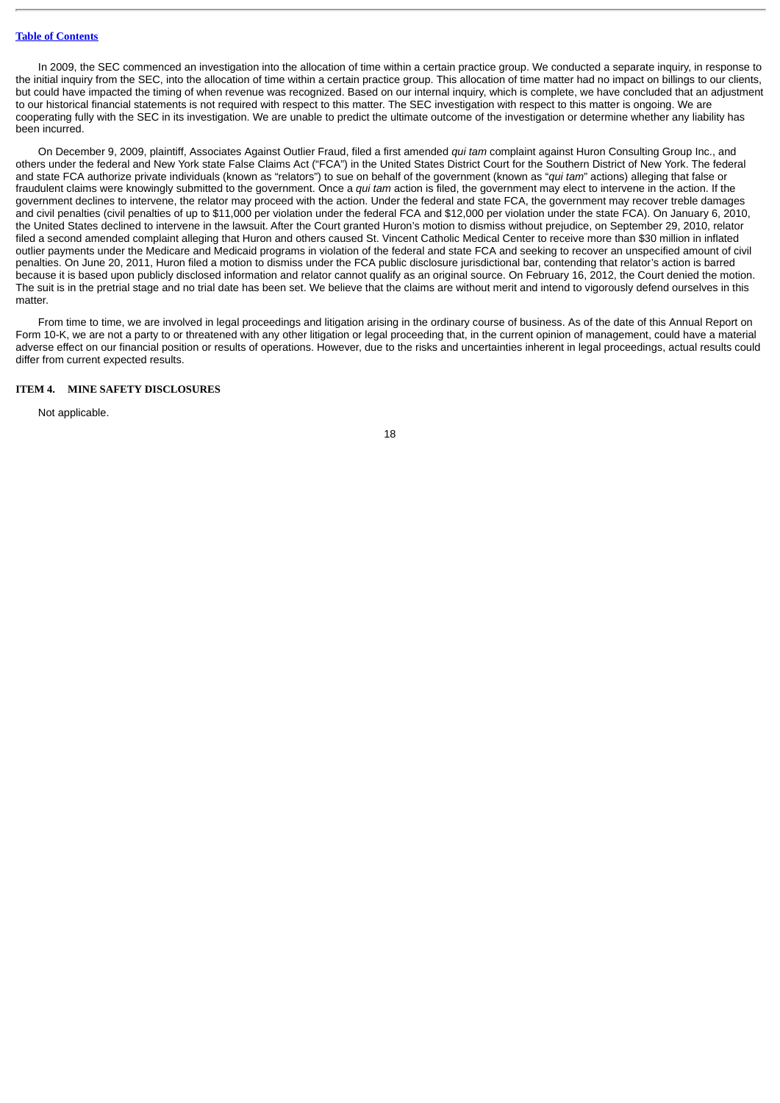In 2009, the SEC commenced an investigation into the allocation of time within a certain practice group. We conducted a separate inquiry, in response to the initial inquiry from the SEC, into the allocation of time within a certain practice group. This allocation of time matter had no impact on billings to our clients, but could have impacted the timing of when revenue was recognized. Based on our internal inquiry, which is complete, we have concluded that an adjustment to our historical financial statements is not required with respect to this matter. The SEC investigation with respect to this matter is ongoing. We are cooperating fully with the SEC in its investigation. We are unable to predict the ultimate outcome of the investigation or determine whether any liability has been incurred.

On December 9, 2009, plaintiff, Associates Against Outlier Fraud, filed a first amended *qui tam* complaint against Huron Consulting Group Inc., and others under the federal and New York state False Claims Act ("FCA") in the United States District Court for the Southern District of New York. The federal and state FCA authorize private individuals (known as "relators") to sue on behalf of the government (known as "*qui tam*" actions) alleging that false or fraudulent claims were knowingly submitted to the government. Once a *qui tam* action is filed, the government may elect to intervene in the action. If the government declines to intervene, the relator may proceed with the action. Under the federal and state FCA, the government may recover treble damages and civil penalties (civil penalties of up to \$11,000 per violation under the federal FCA and \$12,000 per violation under the state FCA). On January 6, 2010, the United States declined to intervene in the lawsuit. After the Court granted Huron's motion to dismiss without prejudice, on September 29, 2010, relator filed a second amended complaint alleging that Huron and others caused St. Vincent Catholic Medical Center to receive more than \$30 million in inflated outlier payments under the Medicare and Medicaid programs in violation of the federal and state FCA and seeking to recover an unspecified amount of civil penalties. On June 20, 2011, Huron filed a motion to dismiss under the FCA public disclosure jurisdictional bar, contending that relator's action is barred because it is based upon publicly disclosed information and relator cannot qualify as an original source. On February 16, 2012, the Court denied the motion. The suit is in the pretrial stage and no trial date has been set. We believe that the claims are without merit and intend to vigorously defend ourselves in this matter.

From time to time, we are involved in legal proceedings and litigation arising in the ordinary course of business. As of the date of this Annual Report on Form 10-K, we are not a party to or threatened with any other litigation or legal proceeding that, in the current opinion of management, could have a material adverse effect on our financial position or results of operations. However, due to the risks and uncertainties inherent in legal proceedings, actual results could differ from current expected results.

#### <span id="page-19-0"></span>**ITEM 4. MINE SAFETY DISCLOSURES**

Not applicable.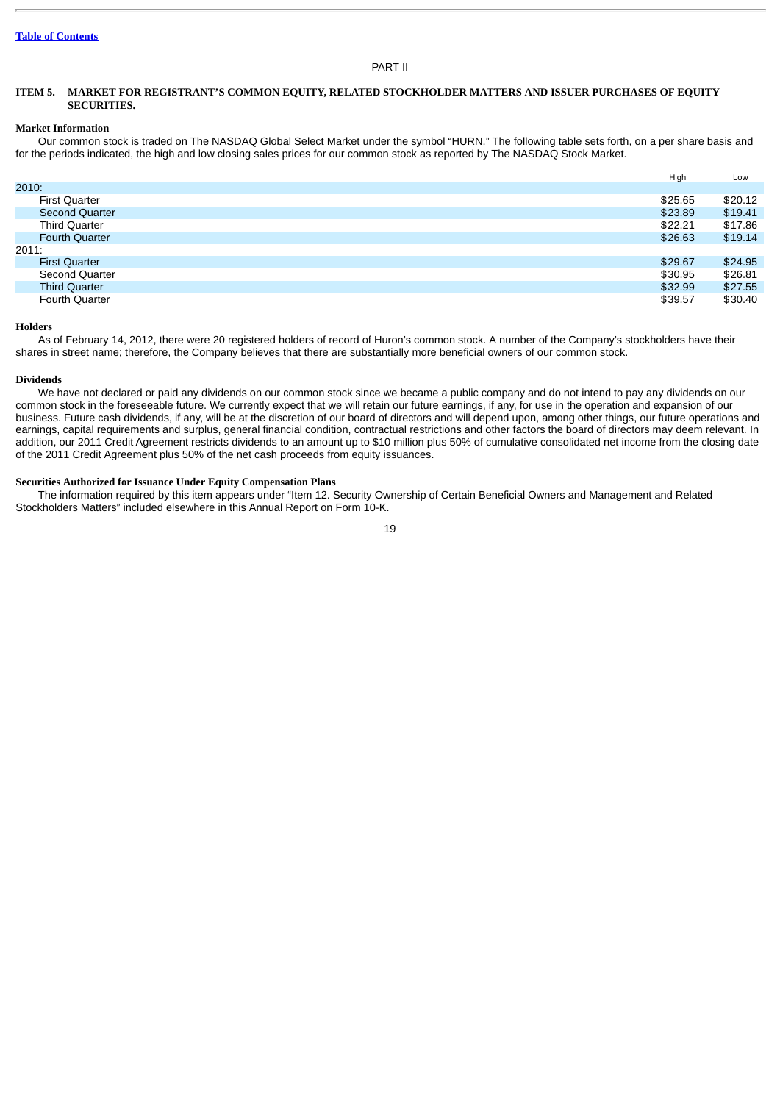# PART II

# <span id="page-20-0"></span>**ITEM 5. MARKET FOR REGISTRANT'S COMMON EQUITY, RELATED STOCKHOLDER MATTERS AND ISSUER PURCHASES OF EQUITY SECURITIES.**

#### **Market Information**

Our common stock is traded on The NASDAQ Global Select Market under the symbol "HURN." The following table sets forth, on a per share basis and for the periods indicated, the high and low closing sales prices for our common stock as reported by The NASDAQ Stock Market.

|                       | <b>High</b> | Low     |
|-----------------------|-------------|---------|
| 2010:                 |             |         |
| <b>First Quarter</b>  | \$25.65     | \$20.12 |
| <b>Second Quarter</b> | \$23.89     | \$19.41 |
| Third Quarter         | \$22.21     | \$17.86 |
| <b>Fourth Quarter</b> | \$26.63     | \$19.14 |
| 2011:                 |             |         |
| <b>First Ouarter</b>  | \$29.67     | \$24.95 |
| Second Quarter        | \$30.95     | \$26.81 |
| <b>Third Quarter</b>  | \$32.99     | \$27.55 |
| Fourth Quarter        | \$39.57     | \$30.40 |

#### **Holders**

As of February 14, 2012, there were 20 registered holders of record of Huron's common stock. A number of the Company's stockholders have their shares in street name; therefore, the Company believes that there are substantially more beneficial owners of our common stock.

### **Dividends**

We have not declared or paid any dividends on our common stock since we became a public company and do not intend to pay any dividends on our common stock in the foreseeable future. We currently expect that we will retain our future earnings, if any, for use in the operation and expansion of our business. Future cash dividends, if any, will be at the discretion of our board of directors and will depend upon, among other things, our future operations and earnings, capital requirements and surplus, general financial condition, contractual restrictions and other factors the board of directors may deem relevant. In addition, our 2011 Credit Agreement restricts dividends to an amount up to \$10 million plus 50% of cumulative consolidated net income from the closing date of the 2011 Credit Agreement plus 50% of the net cash proceeds from equity issuances.

# **Securities Authorized for Issuance Under Equity Compensation Plans**

The information required by this item appears under "Item 12. Security Ownership of Certain Beneficial Owners and Management and Related Stockholders Matters" included elsewhere in this Annual Report on Form 10-K.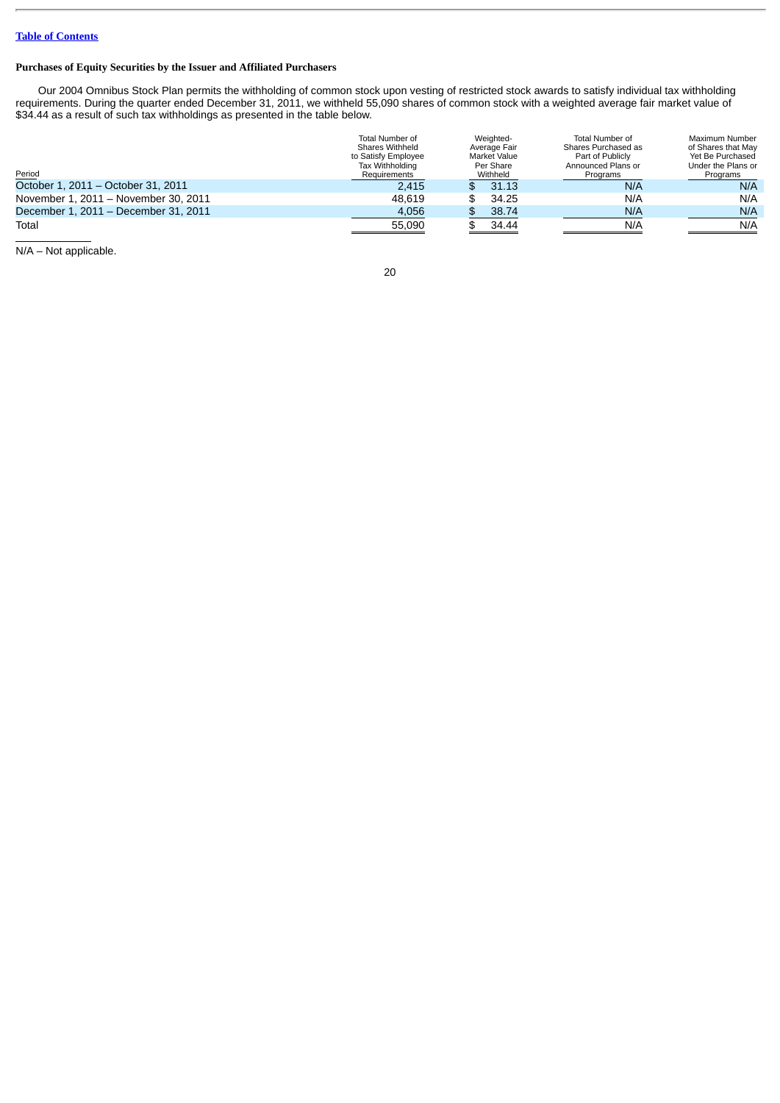# **Purchases of Equity Securities by the Issuer and Affiliated Purchasers**

Our 2004 Omnibus Stock Plan permits the withholding of common stock upon vesting of restricted stock awards to satisfy individual tax withholding requirements. During the quarter ended December 31, 2011, we withheld 55,090 shares of common stock with a weighted average fair market value of \$34.44 as a result of such tax withholdings as presented in the table below.

|                                      | Total Number of        | Weighted-    | Total Number of     | Maximum Number     |
|--------------------------------------|------------------------|--------------|---------------------|--------------------|
|                                      | <b>Shares Withheld</b> | Average Fair | Shares Purchased as | of Shares that May |
|                                      | to Satisfy Employee    | Market Value | Part of Publicly    | Yet Be Purchased   |
|                                      | Tax Withholding        | Per Share    | Announced Plans or  | Under the Plans or |
| Period                               | Requirements           | Withheld     | Programs            | Programs           |
| October 1, 2011 – October 31, 2011   | 2.415                  | 31.13        | N/A                 | N/A                |
| November 1, 2011 - November 30, 2011 | 48.619                 | 34.25        | N/A                 | N/A                |
| December 1, 2011 - December 31, 2011 | 4,056                  | 38.74        | N/A                 | N/A                |
| Total                                | 55.090                 | 34.44        | N/A                 | N/A                |

N/A – Not applicable.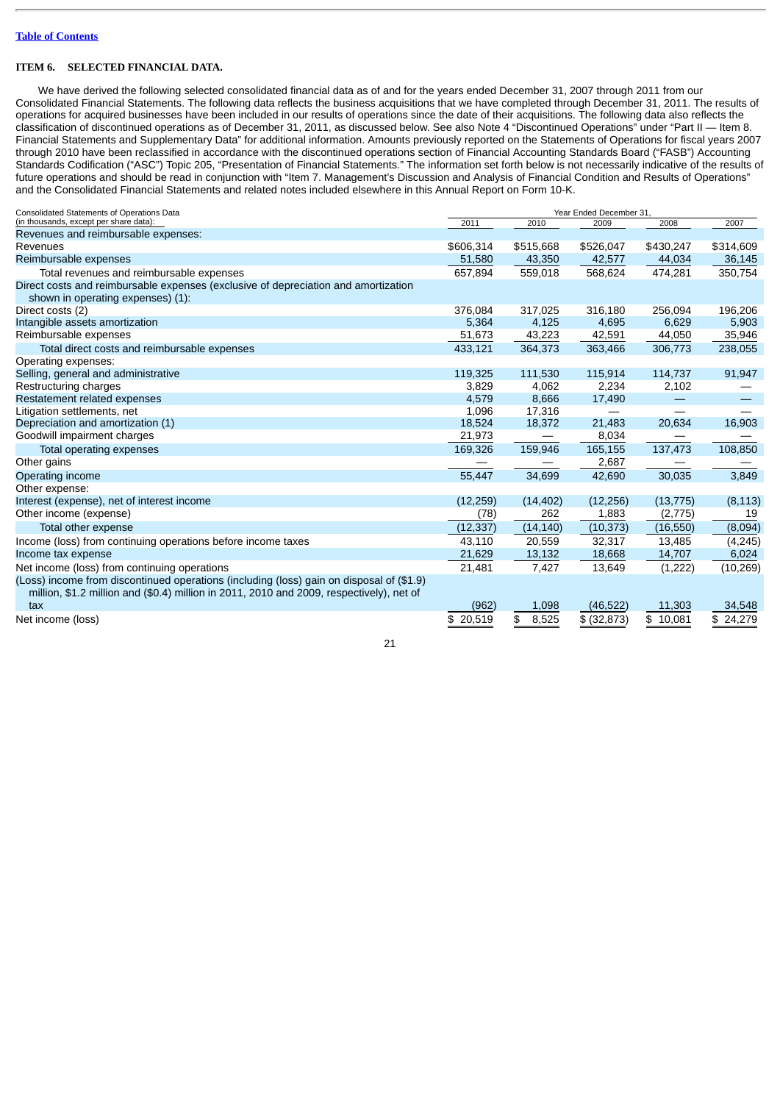# <span id="page-22-0"></span>**ITEM 6. SELECTED FINANCIAL DATA.**

We have derived the following selected consolidated financial data as of and for the years ended December 31, 2007 through 2011 from our Consolidated Financial Statements. The following data reflects the business acquisitions that we have completed through December 31, 2011. The results of operations for acquired businesses have been included in our results of operations since the date of their acquisitions. The following data also reflects the classification of discontinued operations as of December 31, 2011, as discussed below. See also Note 4 "Discontinued Operations" under "Part II — Item 8. Financial Statements and Supplementary Data" for additional information. Amounts previously reported on the Statements of Operations for fiscal years 2007 through 2010 have been reclassified in accordance with the discontinued operations section of Financial Accounting Standards Board ("FASB") Accounting Standards Codification ("ASC") Topic 205, "Presentation of Financial Statements." The information set forth below is not necessarily indicative of the results of future operations and should be read in conjunction with "Item 7. Management's Discussion and Analysis of Financial Condition and Results of Operations" and the Consolidated Financial Statements and related notes included elsewhere in this Annual Report on Form 10-K.

| <b>Consolidated Statements of Operations Data</b>                                                                                                                                    | Year Ended December 31. |             |              |           |           |
|--------------------------------------------------------------------------------------------------------------------------------------------------------------------------------------|-------------------------|-------------|--------------|-----------|-----------|
| (in thousands, except per share data):                                                                                                                                               | 2011                    | 2010        | 2009         | 2008      | 2007      |
| Revenues and reimbursable expenses:                                                                                                                                                  |                         |             |              |           |           |
| Revenues                                                                                                                                                                             | \$606.314               | \$515,668   | \$526,047    | \$430,247 | \$314,609 |
| Reimbursable expenses                                                                                                                                                                | 51,580                  | 43,350      | 42,577       | 44,034    | 36,145    |
| Total revenues and reimbursable expenses                                                                                                                                             | 657,894                 | 559,018     | 568,624      | 474,281   | 350,754   |
| Direct costs and reimbursable expenses (exclusive of depreciation and amortization                                                                                                   |                         |             |              |           |           |
| shown in operating expenses) (1):                                                                                                                                                    |                         |             |              |           |           |
| Direct costs (2)                                                                                                                                                                     | 376.084                 | 317.025     | 316,180      | 256.094   | 196,206   |
| Intangible assets amortization                                                                                                                                                       | 5,364                   | 4,125       | 4,695        | 6.629     | 5,903     |
| Reimbursable expenses                                                                                                                                                                | 51,673                  | 43,223      | 42,591       | 44,050    | 35,946    |
| Total direct costs and reimbursable expenses                                                                                                                                         | 433,121                 | 364,373     | 363,466      | 306,773   | 238,055   |
| Operating expenses:                                                                                                                                                                  |                         |             |              |           |           |
| Selling, general and administrative                                                                                                                                                  | 119,325                 | 111,530     | 115,914      | 114,737   | 91,947    |
| Restructuring charges                                                                                                                                                                | 3.829                   | 4,062       | 2,234        | 2,102     |           |
| Restatement related expenses                                                                                                                                                         | 4,579                   | 8,666       | 17,490       |           |           |
| Litigation settlements, net                                                                                                                                                          | 1,096                   | 17,316      |              |           |           |
| Depreciation and amortization (1)                                                                                                                                                    | 18,524                  | 18,372      | 21,483       | 20,634    | 16,903    |
| Goodwill impairment charges                                                                                                                                                          | 21,973                  |             | 8,034        |           |           |
| Total operating expenses                                                                                                                                                             | 169,326                 | 159,946     | 165,155      | 137,473   | 108,850   |
| Other gains                                                                                                                                                                          |                         |             | 2,687        |           |           |
| Operating income                                                                                                                                                                     | 55,447                  | 34,699      | 42,690       | 30,035    | 3,849     |
| Other expense:                                                                                                                                                                       |                         |             |              |           |           |
| Interest (expense), net of interest income                                                                                                                                           | (12, 259)               | (14, 402)   | (12, 256)    | (13, 775) | (8, 113)  |
| Other income (expense)                                                                                                                                                               | (78)                    | 262         | 1,883        | (2, 775)  | 19        |
| Total other expense                                                                                                                                                                  | (12, 337)               | (14, 140)   | (10, 373)    | (16, 550) | (8,094)   |
| Income (loss) from continuing operations before income taxes                                                                                                                         | 43,110                  | 20,559      | 32,317       | 13,485    | (4, 245)  |
| Income tax expense                                                                                                                                                                   | 21,629                  | 13,132      | 18,668       | 14,707    | 6,024     |
| Net income (loss) from continuing operations                                                                                                                                         | 21,481                  | 7,427       | 13,649       | (1,222)   | (10, 269) |
| (Loss) income from discontinued operations (including (loss) gain on disposal of (\$1.9)<br>million, \$1.2 million and (\$0.4) million in 2011, 2010 and 2009, respectively), net of |                         |             |              |           |           |
| tax                                                                                                                                                                                  | (962)                   | 1,098       | (46, 522)    | 11,303    | 34,548    |
| Net income (loss)                                                                                                                                                                    | \$ 20,519               | \$<br>8,525 | \$ (32, 873) | \$10,081  | \$ 24,279 |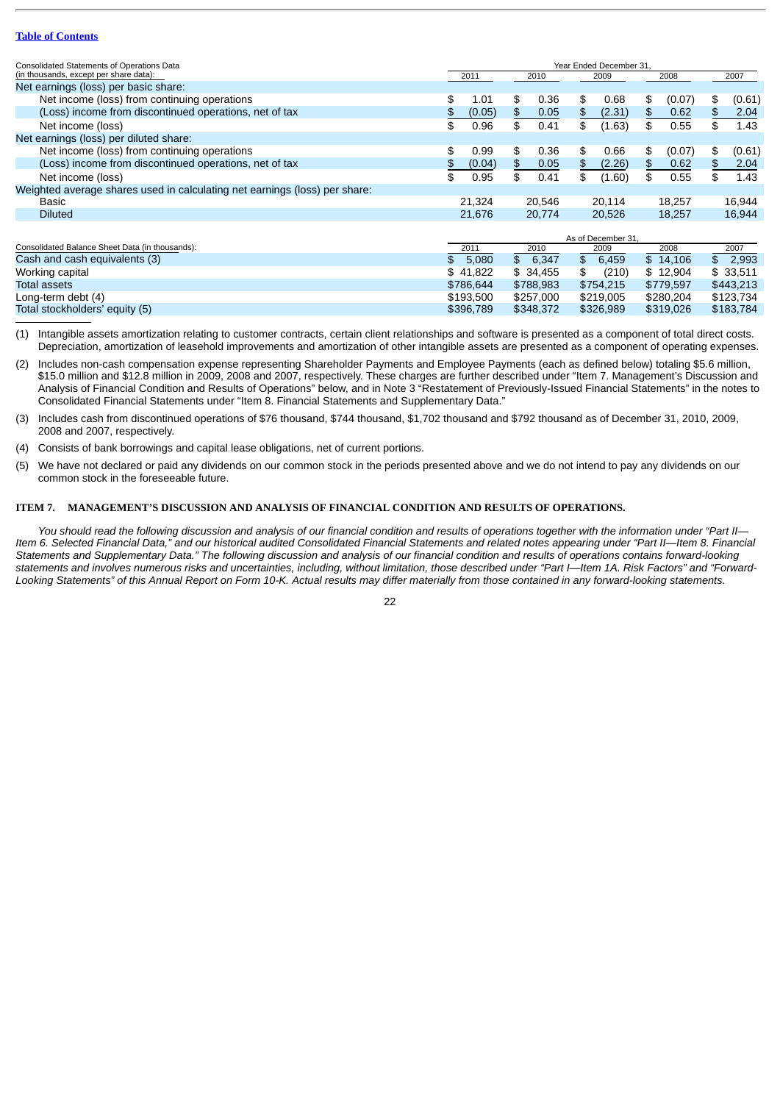| <b>Consolidated Statements of Operations Data</b>                          | Year Ended December 31 |        |    |        |                   |                |        |     |        |
|----------------------------------------------------------------------------|------------------------|--------|----|--------|-------------------|----------------|--------|-----|--------|
| (in thousands, except per share data):                                     |                        | 2011   |    | 2010   | 2009              |                | 2008   |     | 2007   |
| Net earnings (loss) per basic share:                                       |                        |        |    |        |                   |                |        |     |        |
| Net income (loss) from continuing operations                               | \$                     | 1.01   | \$ | 0.36   | \$<br>0.68        | \$             | (0.07) | \$  | (0.61) |
| (Loss) income from discontinued operations, net of tax                     | \$                     | (0.05) | \$ | 0.05   | \$<br>(2.31)      | \$             | 0.62   | \$  | 2.04   |
| Net income (loss)                                                          | \$                     | 0.96   | \$ | 0.41   | \$<br>(1.63)      | \$             | 0.55   | \$  | 1.43   |
| Net earnings (loss) per diluted share:                                     |                        |        |    |        |                   |                |        |     |        |
| Net income (loss) from continuing operations                               | \$                     | 0.99   | \$ | 0.36   | \$<br>0.66        | \$             | (0.07) | \$  | (0.61) |
| (Loss) income from discontinued operations, net of tax                     | \$                     | (0.04) | \$ | 0.05   | \$<br>(2.26)      | $\mathfrak{L}$ | 0.62   | \$. | 2.04   |
| Net income (loss)                                                          | \$                     | 0.95   | \$ | 0.41   | \$<br>(1.60)      | \$             | 0.55   | \$. | 1.43   |
| Weighted average shares used in calculating net earnings (loss) per share: |                        |        |    |        |                   |                |        |     |        |
| Basic                                                                      |                        | 21.324 |    | 20.546 | 20.114            |                | 18.257 |     | 16.944 |
| <b>Diluted</b>                                                             |                        | 21.676 |    | 20.774 | 20.526            |                | 18.257 |     | 16,944 |
|                                                                            |                        |        |    |        | Ac of Docombor 21 |                |        |     |        |

|                                                 |           | As of December 31. |           |           |              |  |
|-------------------------------------------------|-----------|--------------------|-----------|-----------|--------------|--|
| Consolidated Balance Sheet Data (in thousands): | 2011      | 2010               | 2009      | 2008      | 2007         |  |
| Cash and cash equivalents (3)                   | \$5.080   | 6.347<br>\$        | 6.459     | \$14.106  | 2.993<br>\$. |  |
| Working capital                                 | \$41.822  | \$ 34.455          | (210)     | \$12.904  | \$33.511     |  |
| <b>Total assets</b>                             | \$786.644 | \$788.983          | \$754.215 | \$779.597 | \$443.213    |  |
| Long-term debt (4)                              | \$193.500 | \$257,000          | \$219,005 | \$280.204 | \$123.734    |  |
| Total stockholders' equity (5)                  | \$396.789 | \$348.372          | \$326.989 | \$319,026 | \$183.784    |  |

(1) Intangible assets amortization relating to customer contracts, certain client relationships and software is presented as a component of total direct costs. Depreciation, amortization of leasehold improvements and amortization of other intangible assets are presented as a component of operating expenses.

- (2) Includes non-cash compensation expense representing Shareholder Payments and Employee Payments (each as defined below) totaling \$5.6 million, \$15.0 million and \$12.8 million in 2009, 2008 and 2007, respectively. These charges are further described under "Item 7. Management's Discussion and Analysis of Financial Condition and Results of Operations" below, and in Note 3 "Restatement of Previously-Issued Financial Statements" in the notes to Consolidated Financial Statements under "Item 8. Financial Statements and Supplementary Data."
- (3) Includes cash from discontinued operations of \$76 thousand, \$744 thousand, \$1,702 thousand and \$792 thousand as of December 31, 2010, 2009, 2008 and 2007, respectively.
- (4) Consists of bank borrowings and capital lease obligations, net of current portions.
- (5) We have not declared or paid any dividends on our common stock in the periods presented above and we do not intend to pay any dividends on our common stock in the foreseeable future.

# <span id="page-23-0"></span>**ITEM 7. MANAGEMENT'S DISCUSSION AND ANALYSIS OF FINANCIAL CONDITION AND RESULTS OF OPERATIONS.**

*You should read the following discussion and analysis of our financial condition and results of operations together with the information under "Part II— Item 6. Selected Financial Data," and our historical audited Consolidated Financial Statements and related notes appearing under "Part II—Item 8. Financial Statements and Supplementary Data." The following discussion and analysis of our financial condition and results of operations contains forward-looking statements and involves numerous risks and uncertainties, including, without limitation, those described under "Part I—Item 1A. Risk Factors" and "Forward-Looking Statements" of this Annual Report on Form 10-K. Actual results may differ materially from those contained in any forward-looking statements.*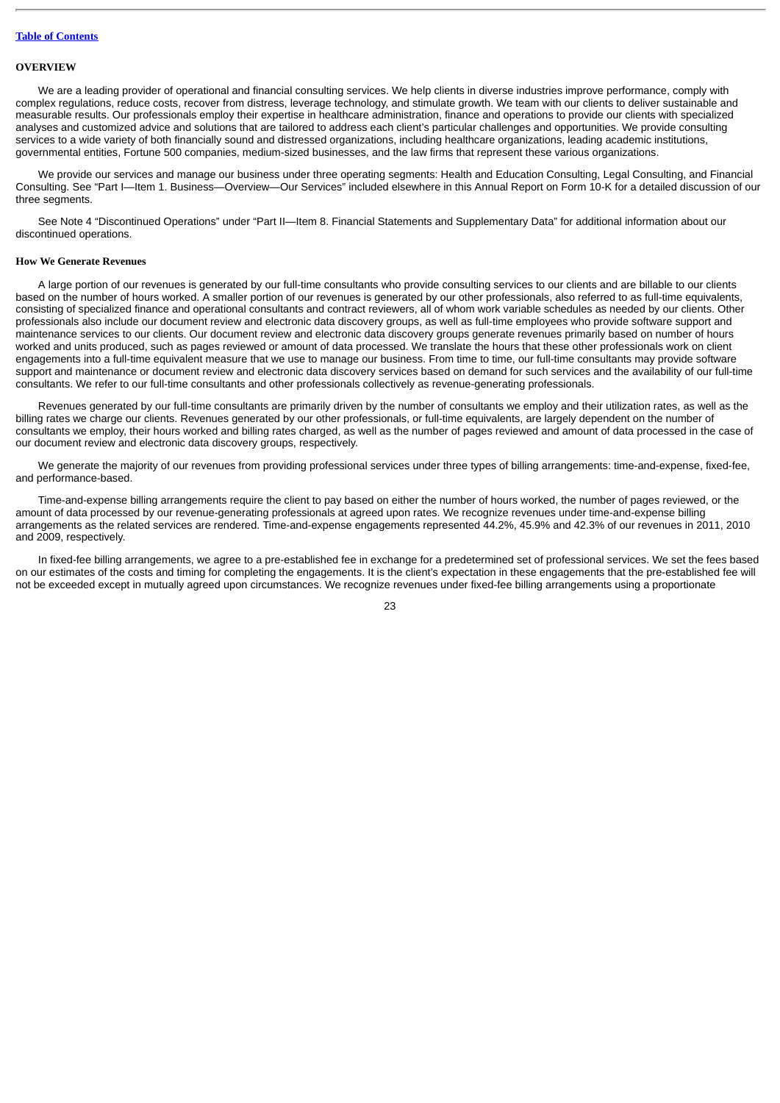# **OVERVIEW**

We are a leading provider of operational and financial consulting services. We help clients in diverse industries improve performance, comply with complex regulations, reduce costs, recover from distress, leverage technology, and stimulate growth. We team with our clients to deliver sustainable and measurable results. Our professionals employ their expertise in healthcare administration, finance and operations to provide our clients with specialized analyses and customized advice and solutions that are tailored to address each client's particular challenges and opportunities. We provide consulting services to a wide variety of both financially sound and distressed organizations, including healthcare organizations, leading academic institutions, governmental entities, Fortune 500 companies, medium-sized businesses, and the law firms that represent these various organizations.

We provide our services and manage our business under three operating segments: Health and Education Consulting, Legal Consulting, and Financial Consulting. See "Part I—Item 1. Business—Overview—Our Services" included elsewhere in this Annual Report on Form 10-K for a detailed discussion of our three segments.

See Note 4 "Discontinued Operations" under "Part II—Item 8. Financial Statements and Supplementary Data" for additional information about our discontinued operations.

#### **How We Generate Revenues**

A large portion of our revenues is generated by our full-time consultants who provide consulting services to our clients and are billable to our clients based on the number of hours worked. A smaller portion of our revenues is generated by our other professionals, also referred to as full-time equivalents, consisting of specialized finance and operational consultants and contract reviewers, all of whom work variable schedules as needed by our clients. Other professionals also include our document review and electronic data discovery groups, as well as full-time employees who provide software support and maintenance services to our clients. Our document review and electronic data discovery groups generate revenues primarily based on number of hours worked and units produced, such as pages reviewed or amount of data processed. We translate the hours that these other professionals work on client engagements into a full-time equivalent measure that we use to manage our business. From time to time, our full-time consultants may provide software support and maintenance or document review and electronic data discovery services based on demand for such services and the availability of our full-time consultants. We refer to our full-time consultants and other professionals collectively as revenue-generating professionals.

Revenues generated by our full-time consultants are primarily driven by the number of consultants we employ and their utilization rates, as well as the billing rates we charge our clients. Revenues generated by our other professionals, or full-time equivalents, are largely dependent on the number of consultants we employ, their hours worked and billing rates charged, as well as the number of pages reviewed and amount of data processed in the case of our document review and electronic data discovery groups, respectively.

We generate the majority of our revenues from providing professional services under three types of billing arrangements: time-and-expense, fixed-fee, and performance-based.

Time-and-expense billing arrangements require the client to pay based on either the number of hours worked, the number of pages reviewed, or the amount of data processed by our revenue-generating professionals at agreed upon rates. We recognize revenues under time-and-expense billing arrangements as the related services are rendered. Time-and-expense engagements represented 44.2%, 45.9% and 42.3% of our revenues in 2011, 2010 and 2009, respectively.

In fixed-fee billing arrangements, we agree to a pre-established fee in exchange for a predetermined set of professional services. We set the fees based on our estimates of the costs and timing for completing the engagements. It is the client's expectation in these engagements that the pre-established fee will not be exceeded except in mutually agreed upon circumstances. We recognize revenues under fixed-fee billing arrangements using a proportionate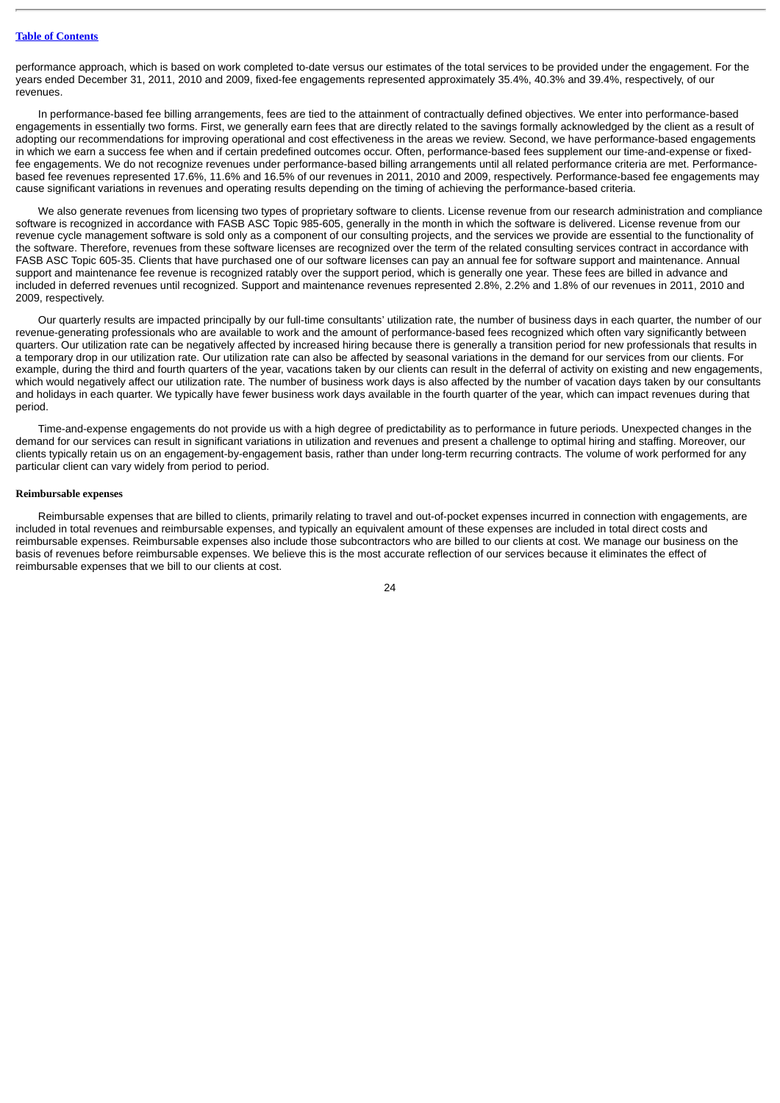performance approach, which is based on work completed to-date versus our estimates of the total services to be provided under the engagement. For the years ended December 31, 2011, 2010 and 2009, fixed-fee engagements represented approximately 35.4%, 40.3% and 39.4%, respectively, of our revenues.

In performance-based fee billing arrangements, fees are tied to the attainment of contractually defined objectives. We enter into performance-based engagements in essentially two forms. First, we generally earn fees that are directly related to the savings formally acknowledged by the client as a result of adopting our recommendations for improving operational and cost effectiveness in the areas we review. Second, we have performance-based engagements in which we earn a success fee when and if certain predefined outcomes occur. Often, performance-based fees supplement our time-and-expense or fixedfee engagements. We do not recognize revenues under performance-based billing arrangements until all related performance criteria are met. Performancebased fee revenues represented 17.6%, 11.6% and 16.5% of our revenues in 2011, 2010 and 2009, respectively. Performance-based fee engagements may cause significant variations in revenues and operating results depending on the timing of achieving the performance-based criteria.

We also generate revenues from licensing two types of proprietary software to clients. License revenue from our research administration and compliance software is recognized in accordance with FASB ASC Topic 985-605, generally in the month in which the software is delivered. License revenue from our revenue cycle management software is sold only as a component of our consulting projects, and the services we provide are essential to the functionality of the software. Therefore, revenues from these software licenses are recognized over the term of the related consulting services contract in accordance with FASB ASC Topic 605-35. Clients that have purchased one of our software licenses can pay an annual fee for software support and maintenance. Annual support and maintenance fee revenue is recognized ratably over the support period, which is generally one year. These fees are billed in advance and included in deferred revenues until recognized. Support and maintenance revenues represented 2.8%, 2.2% and 1.8% of our revenues in 2011, 2010 and 2009, respectively.

Our quarterly results are impacted principally by our full-time consultants' utilization rate, the number of business days in each quarter, the number of our revenue-generating professionals who are available to work and the amount of performance-based fees recognized which often vary significantly between quarters. Our utilization rate can be negatively affected by increased hiring because there is generally a transition period for new professionals that results in a temporary drop in our utilization rate. Our utilization rate can also be affected by seasonal variations in the demand for our services from our clients. For example, during the third and fourth quarters of the year, vacations taken by our clients can result in the deferral of activity on existing and new engagements, which would negatively affect our utilization rate. The number of business work days is also affected by the number of vacation days taken by our consultants and holidays in each quarter. We typically have fewer business work days available in the fourth quarter of the year, which can impact revenues during that period.

Time-and-expense engagements do not provide us with a high degree of predictability as to performance in future periods. Unexpected changes in the demand for our services can result in significant variations in utilization and revenues and present a challenge to optimal hiring and staffing. Moreover, our clients typically retain us on an engagement-by-engagement basis, rather than under long-term recurring contracts. The volume of work performed for any particular client can vary widely from period to period.

## **Reimbursable expenses**

Reimbursable expenses that are billed to clients, primarily relating to travel and out-of-pocket expenses incurred in connection with engagements, are included in total revenues and reimbursable expenses, and typically an equivalent amount of these expenses are included in total direct costs and reimbursable expenses. Reimbursable expenses also include those subcontractors who are billed to our clients at cost. We manage our business on the basis of revenues before reimbursable expenses. We believe this is the most accurate reflection of our services because it eliminates the effect of reimbursable expenses that we bill to our clients at cost.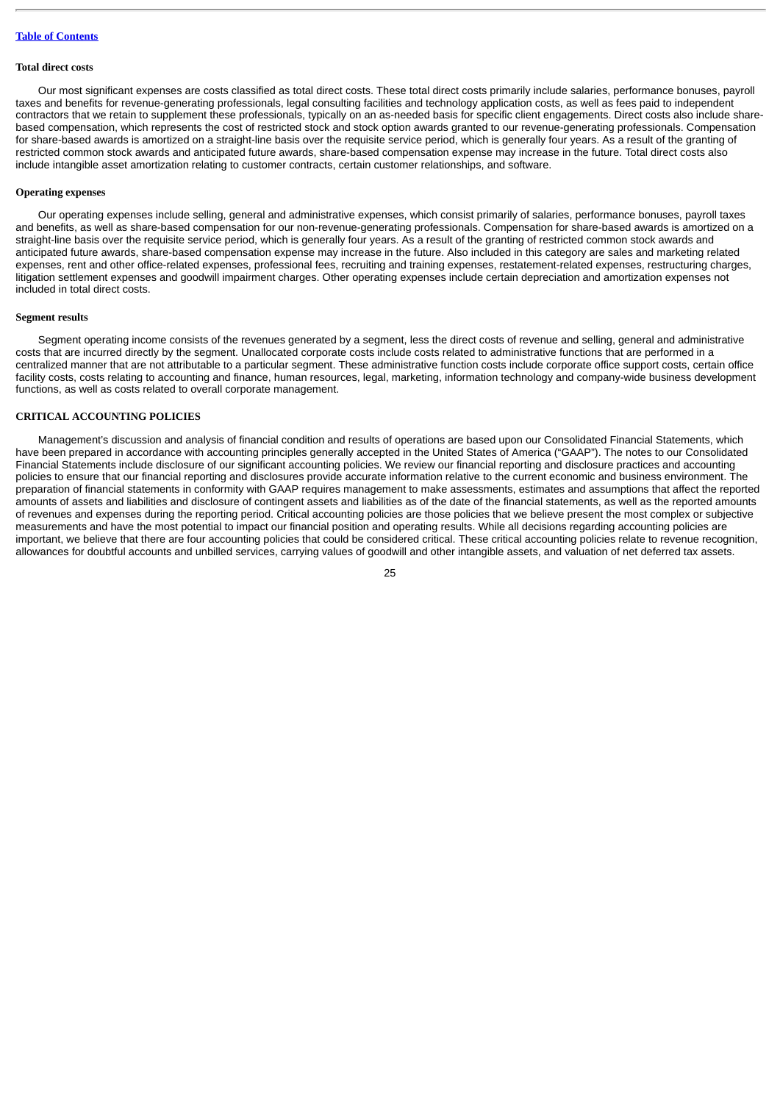### **Total direct costs**

Our most significant expenses are costs classified as total direct costs. These total direct costs primarily include salaries, performance bonuses, payroll taxes and benefits for revenue-generating professionals, legal consulting facilities and technology application costs, as well as fees paid to independent contractors that we retain to supplement these professionals, typically on an as-needed basis for specific client engagements. Direct costs also include sharebased compensation, which represents the cost of restricted stock and stock option awards granted to our revenue-generating professionals. Compensation for share-based awards is amortized on a straight-line basis over the requisite service period, which is generally four years. As a result of the granting of restricted common stock awards and anticipated future awards, share-based compensation expense may increase in the future. Total direct costs also include intangible asset amortization relating to customer contracts, certain customer relationships, and software.

# **Operating expenses**

Our operating expenses include selling, general and administrative expenses, which consist primarily of salaries, performance bonuses, payroll taxes and benefits, as well as share-based compensation for our non-revenue-generating professionals. Compensation for share-based awards is amortized on a straight-line basis over the requisite service period, which is generally four years. As a result of the granting of restricted common stock awards and anticipated future awards, share-based compensation expense may increase in the future. Also included in this category are sales and marketing related expenses, rent and other office-related expenses, professional fees, recruiting and training expenses, restatement-related expenses, restructuring charges, litigation settlement expenses and goodwill impairment charges. Other operating expenses include certain depreciation and amortization expenses not included in total direct costs.

#### **Segment results**

Segment operating income consists of the revenues generated by a segment, less the direct costs of revenue and selling, general and administrative costs that are incurred directly by the segment. Unallocated corporate costs include costs related to administrative functions that are performed in a centralized manner that are not attributable to a particular segment. These administrative function costs include corporate office support costs, certain office facility costs, costs relating to accounting and finance, human resources, legal, marketing, information technology and company-wide business development functions, as well as costs related to overall corporate management.

# **CRITICAL ACCOUNTING POLICIES**

Management's discussion and analysis of financial condition and results of operations are based upon our Consolidated Financial Statements, which have been prepared in accordance with accounting principles generally accepted in the United States of America ("GAAP"). The notes to our Consolidated Financial Statements include disclosure of our significant accounting policies. We review our financial reporting and disclosure practices and accounting policies to ensure that our financial reporting and disclosures provide accurate information relative to the current economic and business environment. The preparation of financial statements in conformity with GAAP requires management to make assessments, estimates and assumptions that affect the reported amounts of assets and liabilities and disclosure of contingent assets and liabilities as of the date of the financial statements, as well as the reported amounts of revenues and expenses during the reporting period. Critical accounting policies are those policies that we believe present the most complex or subjective measurements and have the most potential to impact our financial position and operating results. While all decisions regarding accounting policies are important, we believe that there are four accounting policies that could be considered critical. These critical accounting policies relate to revenue recognition, allowances for doubtful accounts and unbilled services, carrying values of goodwill and other intangible assets, and valuation of net deferred tax assets.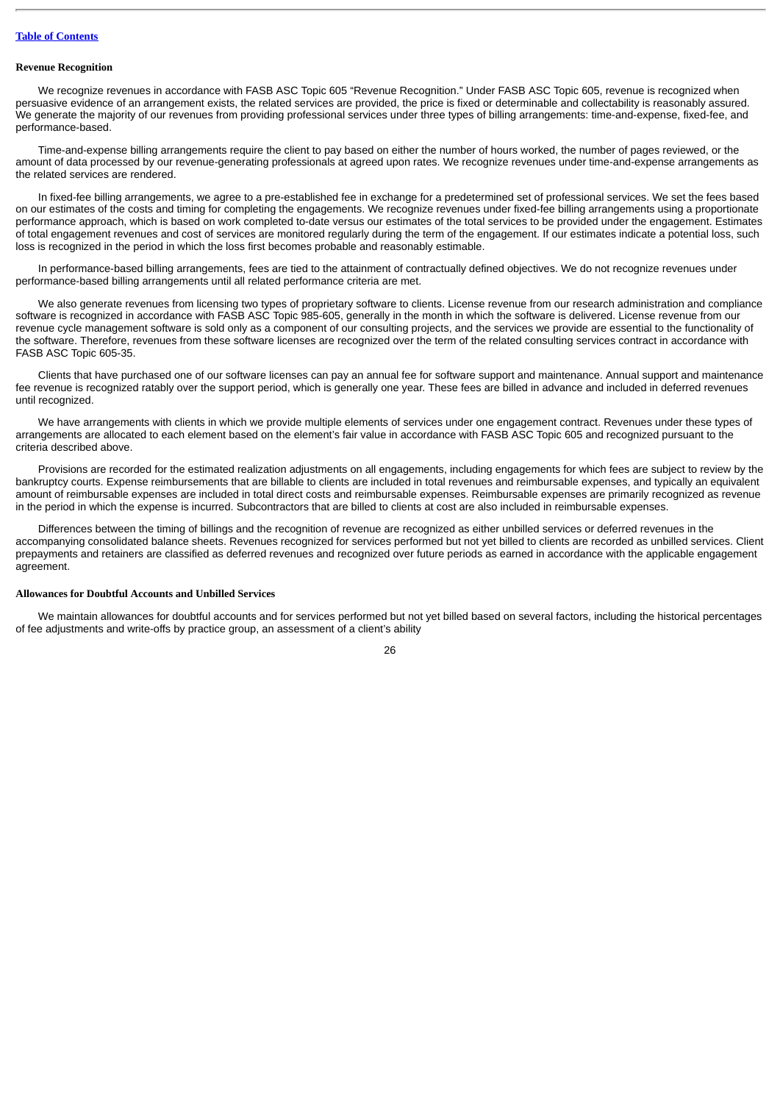# **Revenue Recognition**

We recognize revenues in accordance with FASB ASC Topic 605 "Revenue Recognition." Under FASB ASC Topic 605, revenue is recognized when persuasive evidence of an arrangement exists, the related services are provided, the price is fixed or determinable and collectability is reasonably assured. We generate the majority of our revenues from providing professional services under three types of billing arrangements: time-and-expense, fixed-fee, and performance-based.

Time-and-expense billing arrangements require the client to pay based on either the number of hours worked, the number of pages reviewed, or the amount of data processed by our revenue-generating professionals at agreed upon rates. We recognize revenues under time-and-expense arrangements as the related services are rendered.

In fixed-fee billing arrangements, we agree to a pre-established fee in exchange for a predetermined set of professional services. We set the fees based on our estimates of the costs and timing for completing the engagements. We recognize revenues under fixed-fee billing arrangements using a proportionate performance approach, which is based on work completed to-date versus our estimates of the total services to be provided under the engagement. Estimates of total engagement revenues and cost of services are monitored regularly during the term of the engagement. If our estimates indicate a potential loss, such loss is recognized in the period in which the loss first becomes probable and reasonably estimable.

In performance-based billing arrangements, fees are tied to the attainment of contractually defined objectives. We do not recognize revenues under performance-based billing arrangements until all related performance criteria are met.

We also generate revenues from licensing two types of proprietary software to clients. License revenue from our research administration and compliance software is recognized in accordance with FASB ASC Topic 985-605, generally in the month in which the software is delivered. License revenue from our revenue cycle management software is sold only as a component of our consulting projects, and the services we provide are essential to the functionality of the software. Therefore, revenues from these software licenses are recognized over the term of the related consulting services contract in accordance with FASB ASC Topic 605-35.

Clients that have purchased one of our software licenses can pay an annual fee for software support and maintenance. Annual support and maintenance fee revenue is recognized ratably over the support period, which is generally one year. These fees are billed in advance and included in deferred revenues until recognized.

We have arrangements with clients in which we provide multiple elements of services under one engagement contract. Revenues under these types of arrangements are allocated to each element based on the element's fair value in accordance with FASB ASC Topic 605 and recognized pursuant to the criteria described above.

Provisions are recorded for the estimated realization adjustments on all engagements, including engagements for which fees are subject to review by the bankruptcy courts. Expense reimbursements that are billable to clients are included in total revenues and reimbursable expenses, and typically an equivalent amount of reimbursable expenses are included in total direct costs and reimbursable expenses. Reimbursable expenses are primarily recognized as revenue in the period in which the expense is incurred. Subcontractors that are billed to clients at cost are also included in reimbursable expenses.

Differences between the timing of billings and the recognition of revenue are recognized as either unbilled services or deferred revenues in the accompanying consolidated balance sheets. Revenues recognized for services performed but not yet billed to clients are recorded as unbilled services. Client prepayments and retainers are classified as deferred revenues and recognized over future periods as earned in accordance with the applicable engagement agreement.

# **Allowances for Doubtful Accounts and Unbilled Services**

We maintain allowances for doubtful accounts and for services performed but not yet billed based on several factors, including the historical percentages of fee adjustments and write-offs by practice group, an assessment of a client's ability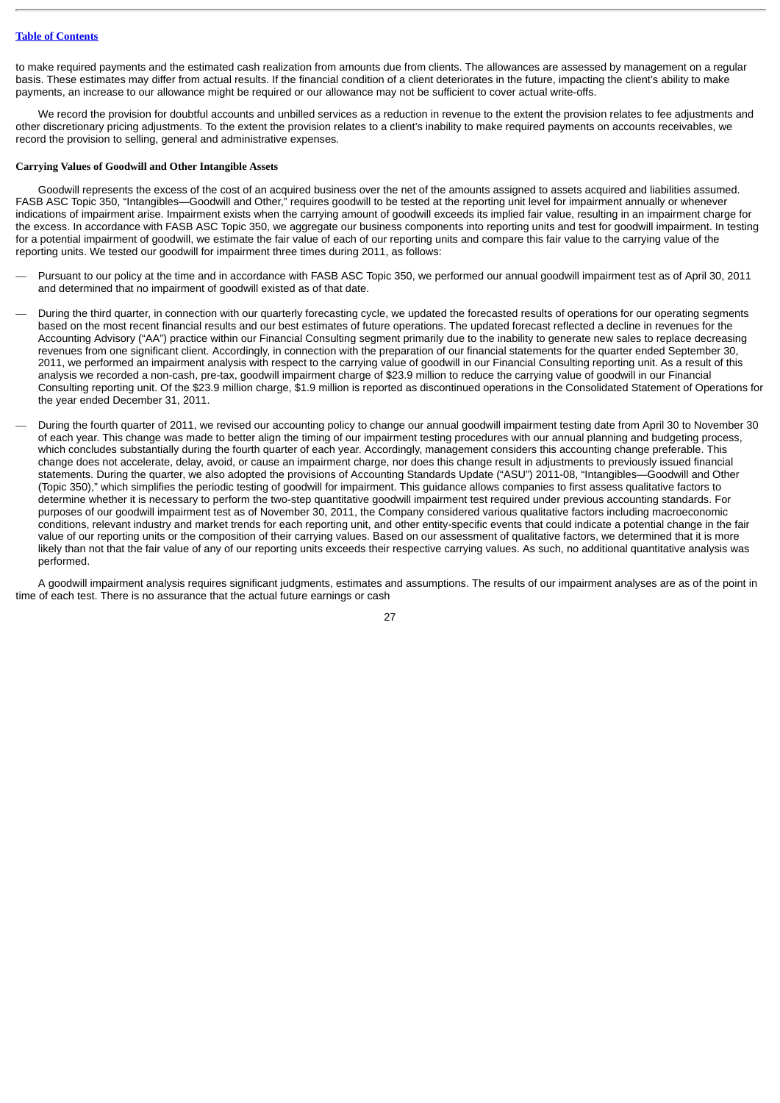to make required payments and the estimated cash realization from amounts due from clients. The allowances are assessed by management on a regular basis. These estimates may differ from actual results. If the financial condition of a client deteriorates in the future, impacting the client's ability to make payments, an increase to our allowance might be required or our allowance may not be sufficient to cover actual write-offs.

We record the provision for doubtful accounts and unbilled services as a reduction in revenue to the extent the provision relates to fee adjustments and other discretionary pricing adjustments. To the extent the provision relates to a client's inability to make required payments on accounts receivables, we record the provision to selling, general and administrative expenses.

## **Carrying Values of Goodwill and Other Intangible Assets**

Goodwill represents the excess of the cost of an acquired business over the net of the amounts assigned to assets acquired and liabilities assumed. FASB ASC Topic 350, "Intangibles—Goodwill and Other," requires goodwill to be tested at the reporting unit level for impairment annually or whenever indications of impairment arise. Impairment exists when the carrying amount of goodwill exceeds its implied fair value, resulting in an impairment charge for the excess. In accordance with FASB ASC Topic 350, we aggregate our business components into reporting units and test for goodwill impairment. In testing for a potential impairment of goodwill, we estimate the fair value of each of our reporting units and compare this fair value to the carrying value of the reporting units. We tested our goodwill for impairment three times during 2011, as follows:

- Pursuant to our policy at the time and in accordance with FASB ASC Topic 350, we performed our annual goodwill impairment test as of April 30, 2011 and determined that no impairment of goodwill existed as of that date.
- During the third quarter, in connection with our quarterly forecasting cycle, we updated the forecasted results of operations for our operating segments based on the most recent financial results and our best estimates of future operations. The updated forecast reflected a decline in revenues for the Accounting Advisory ("AA") practice within our Financial Consulting segment primarily due to the inability to generate new sales to replace decreasing revenues from one significant client. Accordingly, in connection with the preparation of our financial statements for the quarter ended September 30, 2011, we performed an impairment analysis with respect to the carrying value of goodwill in our Financial Consulting reporting unit. As a result of this analysis we recorded a non-cash, pre-tax, goodwill impairment charge of \$23.9 million to reduce the carrying value of goodwill in our Financial Consulting reporting unit. Of the \$23.9 million charge, \$1.9 million is reported as discontinued operations in the Consolidated Statement of Operations for the year ended December 31, 2011.
- During the fourth quarter of 2011, we revised our accounting policy to change our annual goodwill impairment testing date from April 30 to November 30 of each year. This change was made to better align the timing of our impairment testing procedures with our annual planning and budgeting process, which concludes substantially during the fourth quarter of each year. Accordingly, management considers this accounting change preferable. This change does not accelerate, delay, avoid, or cause an impairment charge, nor does this change result in adjustments to previously issued financial statements. During the quarter, we also adopted the provisions of Accounting Standards Update ("ASU") 2011-08, "Intangibles—Goodwill and Other (Topic 350)," which simplifies the periodic testing of goodwill for impairment. This guidance allows companies to first assess qualitative factors to determine whether it is necessary to perform the two-step quantitative goodwill impairment test required under previous accounting standards. For purposes of our goodwill impairment test as of November 30, 2011, the Company considered various qualitative factors including macroeconomic conditions, relevant industry and market trends for each reporting unit, and other entity-specific events that could indicate a potential change in the fair value of our reporting units or the composition of their carrying values. Based on our assessment of qualitative factors, we determined that it is more likely than not that the fair value of any of our reporting units exceeds their respective carrying values. As such, no additional quantitative analysis was performed.

A goodwill impairment analysis requires significant judgments, estimates and assumptions. The results of our impairment analyses are as of the point in time of each test. There is no assurance that the actual future earnings or cash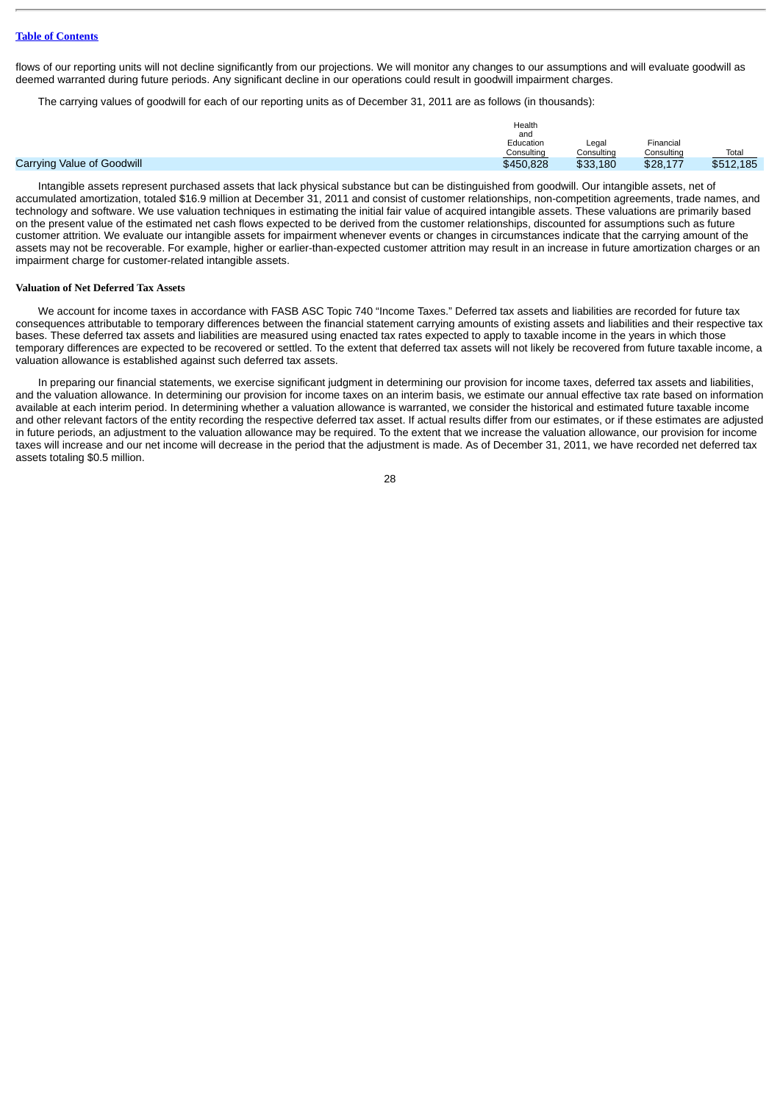flows of our reporting units will not decline significantly from our projections. We will monitor any changes to our assumptions and will evaluate goodwill as deemed warranted during future periods. Any significant decline in our operations could result in goodwill impairment charges.

The carrying values of goodwill for each of our reporting units as of December 31, 2011 are as follows (in thousands):

|                            | Health<br>and           |                     |                         |           |
|----------------------------|-------------------------|---------------------|-------------------------|-----------|
|                            | Education<br>Consulting | Legal<br>Consulting | Financial<br>Consulting | Total     |
| Carrying Value of Goodwill | \$450,828               | \$33,180            | \$28,177                | \$512,185 |

Intangible assets represent purchased assets that lack physical substance but can be distinguished from goodwill. Our intangible assets, net of accumulated amortization, totaled \$16.9 million at December 31, 2011 and consist of customer relationships, non-competition agreements, trade names, and technology and software. We use valuation techniques in estimating the initial fair value of acquired intangible assets. These valuations are primarily based on the present value of the estimated net cash flows expected to be derived from the customer relationships, discounted for assumptions such as future customer attrition. We evaluate our intangible assets for impairment whenever events or changes in circumstances indicate that the carrying amount of the assets may not be recoverable. For example, higher or earlier-than-expected customer attrition may result in an increase in future amortization charges or an impairment charge for customer-related intangible assets.

#### **Valuation of Net Deferred Tax Assets**

We account for income taxes in accordance with FASB ASC Topic 740 "Income Taxes." Deferred tax assets and liabilities are recorded for future tax consequences attributable to temporary differences between the financial statement carrying amounts of existing assets and liabilities and their respective tax bases. These deferred tax assets and liabilities are measured using enacted tax rates expected to apply to taxable income in the years in which those temporary differences are expected to be recovered or settled. To the extent that deferred tax assets will not likely be recovered from future taxable income, a valuation allowance is established against such deferred tax assets.

In preparing our financial statements, we exercise significant judgment in determining our provision for income taxes, deferred tax assets and liabilities, and the valuation allowance. In determining our provision for income taxes on an interim basis, we estimate our annual effective tax rate based on information available at each interim period. In determining whether a valuation allowance is warranted, we consider the historical and estimated future taxable income and other relevant factors of the entity recording the respective deferred tax asset. If actual results differ from our estimates, or if these estimates are adjusted in future periods, an adjustment to the valuation allowance may be required. To the extent that we increase the valuation allowance, our provision for income taxes will increase and our net income will decrease in the period that the adjustment is made. As of December 31, 2011, we have recorded net deferred tax assets totaling \$0.5 million.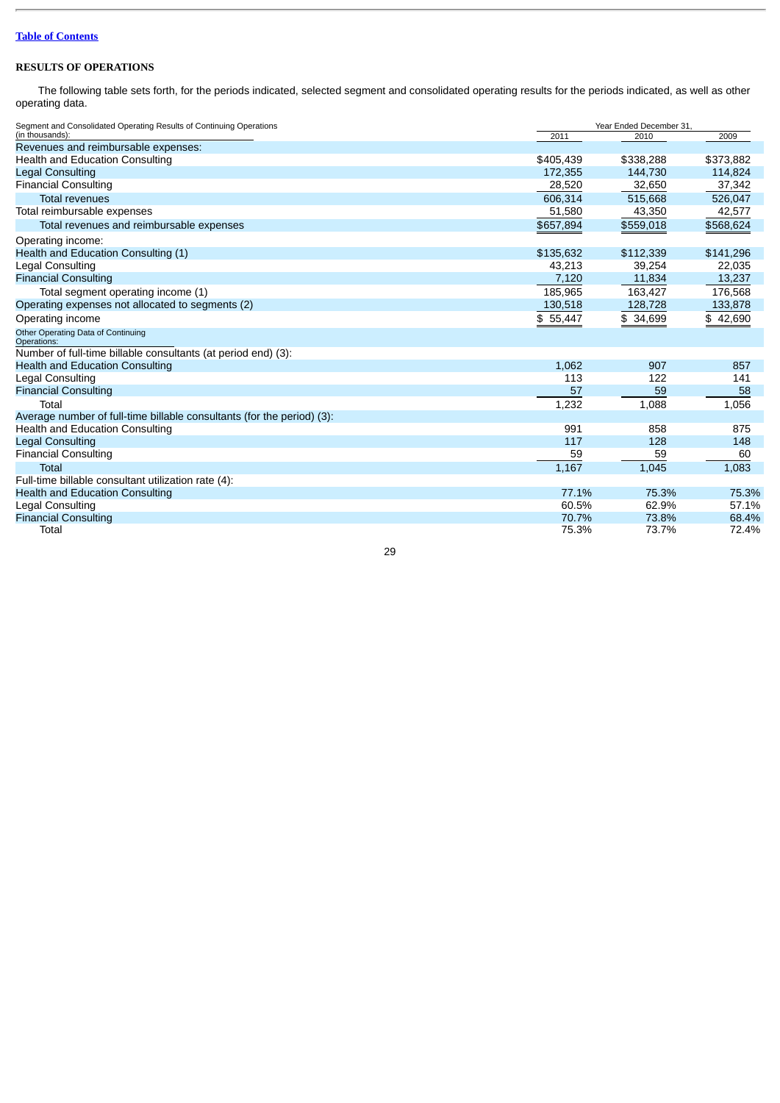# **RESULTS OF OPERATIONS**

The following table sets forth, for the periods indicated, selected segment and consolidated operating results for the periods indicated, as well as other operating data.

| Segment and Consolidated Operating Results of Continuing Operations    |           | Year Ended December 31, |           |
|------------------------------------------------------------------------|-----------|-------------------------|-----------|
| (in thousands):                                                        | 2011      | 2010                    | 2009      |
| Revenues and reimbursable expenses:                                    |           |                         |           |
| <b>Health and Education Consulting</b>                                 | \$405,439 | \$338,288               | \$373,882 |
| Legal Consulting                                                       | 172,355   | 144,730                 | 114,824   |
| <b>Financial Consulting</b>                                            | 28,520    | 32,650                  | 37,342    |
| <b>Total revenues</b>                                                  | 606,314   | 515,668                 | 526,047   |
| Total reimbursable expenses                                            | 51,580    | 43,350                  | 42,577    |
| Total revenues and reimbursable expenses                               | \$657,894 | \$559,018               | \$568,624 |
| Operating income:                                                      |           |                         |           |
| Health and Education Consulting (1)                                    | \$135,632 | \$112,339               | \$141,296 |
| Legal Consulting                                                       | 43,213    | 39,254                  | 22,035    |
| <b>Financial Consulting</b>                                            | 7,120     | 11,834                  | 13,237    |
| Total segment operating income (1)                                     | 185.965   | 163.427                 | 176,568   |
| Operating expenses not allocated to segments (2)                       | 130,518   | 128,728                 | 133,878   |
| Operating income                                                       | \$55,447  | \$ 34,699               | \$42,690  |
| Other Operating Data of Continuing<br>Operations:                      |           |                         |           |
| Number of full-time billable consultants (at period end) (3):          |           |                         |           |
| <b>Health and Education Consulting</b>                                 | 1,062     | 907                     | 857       |
| Legal Consulting                                                       | 113       | 122                     | 141       |
| <b>Financial Consulting</b>                                            | 57        | 59                      | 58        |
| Total                                                                  | 1,232     | 1,088                   | 1,056     |
| Average number of full-time billable consultants (for the period) (3): |           |                         |           |
| <b>Health and Education Consulting</b>                                 | 991       | 858                     | 875       |
| <b>Legal Consulting</b>                                                | 117       | 128                     | 148       |
| <b>Financial Consulting</b>                                            | 59        | 59                      | 60        |
| Total                                                                  | 1,167     | 1.045                   | 1,083     |
| Full-time billable consultant utilization rate (4):                    |           |                         |           |
| <b>Health and Education Consulting</b>                                 | 77.1%     | 75.3%                   | 75.3%     |
| Legal Consulting                                                       | 60.5%     | 62.9%                   | 57.1%     |
| <b>Financial Consulting</b>                                            | 70.7%     | 73.8%                   | 68.4%     |
| Total                                                                  | 75.3%     | 73.7%                   | 72.4%     |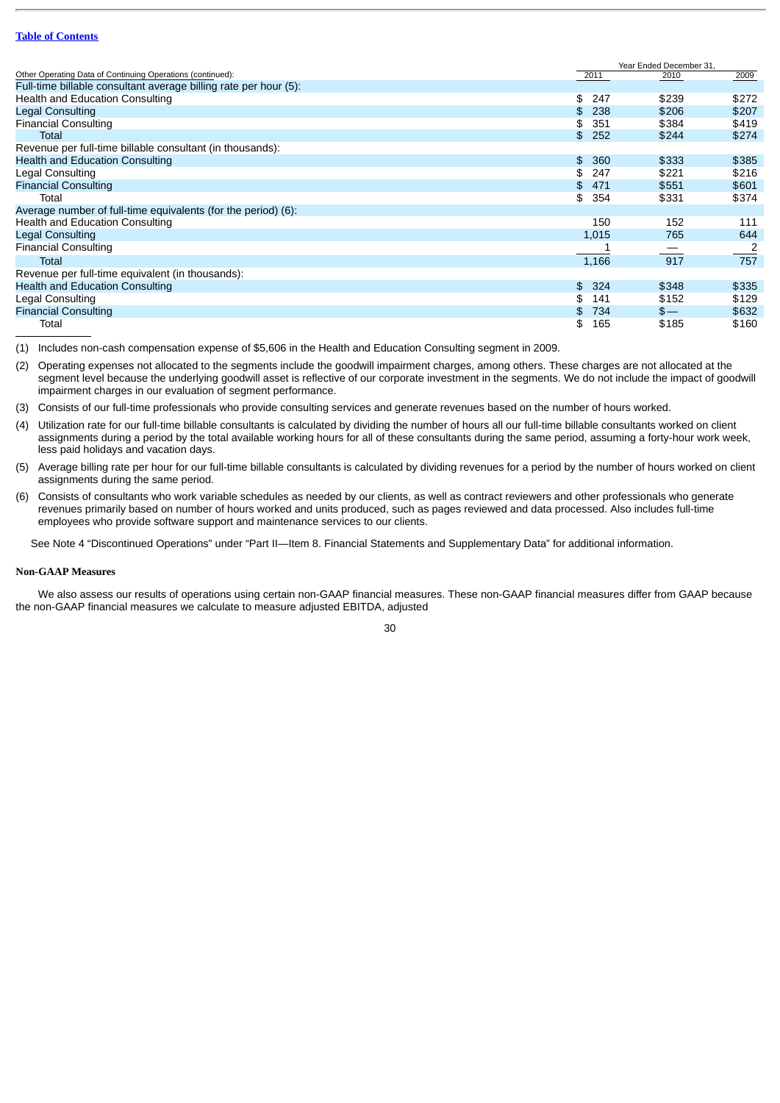|                                                                  |                       | Year Ended December 31, |          |
|------------------------------------------------------------------|-----------------------|-------------------------|----------|
| Other Operating Data of Continuing Operations (continued):       | 2011                  | 2010                    | 2009     |
| Full-time billable consultant average billing rate per hour (5): |                       |                         |          |
| <b>Health and Education Consulting</b>                           | \$.<br>247            | \$239                   | \$272    |
| Legal Consulting                                                 | 238<br>\$             | \$206                   | \$207    |
| <b>Financial Consulting</b>                                      | 351<br>\$.            | \$384                   | \$419    |
| Total                                                            | 252<br>\$             | \$244                   | \$274    |
| Revenue per full-time billable consultant (in thousands):        |                       |                         |          |
| <b>Health and Education Consulting</b>                           | 360<br>\$             | \$333                   | \$385    |
| Legal Consulting                                                 | 247<br>\$.            | \$221                   | \$216    |
| <b>Financial Consulting</b>                                      | 471<br>\$             | \$551                   | \$601    |
| Total                                                            | \$<br>354             | \$331                   | \$374    |
| Average number of full-time equivalents (for the period) (6):    |                       |                         |          |
| Health and Education Consulting                                  | 150                   | 152                     | 111      |
| Legal Consulting                                                 | 1,015                 | 765                     | 644      |
| <b>Financial Consulting</b>                                      |                       |                         | <u>2</u> |
| Total                                                            | 1,166                 | 917                     | 757      |
| Revenue per full-time equivalent (in thousands):                 |                       |                         |          |
| <b>Health and Education Consulting</b>                           | 324<br>$\mathfrak{L}$ | \$348                   | \$335    |
| Legal Consulting                                                 | 141<br>\$.            | \$152                   | \$129    |
| <b>Financial Consulting</b>                                      | 734<br>\$.            | $s-$                    | \$632    |
| Total                                                            | 165<br>\$.            | \$185                   | \$160    |

(1) Includes non-cash compensation expense of \$5,606 in the Health and Education Consulting segment in 2009.

(2) Operating expenses not allocated to the segments include the goodwill impairment charges, among others. These charges are not allocated at the segment level because the underlying goodwill asset is reflective of our corporate investment in the segments. We do not include the impact of goodwill impairment charges in our evaluation of segment performance.

- (3) Consists of our full-time professionals who provide consulting services and generate revenues based on the number of hours worked.
- (4) Utilization rate for our full-time billable consultants is calculated by dividing the number of hours all our full-time billable consultants worked on client assignments during a period by the total available working hours for all of these consultants during the same period, assuming a forty-hour work week, less paid holidays and vacation days.
- (5) Average billing rate per hour for our full-time billable consultants is calculated by dividing revenues for a period by the number of hours worked on client assignments during the same period.
- (6) Consists of consultants who work variable schedules as needed by our clients, as well as contract reviewers and other professionals who generate revenues primarily based on number of hours worked and units produced, such as pages reviewed and data processed. Also includes full-time employees who provide software support and maintenance services to our clients.

See Note 4 "Discontinued Operations" under "Part II—Item 8. Financial Statements and Supplementary Data" for additional information.

### **Non-GAAP Measures**

We also assess our results of operations using certain non-GAAP financial measures. These non-GAAP financial measures differ from GAAP because the non-GAAP financial measures we calculate to measure adjusted EBITDA, adjusted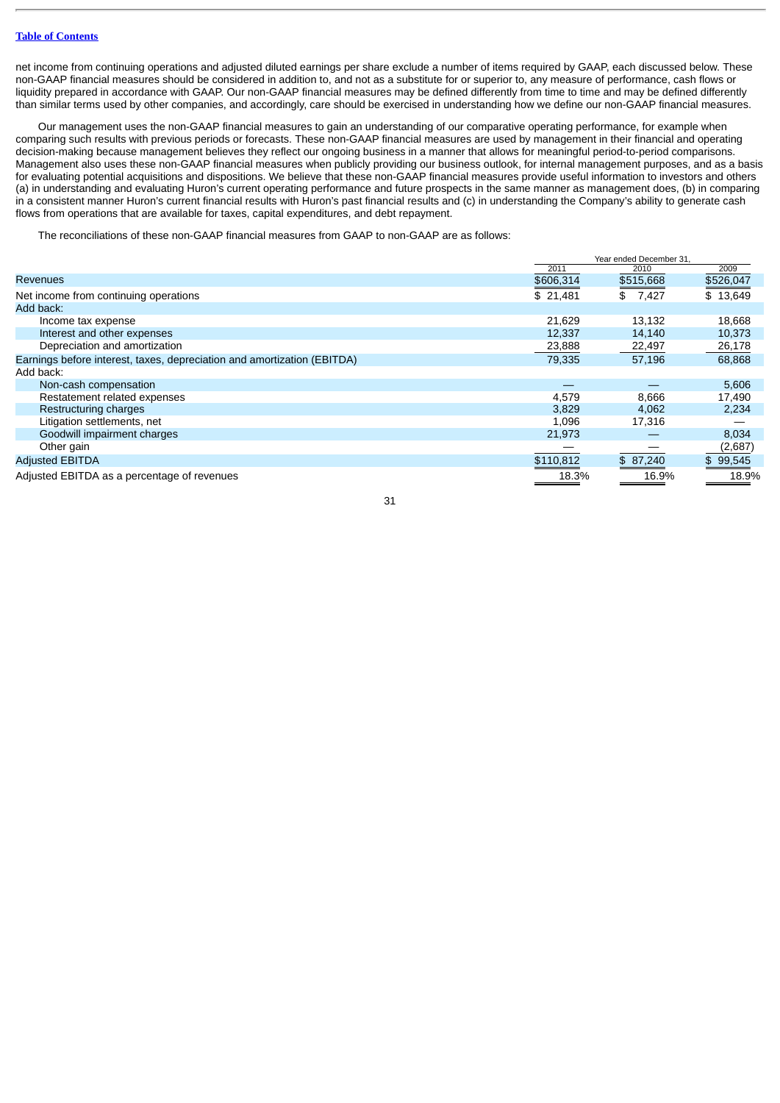net income from continuing operations and adjusted diluted earnings per share exclude a number of items required by GAAP, each discussed below. These non-GAAP financial measures should be considered in addition to, and not as a substitute for or superior to, any measure of performance, cash flows or liquidity prepared in accordance with GAAP. Our non-GAAP financial measures may be defined differently from time to time and may be defined differently than similar terms used by other companies, and accordingly, care should be exercised in understanding how we define our non-GAAP financial measures.

Our management uses the non-GAAP financial measures to gain an understanding of our comparative operating performance, for example when comparing such results with previous periods or forecasts. These non-GAAP financial measures are used by management in their financial and operating decision-making because management believes they reflect our ongoing business in a manner that allows for meaningful period-to-period comparisons. Management also uses these non-GAAP financial measures when publicly providing our business outlook, for internal management purposes, and as a basis for evaluating potential acquisitions and dispositions. We believe that these non-GAAP financial measures provide useful information to investors and others (a) in understanding and evaluating Huron's current operating performance and future prospects in the same manner as management does, (b) in comparing in a consistent manner Huron's current financial results with Huron's past financial results and (c) in understanding the Company's ability to generate cash flows from operations that are available for taxes, capital expenditures, and debt repayment.

The reconciliations of these non-GAAP financial measures from GAAP to non-GAAP are as follows:

|                                                                         |           | Year ended December 31, |           |  |  |
|-------------------------------------------------------------------------|-----------|-------------------------|-----------|--|--|
|                                                                         | 2011      | 2010                    | 2009      |  |  |
| <b>Revenues</b>                                                         | \$606,314 | \$515,668               | \$526,047 |  |  |
| Net income from continuing operations                                   | \$21,481  | 7,427<br>\$             | \$13,649  |  |  |
| Add back:                                                               |           |                         |           |  |  |
| Income tax expense                                                      | 21.629    | 13,132                  | 18,668    |  |  |
| Interest and other expenses                                             | 12,337    | 14,140                  | 10,373    |  |  |
| Depreciation and amortization                                           | 23,888    | 22,497                  | 26,178    |  |  |
| Earnings before interest, taxes, depreciation and amortization (EBITDA) | 79,335    | 57,196                  | 68,868    |  |  |
| Add back:                                                               |           |                         |           |  |  |
| Non-cash compensation                                                   |           |                         | 5,606     |  |  |
| Restatement related expenses                                            | 4,579     | 8,666                   | 17,490    |  |  |
| Restructuring charges                                                   | 3,829     | 4,062                   | 2,234     |  |  |
| Litigation settlements, net                                             | 1,096     | 17,316                  |           |  |  |
| Goodwill impairment charges                                             | 21,973    |                         | 8,034     |  |  |
| Other gain                                                              |           |                         | (2,687)   |  |  |
| <b>Adjusted EBITDA</b>                                                  | \$110,812 | \$87,240                | \$99,545  |  |  |
| Adjusted EBITDA as a percentage of revenues                             | 18.3%     | 16.9%                   | 18.9%     |  |  |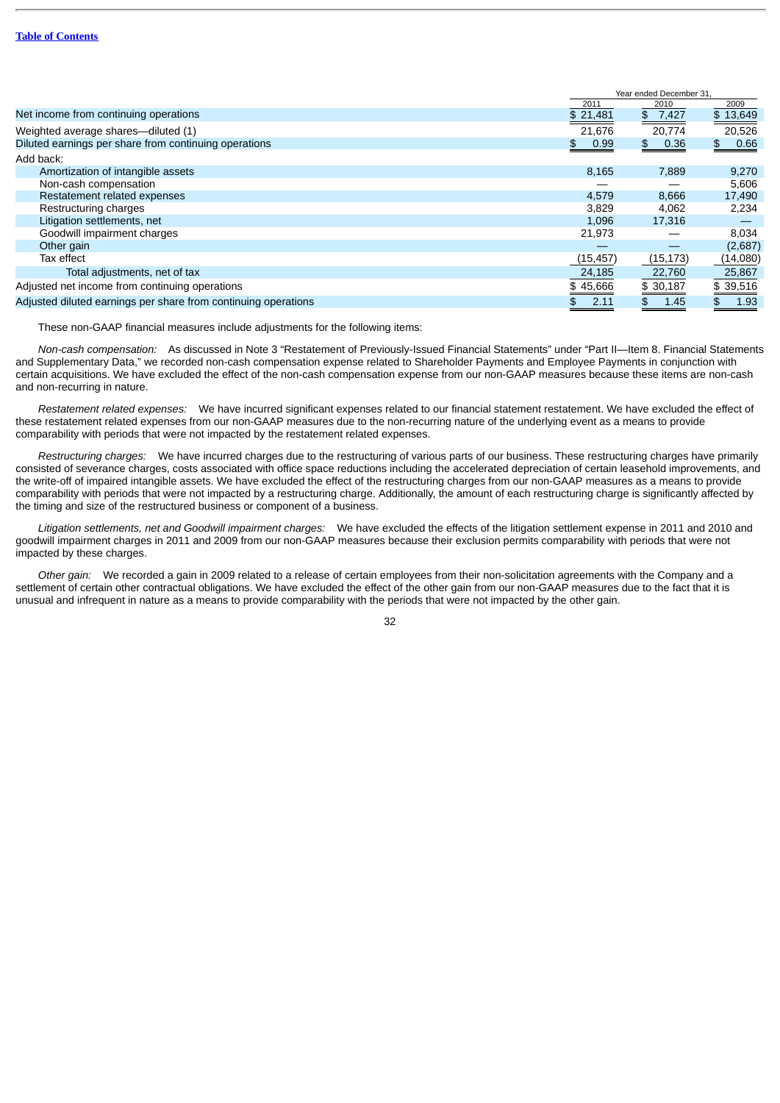|                                                                |           | Year ended December 31, |            |  |  |
|----------------------------------------------------------------|-----------|-------------------------|------------|--|--|
|                                                                | 2011      | 2010                    | 2009       |  |  |
| Net income from continuing operations                          | \$21,481  | \$7,427                 | \$13,649   |  |  |
| Weighted average shares—diluted (1)                            | 21,676    | 20,774                  | 20,526     |  |  |
| Diluted earnings per share from continuing operations          | \$ 0.99   | 0.36<br>\$              | \$0.66     |  |  |
| Add back:                                                      |           |                         |            |  |  |
| Amortization of intangible assets                              | 8,165     | 7,889                   | 9,270      |  |  |
| Non-cash compensation                                          |           |                         | 5,606      |  |  |
| Restatement related expenses                                   | 4,579     | 8,666                   | 17,490     |  |  |
| Restructuring charges                                          | 3,829     | 4,062                   | 2,234      |  |  |
| Litigation settlements, net                                    | 1,096     | 17,316                  |            |  |  |
| Goodwill impairment charges                                    | 21,973    |                         | 8,034      |  |  |
| Other gain                                                     |           |                         | (2,687)    |  |  |
| Tax effect                                                     | (15, 457) | (15, 173)               | (14,080)   |  |  |
| Total adjustments, net of tax                                  | 24,185    | 22,760                  | 25,867     |  |  |
| Adjusted net income from continuing operations                 | \$45,666  | \$30,187                | \$ 39,516  |  |  |
| Adjusted diluted earnings per share from continuing operations | 2.11      | 1.45<br>\$              | 1.93<br>\$ |  |  |

These non-GAAP financial measures include adjustments for the following items:

*Non-cash compensation:* As discussed in Note 3 "Restatement of Previously-Issued Financial Statements" under "Part II—Item 8. Financial Statements and Supplementary Data," we recorded non-cash compensation expense related to Shareholder Payments and Employee Payments in conjunction with certain acquisitions. We have excluded the effect of the non-cash compensation expense from our non-GAAP measures because these items are non-cash and non-recurring in nature.

*Restatement related expenses:* We have incurred significant expenses related to our financial statement restatement. We have excluded the effect of these restatement related expenses from our non-GAAP measures due to the non-recurring nature of the underlying event as a means to provide comparability with periods that were not impacted by the restatement related expenses.

*Restructuring charges:* We have incurred charges due to the restructuring of various parts of our business. These restructuring charges have primarily consisted of severance charges, costs associated with office space reductions including the accelerated depreciation of certain leasehold improvements, and the write-off of impaired intangible assets. We have excluded the effect of the restructuring charges from our non-GAAP measures as a means to provide comparability with periods that were not impacted by a restructuring charge. Additionally, the amount of each restructuring charge is significantly affected by the timing and size of the restructured business or component of a business.

*Litigation settlements, net and Goodwill impairment charges:* We have excluded the effects of the litigation settlement expense in 2011 and 2010 and goodwill impairment charges in 2011 and 2009 from our non-GAAP measures because their exclusion permits comparability with periods that were not impacted by these charges.

*Other gain:* We recorded a gain in 2009 related to a release of certain employees from their non-solicitation agreements with the Company and a settlement of certain other contractual obligations. We have excluded the effect of the other gain from our non-GAAP measures due to the fact that it is unusual and infrequent in nature as a means to provide comparability with the periods that were not impacted by the other gain.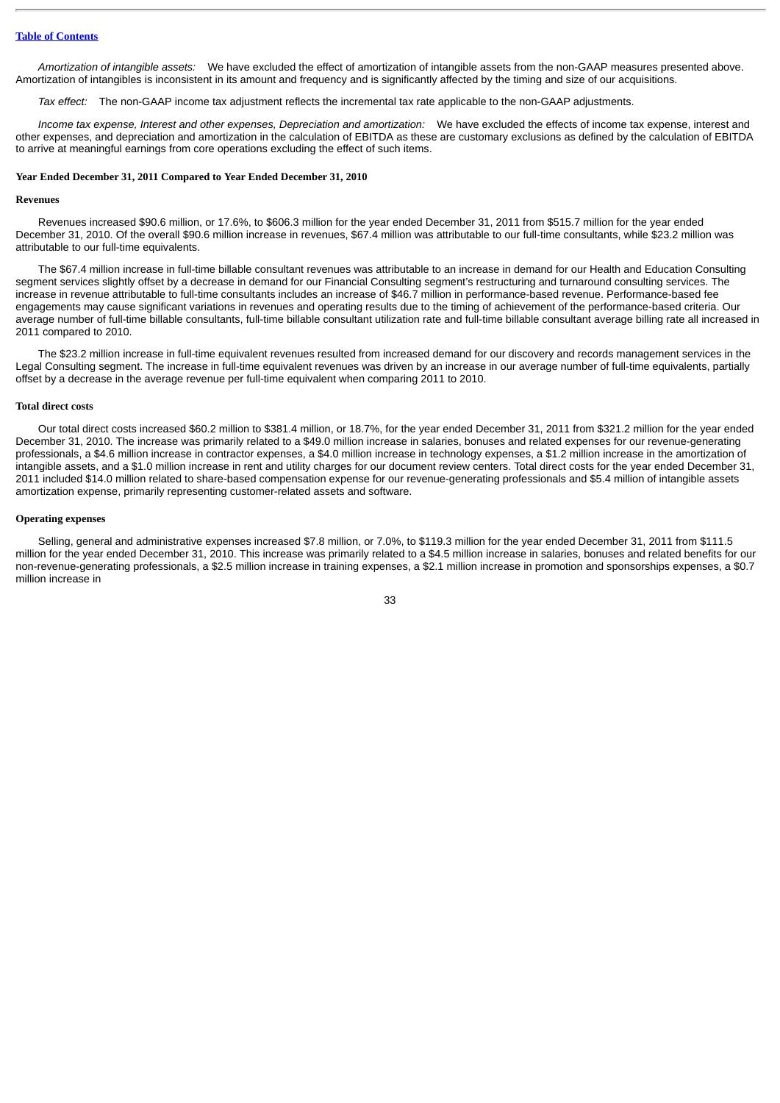*Amortization of intangible assets:* We have excluded the effect of amortization of intangible assets from the non-GAAP measures presented above. Amortization of intangibles is inconsistent in its amount and frequency and is significantly affected by the timing and size of our acquisitions.

*Tax effect:* The non-GAAP income tax adjustment reflects the incremental tax rate applicable to the non-GAAP adjustments.

*Income tax expense, Interest and other expenses, Depreciation and amortization:* We have excluded the effects of income tax expense, interest and other expenses, and depreciation and amortization in the calculation of EBITDA as these are customary exclusions as defined by the calculation of EBITDA to arrive at meaningful earnings from core operations excluding the effect of such items.

#### **Year Ended December 31, 2011 Compared to Year Ended December 31, 2010**

#### **Revenues**

Revenues increased \$90.6 million, or 17.6%, to \$606.3 million for the year ended December 31, 2011 from \$515.7 million for the year ended December 31, 2010. Of the overall \$90.6 million increase in revenues, \$67.4 million was attributable to our full-time consultants, while \$23.2 million was attributable to our full-time equivalents.

The \$67.4 million increase in full-time billable consultant revenues was attributable to an increase in demand for our Health and Education Consulting segment services slightly offset by a decrease in demand for our Financial Consulting segment's restructuring and turnaround consulting services. The increase in revenue attributable to full-time consultants includes an increase of \$46.7 million in performance-based revenue. Performance-based fee engagements may cause significant variations in revenues and operating results due to the timing of achievement of the performance-based criteria. Our average number of full-time billable consultants, full-time billable consultant utilization rate and full-time billable consultant average billing rate all increased in 2011 compared to 2010.

The \$23.2 million increase in full-time equivalent revenues resulted from increased demand for our discovery and records management services in the Legal Consulting segment. The increase in full-time equivalent revenues was driven by an increase in our average number of full-time equivalents, partially offset by a decrease in the average revenue per full-time equivalent when comparing 2011 to 2010.

#### **Total direct costs**

Our total direct costs increased \$60.2 million to \$381.4 million, or 18.7%, for the year ended December 31, 2011 from \$321.2 million for the year ended December 31, 2010. The increase was primarily related to a \$49.0 million increase in salaries, bonuses and related expenses for our revenue-generating professionals, a \$4.6 million increase in contractor expenses, a \$4.0 million increase in technology expenses, a \$1.2 million increase in the amortization of intangible assets, and a \$1.0 million increase in rent and utility charges for our document review centers. Total direct costs for the year ended December 31, 2011 included \$14.0 million related to share-based compensation expense for our revenue-generating professionals and \$5.4 million of intangible assets amortization expense, primarily representing customer-related assets and software.

### **Operating expenses**

Selling, general and administrative expenses increased \$7.8 million, or 7.0%, to \$119.3 million for the year ended December 31, 2011 from \$111.5 million for the year ended December 31, 2010. This increase was primarily related to a \$4.5 million increase in salaries, bonuses and related benefits for our non-revenue-generating professionals, a \$2.5 million increase in training expenses, a \$2.1 million increase in promotion and sponsorships expenses, a \$0.7 million increase in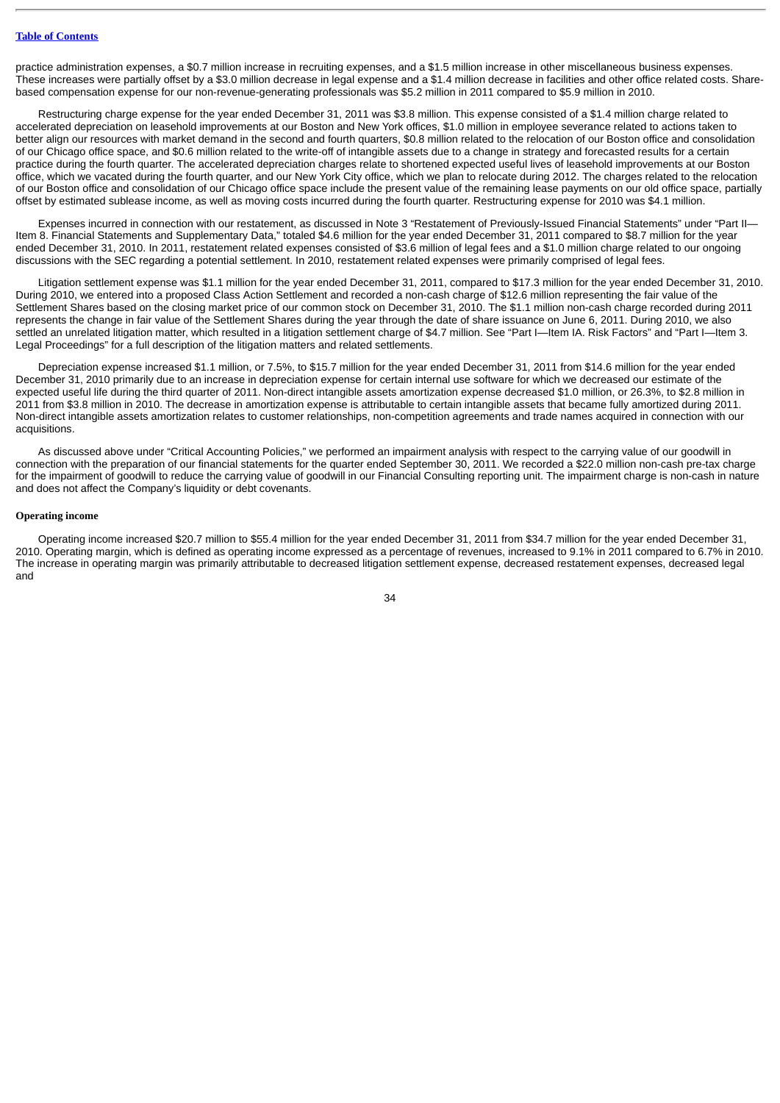practice administration expenses, a \$0.7 million increase in recruiting expenses, and a \$1.5 million increase in other miscellaneous business expenses. These increases were partially offset by a \$3.0 million decrease in legal expense and a \$1.4 million decrease in facilities and other office related costs. Sharebased compensation expense for our non-revenue-generating professionals was \$5.2 million in 2011 compared to \$5.9 million in 2010.

Restructuring charge expense for the year ended December 31, 2011 was \$3.8 million. This expense consisted of a \$1.4 million charge related to accelerated depreciation on leasehold improvements at our Boston and New York offices, \$1.0 million in employee severance related to actions taken to better align our resources with market demand in the second and fourth quarters, \$0.8 million related to the relocation of our Boston office and consolidation of our Chicago office space, and \$0.6 million related to the write-off of intangible assets due to a change in strategy and forecasted results for a certain practice during the fourth quarter. The accelerated depreciation charges relate to shortened expected useful lives of leasehold improvements at our Boston office, which we vacated during the fourth quarter, and our New York City office, which we plan to relocate during 2012. The charges related to the relocation of our Boston office and consolidation of our Chicago office space include the present value of the remaining lease payments on our old office space, partially offset by estimated sublease income, as well as moving costs incurred during the fourth quarter. Restructuring expense for 2010 was \$4.1 million.

Expenses incurred in connection with our restatement, as discussed in Note 3 "Restatement of Previously-Issued Financial Statements" under "Part II— Item 8. Financial Statements and Supplementary Data," totaled \$4.6 million for the year ended December 31, 2011 compared to \$8.7 million for the year ended December 31, 2010. In 2011, restatement related expenses consisted of \$3.6 million of legal fees and a \$1.0 million charge related to our ongoing discussions with the SEC regarding a potential settlement. In 2010, restatement related expenses were primarily comprised of legal fees.

Litigation settlement expense was \$1.1 million for the year ended December 31, 2011, compared to \$17.3 million for the year ended December 31, 2010. During 2010, we entered into a proposed Class Action Settlement and recorded a non-cash charge of \$12.6 million representing the fair value of the Settlement Shares based on the closing market price of our common stock on December 31, 2010. The \$1.1 million non-cash charge recorded during 2011 represents the change in fair value of the Settlement Shares during the year through the date of share issuance on June 6, 2011. During 2010, we also settled an unrelated litigation matter, which resulted in a litigation settlement charge of \$4.7 million. See "Part I—Item IA. Risk Factors" and "Part I—Item 3. Legal Proceedings" for a full description of the litigation matters and related settlements.

Depreciation expense increased \$1.1 million, or 7.5%, to \$15.7 million for the year ended December 31, 2011 from \$14.6 million for the year ended December 31, 2010 primarily due to an increase in depreciation expense for certain internal use software for which we decreased our estimate of the expected useful life during the third quarter of 2011. Non-direct intangible assets amortization expense decreased \$1.0 million, or 26.3%, to \$2.8 million in 2011 from \$3.8 million in 2010. The decrease in amortization expense is attributable to certain intangible assets that became fully amortized during 2011. Non-direct intangible assets amortization relates to customer relationships, non-competition agreements and trade names acquired in connection with our acquisitions.

As discussed above under "Critical Accounting Policies," we performed an impairment analysis with respect to the carrying value of our goodwill in connection with the preparation of our financial statements for the quarter ended September 30, 2011. We recorded a \$22.0 million non-cash pre-tax charge for the impairment of goodwill to reduce the carrying value of goodwill in our Financial Consulting reporting unit. The impairment charge is non-cash in nature and does not affect the Company's liquidity or debt covenants.

#### **Operating income**

Operating income increased \$20.7 million to \$55.4 million for the year ended December 31, 2011 from \$34.7 million for the year ended December 31, 2010. Operating margin, which is defined as operating income expressed as a percentage of revenues, increased to 9.1% in 2011 compared to 6.7% in 2010. The increase in operating margin was primarily attributable to decreased litigation settlement expense, decreased restatement expenses, decreased legal and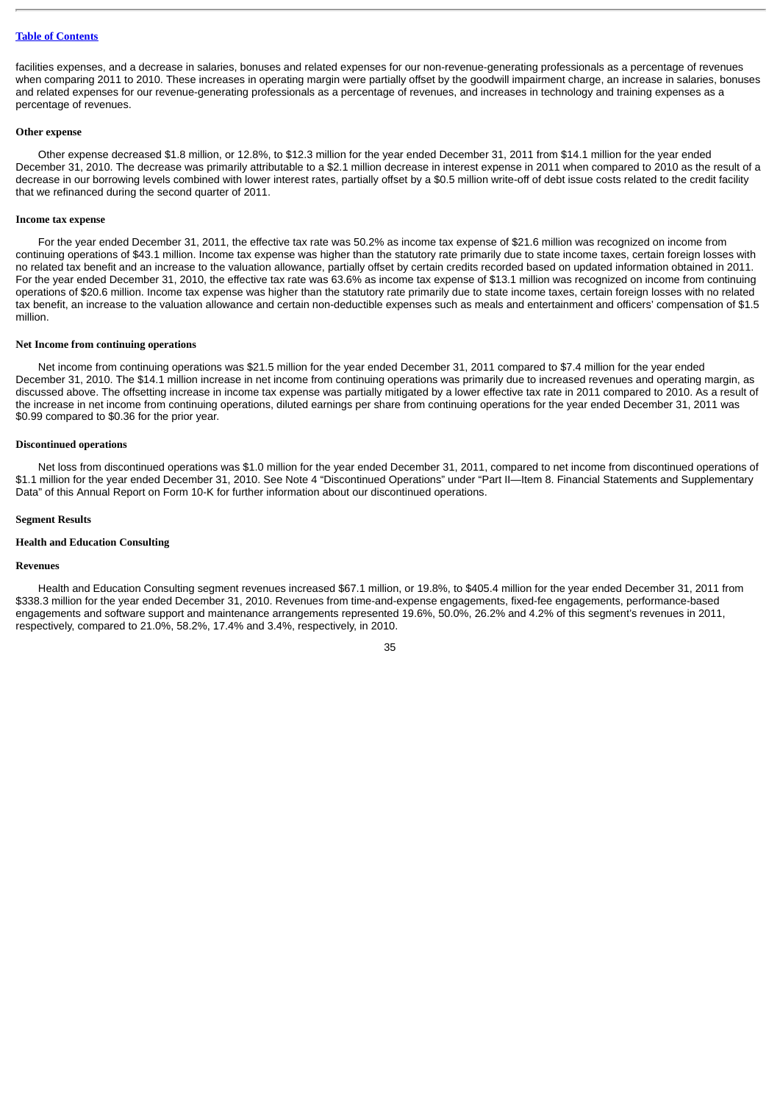facilities expenses, and a decrease in salaries, bonuses and related expenses for our non-revenue-generating professionals as a percentage of revenues when comparing 2011 to 2010. These increases in operating margin were partially offset by the goodwill impairment charge, an increase in salaries, bonuses and related expenses for our revenue-generating professionals as a percentage of revenues, and increases in technology and training expenses as a percentage of revenues.

### **Other expense**

Other expense decreased \$1.8 million, or 12.8%, to \$12.3 million for the year ended December 31, 2011 from \$14.1 million for the year ended December 31, 2010. The decrease was primarily attributable to a \$2.1 million decrease in interest expense in 2011 when compared to 2010 as the result of a decrease in our borrowing levels combined with lower interest rates, partially offset by a \$0.5 million write-off of debt issue costs related to the credit facility that we refinanced during the second quarter of 2011.

### **Income tax expense**

For the year ended December 31, 2011, the effective tax rate was 50.2% as income tax expense of \$21.6 million was recognized on income from continuing operations of \$43.1 million. Income tax expense was higher than the statutory rate primarily due to state income taxes, certain foreign losses with no related tax benefit and an increase to the valuation allowance, partially offset by certain credits recorded based on updated information obtained in 2011. For the year ended December 31, 2010, the effective tax rate was 63.6% as income tax expense of \$13.1 million was recognized on income from continuing operations of \$20.6 million. Income tax expense was higher than the statutory rate primarily due to state income taxes, certain foreign losses with no related tax benefit, an increase to the valuation allowance and certain non-deductible expenses such as meals and entertainment and officers' compensation of \$1.5 million.

#### **Net Income from continuing operations**

Net income from continuing operations was \$21.5 million for the year ended December 31, 2011 compared to \$7.4 million for the year ended December 31, 2010. The \$14.1 million increase in net income from continuing operations was primarily due to increased revenues and operating margin, as discussed above. The offsetting increase in income tax expense was partially mitigated by a lower effective tax rate in 2011 compared to 2010. As a result of the increase in net income from continuing operations, diluted earnings per share from continuing operations for the year ended December 31, 2011 was \$0.99 compared to \$0.36 for the prior year.

### **Discontinued operations**

Net loss from discontinued operations was \$1.0 million for the year ended December 31, 2011, compared to net income from discontinued operations of \$1.1 million for the year ended December 31, 2010. See Note 4 "Discontinued Operations" under "Part II—Item 8. Financial Statements and Supplementary Data" of this Annual Report on Form 10-K for further information about our discontinued operations.

#### **Segment Results**

### **Health and Education Consulting**

#### **Revenues**

Health and Education Consulting segment revenues increased \$67.1 million, or 19.8%, to \$405.4 million for the year ended December 31, 2011 from \$338.3 million for the year ended December 31, 2010. Revenues from time-and-expense engagements, fixed-fee engagements, performance-based engagements and software support and maintenance arrangements represented 19.6%, 50.0%, 26.2% and 4.2% of this segment's revenues in 2011, respectively, compared to 21.0%, 58.2%, 17.4% and 3.4%, respectively, in 2010.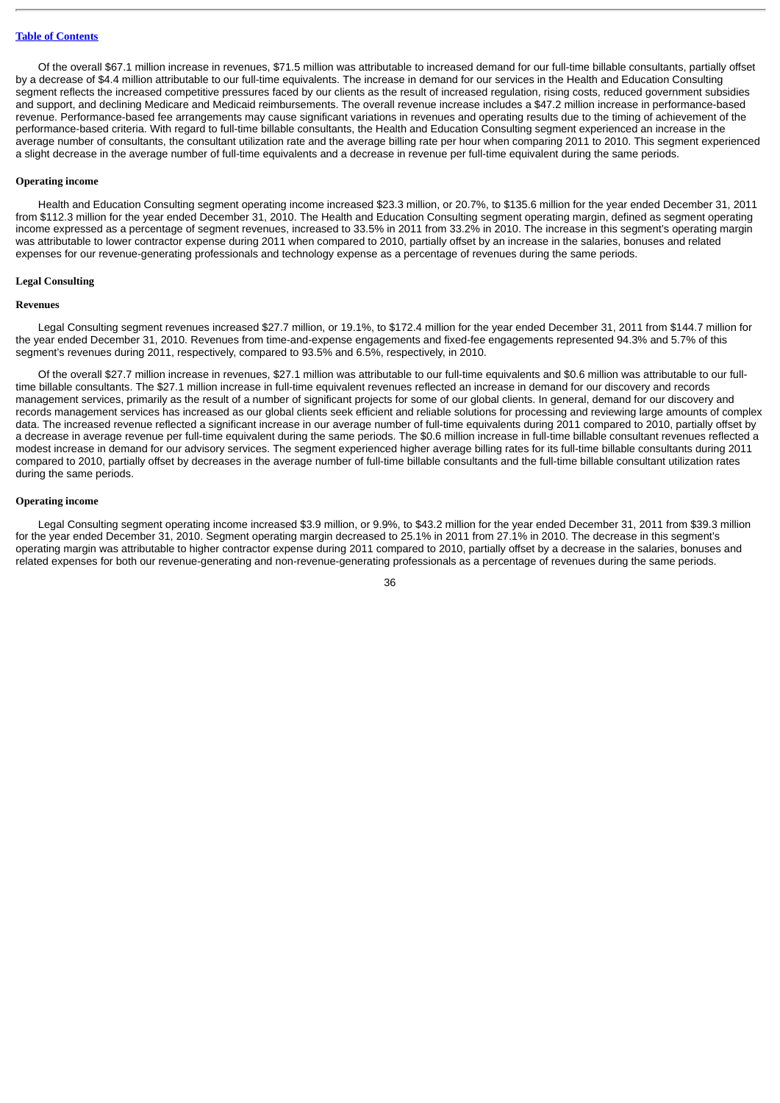Of the overall \$67.1 million increase in revenues, \$71.5 million was attributable to increased demand for our full-time billable consultants, partially offset by a decrease of \$4.4 million attributable to our full-time equivalents. The increase in demand for our services in the Health and Education Consulting segment reflects the increased competitive pressures faced by our clients as the result of increased regulation, rising costs, reduced government subsidies and support, and declining Medicare and Medicaid reimbursements. The overall revenue increase includes a \$47.2 million increase in performance-based revenue. Performance-based fee arrangements may cause significant variations in revenues and operating results due to the timing of achievement of the performance-based criteria. With regard to full-time billable consultants, the Health and Education Consulting segment experienced an increase in the average number of consultants, the consultant utilization rate and the average billing rate per hour when comparing 2011 to 2010. This segment experienced a slight decrease in the average number of full-time equivalents and a decrease in revenue per full-time equivalent during the same periods.

### **Operating income**

Health and Education Consulting segment operating income increased \$23.3 million, or 20.7%, to \$135.6 million for the year ended December 31, 2011 from \$112.3 million for the year ended December 31, 2010. The Health and Education Consulting segment operating margin, defined as segment operating income expressed as a percentage of segment revenues, increased to 33.5% in 2011 from 33.2% in 2010. The increase in this segment's operating margin was attributable to lower contractor expense during 2011 when compared to 2010, partially offset by an increase in the salaries, bonuses and related expenses for our revenue-generating professionals and technology expense as a percentage of revenues during the same periods.

## **Legal Consulting**

#### **Revenues**

Legal Consulting segment revenues increased \$27.7 million, or 19.1%, to \$172.4 million for the year ended December 31, 2011 from \$144.7 million for the year ended December 31, 2010. Revenues from time-and-expense engagements and fixed-fee engagements represented 94.3% and 5.7% of this segment's revenues during 2011, respectively, compared to 93.5% and 6.5%, respectively, in 2010.

Of the overall \$27.7 million increase in revenues, \$27.1 million was attributable to our full-time equivalents and \$0.6 million was attributable to our fulltime billable consultants. The \$27.1 million increase in full-time equivalent revenues reflected an increase in demand for our discovery and records management services, primarily as the result of a number of significant projects for some of our global clients. In general, demand for our discovery and records management services has increased as our global clients seek efficient and reliable solutions for processing and reviewing large amounts of complex data. The increased revenue reflected a significant increase in our average number of full-time equivalents during 2011 compared to 2010, partially offset by a decrease in average revenue per full-time equivalent during the same periods. The \$0.6 million increase in full-time billable consultant revenues reflected a modest increase in demand for our advisory services. The segment experienced higher average billing rates for its full-time billable consultants during 2011 compared to 2010, partially offset by decreases in the average number of full-time billable consultants and the full-time billable consultant utilization rates during the same periods.

### **Operating income**

Legal Consulting segment operating income increased \$3.9 million, or 9.9%, to \$43.2 million for the year ended December 31, 2011 from \$39.3 million for the year ended December 31, 2010. Segment operating margin decreased to 25.1% in 2011 from 27.1% in 2010. The decrease in this segment's operating margin was attributable to higher contractor expense during 2011 compared to 2010, partially offset by a decrease in the salaries, bonuses and related expenses for both our revenue-generating and non-revenue-generating professionals as a percentage of revenues during the same periods.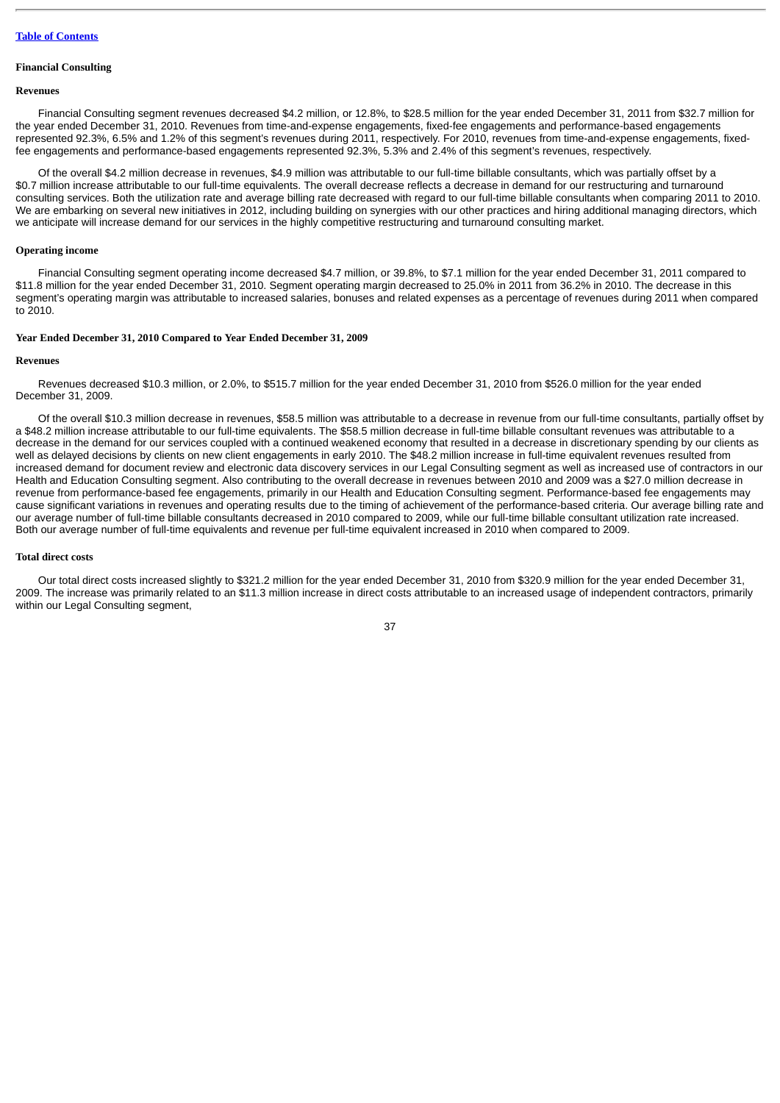### **Financial Consulting**

## **Revenues**

Financial Consulting segment revenues decreased \$4.2 million, or 12.8%, to \$28.5 million for the year ended December 31, 2011 from \$32.7 million for the year ended December 31, 2010. Revenues from time-and-expense engagements, fixed-fee engagements and performance-based engagements represented 92.3%, 6.5% and 1.2% of this segment's revenues during 2011, respectively. For 2010, revenues from time-and-expense engagements, fixedfee engagements and performance-based engagements represented 92.3%, 5.3% and 2.4% of this segment's revenues, respectively.

Of the overall \$4.2 million decrease in revenues, \$4.9 million was attributable to our full-time billable consultants, which was partially offset by a \$0.7 million increase attributable to our full-time equivalents. The overall decrease reflects a decrease in demand for our restructuring and turnaround consulting services. Both the utilization rate and average billing rate decreased with regard to our full-time billable consultants when comparing 2011 to 2010. We are embarking on several new initiatives in 2012, including building on synergies with our other practices and hiring additional managing directors, which we anticipate will increase demand for our services in the highly competitive restructuring and turnaround consulting market.

# **Operating income**

Financial Consulting segment operating income decreased \$4.7 million, or 39.8%, to \$7.1 million for the year ended December 31, 2011 compared to \$11.8 million for the year ended December 31, 2010. Segment operating margin decreased to 25.0% in 2011 from 36.2% in 2010. The decrease in this segment's operating margin was attributable to increased salaries, bonuses and related expenses as a percentage of revenues during 2011 when compared to 2010.

### **Year Ended December 31, 2010 Compared to Year Ended December 31, 2009**

### **Revenues**

Revenues decreased \$10.3 million, or 2.0%, to \$515.7 million for the year ended December 31, 2010 from \$526.0 million for the year ended December 31, 2009.

Of the overall \$10.3 million decrease in revenues, \$58.5 million was attributable to a decrease in revenue from our full-time consultants, partially offset by a \$48.2 million increase attributable to our full-time equivalents. The \$58.5 million decrease in full-time billable consultant revenues was attributable to a decrease in the demand for our services coupled with a continued weakened economy that resulted in a decrease in discretionary spending by our clients as well as delayed decisions by clients on new client engagements in early 2010. The \$48.2 million increase in full-time equivalent revenues resulted from increased demand for document review and electronic data discovery services in our Legal Consulting segment as well as increased use of contractors in our Health and Education Consulting segment. Also contributing to the overall decrease in revenues between 2010 and 2009 was a \$27.0 million decrease in revenue from performance-based fee engagements, primarily in our Health and Education Consulting segment. Performance-based fee engagements may cause significant variations in revenues and operating results due to the timing of achievement of the performance-based criteria. Our average billing rate and our average number of full-time billable consultants decreased in 2010 compared to 2009, while our full-time billable consultant utilization rate increased. Both our average number of full-time equivalents and revenue per full-time equivalent increased in 2010 when compared to 2009.

## **Total direct costs**

Our total direct costs increased slightly to \$321.2 million for the year ended December 31, 2010 from \$320.9 million for the year ended December 31, 2009. The increase was primarily related to an \$11.3 million increase in direct costs attributable to an increased usage of independent contractors, primarily within our Legal Consulting segment,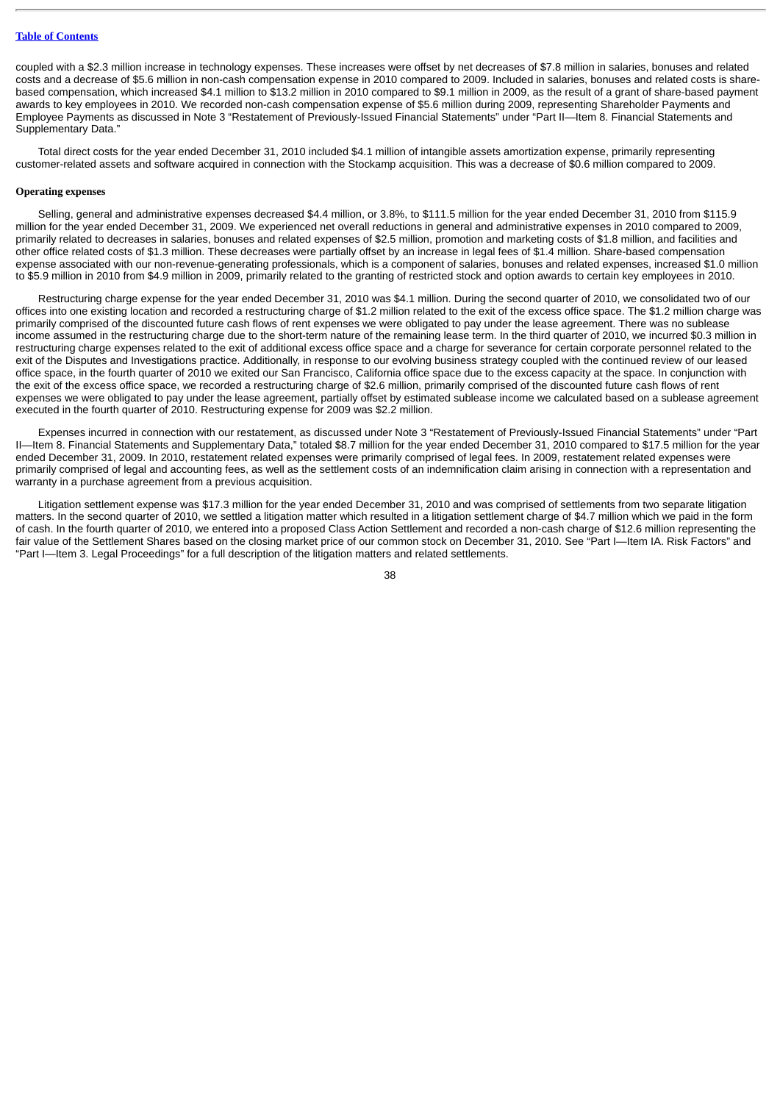coupled with a \$2.3 million increase in technology expenses. These increases were offset by net decreases of \$7.8 million in salaries, bonuses and related costs and a decrease of \$5.6 million in non-cash compensation expense in 2010 compared to 2009. Included in salaries, bonuses and related costs is sharebased compensation, which increased \$4.1 million to \$13.2 million in 2010 compared to \$9.1 million in 2009, as the result of a grant of share-based payment awards to key employees in 2010. We recorded non-cash compensation expense of \$5.6 million during 2009, representing Shareholder Payments and Employee Payments as discussed in Note 3 "Restatement of Previously-Issued Financial Statements" under "Part II—Item 8. Financial Statements and Supplementary Data."

Total direct costs for the year ended December 31, 2010 included \$4.1 million of intangible assets amortization expense, primarily representing customer-related assets and software acquired in connection with the Stockamp acquisition. This was a decrease of \$0.6 million compared to 2009.

## **Operating expenses**

Selling, general and administrative expenses decreased \$4.4 million, or 3.8%, to \$111.5 million for the year ended December 31, 2010 from \$115.9 million for the year ended December 31, 2009. We experienced net overall reductions in general and administrative expenses in 2010 compared to 2009, primarily related to decreases in salaries, bonuses and related expenses of \$2.5 million, promotion and marketing costs of \$1.8 million, and facilities and other office related costs of \$1.3 million. These decreases were partially offset by an increase in legal fees of \$1.4 million. Share-based compensation expense associated with our non-revenue-generating professionals, which is a component of salaries, bonuses and related expenses, increased \$1.0 million to \$5.9 million in 2010 from \$4.9 million in 2009, primarily related to the granting of restricted stock and option awards to certain key employees in 2010.

Restructuring charge expense for the year ended December 31, 2010 was \$4.1 million. During the second quarter of 2010, we consolidated two of our offices into one existing location and recorded a restructuring charge of \$1.2 million related to the exit of the excess office space. The \$1.2 million charge was primarily comprised of the discounted future cash flows of rent expenses we were obligated to pay under the lease agreement. There was no sublease income assumed in the restructuring charge due to the short-term nature of the remaining lease term. In the third quarter of 2010, we incurred \$0.3 million in restructuring charge expenses related to the exit of additional excess office space and a charge for severance for certain corporate personnel related to the exit of the Disputes and Investigations practice. Additionally, in response to our evolving business strategy coupled with the continued review of our leased office space, in the fourth quarter of 2010 we exited our San Francisco, California office space due to the excess capacity at the space. In conjunction with the exit of the excess office space, we recorded a restructuring charge of \$2.6 million, primarily comprised of the discounted future cash flows of rent expenses we were obligated to pay under the lease agreement, partially offset by estimated sublease income we calculated based on a sublease agreement executed in the fourth quarter of 2010. Restructuring expense for 2009 was \$2.2 million.

Expenses incurred in connection with our restatement, as discussed under Note 3 "Restatement of Previously-Issued Financial Statements" under "Part II—Item 8. Financial Statements and Supplementary Data," totaled \$8.7 million for the year ended December 31, 2010 compared to \$17.5 million for the year ended December 31, 2009. In 2010, restatement related expenses were primarily comprised of legal fees. In 2009, restatement related expenses were primarily comprised of legal and accounting fees, as well as the settlement costs of an indemnification claim arising in connection with a representation and warranty in a purchase agreement from a previous acquisition.

Litigation settlement expense was \$17.3 million for the year ended December 31, 2010 and was comprised of settlements from two separate litigation matters. In the second quarter of 2010, we settled a litigation matter which resulted in a litigation settlement charge of \$4.7 million which we paid in the form of cash. In the fourth quarter of 2010, we entered into a proposed Class Action Settlement and recorded a non-cash charge of \$12.6 million representing the fair value of the Settlement Shares based on the closing market price of our common stock on December 31, 2010. See "Part I—Item IA. Risk Factors" and "Part I—Item 3. Legal Proceedings" for a full description of the litigation matters and related settlements.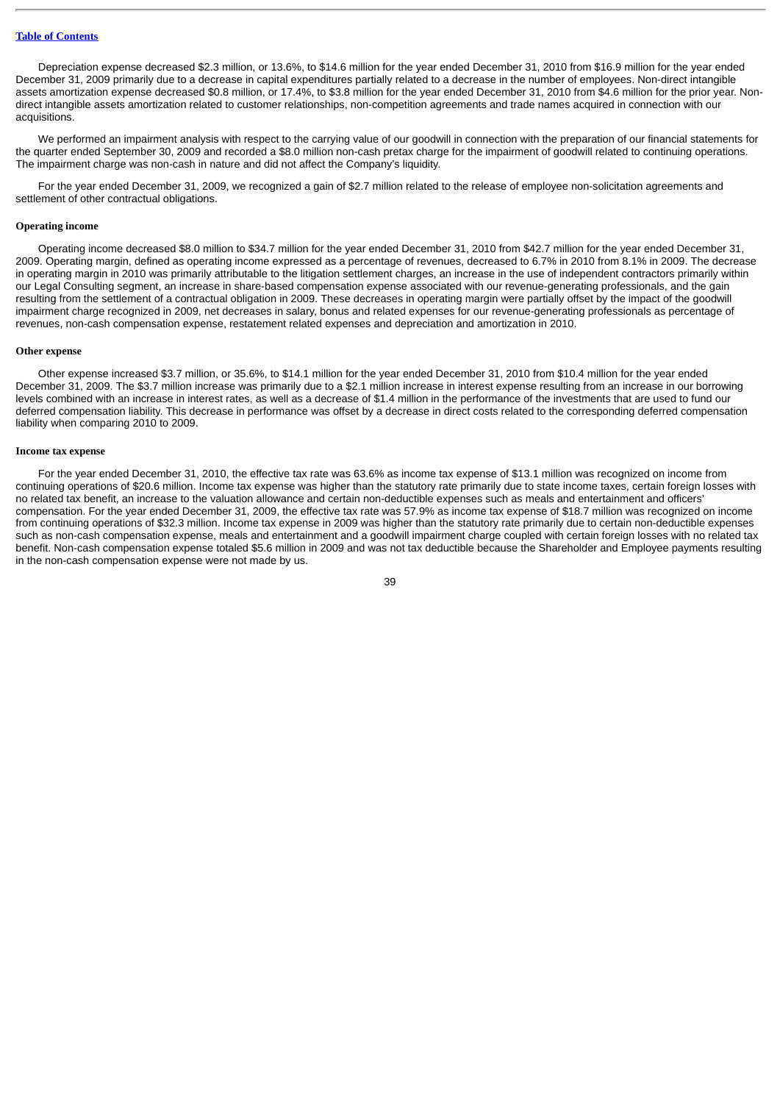Depreciation expense decreased \$2.3 million, or 13.6%, to \$14.6 million for the year ended December 31, 2010 from \$16.9 million for the year ended December 31, 2009 primarily due to a decrease in capital expenditures partially related to a decrease in the number of employees. Non-direct intangible assets amortization expense decreased \$0.8 million, or 17.4%, to \$3.8 million for the year ended December 31, 2010 from \$4.6 million for the prior year. Nondirect intangible assets amortization related to customer relationships, non-competition agreements and trade names acquired in connection with our acquisitions.

We performed an impairment analysis with respect to the carrying value of our goodwill in connection with the preparation of our financial statements for the quarter ended September 30, 2009 and recorded a \$8.0 million non-cash pretax charge for the impairment of goodwill related to continuing operations. The impairment charge was non-cash in nature and did not affect the Company's liquidity.

For the year ended December 31, 2009, we recognized a gain of \$2.7 million related to the release of employee non-solicitation agreements and settlement of other contractual obligations.

### **Operating income**

Operating income decreased \$8.0 million to \$34.7 million for the year ended December 31, 2010 from \$42.7 million for the year ended December 31, 2009. Operating margin, defined as operating income expressed as a percentage of revenues, decreased to 6.7% in 2010 from 8.1% in 2009. The decrease in operating margin in 2010 was primarily attributable to the litigation settlement charges, an increase in the use of independent contractors primarily within our Legal Consulting segment, an increase in share-based compensation expense associated with our revenue-generating professionals, and the gain resulting from the settlement of a contractual obligation in 2009. These decreases in operating margin were partially offset by the impact of the goodwill impairment charge recognized in 2009, net decreases in salary, bonus and related expenses for our revenue-generating professionals as percentage of revenues, non-cash compensation expense, restatement related expenses and depreciation and amortization in 2010.

### **Other expense**

Other expense increased \$3.7 million, or 35.6%, to \$14.1 million for the year ended December 31, 2010 from \$10.4 million for the year ended December 31, 2009. The \$3.7 million increase was primarily due to a \$2.1 million increase in interest expense resulting from an increase in our borrowing levels combined with an increase in interest rates, as well as a decrease of \$1.4 million in the performance of the investments that are used to fund our deferred compensation liability. This decrease in performance was offset by a decrease in direct costs related to the corresponding deferred compensation liability when comparing 2010 to 2009.

### **Income tax expense**

For the year ended December 31, 2010, the effective tax rate was 63.6% as income tax expense of \$13.1 million was recognized on income from continuing operations of \$20.6 million. Income tax expense was higher than the statutory rate primarily due to state income taxes, certain foreign losses with no related tax benefit, an increase to the valuation allowance and certain non-deductible expenses such as meals and entertainment and officers' compensation. For the year ended December 31, 2009, the effective tax rate was 57.9% as income tax expense of \$18.7 million was recognized on income from continuing operations of \$32.3 million. Income tax expense in 2009 was higher than the statutory rate primarily due to certain non-deductible expenses such as non-cash compensation expense, meals and entertainment and a goodwill impairment charge coupled with certain foreign losses with no related tax benefit. Non-cash compensation expense totaled \$5.6 million in 2009 and was not tax deductible because the Shareholder and Employee payments resulting in the non-cash compensation expense were not made by us.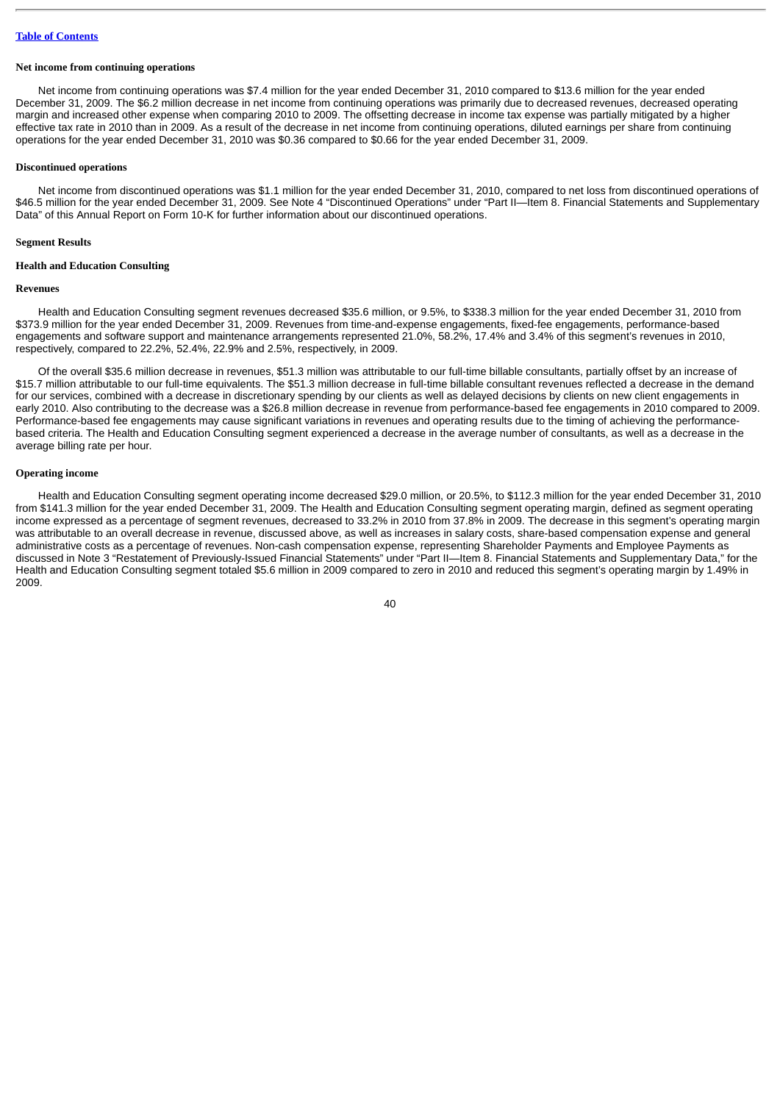### **Net income from continuing operations**

Net income from continuing operations was \$7.4 million for the year ended December 31, 2010 compared to \$13.6 million for the year ended December 31, 2009. The \$6.2 million decrease in net income from continuing operations was primarily due to decreased revenues, decreased operating margin and increased other expense when comparing 2010 to 2009. The offsetting decrease in income tax expense was partially mitigated by a higher effective tax rate in 2010 than in 2009. As a result of the decrease in net income from continuing operations, diluted earnings per share from continuing operations for the year ended December 31, 2010 was \$0.36 compared to \$0.66 for the year ended December 31, 2009.

### **Discontinued operations**

Net income from discontinued operations was \$1.1 million for the year ended December 31, 2010, compared to net loss from discontinued operations of \$46.5 million for the year ended December 31, 2009. See Note 4 "Discontinued Operations" under "Part II—Item 8. Financial Statements and Supplementary Data" of this Annual Report on Form 10-K for further information about our discontinued operations.

### **Segment Results**

# **Health and Education Consulting**

### **Revenues**

Health and Education Consulting segment revenues decreased \$35.6 million, or 9.5%, to \$338.3 million for the year ended December 31, 2010 from \$373.9 million for the year ended December 31, 2009. Revenues from time-and-expense engagements, fixed-fee engagements, performance-based engagements and software support and maintenance arrangements represented 21.0%, 58.2%, 17.4% and 3.4% of this segment's revenues in 2010, respectively, compared to 22.2%, 52.4%, 22.9% and 2.5%, respectively, in 2009.

Of the overall \$35.6 million decrease in revenues, \$51.3 million was attributable to our full-time billable consultants, partially offset by an increase of \$15.7 million attributable to our full-time equivalents. The \$51.3 million decrease in full-time billable consultant revenues reflected a decrease in the demand for our services, combined with a decrease in discretionary spending by our clients as well as delayed decisions by clients on new client engagements in early 2010. Also contributing to the decrease was a \$26.8 million decrease in revenue from performance-based fee engagements in 2010 compared to 2009. Performance-based fee engagements may cause significant variations in revenues and operating results due to the timing of achieving the performancebased criteria. The Health and Education Consulting segment experienced a decrease in the average number of consultants, as well as a decrease in the average billing rate per hour.

### **Operating income**

Health and Education Consulting segment operating income decreased \$29.0 million, or 20.5%, to \$112.3 million for the year ended December 31, 2010 from \$141.3 million for the year ended December 31, 2009. The Health and Education Consulting segment operating margin, defined as segment operating income expressed as a percentage of segment revenues, decreased to 33.2% in 2010 from 37.8% in 2009. The decrease in this segment's operating margin was attributable to an overall decrease in revenue, discussed above, as well as increases in salary costs, share-based compensation expense and general administrative costs as a percentage of revenues. Non-cash compensation expense, representing Shareholder Payments and Employee Payments as discussed in Note 3 "Restatement of Previously-Issued Financial Statements" under "Part II—Item 8. Financial Statements and Supplementary Data," for the Health and Education Consulting segment totaled \$5.6 million in 2009 compared to zero in 2010 and reduced this segment's operating margin by 1.49% in 2009.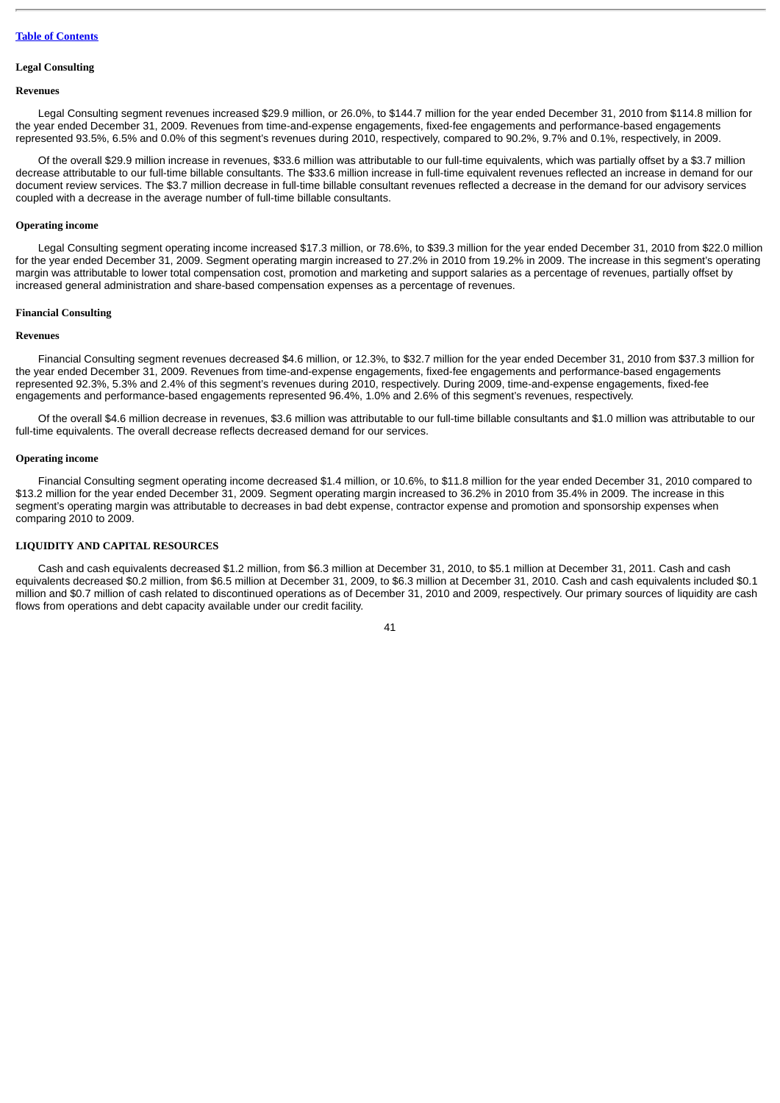#### **Legal Consulting**

## **Revenues**

Legal Consulting segment revenues increased \$29.9 million, or 26.0%, to \$144.7 million for the year ended December 31, 2010 from \$114.8 million for the year ended December 31, 2009. Revenues from time-and-expense engagements, fixed-fee engagements and performance-based engagements represented 93.5%, 6.5% and 0.0% of this segment's revenues during 2010, respectively, compared to 90.2%, 9.7% and 0.1%, respectively, in 2009.

Of the overall \$29.9 million increase in revenues, \$33.6 million was attributable to our full-time equivalents, which was partially offset by a \$3.7 million decrease attributable to our full-time billable consultants. The \$33.6 million increase in full-time equivalent revenues reflected an increase in demand for our document review services. The \$3.7 million decrease in full-time billable consultant revenues reflected a decrease in the demand for our advisory services coupled with a decrease in the average number of full-time billable consultants.

### **Operating income**

Legal Consulting segment operating income increased \$17.3 million, or 78.6%, to \$39.3 million for the year ended December 31, 2010 from \$22.0 million for the year ended December 31, 2009. Segment operating margin increased to 27.2% in 2010 from 19.2% in 2009. The increase in this segment's operating margin was attributable to lower total compensation cost, promotion and marketing and support salaries as a percentage of revenues, partially offset by increased general administration and share-based compensation expenses as a percentage of revenues.

### **Financial Consulting**

### **Revenues**

Financial Consulting segment revenues decreased \$4.6 million, or 12.3%, to \$32.7 million for the year ended December 31, 2010 from \$37.3 million for the year ended December 31, 2009. Revenues from time-and-expense engagements, fixed-fee engagements and performance-based engagements represented 92.3%, 5.3% and 2.4% of this segment's revenues during 2010, respectively. During 2009, time-and-expense engagements, fixed-fee engagements and performance-based engagements represented 96.4%, 1.0% and 2.6% of this segment's revenues, respectively.

Of the overall \$4.6 million decrease in revenues, \$3.6 million was attributable to our full-time billable consultants and \$1.0 million was attributable to our full-time equivalents. The overall decrease reflects decreased demand for our services.

#### **Operating income**

Financial Consulting segment operating income decreased \$1.4 million, or 10.6%, to \$11.8 million for the year ended December 31, 2010 compared to \$13.2 million for the year ended December 31, 2009. Segment operating margin increased to 36.2% in 2010 from 35.4% in 2009. The increase in this segment's operating margin was attributable to decreases in bad debt expense, contractor expense and promotion and sponsorship expenses when comparing 2010 to 2009.

## **LIQUIDITY AND CAPITAL RESOURCES**

Cash and cash equivalents decreased \$1.2 million, from \$6.3 million at December 31, 2010, to \$5.1 million at December 31, 2011. Cash and cash equivalents decreased \$0.2 million, from \$6.5 million at December 31, 2009, to \$6.3 million at December 31, 2010. Cash and cash equivalents included \$0.1 million and \$0.7 million of cash related to discontinued operations as of December 31, 2010 and 2009, respectively. Our primary sources of liquidity are cash flows from operations and debt capacity available under our credit facility.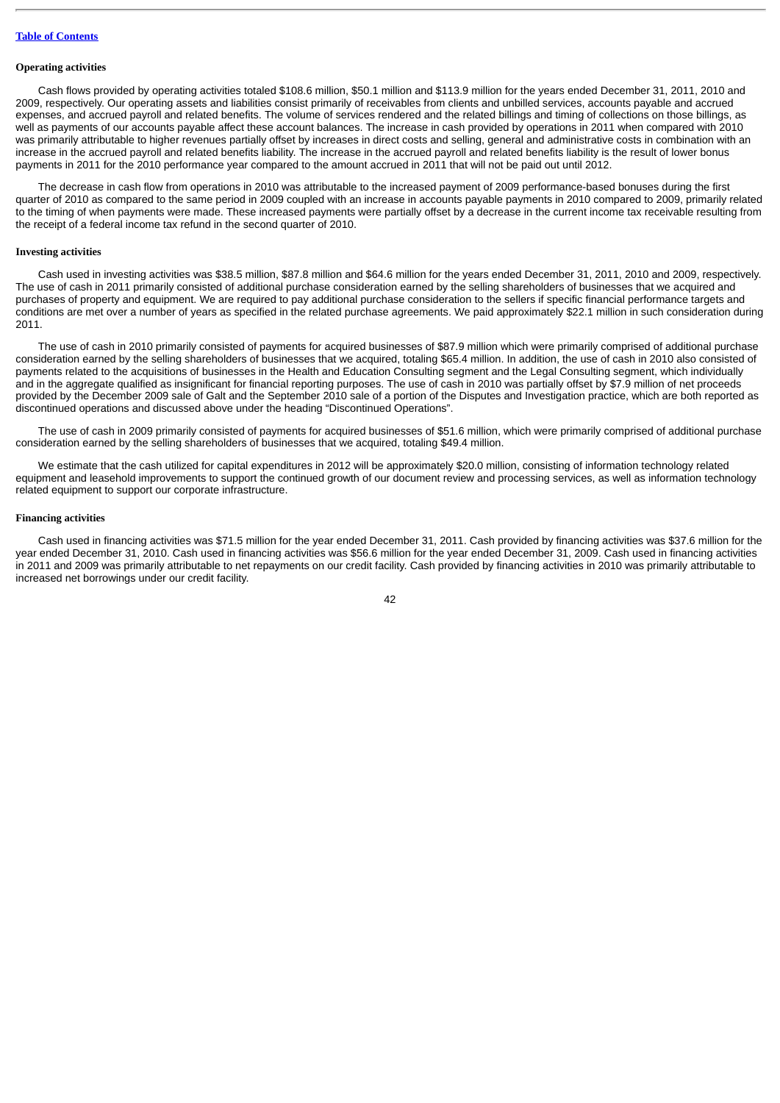## **Operating activities**

Cash flows provided by operating activities totaled \$108.6 million, \$50.1 million and \$113.9 million for the years ended December 31, 2011, 2010 and 2009, respectively. Our operating assets and liabilities consist primarily of receivables from clients and unbilled services, accounts payable and accrued expenses, and accrued payroll and related benefits. The volume of services rendered and the related billings and timing of collections on those billings, as well as payments of our accounts payable affect these account balances. The increase in cash provided by operations in 2011 when compared with 2010 was primarily attributable to higher revenues partially offset by increases in direct costs and selling, general and administrative costs in combination with an increase in the accrued payroll and related benefits liability. The increase in the accrued payroll and related benefits liability is the result of lower bonus payments in 2011 for the 2010 performance year compared to the amount accrued in 2011 that will not be paid out until 2012.

The decrease in cash flow from operations in 2010 was attributable to the increased payment of 2009 performance-based bonuses during the first quarter of 2010 as compared to the same period in 2009 coupled with an increase in accounts payable payments in 2010 compared to 2009, primarily related to the timing of when payments were made. These increased payments were partially offset by a decrease in the current income tax receivable resulting from the receipt of a federal income tax refund in the second quarter of 2010.

#### **Investing activities**

Cash used in investing activities was \$38.5 million, \$87.8 million and \$64.6 million for the years ended December 31, 2011, 2010 and 2009, respectively. The use of cash in 2011 primarily consisted of additional purchase consideration earned by the selling shareholders of businesses that we acquired and purchases of property and equipment. We are required to pay additional purchase consideration to the sellers if specific financial performance targets and conditions are met over a number of years as specified in the related purchase agreements. We paid approximately \$22.1 million in such consideration during 2011.

The use of cash in 2010 primarily consisted of payments for acquired businesses of \$87.9 million which were primarily comprised of additional purchase consideration earned by the selling shareholders of businesses that we acquired, totaling \$65.4 million. In addition, the use of cash in 2010 also consisted of payments related to the acquisitions of businesses in the Health and Education Consulting segment and the Legal Consulting segment, which individually and in the aggregate qualified as insignificant for financial reporting purposes. The use of cash in 2010 was partially offset by \$7.9 million of net proceeds provided by the December 2009 sale of Galt and the September 2010 sale of a portion of the Disputes and Investigation practice, which are both reported as discontinued operations and discussed above under the heading "Discontinued Operations".

The use of cash in 2009 primarily consisted of payments for acquired businesses of \$51.6 million, which were primarily comprised of additional purchase consideration earned by the selling shareholders of businesses that we acquired, totaling \$49.4 million.

We estimate that the cash utilized for capital expenditures in 2012 will be approximately \$20.0 million, consisting of information technology related equipment and leasehold improvements to support the continued growth of our document review and processing services, as well as information technology related equipment to support our corporate infrastructure.

### **Financing activities**

Cash used in financing activities was \$71.5 million for the year ended December 31, 2011. Cash provided by financing activities was \$37.6 million for the year ended December 31, 2010. Cash used in financing activities was \$56.6 million for the year ended December 31, 2009. Cash used in financing activities in 2011 and 2009 was primarily attributable to net repayments on our credit facility. Cash provided by financing activities in 2010 was primarily attributable to increased net borrowings under our credit facility.

<sup>42</sup>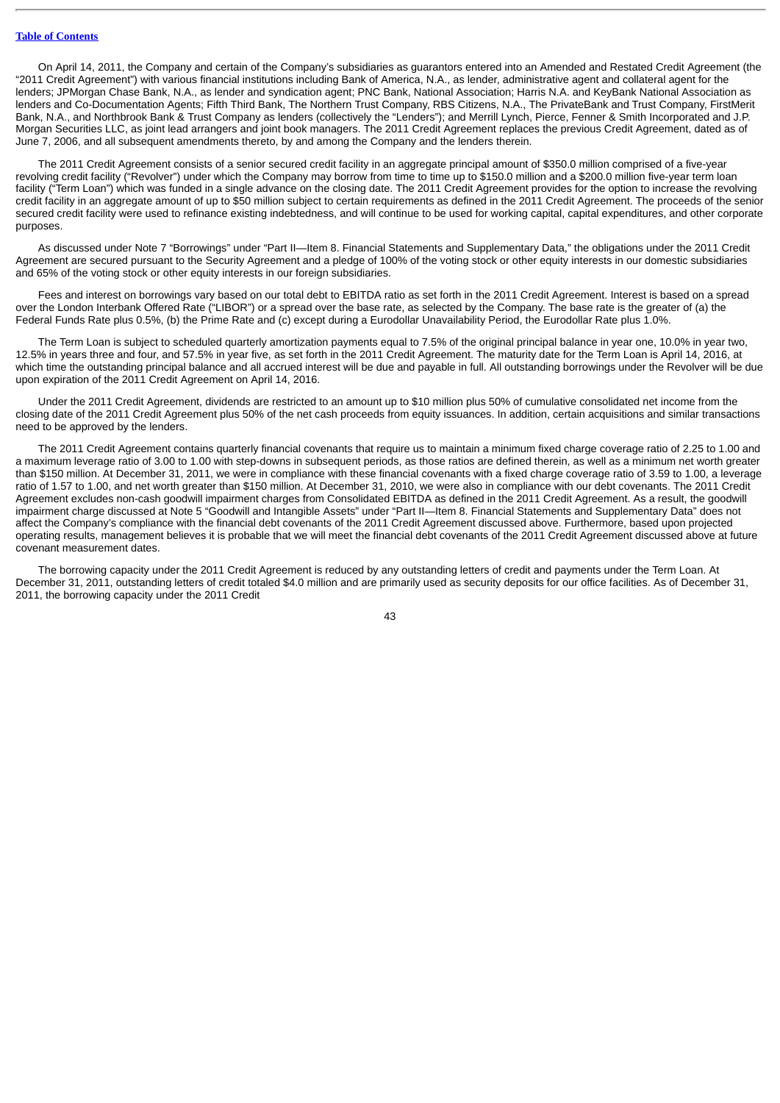On April 14, 2011, the Company and certain of the Company's subsidiaries as guarantors entered into an Amended and Restated Credit Agreement (the "2011 Credit Agreement") with various financial institutions including Bank of America, N.A., as lender, administrative agent and collateral agent for the lenders; JPMorgan Chase Bank, N.A., as lender and syndication agent; PNC Bank, National Association; Harris N.A. and KeyBank National Association as lenders and Co-Documentation Agents; Fifth Third Bank, The Northern Trust Company, RBS Citizens, N.A., The PrivateBank and Trust Company, FirstMerit Bank, N.A., and Northbrook Bank & Trust Company as lenders (collectively the "Lenders"); and Merrill Lynch, Pierce, Fenner & Smith Incorporated and J.P. Morgan Securities LLC, as joint lead arrangers and joint book managers. The 2011 Credit Agreement replaces the previous Credit Agreement, dated as of June 7, 2006, and all subsequent amendments thereto, by and among the Company and the lenders therein.

The 2011 Credit Agreement consists of a senior secured credit facility in an aggregate principal amount of \$350.0 million comprised of a five-year revolving credit facility ("Revolver") under which the Company may borrow from time to time up to \$150.0 million and a \$200.0 million five-year term loan facility ("Term Loan") which was funded in a single advance on the closing date. The 2011 Credit Agreement provides for the option to increase the revolving credit facility in an aggregate amount of up to \$50 million subject to certain requirements as defined in the 2011 Credit Agreement. The proceeds of the senior secured credit facility were used to refinance existing indebtedness, and will continue to be used for working capital, capital expenditures, and other corporate purposes.

As discussed under Note 7 "Borrowings" under "Part II—Item 8. Financial Statements and Supplementary Data," the obligations under the 2011 Credit Agreement are secured pursuant to the Security Agreement and a pledge of 100% of the voting stock or other equity interests in our domestic subsidiaries and 65% of the voting stock or other equity interests in our foreign subsidiaries.

Fees and interest on borrowings vary based on our total debt to EBITDA ratio as set forth in the 2011 Credit Agreement. Interest is based on a spread over the London Interbank Offered Rate ("LIBOR") or a spread over the base rate, as selected by the Company. The base rate is the greater of (a) the Federal Funds Rate plus 0.5%, (b) the Prime Rate and (c) except during a Eurodollar Unavailability Period, the Eurodollar Rate plus 1.0%.

The Term Loan is subject to scheduled quarterly amortization payments equal to 7.5% of the original principal balance in year one, 10.0% in year two, 12.5% in years three and four, and 57.5% in year five, as set forth in the 2011 Credit Agreement. The maturity date for the Term Loan is April 14, 2016, at which time the outstanding principal balance and all accrued interest will be due and payable in full. All outstanding borrowings under the Revolver will be due upon expiration of the 2011 Credit Agreement on April 14, 2016.

Under the 2011 Credit Agreement, dividends are restricted to an amount up to \$10 million plus 50% of cumulative consolidated net income from the closing date of the 2011 Credit Agreement plus 50% of the net cash proceeds from equity issuances. In addition, certain acquisitions and similar transactions need to be approved by the lenders.

The 2011 Credit Agreement contains quarterly financial covenants that require us to maintain a minimum fixed charge coverage ratio of 2.25 to 1.00 and a maximum leverage ratio of 3.00 to 1.00 with step-downs in subsequent periods, as those ratios are defined therein, as well as a minimum net worth greater than \$150 million. At December 31, 2011, we were in compliance with these financial covenants with a fixed charge coverage ratio of 3.59 to 1.00, a leverage ratio of 1.57 to 1.00, and net worth greater than \$150 million. At December 31, 2010, we were also in compliance with our debt covenants. The 2011 Credit Agreement excludes non-cash goodwill impairment charges from Consolidated EBITDA as defined in the 2011 Credit Agreement. As a result, the goodwill impairment charge discussed at Note 5 "Goodwill and Intangible Assets" under "Part II—Item 8. Financial Statements and Supplementary Data" does not affect the Company's compliance with the financial debt covenants of the 2011 Credit Agreement discussed above. Furthermore, based upon projected operating results, management believes it is probable that we will meet the financial debt covenants of the 2011 Credit Agreement discussed above at future covenant measurement dates.

The borrowing capacity under the 2011 Credit Agreement is reduced by any outstanding letters of credit and payments under the Term Loan. At December 31, 2011, outstanding letters of credit totaled \$4.0 million and are primarily used as security deposits for our office facilities. As of December 31, 2011, the borrowing capacity under the 2011 Credit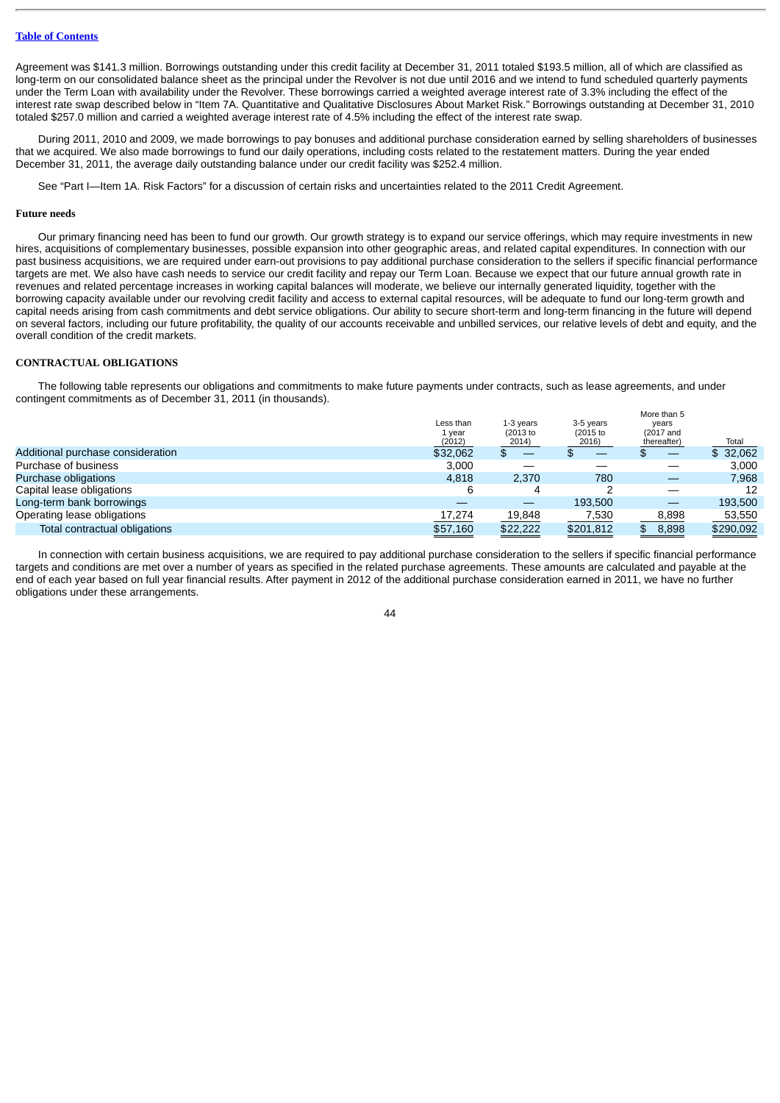Agreement was \$141.3 million. Borrowings outstanding under this credit facility at December 31, 2011 totaled \$193.5 million, all of which are classified as long-term on our consolidated balance sheet as the principal under the Revolver is not due until 2016 and we intend to fund scheduled quarterly payments under the Term Loan with availability under the Revolver. These borrowings carried a weighted average interest rate of 3.3% including the effect of the interest rate swap described below in "Item 7A. Quantitative and Qualitative Disclosures About Market Risk." Borrowings outstanding at December 31, 2010 totaled \$257.0 million and carried a weighted average interest rate of 4.5% including the effect of the interest rate swap.

During 2011, 2010 and 2009, we made borrowings to pay bonuses and additional purchase consideration earned by selling shareholders of businesses that we acquired. We also made borrowings to fund our daily operations, including costs related to the restatement matters. During the year ended December 31, 2011, the average daily outstanding balance under our credit facility was \$252.4 million.

See "Part I—Item 1A. Risk Factors" for a discussion of certain risks and uncertainties related to the 2011 Credit Agreement.

### **Future needs**

Our primary financing need has been to fund our growth. Our growth strategy is to expand our service offerings, which may require investments in new hires, acquisitions of complementary businesses, possible expansion into other geographic areas, and related capital expenditures. In connection with our past business acquisitions, we are required under earn-out provisions to pay additional purchase consideration to the sellers if specific financial performance targets are met. We also have cash needs to service our credit facility and repay our Term Loan. Because we expect that our future annual growth rate in revenues and related percentage increases in working capital balances will moderate, we believe our internally generated liquidity, together with the borrowing capacity available under our revolving credit facility and access to external capital resources, will be adequate to fund our long-term growth and capital needs arising from cash commitments and debt service obligations. Our ability to secure short-term and long-term financing in the future will depend on several factors, including our future profitability, the quality of our accounts receivable and unbilled services, our relative levels of debt and equity, and the overall condition of the credit markets.

## **CONTRACTUAL OBLIGATIONS**

The following table represents our obligations and commitments to make future payments under contracts, such as lease agreements, and under contingent commitments as of December 31, 2011 (in thousands).

|                                   | Less than<br>1 year<br>(2012) | 1-3 years<br>(2013)<br>2014) | 3-5 years<br>(2015 to<br>2016) | More than 5<br>years<br>(2017 and<br>thereafter) | Total     |
|-----------------------------------|-------------------------------|------------------------------|--------------------------------|--------------------------------------------------|-----------|
| Additional purchase consideration | \$32,062                      | \$                           |                                |                                                  | \$32,062  |
| Purchase of business              | 3.000                         |                              |                                |                                                  | 3.000     |
| Purchase obligations              | 4.818                         | 2.370                        | 780                            |                                                  | 7.968     |
| Capital lease obligations         |                               | 4                            |                                |                                                  | 12        |
| Long-term bank borrowings         |                               |                              | 193.500                        |                                                  | 193.500   |
| Operating lease obligations       | 17,274                        | 19,848                       | 7,530                          | 8,898                                            | 53,550    |
| Total contractual obligations     | \$57,160                      | \$22,222                     | \$201,812                      | 8,898<br>$\mathbf{E}$                            | \$290,092 |

In connection with certain business acquisitions, we are required to pay additional purchase consideration to the sellers if specific financial performance targets and conditions are met over a number of years as specified in the related purchase agreements. These amounts are calculated and payable at the end of each year based on full year financial results. After payment in 2012 of the additional purchase consideration earned in 2011, we have no further obligations under these arrangements.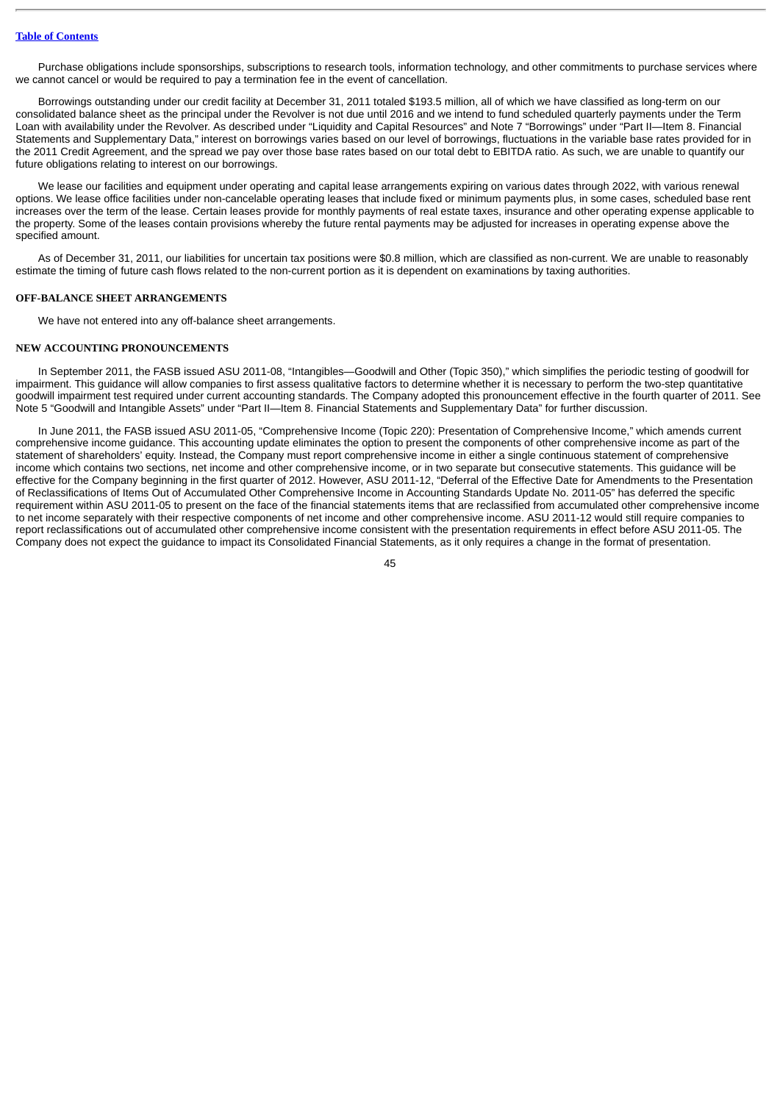Purchase obligations include sponsorships, subscriptions to research tools, information technology, and other commitments to purchase services where we cannot cancel or would be required to pay a termination fee in the event of cancellation.

Borrowings outstanding under our credit facility at December 31, 2011 totaled \$193.5 million, all of which we have classified as long-term on our consolidated balance sheet as the principal under the Revolver is not due until 2016 and we intend to fund scheduled quarterly payments under the Term Loan with availability under the Revolver. As described under "Liquidity and Capital Resources" and Note 7 "Borrowings" under "Part II—Item 8. Financial Statements and Supplementary Data," interest on borrowings varies based on our level of borrowings, fluctuations in the variable base rates provided for in the 2011 Credit Agreement, and the spread we pay over those base rates based on our total debt to EBITDA ratio. As such, we are unable to quantify our future obligations relating to interest on our borrowings.

We lease our facilities and equipment under operating and capital lease arrangements expiring on various dates through 2022, with various renewal options. We lease office facilities under non-cancelable operating leases that include fixed or minimum payments plus, in some cases, scheduled base rent increases over the term of the lease. Certain leases provide for monthly payments of real estate taxes, insurance and other operating expense applicable to the property. Some of the leases contain provisions whereby the future rental payments may be adjusted for increases in operating expense above the specified amount.

As of December 31, 2011, our liabilities for uncertain tax positions were \$0.8 million, which are classified as non-current. We are unable to reasonably estimate the timing of future cash flows related to the non-current portion as it is dependent on examinations by taxing authorities.

### **OFF-BALANCE SHEET ARRANGEMENTS**

We have not entered into any off-balance sheet arrangements.

### **NEW ACCOUNTING PRONOUNCEMENTS**

In September 2011, the FASB issued ASU 2011-08, "Intangibles—Goodwill and Other (Topic 350)," which simplifies the periodic testing of goodwill for impairment. This guidance will allow companies to first assess qualitative factors to determine whether it is necessary to perform the two-step quantitative goodwill impairment test required under current accounting standards. The Company adopted this pronouncement effective in the fourth quarter of 2011. See Note 5 "Goodwill and Intangible Assets" under "Part II—Item 8. Financial Statements and Supplementary Data" for further discussion.

In June 2011, the FASB issued ASU 2011-05, "Comprehensive Income (Topic 220): Presentation of Comprehensive Income," which amends current comprehensive income guidance. This accounting update eliminates the option to present the components of other comprehensive income as part of the statement of shareholders' equity. Instead, the Company must report comprehensive income in either a single continuous statement of comprehensive income which contains two sections, net income and other comprehensive income, or in two separate but consecutive statements. This guidance will be effective for the Company beginning in the first quarter of 2012. However, ASU 2011-12, "Deferral of the Effective Date for Amendments to the Presentation of Reclassifications of Items Out of Accumulated Other Comprehensive Income in Accounting Standards Update No. 2011-05" has deferred the specific requirement within ASU 2011-05 to present on the face of the financial statements items that are reclassified from accumulated other comprehensive income to net income separately with their respective components of net income and other comprehensive income. ASU 2011-12 would still require companies to report reclassifications out of accumulated other comprehensive income consistent with the presentation requirements in effect before ASU 2011-05. The Company does not expect the guidance to impact its Consolidated Financial Statements, as it only requires a change in the format of presentation.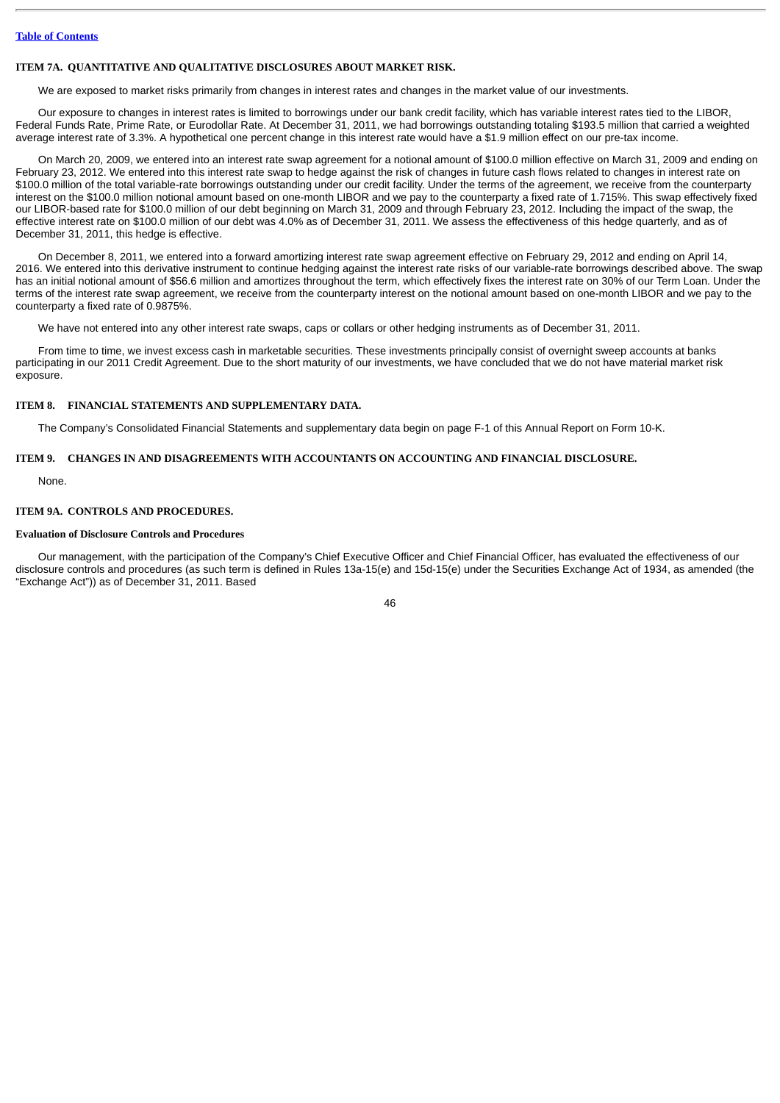## **ITEM 7A. QUANTITATIVE AND QUALITATIVE DISCLOSURES ABOUT MARKET RISK.**

We are exposed to market risks primarily from changes in interest rates and changes in the market value of our investments.

Our exposure to changes in interest rates is limited to borrowings under our bank credit facility, which has variable interest rates tied to the LIBOR, Federal Funds Rate, Prime Rate, or Eurodollar Rate. At December 31, 2011, we had borrowings outstanding totaling \$193.5 million that carried a weighted average interest rate of 3.3%. A hypothetical one percent change in this interest rate would have a \$1.9 million effect on our pre-tax income.

On March 20, 2009, we entered into an interest rate swap agreement for a notional amount of \$100.0 million effective on March 31, 2009 and ending on February 23, 2012. We entered into this interest rate swap to hedge against the risk of changes in future cash flows related to changes in interest rate on \$100.0 million of the total variable-rate borrowings outstanding under our credit facility. Under the terms of the agreement, we receive from the counterparty interest on the \$100.0 million notional amount based on one-month LIBOR and we pay to the counterparty a fixed rate of 1.715%. This swap effectively fixed our LIBOR-based rate for \$100.0 million of our debt beginning on March 31, 2009 and through February 23, 2012. Including the impact of the swap, the effective interest rate on \$100.0 million of our debt was 4.0% as of December 31, 2011. We assess the effectiveness of this hedge quarterly, and as of December 31, 2011, this hedge is effective.

On December 8, 2011, we entered into a forward amortizing interest rate swap agreement effective on February 29, 2012 and ending on April 14, 2016. We entered into this derivative instrument to continue hedging against the interest rate risks of our variable-rate borrowings described above. The swap has an initial notional amount of \$56.6 million and amortizes throughout the term, which effectively fixes the interest rate on 30% of our Term Loan. Under the terms of the interest rate swap agreement, we receive from the counterparty interest on the notional amount based on one-month LIBOR and we pay to the counterparty a fixed rate of 0.9875%.

We have not entered into any other interest rate swaps, caps or collars or other hedging instruments as of December 31, 2011.

From time to time, we invest excess cash in marketable securities. These investments principally consist of overnight sweep accounts at banks participating in our 2011 Credit Agreement. Due to the short maturity of our investments, we have concluded that we do not have material market risk exposure.

### **ITEM 8. FINANCIAL STATEMENTS AND SUPPLEMENTARY DATA.**

The Company's Consolidated Financial Statements and supplementary data begin on page F-1 of this Annual Report on Form 10-K.

# **ITEM 9. CHANGES IN AND DISAGREEMENTS WITH ACCOUNTANTS ON ACCOUNTING AND FINANCIAL DISCLOSURE.**

None.

# **ITEM 9A. CONTROLS AND PROCEDURES.**

## **Evaluation of Disclosure Controls and Procedures**

Our management, with the participation of the Company's Chief Executive Officer and Chief Financial Officer, has evaluated the effectiveness of our disclosure controls and procedures (as such term is defined in Rules 13a-15(e) and 15d-15(e) under the Securities Exchange Act of 1934, as amended (the "Exchange Act")) as of December 31, 2011. Based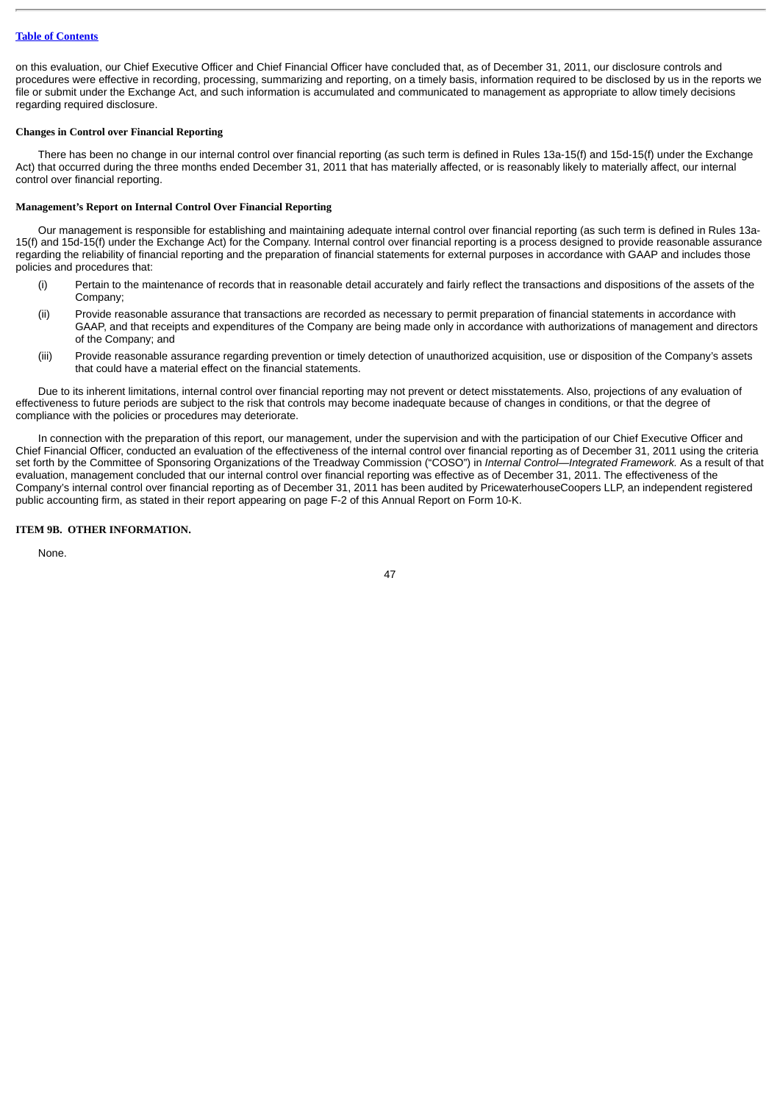on this evaluation, our Chief Executive Officer and Chief Financial Officer have concluded that, as of December 31, 2011, our disclosure controls and procedures were effective in recording, processing, summarizing and reporting, on a timely basis, information required to be disclosed by us in the reports we file or submit under the Exchange Act, and such information is accumulated and communicated to management as appropriate to allow timely decisions regarding required disclosure.

## **Changes in Control over Financial Reporting**

There has been no change in our internal control over financial reporting (as such term is defined in Rules 13a-15(f) and 15d-15(f) under the Exchange Act) that occurred during the three months ended December 31, 2011 that has materially affected, or is reasonably likely to materially affect, our internal control over financial reporting.

# **Management's Report on Internal Control Over Financial Reporting**

Our management is responsible for establishing and maintaining adequate internal control over financial reporting (as such term is defined in Rules 13a-15(f) and 15d-15(f) under the Exchange Act) for the Company. Internal control over financial reporting is a process designed to provide reasonable assurance regarding the reliability of financial reporting and the preparation of financial statements for external purposes in accordance with GAAP and includes those policies and procedures that:

- (i) Pertain to the maintenance of records that in reasonable detail accurately and fairly reflect the transactions and dispositions of the assets of the Company;
- (ii) Provide reasonable assurance that transactions are recorded as necessary to permit preparation of financial statements in accordance with GAAP, and that receipts and expenditures of the Company are being made only in accordance with authorizations of management and directors of the Company; and
- (iii) Provide reasonable assurance regarding prevention or timely detection of unauthorized acquisition, use or disposition of the Company's assets that could have a material effect on the financial statements.

Due to its inherent limitations, internal control over financial reporting may not prevent or detect misstatements. Also, projections of any evaluation of effectiveness to future periods are subject to the risk that controls may become inadequate because of changes in conditions, or that the degree of compliance with the policies or procedures may deteriorate.

In connection with the preparation of this report, our management, under the supervision and with the participation of our Chief Executive Officer and Chief Financial Officer, conducted an evaluation of the effectiveness of the internal control over financial reporting as of December 31, 2011 using the criteria set forth by the Committee of Sponsoring Organizations of the Treadway Commission ("COSO") in *Internal Control—Integrated Framework.* As a result of that evaluation, management concluded that our internal control over financial reporting was effective as of December 31, 2011. The effectiveness of the Company's internal control over financial reporting as of December 31, 2011 has been audited by PricewaterhouseCoopers LLP, an independent registered public accounting firm, as stated in their report appearing on page F-2 of this Annual Report on Form 10-K.

# **ITEM 9B. OTHER INFORMATION.**

None.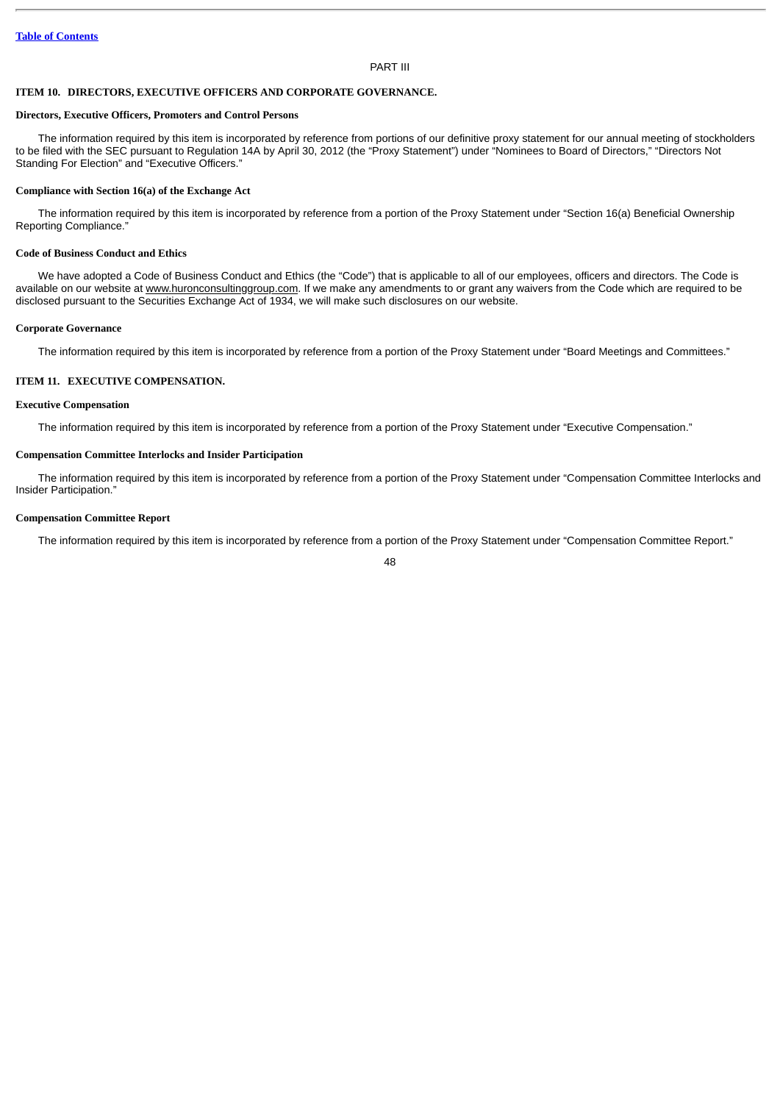## PART III

# **ITEM 10. DIRECTORS, EXECUTIVE OFFICERS AND CORPORATE GOVERNANCE.**

# **Directors, Executive Officers, Promoters and Control Persons**

The information required by this item is incorporated by reference from portions of our definitive proxy statement for our annual meeting of stockholders to be filed with the SEC pursuant to Regulation 14A by April 30, 2012 (the "Proxy Statement") under "Nominees to Board of Directors," "Directors Not Standing For Election" and "Executive Officers."

### **Compliance with Section 16(a) of the Exchange Act**

The information required by this item is incorporated by reference from a portion of the Proxy Statement under "Section 16(a) Beneficial Ownership Reporting Compliance."

## **Code of Business Conduct and Ethics**

We have adopted a Code of Business Conduct and Ethics (the "Code") that is applicable to all of our employees, officers and directors. The Code is available on our website at www.huronconsultinggroup.com. If we make any amendments to or grant any waivers from the Code which are required to be disclosed pursuant to the Securities Exchange Act of 1934, we will make such disclosures on our website.

### **Corporate Governance**

The information required by this item is incorporated by reference from a portion of the Proxy Statement under "Board Meetings and Committees."

## **ITEM 11. EXECUTIVE COMPENSATION.**

### **Executive Compensation**

The information required by this item is incorporated by reference from a portion of the Proxy Statement under "Executive Compensation."

## **Compensation Committee Interlocks and Insider Participation**

The information required by this item is incorporated by reference from a portion of the Proxy Statement under "Compensation Committee Interlocks and Insider Participation."

### **Compensation Committee Report**

The information required by this item is incorporated by reference from a portion of the Proxy Statement under "Compensation Committee Report."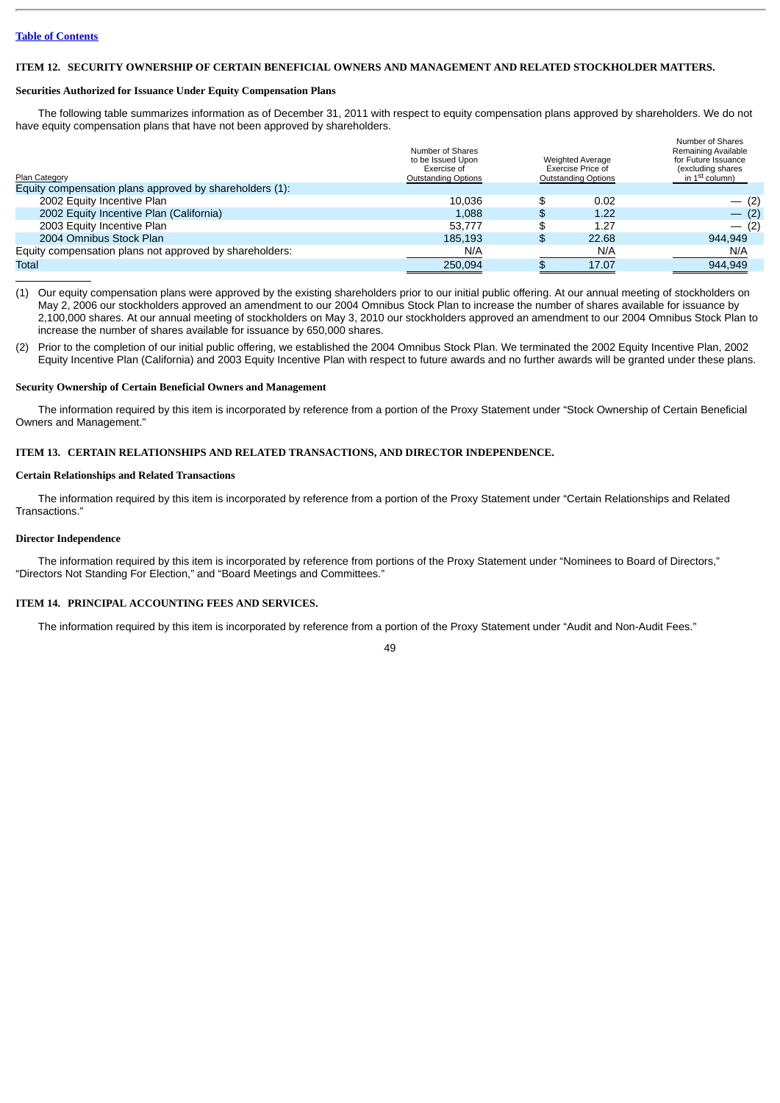## **ITEM 12. SECURITY OWNERSHIP OF CERTAIN BENEFICIAL OWNERS AND MANAGEMENT AND RELATED STOCKHOLDER MATTERS.**

### **Securities Authorized for Issuance Under Equity Compensation Plans**

The following table summarizes information as of December 31, 2011 with respect to equity compensation plans approved by shareholders. We do not have equity compensation plans that have not been approved by shareholders.

| Plan Category                                           | Number of Shares<br>to be Issued Upon<br>Exercise of<br><b>Outstanding Options</b> | <b>Weighted Average</b><br><b>Exercise Price of</b><br><b>Outstanding Options</b> | Number of Shares<br>Remaining Available<br>for Future Issuance<br>(excluding shares<br>in 1 <sup>st</sup> column) |
|---------------------------------------------------------|------------------------------------------------------------------------------------|-----------------------------------------------------------------------------------|-------------------------------------------------------------------------------------------------------------------|
| Equity compensation plans approved by shareholders (1): |                                                                                    |                                                                                   |                                                                                                                   |
| 2002 Equity Incentive Plan                              | 10.036                                                                             | 0.02                                                                              | $-$ (2)                                                                                                           |
| 2002 Equity Incentive Plan (California)                 | 1,088                                                                              | 1.22                                                                              | $- (2)$                                                                                                           |
| 2003 Equity Incentive Plan                              | 53.777                                                                             | 1.27                                                                              | $-$ (2)                                                                                                           |
| 2004 Omnibus Stock Plan                                 | 185.193                                                                            | \$<br>22.68                                                                       | 944,949                                                                                                           |
| Equity compensation plans not approved by shareholders: | N/A                                                                                | N/A                                                                               | N/A                                                                                                               |
| Total                                                   | 250.094                                                                            | 17.07                                                                             | 944.949                                                                                                           |
|                                                         |                                                                                    |                                                                                   |                                                                                                                   |

(1) Our equity compensation plans were approved by the existing shareholders prior to our initial public offering. At our annual meeting of stockholders on May 2, 2006 our stockholders approved an amendment to our 2004 Omnibus Stock Plan to increase the number of shares available for issuance by 2,100,000 shares. At our annual meeting of stockholders on May 3, 2010 our stockholders approved an amendment to our 2004 Omnibus Stock Plan to increase the number of shares available for issuance by 650,000 shares.

(2) Prior to the completion of our initial public offering, we established the 2004 Omnibus Stock Plan. We terminated the 2002 Equity Incentive Plan, 2002 Equity Incentive Plan (California) and 2003 Equity Incentive Plan with respect to future awards and no further awards will be granted under these plans.

### **Security Ownership of Certain Beneficial Owners and Management**

The information required by this item is incorporated by reference from a portion of the Proxy Statement under "Stock Ownership of Certain Beneficial Owners and Management."

## **ITEM 13. CERTAIN RELATIONSHIPS AND RELATED TRANSACTIONS, AND DIRECTOR INDEPENDENCE.**

## **Certain Relationships and Related Transactions**

The information required by this item is incorporated by reference from a portion of the Proxy Statement under "Certain Relationships and Related Transactions."

## **Director Independence**

The information required by this item is incorporated by reference from portions of the Proxy Statement under "Nominees to Board of Directors," "Directors Not Standing For Election," and "Board Meetings and Committees."

# **ITEM 14. PRINCIPAL ACCOUNTING FEES AND SERVICES.**

The information required by this item is incorporated by reference from a portion of the Proxy Statement under "Audit and Non-Audit Fees."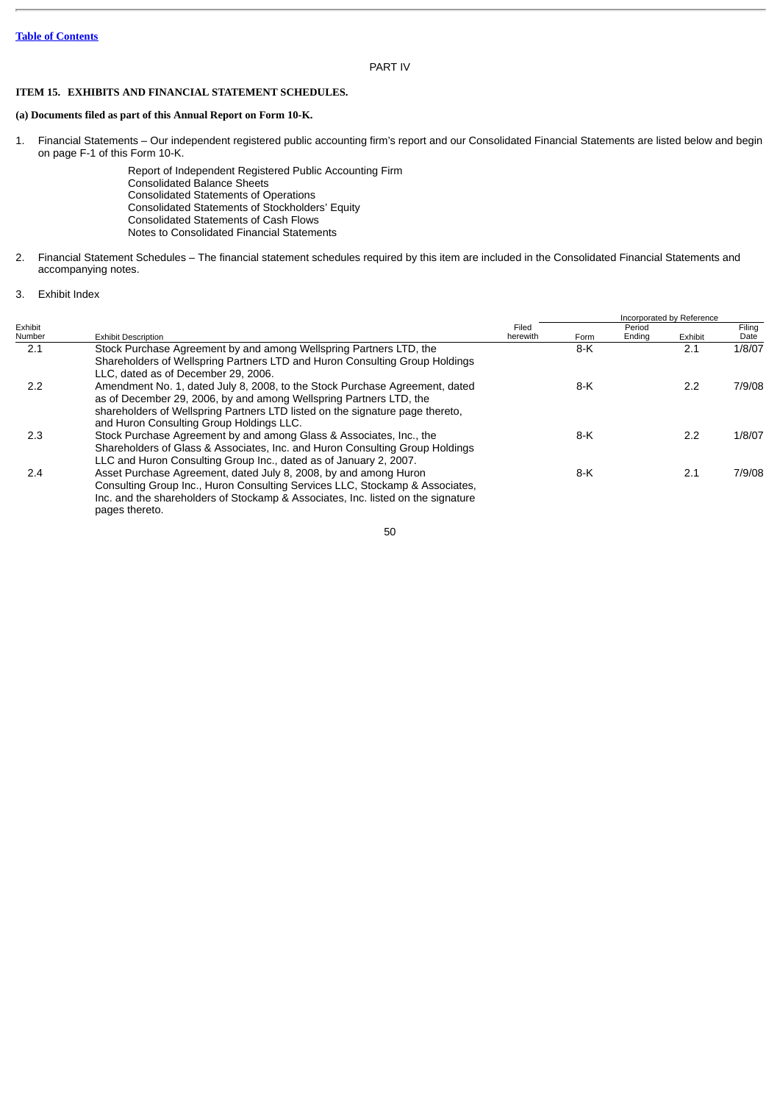# **ITEM 15. EXHIBITS AND FINANCIAL STATEMENT SCHEDULES.**

# **(a) Documents filed as part of this Annual Report on Form 10-K.**

1. Financial Statements – Our independent registered public accounting firm's report and our Consolidated Financial Statements are listed below and begin on page F-1 of this Form 10-K.

> Report of Independent Registered Public Accounting Firm Consolidated Balance Sheets Consolidated Statements of Operations Consolidated Statements of Stockholders' Equity Consolidated Statements of Cash Flows Notes to Consolidated Financial Statements

2. Financial Statement Schedules – The financial statement schedules required by this item are included in the Consolidated Financial Statements and accompanying notes.

# 3. Exhibit Index

|         |                                                                                  |          |       |        | Incorporated by Reference |        |
|---------|----------------------------------------------------------------------------------|----------|-------|--------|---------------------------|--------|
| Exhibit |                                                                                  | Filed    |       | Period |                           | Filing |
| Number  | <b>Exhibit Description</b>                                                       | herewith | Form  | Ending | Exhibit                   | Date   |
| 2.1     | Stock Purchase Agreement by and among Wellspring Partners LTD, the               |          | $8-K$ |        | 2.1                       | 1/8/07 |
|         | Shareholders of Wellspring Partners LTD and Huron Consulting Group Holdings      |          |       |        |                           |        |
|         | LLC, dated as of December 29, 2006.                                              |          |       |        |                           |        |
| 2.2     | Amendment No. 1, dated July 8, 2008, to the Stock Purchase Agreement, dated      |          | $8-K$ |        | 2.2                       | 7/9/08 |
|         | as of December 29, 2006, by and among Wellspring Partners LTD, the               |          |       |        |                           |        |
|         | shareholders of Wellspring Partners LTD listed on the signature page thereto.    |          |       |        |                           |        |
|         | and Huron Consulting Group Holdings LLC.                                         |          |       |        |                           |        |
| 2.3     | Stock Purchase Agreement by and among Glass & Associates, Inc., the              |          | $8-K$ |        | 2.2                       | 1/8/07 |
|         | Shareholders of Glass & Associates, Inc. and Huron Consulting Group Holdings     |          |       |        |                           |        |
|         | LLC and Huron Consulting Group Inc., dated as of January 2, 2007.                |          |       |        |                           |        |
| 2.4     | Asset Purchase Agreement, dated July 8, 2008, by and among Huron                 |          | 8-K   |        | 2.1                       | 7/9/08 |
|         | Consulting Group Inc., Huron Consulting Services LLC, Stockamp & Associates,     |          |       |        |                           |        |
|         | Inc. and the shareholders of Stockamp & Associates, Inc. listed on the signature |          |       |        |                           |        |
|         | pages thereto.                                                                   |          |       |        |                           |        |
|         |                                                                                  |          |       |        |                           |        |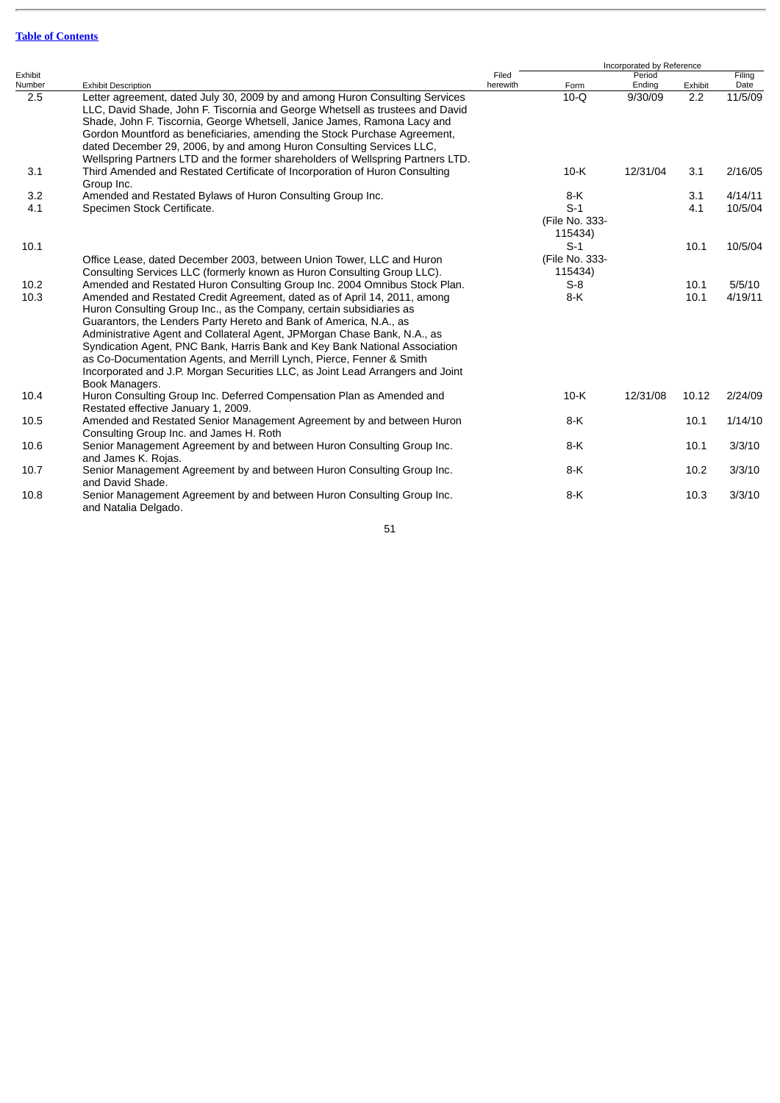$\overline{a}$ 

|                   |                                                                                                                                                                                                                                                                                                                                                                                                                                                                                                                                                                                                                                            |                   | Incorporated by Reference                   |                  |              |                    |
|-------------------|--------------------------------------------------------------------------------------------------------------------------------------------------------------------------------------------------------------------------------------------------------------------------------------------------------------------------------------------------------------------------------------------------------------------------------------------------------------------------------------------------------------------------------------------------------------------------------------------------------------------------------------------|-------------------|---------------------------------------------|------------------|--------------|--------------------|
| Exhibit<br>Number | <b>Exhibit Description</b>                                                                                                                                                                                                                                                                                                                                                                                                                                                                                                                                                                                                                 | Filed<br>herewith | Form                                        | Period<br>Ending | Exhibit      | Filing<br>Date     |
| 2.5               | Letter agreement, dated July 30, 2009 by and among Huron Consulting Services<br>LLC, David Shade, John F. Tiscornia and George Whetsell as trustees and David<br>Shade, John F. Tiscornia, George Whetsell, Janice James, Ramona Lacy and<br>Gordon Mountford as beneficiaries, amending the Stock Purchase Agreement,<br>dated December 29, 2006, by and among Huron Consulting Services LLC,<br>Wellspring Partners LTD and the former shareholders of Wellspring Partners LTD.                                                                                                                                                          |                   | $\overline{1}0 - Q$                         | 9/30/09          | 2.2          | 11/5/09            |
| 3.1               | Third Amended and Restated Certificate of Incorporation of Huron Consulting<br>Group Inc.                                                                                                                                                                                                                                                                                                                                                                                                                                                                                                                                                  |                   | $10-K$                                      | 12/31/04         | 3.1          | 2/16/05            |
| 3.2<br>4.1        | Amended and Restated Bylaws of Huron Consulting Group Inc.<br>Specimen Stock Certificate.                                                                                                                                                                                                                                                                                                                                                                                                                                                                                                                                                  |                   | $8-K$<br>$S-1$<br>(File No. 333-<br>115434) |                  | 3.1<br>4.1   | 4/14/11<br>10/5/04 |
| 10.1              | Office Lease, dated December 2003, between Union Tower, LLC and Huron<br>Consulting Services LLC (formerly known as Huron Consulting Group LLC).                                                                                                                                                                                                                                                                                                                                                                                                                                                                                           |                   | $S-1$<br>(File No. 333-<br>115434)          |                  | 10.1         | 10/5/04            |
| 10.2<br>10.3      | Amended and Restated Huron Consulting Group Inc. 2004 Omnibus Stock Plan.<br>Amended and Restated Credit Agreement, dated as of April 14, 2011, among<br>Huron Consulting Group Inc., as the Company, certain subsidiaries as<br>Guarantors, the Lenders Party Hereto and Bank of America, N.A., as<br>Administrative Agent and Collateral Agent, JPMorgan Chase Bank, N.A., as<br>Syndication Agent, PNC Bank, Harris Bank and Key Bank National Association<br>as Co-Documentation Agents, and Merrill Lynch, Pierce, Fenner & Smith<br>Incorporated and J.P. Morgan Securities LLC, as Joint Lead Arrangers and Joint<br>Book Managers. |                   | $S-8$<br>$8-K$                              |                  | 10.1<br>10.1 | 5/5/10<br>4/19/11  |
| 10.4              | Huron Consulting Group Inc. Deferred Compensation Plan as Amended and<br>Restated effective January 1, 2009.                                                                                                                                                                                                                                                                                                                                                                                                                                                                                                                               |                   | $10-K$                                      | 12/31/08         | 10.12        | 2/24/09            |
| 10.5              | Amended and Restated Senior Management Agreement by and between Huron<br>Consulting Group Inc. and James H. Roth                                                                                                                                                                                                                                                                                                                                                                                                                                                                                                                           |                   | $8-K$                                       |                  | 10.1         | 1/14/10            |
| 10.6              | Senior Management Agreement by and between Huron Consulting Group Inc.<br>and James K. Rojas.                                                                                                                                                                                                                                                                                                                                                                                                                                                                                                                                              |                   | $8-K$                                       |                  | 10.1         | 3/3/10             |
| 10.7              | Senior Management Agreement by and between Huron Consulting Group Inc.<br>and David Shade.                                                                                                                                                                                                                                                                                                                                                                                                                                                                                                                                                 |                   | $8-K$                                       |                  | 10.2         | 3/3/10             |
| 10.8              | Senior Management Agreement by and between Huron Consulting Group Inc.<br>and Natalia Delgado.                                                                                                                                                                                                                                                                                                                                                                                                                                                                                                                                             |                   | $8-K$                                       |                  | 10.3         | 3/3/10             |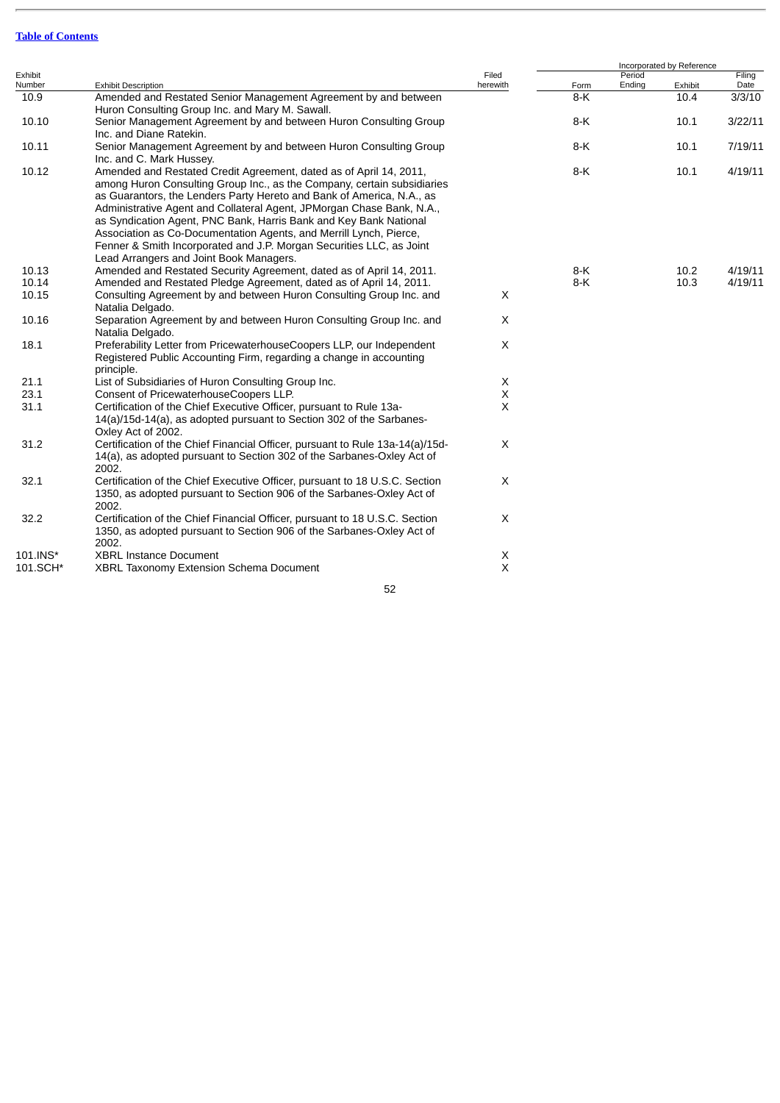$\overline{a}$ 

|                   |                                                                                                                                                                                                                                                                                                                                                                                                                                                                                                                                                               |                   |       |                  | Incorporated by Reference |                |
|-------------------|---------------------------------------------------------------------------------------------------------------------------------------------------------------------------------------------------------------------------------------------------------------------------------------------------------------------------------------------------------------------------------------------------------------------------------------------------------------------------------------------------------------------------------------------------------------|-------------------|-------|------------------|---------------------------|----------------|
| Exhibit<br>Number | <b>Exhibit Description</b>                                                                                                                                                                                                                                                                                                                                                                                                                                                                                                                                    | Filed<br>herewith | Form  | Period<br>Ending | Exhibit                   | Filing<br>Date |
| 10.9              | Amended and Restated Senior Management Agreement by and between<br>Huron Consulting Group Inc. and Mary M. Sawall.                                                                                                                                                                                                                                                                                                                                                                                                                                            |                   | $8-K$ |                  | 10.4                      | 3/3/10         |
| 10.10             | Senior Management Agreement by and between Huron Consulting Group<br>Inc. and Diane Ratekin.                                                                                                                                                                                                                                                                                                                                                                                                                                                                  |                   | $8-K$ |                  | 10.1                      | 3/22/11        |
| 10.11             | Senior Management Agreement by and between Huron Consulting Group<br>Inc. and C. Mark Hussey.                                                                                                                                                                                                                                                                                                                                                                                                                                                                 |                   | $8-K$ |                  | 10.1                      | 7/19/11        |
| 10.12             | Amended and Restated Credit Agreement, dated as of April 14, 2011,<br>among Huron Consulting Group Inc., as the Company, certain subsidiaries<br>as Guarantors, the Lenders Party Hereto and Bank of America, N.A., as<br>Administrative Agent and Collateral Agent, JPMorgan Chase Bank, N.A.,<br>as Syndication Agent, PNC Bank, Harris Bank and Key Bank National<br>Association as Co-Documentation Agents, and Merrill Lynch, Pierce,<br>Fenner & Smith Incorporated and J.P. Morgan Securities LLC, as Joint<br>Lead Arrangers and Joint Book Managers. |                   | $8-K$ |                  | 10.1                      | 4/19/11        |
| 10.13             | Amended and Restated Security Agreement, dated as of April 14, 2011.                                                                                                                                                                                                                                                                                                                                                                                                                                                                                          |                   | $8-K$ |                  | 10.2                      | 4/19/11        |
| 10.14             | Amended and Restated Pledge Agreement, dated as of April 14, 2011.                                                                                                                                                                                                                                                                                                                                                                                                                                                                                            |                   | $8-K$ |                  | 10.3                      | 4/19/11        |
| 10.15             | Consulting Agreement by and between Huron Consulting Group Inc. and<br>Natalia Delgado.                                                                                                                                                                                                                                                                                                                                                                                                                                                                       | $\mathsf{X}$      |       |                  |                           |                |
| 10.16             | Separation Agreement by and between Huron Consulting Group Inc. and<br>Natalia Delgado.                                                                                                                                                                                                                                                                                                                                                                                                                                                                       | $\times$          |       |                  |                           |                |
| 18.1              | Preferability Letter from PricewaterhouseCoopers LLP, our Independent<br>Registered Public Accounting Firm, regarding a change in accounting<br>principle.                                                                                                                                                                                                                                                                                                                                                                                                    | X                 |       |                  |                           |                |
| 21.1              | List of Subsidiaries of Huron Consulting Group Inc.                                                                                                                                                                                                                                                                                                                                                                                                                                                                                                           | X                 |       |                  |                           |                |
| 23.1              | Consent of PricewaterhouseCoopers LLP.                                                                                                                                                                                                                                                                                                                                                                                                                                                                                                                        | X                 |       |                  |                           |                |
| 31.1              | Certification of the Chief Executive Officer, pursuant to Rule 13a-<br>14(a)/15d-14(a), as adopted pursuant to Section 302 of the Sarbanes-<br>Oxley Act of 2002.                                                                                                                                                                                                                                                                                                                                                                                             | X                 |       |                  |                           |                |
| 31.2              | Certification of the Chief Financial Officer, pursuant to Rule 13a-14(a)/15d-<br>14(a), as adopted pursuant to Section 302 of the Sarbanes-Oxley Act of<br>2002.                                                                                                                                                                                                                                                                                                                                                                                              | X                 |       |                  |                           |                |
| 32.1              | Certification of the Chief Executive Officer, pursuant to 18 U.S.C. Section<br>1350, as adopted pursuant to Section 906 of the Sarbanes-Oxley Act of<br>2002.                                                                                                                                                                                                                                                                                                                                                                                                 | X                 |       |                  |                           |                |
| 32.2              | Certification of the Chief Financial Officer, pursuant to 18 U.S.C. Section<br>1350, as adopted pursuant to Section 906 of the Sarbanes-Oxley Act of<br>2002.                                                                                                                                                                                                                                                                                                                                                                                                 | X                 |       |                  |                           |                |
| 101.INS*          | <b>XBRL Instance Document</b>                                                                                                                                                                                                                                                                                                                                                                                                                                                                                                                                 | X                 |       |                  |                           |                |
| 101.SCH*          | XBRL Taxonomy Extension Schema Document                                                                                                                                                                                                                                                                                                                                                                                                                                                                                                                       | $\mathsf X$       |       |                  |                           |                |
|                   |                                                                                                                                                                                                                                                                                                                                                                                                                                                                                                                                                               |                   |       |                  |                           |                |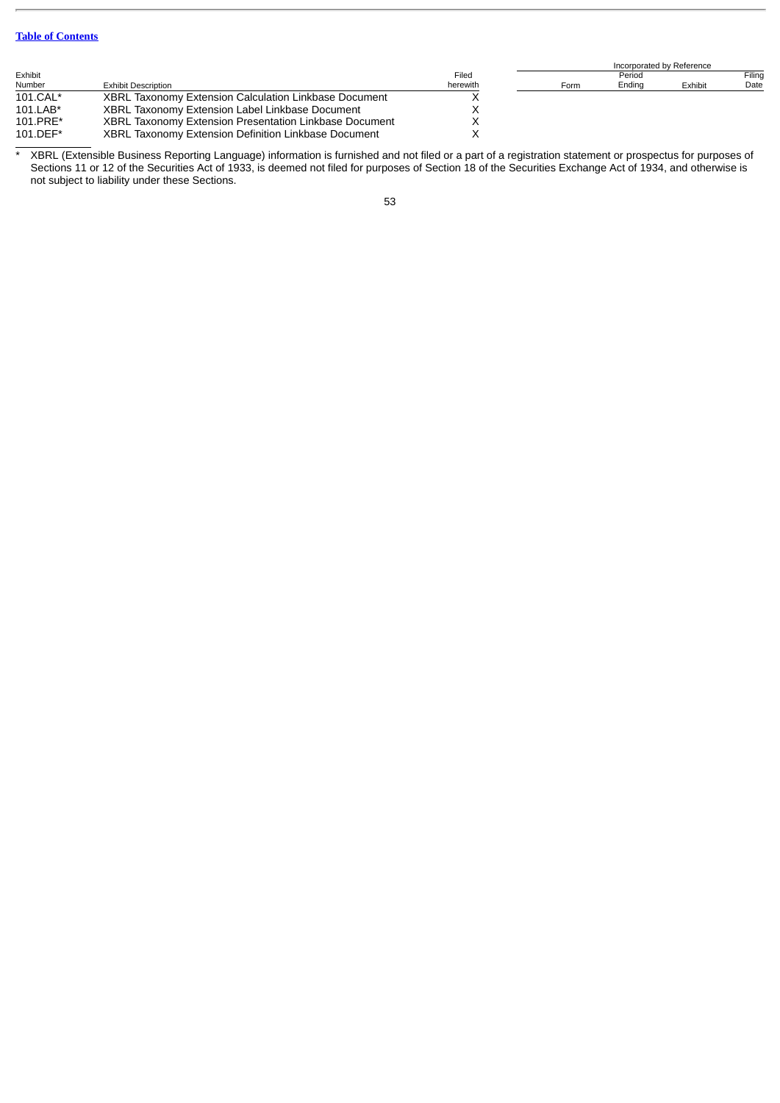|            |                                                        |          |      | Incorporated by Reference |         |        |
|------------|--------------------------------------------------------|----------|------|---------------------------|---------|--------|
| Exhibit    |                                                        | Filed    |      | Period                    |         | Filing |
| Number     | <b>Exhibit Description</b>                             | herewith | Form | Endina                    | Exhibit | Date   |
| $101.CAL*$ | XBRL Taxonomy Extension Calculation Linkbase Document  |          |      |                           |         |        |
| $101.LAB*$ | XBRL Taxonomy Extension Label Linkbase Document        |          |      |                           |         |        |
| 101.PRE*   | XBRL Taxonomy Extension Presentation Linkbase Document |          |      |                           |         |        |
| 101.DEF*   | XBRL Taxonomy Extension Definition Linkbase Document   |          |      |                           |         |        |

\* XBRL (Extensible Business Reporting Language) information is furnished and not filed or a part of a registration statement or prospectus for purposes of Sections 11 or 12 of the Securities Act of 1933, is deemed not filed for purposes of Section 18 of the Securities Exchange Act of 1934, and otherwise is not subject to liability under these Sections.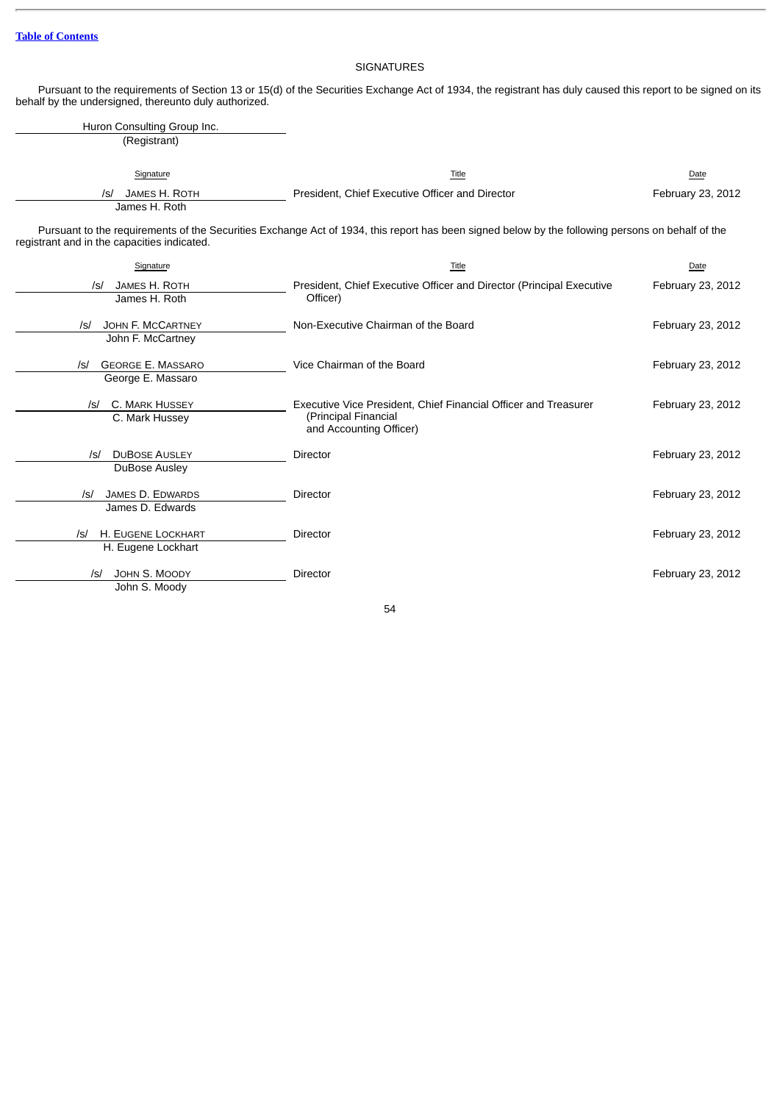# **SIGNATURES**

Pursuant to the requirements of Section 13 or 15(d) of the Securities Exchange Act of 1934, the registrant has duly caused this report to be signed on its behalf by the undersigned, thereunto duly authorized.

| Huron Consulting Group Inc.                 |                                                                                                                                                  |                   |
|---------------------------------------------|--------------------------------------------------------------------------------------------------------------------------------------------------|-------------------|
| (Registrant)                                |                                                                                                                                                  |                   |
| Signature                                   | Title                                                                                                                                            | Date              |
| JAMES H. ROTH<br>/s/                        | President, Chief Executive Officer and Director                                                                                                  | February 23, 2012 |
| James H. Roth                               |                                                                                                                                                  |                   |
| registrant and in the capacities indicated. | Pursuant to the requirements of the Securities Exchange Act of 1934, this report has been signed below by the following persons on behalf of the |                   |
| Signature                                   | Title                                                                                                                                            | Date              |
| <b>JAMES H. ROTH</b><br>$\sqrt{s}$          | President, Chief Executive Officer and Director (Principal Executive                                                                             | February 23, 2012 |
| James H. Roth                               | Officer)                                                                                                                                         |                   |
| JOHN F. MCCARTNEY<br>/s/                    | Non-Executive Chairman of the Board                                                                                                              | February 23, 2012 |
| John F. McCartney                           |                                                                                                                                                  |                   |
| <b>GEORGE E. MASSARO</b><br>/s/             | Vice Chairman of the Board                                                                                                                       | February 23, 2012 |
| George E. Massaro                           |                                                                                                                                                  |                   |
| C. MARK HUSSEY<br>/s/                       | Executive Vice President, Chief Financial Officer and Treasurer                                                                                  | February 23, 2012 |
| C. Mark Hussey                              | (Principal Financial<br>and Accounting Officer)                                                                                                  |                   |
| <b>DUBOSE AUSLEY</b><br>/s/                 | <b>Director</b>                                                                                                                                  | February 23, 2012 |
| DuBose Ausley                               |                                                                                                                                                  |                   |
| JAMES D. EDWARDS<br>/s/                     | <b>Director</b>                                                                                                                                  | February 23, 2012 |
| James D. Edwards                            |                                                                                                                                                  |                   |
| H. EUGENE LOCKHART<br>/s/                   | <b>Director</b>                                                                                                                                  | February 23, 2012 |
| H. Eugene Lockhart                          |                                                                                                                                                  |                   |
| JOHN S. MOODY<br>/s/                        | <b>Director</b>                                                                                                                                  | February 23, 2012 |
| John S. Moody                               |                                                                                                                                                  |                   |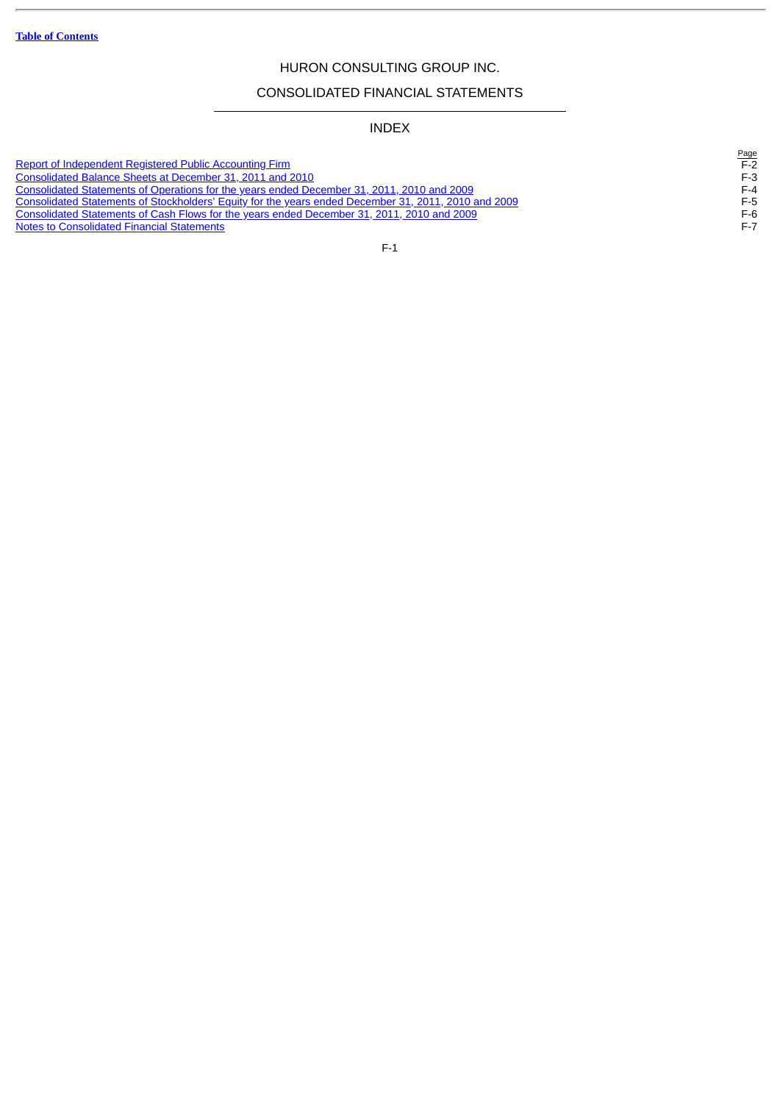# CONSOLIDATED FINANCIAL STATEMENTS

# INDEX

[Report of Independent Registered Public Accounting Firm](#page-57-0) F-2 [Consolidated Balance Sheets at December 31, 2011 and 2010](#page-58-0) F-3 [Consolidated Statements of Operations for the years ended December 31, 2011, 2010 and 2009](#page-59-0) F-4<br>Consolidated Statements of Stockholders' Equity for the years ended December 31, 2011, 2010 and 2009 F-5 [Consolidated Statements of Stockholders' Equity for the years ended December 31, 2011, 2010 and 2009](#page-60-0) F-5 [Consolidated Statements of Cash Flows for the years ended December 31, 2011, 2010 and 2009](#page-61-0) F-6 [Notes to Consolidated Financial Statements](#page-62-0) F-7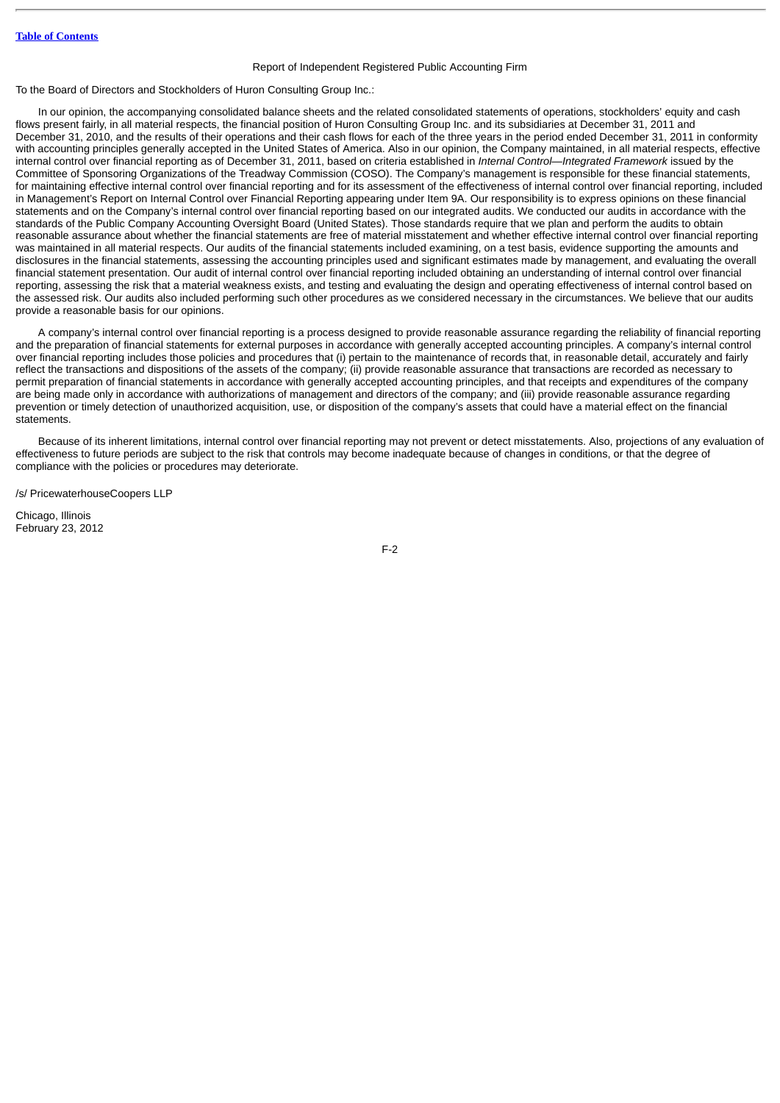## Report of Independent Registered Public Accounting Firm

<span id="page-57-0"></span>To the Board of Directors and Stockholders of Huron Consulting Group Inc.:

In our opinion, the accompanying consolidated balance sheets and the related consolidated statements of operations, stockholders' equity and cash flows present fairly, in all material respects, the financial position of Huron Consulting Group Inc. and its subsidiaries at December 31, 2011 and December 31, 2010, and the results of their operations and their cash flows for each of the three years in the period ended December 31, 2011 in conformity with accounting principles generally accepted in the United States of America. Also in our opinion, the Company maintained, in all material respects, effective internal control over financial reporting as of December 31, 2011, based on criteria established in *Internal Control—Integrated Framework* issued by the Committee of Sponsoring Organizations of the Treadway Commission (COSO). The Company's management is responsible for these financial statements, for maintaining effective internal control over financial reporting and for its assessment of the effectiveness of internal control over financial reporting, included in Management's Report on Internal Control over Financial Reporting appearing under Item 9A. Our responsibility is to express opinions on these financial statements and on the Company's internal control over financial reporting based on our integrated audits. We conducted our audits in accordance with the standards of the Public Company Accounting Oversight Board (United States). Those standards require that we plan and perform the audits to obtain reasonable assurance about whether the financial statements are free of material misstatement and whether effective internal control over financial reporting was maintained in all material respects. Our audits of the financial statements included examining, on a test basis, evidence supporting the amounts and disclosures in the financial statements, assessing the accounting principles used and significant estimates made by management, and evaluating the overall financial statement presentation. Our audit of internal control over financial reporting included obtaining an understanding of internal control over financial reporting, assessing the risk that a material weakness exists, and testing and evaluating the design and operating effectiveness of internal control based on the assessed risk. Our audits also included performing such other procedures as we considered necessary in the circumstances. We believe that our audits provide a reasonable basis for our opinions.

A company's internal control over financial reporting is a process designed to provide reasonable assurance regarding the reliability of financial reporting and the preparation of financial statements for external purposes in accordance with generally accepted accounting principles. A company's internal control over financial reporting includes those policies and procedures that (i) pertain to the maintenance of records that, in reasonable detail, accurately and fairly reflect the transactions and dispositions of the assets of the company; (ii) provide reasonable assurance that transactions are recorded as necessary to permit preparation of financial statements in accordance with generally accepted accounting principles, and that receipts and expenditures of the company are being made only in accordance with authorizations of management and directors of the company; and (iii) provide reasonable assurance regarding prevention or timely detection of unauthorized acquisition, use, or disposition of the company's assets that could have a material effect on the financial statements.

Because of its inherent limitations, internal control over financial reporting may not prevent or detect misstatements. Also, projections of any evaluation of effectiveness to future periods are subject to the risk that controls may become inadequate because of changes in conditions, or that the degree of compliance with the policies or procedures may deteriorate.

/s/ PricewaterhouseCoopers LLP

Chicago, Illinois February 23, 2012

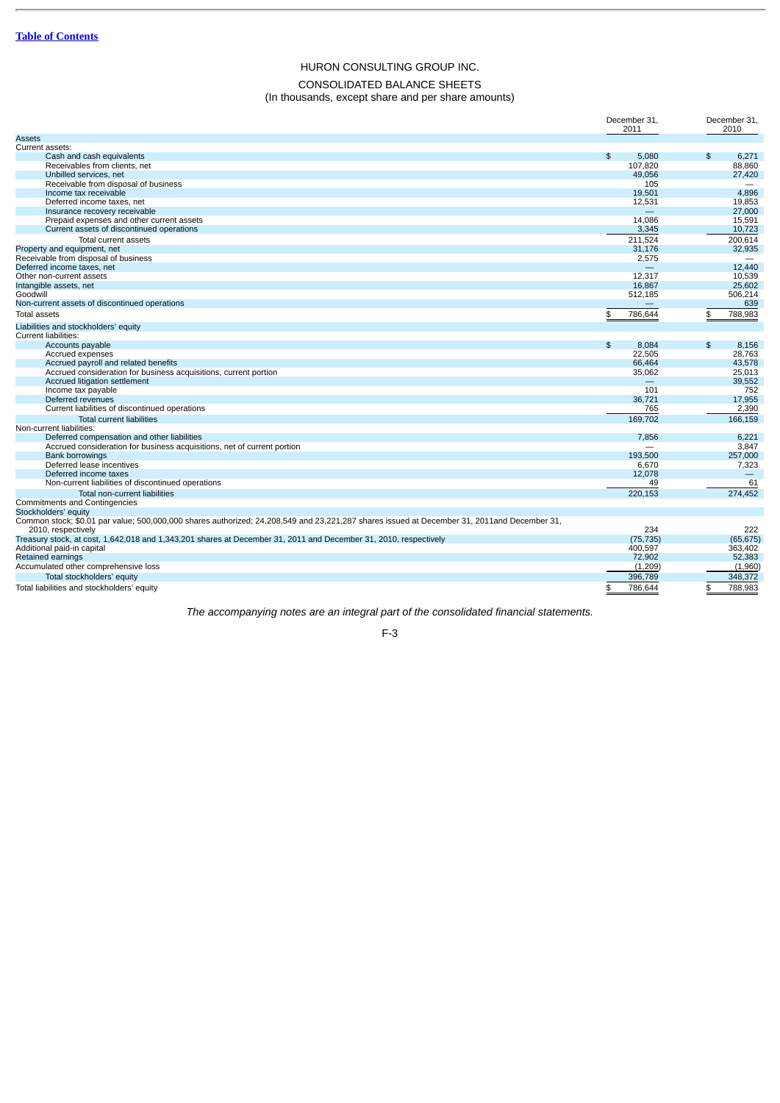# CONSOLIDATED BALANCE SHEETS (In thousands, except share and per share amounts)

<span id="page-58-0"></span>

|                                                                                                                                             | December 31.<br>2011 |                          |                    | December 31.<br>2010     |
|---------------------------------------------------------------------------------------------------------------------------------------------|----------------------|--------------------------|--------------------|--------------------------|
| <b>Assets</b>                                                                                                                               |                      |                          |                    |                          |
| Current assets:                                                                                                                             |                      |                          |                    |                          |
| Cash and cash equivalents                                                                                                                   | \$                   | 5,080                    | $\mathbf{\hat{z}}$ | 6,271                    |
| Receivables from clients, net                                                                                                               |                      | 107.820                  |                    | 88,860                   |
| Unbilled services, net                                                                                                                      |                      | 49.056                   |                    | 27,420                   |
| Receivable from disposal of business                                                                                                        |                      | 105                      |                    |                          |
| Income tax receivable                                                                                                                       |                      | 19,501                   |                    | 4,896                    |
| Deferred income taxes, net                                                                                                                  |                      | 12,531                   |                    | 19,853                   |
| Insurance recovery receivable                                                                                                               |                      |                          |                    | 27.000                   |
| Prepaid expenses and other current assets                                                                                                   |                      | 14.086                   |                    | 15.591                   |
| Current assets of discontinued operations                                                                                                   |                      | 3,345                    |                    | 10,723                   |
| Total current assets                                                                                                                        |                      | 211.524                  |                    | 200.614                  |
| Property and equipment, net                                                                                                                 |                      | 31,176                   |                    | 32,935                   |
| Receivable from disposal of business                                                                                                        |                      | 2,575                    |                    |                          |
| Deferred income taxes, net                                                                                                                  |                      |                          |                    | 12,440                   |
| Other non-current assets                                                                                                                    |                      | 12,317                   |                    | 10,539                   |
| Intangible assets, net                                                                                                                      |                      | 16,867                   |                    | 25,602                   |
| Goodwill                                                                                                                                    |                      | 512,185                  |                    | 506.214                  |
| Non-current assets of discontinued operations                                                                                               |                      |                          |                    | 639                      |
|                                                                                                                                             |                      |                          |                    |                          |
| <b>Total assets</b>                                                                                                                         | \$                   | 786,644                  | \$                 | 788,983                  |
| Liabilities and stockholders' equity                                                                                                        |                      |                          |                    |                          |
| <b>Current liabilities:</b>                                                                                                                 |                      |                          |                    |                          |
| Accounts payable                                                                                                                            | \$                   | 8,084                    | \$                 | 8,156                    |
| Accrued expenses                                                                                                                            |                      | 22,505                   |                    | 28,763                   |
| Accrued payroll and related benefits                                                                                                        |                      | 66,464                   |                    | 43,578                   |
| Accrued consideration for business acquisitions, current portion                                                                            |                      | 35,062                   |                    | 25.013                   |
| Accrued litigation settlement                                                                                                               |                      | $\overline{\phantom{0}}$ |                    | 39,552                   |
| Income tax payable                                                                                                                          |                      | 101                      |                    | 752                      |
| Deferred revenues                                                                                                                           |                      | 36.721                   |                    | 17,955                   |
| Current liabilities of discontinued operations                                                                                              |                      | 765                      |                    | 2,390                    |
| <b>Total current liabilities</b>                                                                                                            |                      | 169,702                  |                    | 166,159                  |
| Non-current liabilities:                                                                                                                    |                      |                          |                    |                          |
| Deferred compensation and other liabilities                                                                                                 |                      | 7,856                    |                    | 6.221                    |
| Accrued consideration for business acquisitions, net of current portion                                                                     |                      |                          |                    | 3,847                    |
| <b>Bank borrowings</b>                                                                                                                      |                      | 193,500                  |                    | 257,000                  |
| Deferred lease incentives                                                                                                                   |                      | 6.670                    |                    | 7,323                    |
| Deferred income taxes                                                                                                                       |                      | 12,078                   |                    | $\overline{\phantom{0}}$ |
| Non-current liabilities of discontinued operations                                                                                          |                      | 49                       |                    | 61                       |
|                                                                                                                                             |                      |                          |                    |                          |
| Total non-current liabilities                                                                                                               |                      | 220.153                  |                    | 274,452                  |
| <b>Commitments and Contingencies</b>                                                                                                        |                      |                          |                    |                          |
| Stockholders' equity                                                                                                                        |                      |                          |                    |                          |
| Common stock; \$0.01 par value; 500,000,000 shares authorized; 24,208,549 and 23,221,287 shares issued at December 31, 2011and December 31, |                      |                          |                    |                          |
| 2010, respectively                                                                                                                          |                      | 234                      |                    | 222                      |
| Treasury stock, at cost, 1,642,018 and 1,343,201 shares at December 31, 2011 and December 31, 2010, respectively                            |                      | (75, 735)                |                    | (65, 675)                |
| Additional paid-in capital                                                                                                                  |                      | 400.597                  |                    | 363.402                  |

| Additional paid-in capital                 | 400.597                             | 363.402 |
|--------------------------------------------|-------------------------------------|---------|
| Retained earnings                          | 72.902                              | 52,383  |
| Accumulated other comprehensive loss       | (1.209)                             | (1,960) |
| Total stockholders' equity                 | 396.789                             | 348.372 |
| Total liabilities and stockholders' equity | 786.644<br>$\overline{\phantom{a}}$ | 788.983 |

*The accompanying notes are an integral part of the consolidated financial statements.*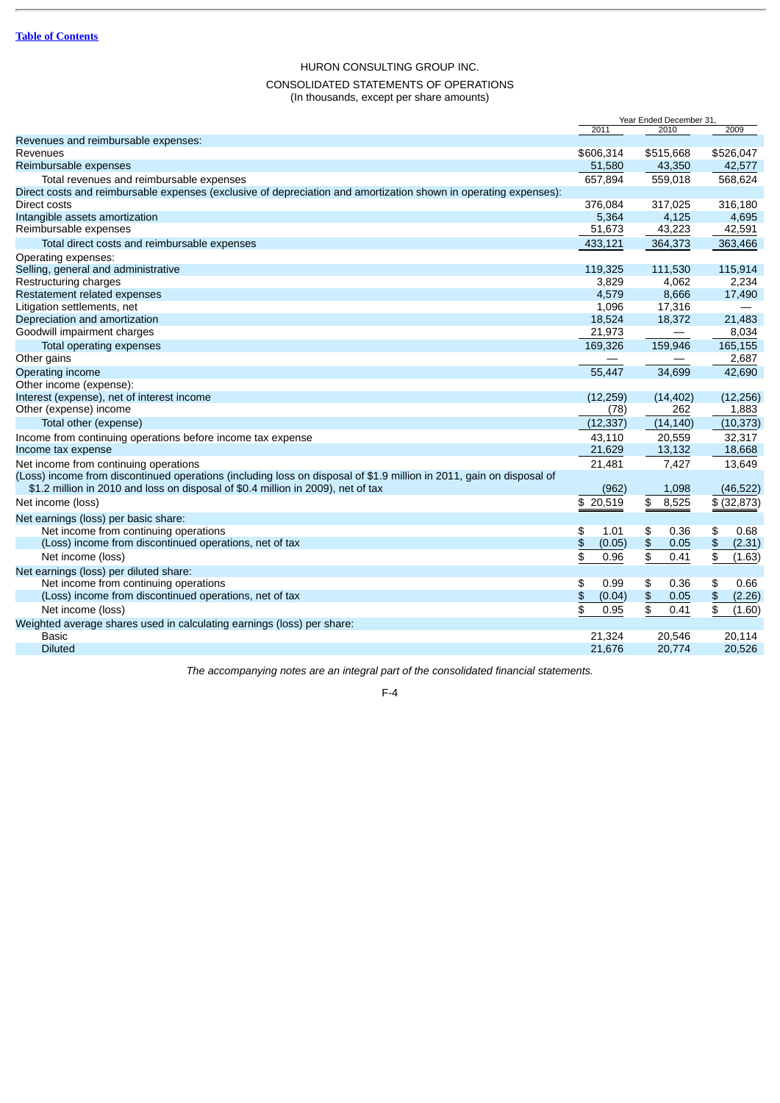CONSOLIDATED STATEMENTS OF OPERATIONS

(In thousands, except per share amounts)

<span id="page-59-0"></span>

|                                                                                                                      | Year Ended December 31,   |                          |                                      |
|----------------------------------------------------------------------------------------------------------------------|---------------------------|--------------------------|--------------------------------------|
|                                                                                                                      | 2011                      | 2010                     | 2009                                 |
| Revenues and reimbursable expenses:                                                                                  |                           |                          |                                      |
| Revenues                                                                                                             | \$606,314                 | \$515,668                | \$526,047                            |
| Reimbursable expenses                                                                                                | 51,580                    | 43,350                   | 42,577                               |
| Total revenues and reimbursable expenses                                                                             | 657,894                   | 559,018                  | 568,624                              |
| Direct costs and reimbursable expenses (exclusive of depreciation and amortization shown in operating expenses):     |                           |                          |                                      |
| Direct costs                                                                                                         | 376,084                   | 317,025                  | 316,180                              |
| Intangible assets amortization                                                                                       | 5,364                     | 4,125                    | 4,695                                |
| Reimbursable expenses                                                                                                | 51,673                    | 43,223                   | 42,591                               |
| Total direct costs and reimbursable expenses                                                                         | 433,121                   | 364,373                  | 363,466                              |
| Operating expenses:                                                                                                  |                           |                          |                                      |
| Selling, general and administrative                                                                                  | 119,325                   | 111,530                  | 115,914                              |
| Restructuring charges                                                                                                | 3,829                     | 4,062                    | 2,234                                |
| Restatement related expenses                                                                                         | 4,579                     | 8,666                    | 17,490                               |
| Litigation settlements, net                                                                                          | 1,096                     | 17,316                   |                                      |
| Depreciation and amortization                                                                                        | 18,524                    | 18,372                   | 21,483                               |
| Goodwill impairment charges                                                                                          | 21,973                    |                          | 8,034                                |
| Total operating expenses                                                                                             | 169,326                   | 159,946                  | 165,155                              |
| Other gains                                                                                                          |                           |                          | 2,687                                |
| Operating income                                                                                                     | 55.447                    | 34.699                   | 42,690                               |
| Other income (expense):                                                                                              |                           |                          |                                      |
| Interest (expense), net of interest income                                                                           | (12, 259)                 | (14, 402)                | (12, 256)                            |
| Other (expense) income                                                                                               | (78)                      | 262                      | 1,883                                |
| Total other (expense)                                                                                                | (12, 337)                 | (14, 140)                | (10, 373)                            |
| Income from continuing operations before income tax expense                                                          | 43,110                    | 20,559                   | 32.317                               |
| Income tax expense                                                                                                   | 21,629                    | 13,132                   | 18,668                               |
| Net income from continuing operations                                                                                | 21,481                    | 7,427                    | 13,649                               |
| (Loss) income from discontinued operations (including loss on disposal of \$1.9 million in 2011, gain on disposal of |                           |                          |                                      |
| \$1.2 million in 2010 and loss on disposal of \$0.4 million in 2009), net of tax                                     | (962)                     | 1,098                    | (46, 522)                            |
| Net income (loss)                                                                                                    | \$20,519                  | $\overline{\$}$<br>8,525 | \$ (32, 873)                         |
| Net earnings (loss) per basic share:                                                                                 |                           |                          |                                      |
| Net income from continuing operations                                                                                | \$<br>1.01                | 0.36<br>\$               | \$<br>0.68                           |
| (Loss) income from discontinued operations, net of tax                                                               | \$<br>(0.05)              | $\, \, \$$<br>0.05       | $\boldsymbol{\mathsf{\$}}$<br>(2.31) |
|                                                                                                                      | $\overline{\mathfrak{s}}$ | $\overline{\$}$          | \$                                   |
| Net income (loss)                                                                                                    | 0.96                      | 0.41                     | (1.63)                               |
| Net earnings (loss) per diluted share:                                                                               |                           |                          |                                      |
| Net income from continuing operations                                                                                | \$<br>0.99                | \$<br>0.36               | \$<br>0.66                           |
| (Loss) income from discontinued operations, net of tax                                                               | \$<br>(0.04)              | $\frac{1}{2}$<br>0.05    | $\frac{2}{3}$<br>(2.26)              |
| Net income (loss)                                                                                                    | \$<br>0.95                | \$<br>0.41               | \$<br>(1.60)                         |
| Weighted average shares used in calculating earnings (loss) per share:                                               |                           |                          |                                      |
| <b>Basic</b>                                                                                                         | 21,324                    | 20.546                   | 20,114                               |
| <b>Diluted</b>                                                                                                       | 21,676                    | 20,774                   | 20,526                               |

*The accompanying notes are an integral part of the consolidated financial statements.*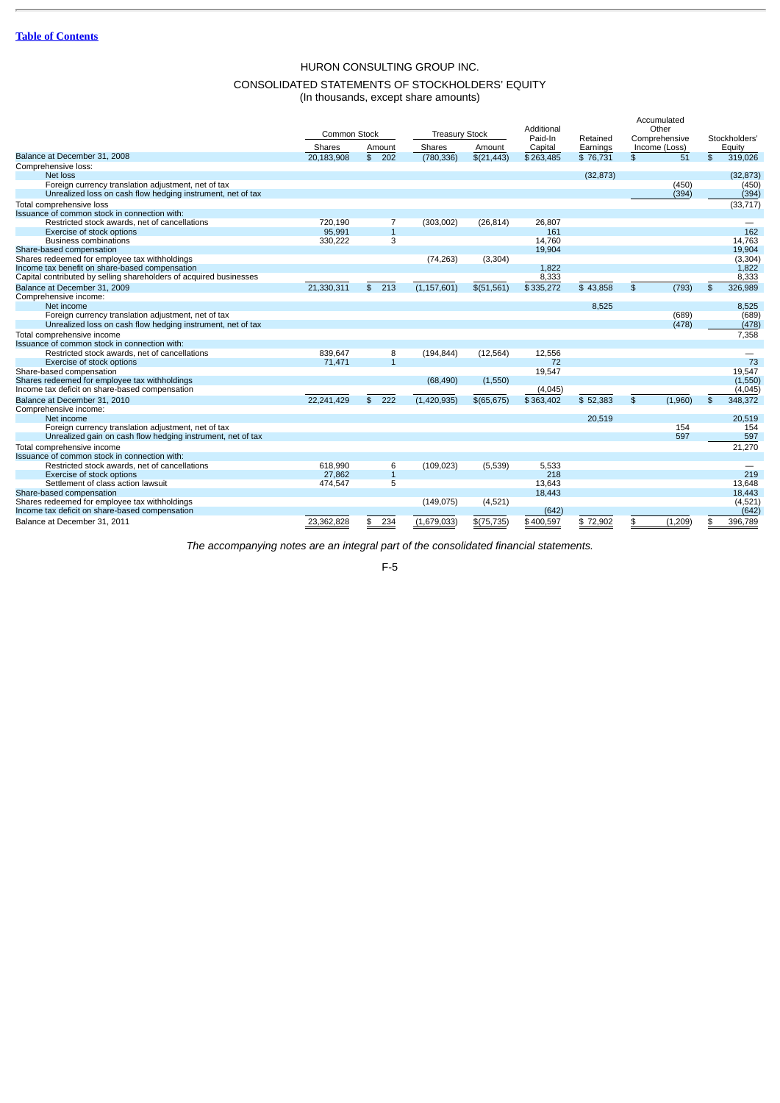# CONSOLIDATED STATEMENTS OF STOCKHOLDERS' EQUITY

(In thousands, except share amounts)

<span id="page-60-0"></span>

|                                                                                                                    | <b>Common Stock</b> |                        | <b>Treasury Stock</b> |                   | Additional<br>Paid-In | Retained  | Accumulated<br>Other<br>Comprehensive | Stockholders'  |
|--------------------------------------------------------------------------------------------------------------------|---------------------|------------------------|-----------------------|-------------------|-----------------------|-----------|---------------------------------------|----------------|
|                                                                                                                    | Shares              | Amount                 | <b>Shares</b>         | Amount            | Capital               | Earnings  | Income (Loss)                         | Equity         |
| Balance at December 31, 2008                                                                                       | 20,183,908          | \$<br>$\overline{202}$ | (780, 336)            | $\sqrt{(21,443)}$ | \$263,485             | \$76.731  | \$<br>51                              | \$<br>319.026  |
| Comprehensive loss:                                                                                                |                     |                        |                       |                   |                       |           |                                       |                |
| Net loss                                                                                                           |                     |                        |                       |                   |                       | (32, 873) |                                       | (32, 873)      |
| Foreign currency translation adjustment, net of tax<br>Unrealized loss on cash flow hedging instrument, net of tax |                     |                        |                       |                   |                       |           | (450)<br>(394)                        | (450)<br>(394) |
| Total comprehensive loss                                                                                           |                     |                        |                       |                   |                       |           |                                       | (33, 717)      |
| Issuance of common stock in connection with:                                                                       |                     |                        |                       |                   |                       |           |                                       |                |
| Restricted stock awards, net of cancellations                                                                      | 720,190             | 7                      | (303,002)             | (26, 814)         | 26,807                |           |                                       |                |
| Exercise of stock options                                                                                          | 95.991              | $\mathbf{1}$           |                       |                   | 161                   |           |                                       | 162            |
| <b>Business combinations</b>                                                                                       | 330,222             | 3                      |                       |                   | 14,760                |           |                                       | 14,763         |
| Share-based compensation                                                                                           |                     |                        |                       |                   | 19,904                |           |                                       | 19,904         |
| Shares redeemed for employee tax withholdings                                                                      |                     |                        | (74, 263)             | (3, 304)          |                       |           |                                       | (3, 304)       |
| Income tax benefit on share-based compensation                                                                     |                     |                        |                       |                   | 1,822                 |           |                                       | 1,822          |
| Capital contributed by selling shareholders of acquired businesses                                                 |                     |                        |                       |                   | 8,333                 |           |                                       | 8,333          |
| Balance at December 31, 2009                                                                                       | 21.330.311          | \$<br>213              | (1, 157, 601)         | \$(51, 561)       | \$335,272             | \$43.858  | \$<br>(793)                           | \$<br>326,989  |
| Comprehensive income:                                                                                              |                     |                        |                       |                   |                       |           |                                       |                |
| Net income                                                                                                         |                     |                        |                       |                   |                       | 8.525     |                                       | 8.525          |
| Foreign currency translation adjustment, net of tax<br>Unrealized loss on cash flow hedging instrument, net of tax |                     |                        |                       |                   |                       |           | (689)<br>(478)                        | (689)<br>(478) |
| Total comprehensive income                                                                                         |                     |                        |                       |                   |                       |           |                                       | 7,358          |
| Issuance of common stock in connection with:                                                                       |                     |                        |                       |                   |                       |           |                                       |                |
| Restricted stock awards, net of cancellations                                                                      | 839.647             | 8                      | (194, 844)            | (12, 564)         | 12,556                |           |                                       |                |
| Exercise of stock options                                                                                          | 71,471              |                        |                       |                   | 72                    |           |                                       | 73             |
| Share-based compensation                                                                                           |                     |                        |                       |                   | 19,547                |           |                                       | 19.547         |
| Shares redeemed for employee tax withholdings                                                                      |                     |                        | (68, 490)             | (1,550)           |                       |           |                                       | (1,550)        |
| Income tax deficit on share-based compensation                                                                     |                     |                        |                       |                   | (4,045)               |           |                                       | (4,045)        |
| Balance at December 31, 2010                                                                                       | 22.241.429          | \$<br>222              | (1,420,935)           | \$(65, 675)       | \$363.402             | \$52.383  | \$<br>(1,960)                         | \$<br>348,372  |
| Comprehensive income:                                                                                              |                     |                        |                       |                   |                       |           |                                       |                |
| Net income                                                                                                         |                     |                        |                       |                   |                       | 20.519    |                                       | 20,519         |
| Foreign currency translation adjustment, net of tax                                                                |                     |                        |                       |                   |                       |           | 154                                   | 154            |
| Unrealized gain on cash flow hedging instrument, net of tax                                                        |                     |                        |                       |                   |                       |           | 597                                   | 597            |
| Total comprehensive income                                                                                         |                     |                        |                       |                   |                       |           |                                       | 21,270         |
| Issuance of common stock in connection with:                                                                       |                     |                        |                       |                   |                       |           |                                       |                |
| Restricted stock awards, net of cancellations                                                                      | 618.990             | 6                      | (109, 023)            | (5,539)           | 5,533                 |           |                                       |                |
| Exercise of stock options                                                                                          | 27.862              | $\mathbf{1}$           |                       |                   | 218                   |           |                                       | 219            |
| Settlement of class action lawsuit                                                                                 | 474,547             | 5                      |                       |                   | 13,643                |           |                                       | 13.648         |
| Share-based compensation                                                                                           |                     |                        |                       |                   | 18,443                |           |                                       | 18,443         |
| Shares redeemed for employee tax withholdings                                                                      |                     |                        | (149, 075)            | (4,521)           |                       |           |                                       | (4,521)        |
| Income tax deficit on share-based compensation                                                                     |                     |                        |                       |                   | (642)                 |           |                                       | (642)          |
| Balance at December 31, 2011                                                                                       | 23,362,828          | \$<br>234              | (1,679,033)           | \$(75, 735)       | \$400,597             | \$72,902  | \$<br>(1, 209)                        | \$<br>396,789  |
|                                                                                                                    |                     |                        |                       |                   |                       |           |                                       |                |

*The accompanying notes are an integral part of the consolidated financial statements.*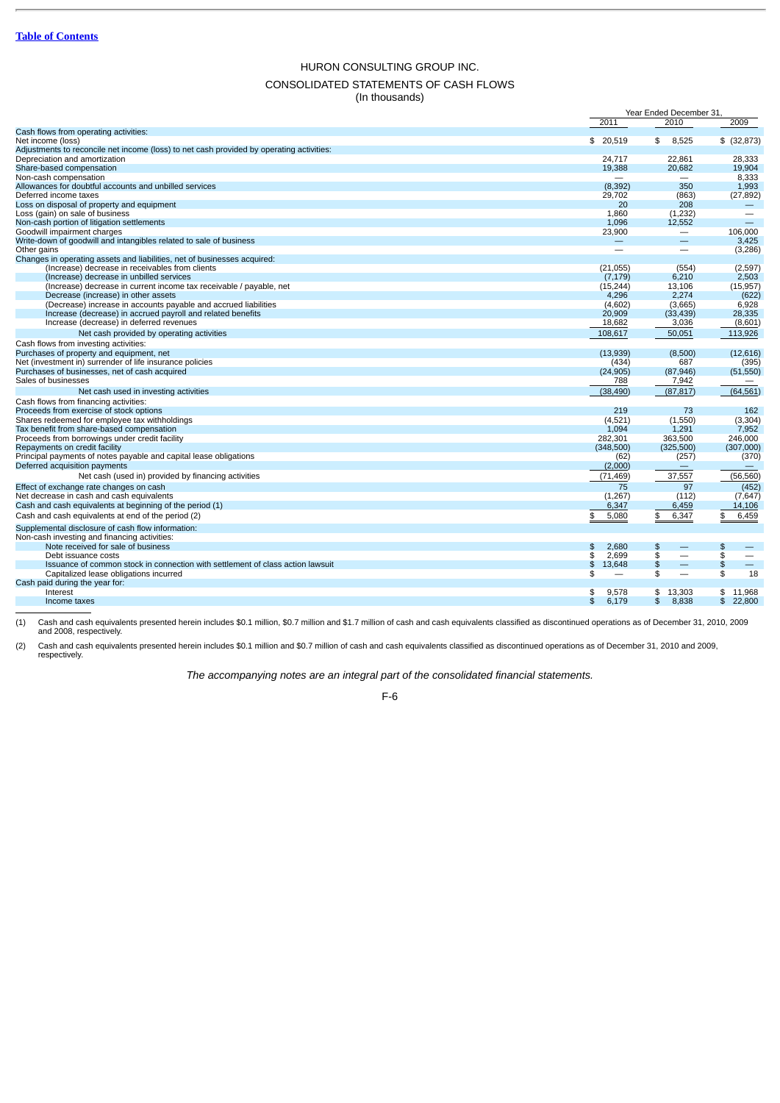# CONSOLIDATED STATEMENTS OF CASH FLOWS

(In thousands)

<span id="page-61-0"></span>

|                                                                                          |                                | Year Ended December 31           |                          |  |
|------------------------------------------------------------------------------------------|--------------------------------|----------------------------------|--------------------------|--|
|                                                                                          | 2011                           | 2010                             | 2009                     |  |
| Cash flows from operating activities:                                                    |                                |                                  |                          |  |
| Net income (loss)                                                                        | \$<br>20,519                   | \$<br>8,525                      | \$ (32, 873)             |  |
| Adjustments to reconcile net income (loss) to net cash provided by operating activities: |                                |                                  |                          |  |
| Depreciation and amortization                                                            | 24,717                         | 22,861                           | 28,333                   |  |
| Share-based compensation                                                                 | 19,388                         | 20,682                           | 19,904                   |  |
| Non-cash compensation                                                                    |                                | $\overline{\phantom{0}}$         | 8,333                    |  |
| Allowances for doubtful accounts and unbilled services                                   | (8, 392)                       | 350                              | 1,993                    |  |
| Deferred income taxes                                                                    | 29.702                         | (863)                            | (27, 892)                |  |
| Loss on disposal of property and equipment                                               | 20                             | 208                              |                          |  |
| Loss (gain) on sale of business                                                          | 1.860                          | (1,232)                          | $\overline{\phantom{0}}$ |  |
| Non-cash portion of litigation settlements                                               | 1,096                          | 12,552                           | $\qquad \qquad -$        |  |
| Goodwill impairment charges                                                              | 23,900                         | $\qquad \qquad -$                | 106,000                  |  |
| Write-down of goodwill and intangibles related to sale of business                       |                                |                                  | 3,425                    |  |
| Other gains                                                                              |                                | $\overbrace{\phantom{12322111}}$ | (3,286)                  |  |
| Changes in operating assets and liabilities, net of businesses acquired:                 |                                |                                  |                          |  |
| (Increase) decrease in receivables from clients                                          | (21,055)                       | (554)                            | (2,597)                  |  |
| (Increase) decrease in unbilled services                                                 | (7, 179)                       | 6,210                            | 2,503                    |  |
| (Increase) decrease in current income tax receivable / payable, net                      | (15, 244)                      | 13,106                           | (15, 957)                |  |
| Decrease (increase) in other assets                                                      | 4.296                          | 2,274                            | (622)                    |  |
| (Decrease) increase in accounts payable and accrued liabilities                          | (4,602)                        | (3,665)                          | 6,928                    |  |
| Increase (decrease) in accrued payroll and related benefits                              | 20.909                         | (33, 439)                        | 28,335                   |  |
| Increase (decrease) in deferred revenues                                                 | 18,682                         | 3,036                            | (8,601)                  |  |
| Net cash provided by operating activities                                                | 108,617                        | 50,051                           | 113,926                  |  |
| Cash flows from investing activities:                                                    |                                |                                  |                          |  |
| Purchases of property and equipment, net                                                 | (13.939)                       | (8,500)                          | (12,616)                 |  |
| Net (investment in) surrender of life insurance policies                                 | (434)                          | 687                              | (395)                    |  |
| Purchases of businesses, net of cash acquired                                            | (24, 905)                      | (87, 946)                        | (51, 550)                |  |
| Sales of businesses                                                                      | 788                            | 7,942                            |                          |  |
| Net cash used in investing activities                                                    | (38, 490)                      | (87, 817)                        | (64, 561)                |  |
| Cash flows from financing activities:                                                    |                                |                                  |                          |  |
| Proceeds from exercise of stock options                                                  | 219                            | 73                               | 162                      |  |
| Shares redeemed for employee tax withholdings                                            | (4,521)                        | (1,550)                          | (3, 304)                 |  |
| Tax benefit from share-based compensation                                                | 1.094                          | 1.291                            | 7.952                    |  |
| Proceeds from borrowings under credit facility                                           | 282,301                        | 363,500                          | 246,000                  |  |
| Repayments on credit facility                                                            | (348, 500)                     | (325, 500)                       | (307,000)                |  |
| Principal payments of notes payable and capital lease obligations                        | (62)                           | (257)                            | (370)                    |  |
| Deferred acquisition payments                                                            | (2,000)                        |                                  |                          |  |
| Net cash (used in) provided by financing activities                                      | (71, 469)                      | 37,557                           | (56, 560)                |  |
|                                                                                          | 75                             | 97                               |                          |  |
| Effect of exchange rate changes on cash                                                  |                                |                                  | (452)                    |  |
| Net decrease in cash and cash equivalents                                                | (1, 267)                       | (112)                            | (7,647)                  |  |
| Cash and cash equivalents at beginning of the period (1)                                 | 6,347                          | 6,459                            | 14,106                   |  |
| Cash and cash equivalents at end of the period (2)                                       | \$<br>5,080                    | 6,347<br>\$                      | \$<br>6,459              |  |
| Supplemental disclosure of cash flow information:                                        |                                |                                  |                          |  |
| Non-cash investing and financing activities:                                             |                                |                                  |                          |  |
| Note received for sale of business                                                       | \$<br>2,680                    | \$                               | \$<br>—                  |  |
| Debt issuance costs                                                                      | \$<br>2.699                    | \$                               | \$                       |  |
| Issuance of common stock in connection with settlement of class action lawsuit           | \$<br>13,648                   | \$<br>$\equiv$                   | \$<br>$\equiv$           |  |
| Capitalized lease obligations incurred                                                   | \$<br>$\overline{\phantom{m}}$ | \$                               | \$<br>18                 |  |
| Cash paid during the year for:                                                           |                                |                                  |                          |  |
| Interest                                                                                 | \$<br>9.578                    | \$13.303                         | \$11.968                 |  |
| Income taxes                                                                             | \$<br>6.179                    | 8.838<br>\$                      | 22,800<br>\$             |  |

(1) Cash and cash equivalents presented herein includes \$0.1 million, \$0.7 million and \$1.7 million of cash and cash equivalents classified as discontinued operations as of December 31, 2010, 2009 and 2008, respectively.

(2) Cash and cash equivalents presented herein includes \$0.1 million and \$0.7 million of cash and cash equivalents classified as discontinued operations as of December 31, 2010 and 2009, respectively.

*The accompanying notes are an integral part of the consolidated financial statements.*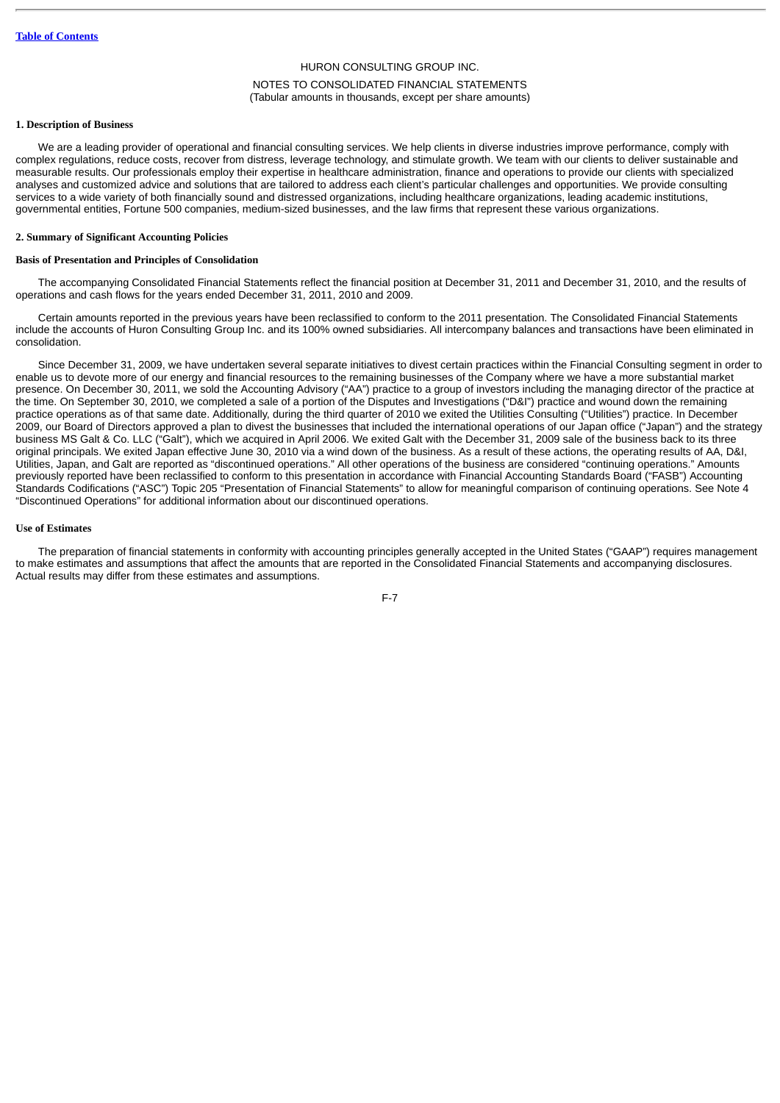# NOTES TO CONSOLIDATED FINANCIAL STATEMENTS (Tabular amounts in thousands, except per share amounts)

### <span id="page-62-0"></span>**1. Description of Business**

We are a leading provider of operational and financial consulting services. We help clients in diverse industries improve performance, comply with complex regulations, reduce costs, recover from distress, leverage technology, and stimulate growth. We team with our clients to deliver sustainable and measurable results. Our professionals employ their expertise in healthcare administration, finance and operations to provide our clients with specialized analyses and customized advice and solutions that are tailored to address each client's particular challenges and opportunities. We provide consulting services to a wide variety of both financially sound and distressed organizations, including healthcare organizations, leading academic institutions, governmental entities, Fortune 500 companies, medium-sized businesses, and the law firms that represent these various organizations.

### **2. Summary of Significant Accounting Policies**

### **Basis of Presentation and Principles of Consolidation**

The accompanying Consolidated Financial Statements reflect the financial position at December 31, 2011 and December 31, 2010, and the results of operations and cash flows for the years ended December 31, 2011, 2010 and 2009.

Certain amounts reported in the previous years have been reclassified to conform to the 2011 presentation. The Consolidated Financial Statements include the accounts of Huron Consulting Group Inc. and its 100% owned subsidiaries. All intercompany balances and transactions have been eliminated in consolidation.

Since December 31, 2009, we have undertaken several separate initiatives to divest certain practices within the Financial Consulting segment in order to enable us to devote more of our energy and financial resources to the remaining businesses of the Company where we have a more substantial market presence. On December 30, 2011, we sold the Accounting Advisory ("AA") practice to a group of investors including the managing director of the practice at the time. On September 30, 2010, we completed a sale of a portion of the Disputes and Investigations ("D&I") practice and wound down the remaining practice operations as of that same date. Additionally, during the third quarter of 2010 we exited the Utilities Consulting ("Utilities") practice. In December 2009, our Board of Directors approved a plan to divest the businesses that included the international operations of our Japan office ("Japan") and the strategy business MS Galt & Co. LLC ("Galt"), which we acquired in April 2006. We exited Galt with the December 31, 2009 sale of the business back to its three original principals. We exited Japan effective June 30, 2010 via a wind down of the business. As a result of these actions, the operating results of AA, D&I, Utilities, Japan, and Galt are reported as "discontinued operations." All other operations of the business are considered "continuing operations." Amounts previously reported have been reclassified to conform to this presentation in accordance with Financial Accounting Standards Board ("FASB") Accounting Standards Codifications ("ASC") Topic 205 "Presentation of Financial Statements" to allow for meaningful comparison of continuing operations. See Note 4 "Discontinued Operations" for additional information about our discontinued operations.

### **Use of Estimates**

The preparation of financial statements in conformity with accounting principles generally accepted in the United States ("GAAP") requires management to make estimates and assumptions that affect the amounts that are reported in the Consolidated Financial Statements and accompanying disclosures. Actual results may differ from these estimates and assumptions.

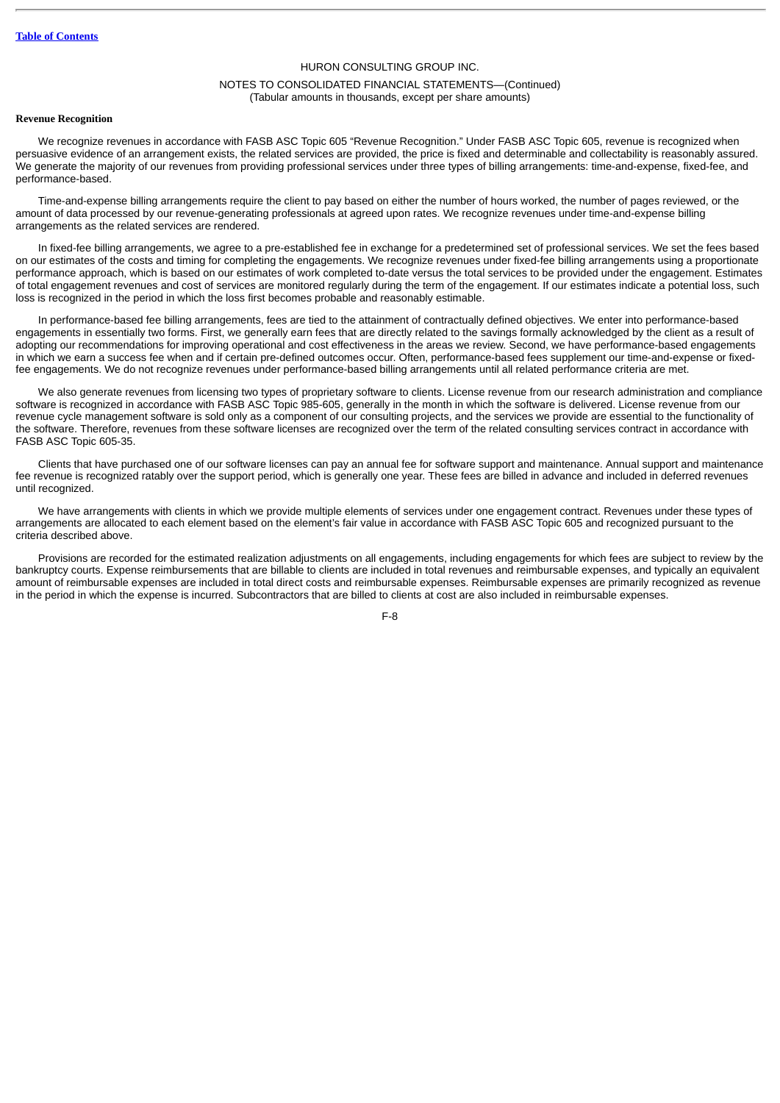## NOTES TO CONSOLIDATED FINANCIAL STATEMENTS—(Continued) (Tabular amounts in thousands, except per share amounts)

## **Revenue Recognition**

We recognize revenues in accordance with FASB ASC Topic 605 "Revenue Recognition." Under FASB ASC Topic 605, revenue is recognized when persuasive evidence of an arrangement exists, the related services are provided, the price is fixed and determinable and collectability is reasonably assured. We generate the majority of our revenues from providing professional services under three types of billing arrangements: time-and-expense, fixed-fee, and performance-based.

Time-and-expense billing arrangements require the client to pay based on either the number of hours worked, the number of pages reviewed, or the amount of data processed by our revenue-generating professionals at agreed upon rates. We recognize revenues under time-and-expense billing arrangements as the related services are rendered.

In fixed-fee billing arrangements, we agree to a pre-established fee in exchange for a predetermined set of professional services. We set the fees based on our estimates of the costs and timing for completing the engagements. We recognize revenues under fixed-fee billing arrangements using a proportionate performance approach, which is based on our estimates of work completed to-date versus the total services to be provided under the engagement. Estimates of total engagement revenues and cost of services are monitored regularly during the term of the engagement. If our estimates indicate a potential loss, such loss is recognized in the period in which the loss first becomes probable and reasonably estimable.

In performance-based fee billing arrangements, fees are tied to the attainment of contractually defined objectives. We enter into performance-based engagements in essentially two forms. First, we generally earn fees that are directly related to the savings formally acknowledged by the client as a result of adopting our recommendations for improving operational and cost effectiveness in the areas we review. Second, we have performance-based engagements in which we earn a success fee when and if certain pre-defined outcomes occur. Often, performance-based fees supplement our time-and-expense or fixedfee engagements. We do not recognize revenues under performance-based billing arrangements until all related performance criteria are met.

We also generate revenues from licensing two types of proprietary software to clients. License revenue from our research administration and compliance software is recognized in accordance with FASB ASC Topic 985-605, generally in the month in which the software is delivered. License revenue from our revenue cycle management software is sold only as a component of our consulting projects, and the services we provide are essential to the functionality of the software. Therefore, revenues from these software licenses are recognized over the term of the related consulting services contract in accordance with FASB ASC Topic 605-35.

Clients that have purchased one of our software licenses can pay an annual fee for software support and maintenance. Annual support and maintenance fee revenue is recognized ratably over the support period, which is generally one year. These fees are billed in advance and included in deferred revenues until recognized.

We have arrangements with clients in which we provide multiple elements of services under one engagement contract. Revenues under these types of arrangements are allocated to each element based on the element's fair value in accordance with FASB ASC Topic 605 and recognized pursuant to the criteria described above.

Provisions are recorded for the estimated realization adjustments on all engagements, including engagements for which fees are subject to review by the bankruptcy courts. Expense reimbursements that are billable to clients are included in total revenues and reimbursable expenses, and typically an equivalent amount of reimbursable expenses are included in total direct costs and reimbursable expenses. Reimbursable expenses are primarily recognized as revenue in the period in which the expense is incurred. Subcontractors that are billed to clients at cost are also included in reimbursable expenses.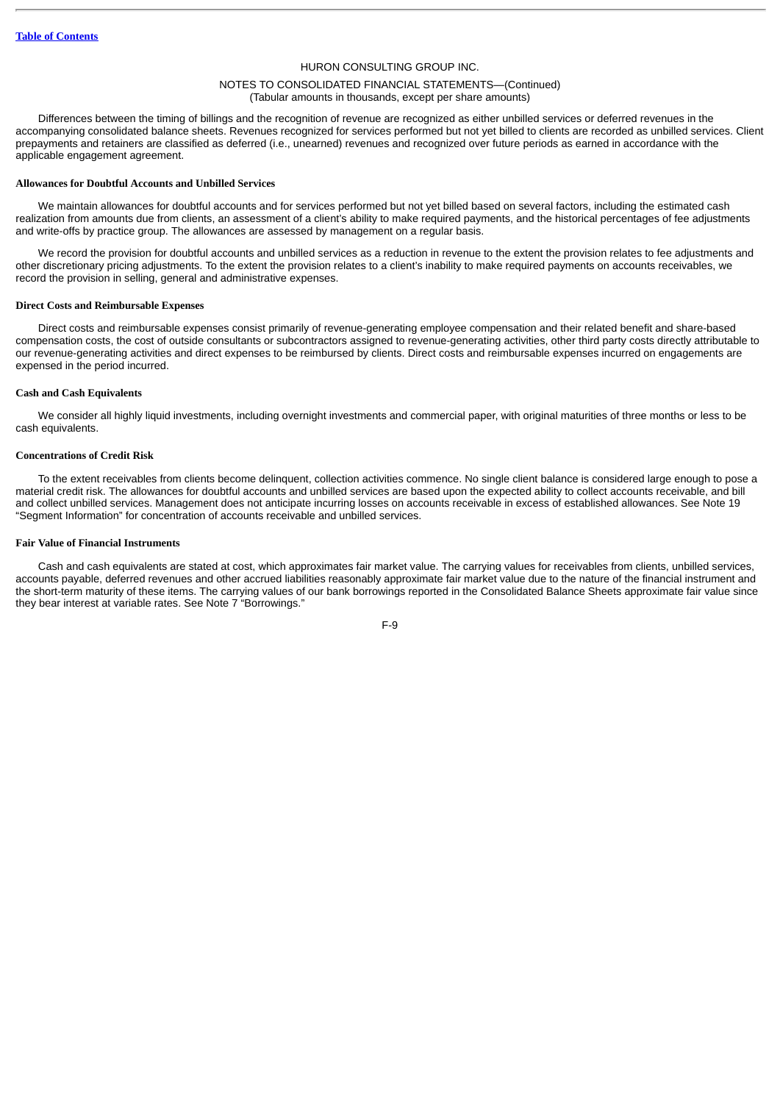## NOTES TO CONSOLIDATED FINANCIAL STATEMENTS—(Continued) (Tabular amounts in thousands, except per share amounts)

Differences between the timing of billings and the recognition of revenue are recognized as either unbilled services or deferred revenues in the accompanying consolidated balance sheets. Revenues recognized for services performed but not yet billed to clients are recorded as unbilled services. Client prepayments and retainers are classified as deferred (i.e., unearned) revenues and recognized over future periods as earned in accordance with the applicable engagement agreement.

### **Allowances for Doubtful Accounts and Unbilled Services**

We maintain allowances for doubtful accounts and for services performed but not yet billed based on several factors, including the estimated cash realization from amounts due from clients, an assessment of a client's ability to make required payments, and the historical percentages of fee adjustments and write-offs by practice group. The allowances are assessed by management on a regular basis.

We record the provision for doubtful accounts and unbilled services as a reduction in revenue to the extent the provision relates to fee adjustments and other discretionary pricing adjustments. To the extent the provision relates to a client's inability to make required payments on accounts receivables, we record the provision in selling, general and administrative expenses.

### **Direct Costs and Reimbursable Expenses**

Direct costs and reimbursable expenses consist primarily of revenue-generating employee compensation and their related benefit and share-based compensation costs, the cost of outside consultants or subcontractors assigned to revenue-generating activities, other third party costs directly attributable to our revenue-generating activities and direct expenses to be reimbursed by clients. Direct costs and reimbursable expenses incurred on engagements are expensed in the period incurred.

# **Cash and Cash Equivalents**

We consider all highly liquid investments, including overnight investments and commercial paper, with original maturities of three months or less to be cash equivalents.

### **Concentrations of Credit Risk**

To the extent receivables from clients become delinquent, collection activities commence. No single client balance is considered large enough to pose a material credit risk. The allowances for doubtful accounts and unbilled services are based upon the expected ability to collect accounts receivable, and bill and collect unbilled services. Management does not anticipate incurring losses on accounts receivable in excess of established allowances. See Note 19 "Segment Information" for concentration of accounts receivable and unbilled services.

### **Fair Value of Financial Instruments**

Cash and cash equivalents are stated at cost, which approximates fair market value. The carrying values for receivables from clients, unbilled services, accounts payable, deferred revenues and other accrued liabilities reasonably approximate fair market value due to the nature of the financial instrument and the short-term maturity of these items. The carrying values of our bank borrowings reported in the Consolidated Balance Sheets approximate fair value since they bear interest at variable rates. See Note 7 "Borrowings."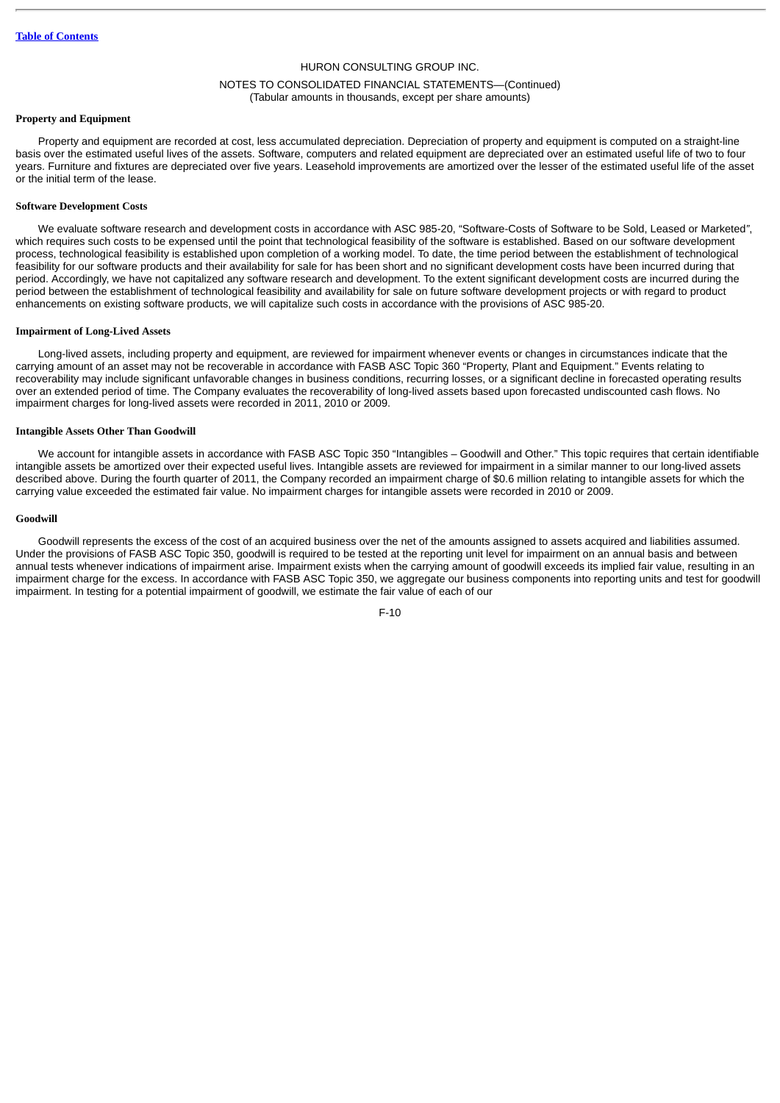## NOTES TO CONSOLIDATED FINANCIAL STATEMENTS—(Continued) (Tabular amounts in thousands, except per share amounts)

## **Property and Equipment**

Property and equipment are recorded at cost, less accumulated depreciation. Depreciation of property and equipment is computed on a straight-line basis over the estimated useful lives of the assets. Software, computers and related equipment are depreciated over an estimated useful life of two to four years. Furniture and fixtures are depreciated over five years. Leasehold improvements are amortized over the lesser of the estimated useful life of the asset or the initial term of the lease.

## **Software Development Costs**

We evaluate software research and development costs in accordance with ASC 985-20, "Software-Costs of Software to be Sold, Leased or Marketed*"*, which requires such costs to be expensed until the point that technological feasibility of the software is established. Based on our software development process, technological feasibility is established upon completion of a working model. To date, the time period between the establishment of technological feasibility for our software products and their availability for sale for has been short and no significant development costs have been incurred during that period. Accordingly, we have not capitalized any software research and development. To the extent significant development costs are incurred during the period between the establishment of technological feasibility and availability for sale on future software development projects or with regard to product enhancements on existing software products, we will capitalize such costs in accordance with the provisions of ASC 985-20.

### **Impairment of Long-Lived Assets**

Long-lived assets, including property and equipment, are reviewed for impairment whenever events or changes in circumstances indicate that the carrying amount of an asset may not be recoverable in accordance with FASB ASC Topic 360 "Property, Plant and Equipment." Events relating to recoverability may include significant unfavorable changes in business conditions, recurring losses, or a significant decline in forecasted operating results over an extended period of time. The Company evaluates the recoverability of long-lived assets based upon forecasted undiscounted cash flows. No impairment charges for long-lived assets were recorded in 2011, 2010 or 2009.

### **Intangible Assets Other Than Goodwill**

We account for intangible assets in accordance with FASB ASC Topic 350 "Intangibles – Goodwill and Other." This topic requires that certain identifiable intangible assets be amortized over their expected useful lives. Intangible assets are reviewed for impairment in a similar manner to our long-lived assets described above. During the fourth quarter of 2011, the Company recorded an impairment charge of \$0.6 million relating to intangible assets for which the carrying value exceeded the estimated fair value. No impairment charges for intangible assets were recorded in 2010 or 2009.

### **Goodwill**

Goodwill represents the excess of the cost of an acquired business over the net of the amounts assigned to assets acquired and liabilities assumed. Under the provisions of FASB ASC Topic 350, goodwill is required to be tested at the reporting unit level for impairment on an annual basis and between annual tests whenever indications of impairment arise. Impairment exists when the carrying amount of goodwill exceeds its implied fair value, resulting in an impairment charge for the excess. In accordance with FASB ASC Topic 350, we aggregate our business components into reporting units and test for goodwill impairment. In testing for a potential impairment of goodwill, we estimate the fair value of each of our

$$
F-10
$$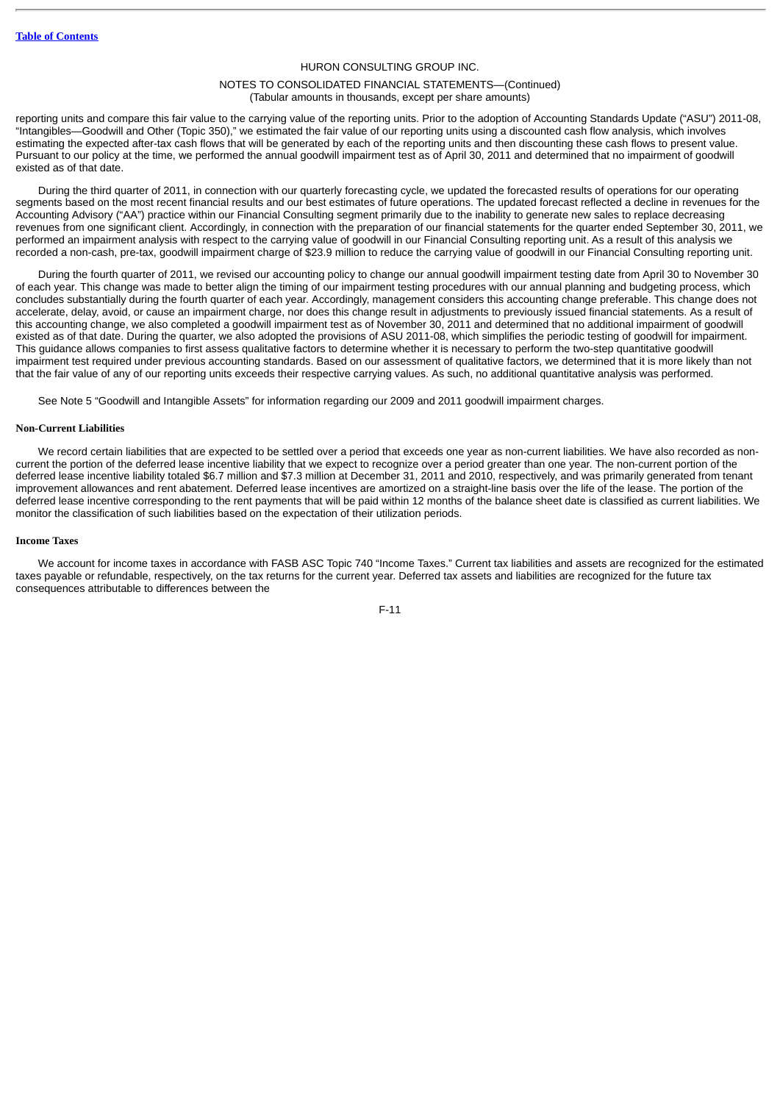## NOTES TO CONSOLIDATED FINANCIAL STATEMENTS—(Continued) (Tabular amounts in thousands, except per share amounts)

reporting units and compare this fair value to the carrying value of the reporting units. Prior to the adoption of Accounting Standards Update ("ASU") 2011-08, "Intangibles—Goodwill and Other (Topic 350)," we estimated the fair value of our reporting units using a discounted cash flow analysis, which involves estimating the expected after-tax cash flows that will be generated by each of the reporting units and then discounting these cash flows to present value. Pursuant to our policy at the time, we performed the annual goodwill impairment test as of April 30, 2011 and determined that no impairment of goodwill existed as of that date.

During the third quarter of 2011, in connection with our quarterly forecasting cycle, we updated the forecasted results of operations for our operating segments based on the most recent financial results and our best estimates of future operations. The updated forecast reflected a decline in revenues for the Accounting Advisory ("AA") practice within our Financial Consulting segment primarily due to the inability to generate new sales to replace decreasing revenues from one significant client. Accordingly, in connection with the preparation of our financial statements for the quarter ended September 30, 2011, we performed an impairment analysis with respect to the carrying value of goodwill in our Financial Consulting reporting unit. As a result of this analysis we recorded a non-cash, pre-tax, goodwill impairment charge of \$23.9 million to reduce the carrying value of goodwill in our Financial Consulting reporting unit.

During the fourth quarter of 2011, we revised our accounting policy to change our annual goodwill impairment testing date from April 30 to November 30 of each year. This change was made to better align the timing of our impairment testing procedures with our annual planning and budgeting process, which concludes substantially during the fourth quarter of each year. Accordingly, management considers this accounting change preferable. This change does not accelerate, delay, avoid, or cause an impairment charge, nor does this change result in adjustments to previously issued financial statements. As a result of this accounting change, we also completed a goodwill impairment test as of November 30, 2011 and determined that no additional impairment of goodwill existed as of that date. During the quarter, we also adopted the provisions of ASU 2011-08, which simplifies the periodic testing of goodwill for impairment. This guidance allows companies to first assess qualitative factors to determine whether it is necessary to perform the two-step quantitative goodwill impairment test required under previous accounting standards. Based on our assessment of qualitative factors, we determined that it is more likely than not that the fair value of any of our reporting units exceeds their respective carrying values. As such, no additional quantitative analysis was performed.

See Note 5 "Goodwill and Intangible Assets" for information regarding our 2009 and 2011 goodwill impairment charges.

### **Non-Current Liabilities**

We record certain liabilities that are expected to be settled over a period that exceeds one year as non-current liabilities. We have also recorded as noncurrent the portion of the deferred lease incentive liability that we expect to recognize over a period greater than one year. The non-current portion of the deferred lease incentive liability totaled \$6.7 million and \$7.3 million at December 31, 2011 and 2010, respectively, and was primarily generated from tenant improvement allowances and rent abatement. Deferred lease incentives are amortized on a straight-line basis over the life of the lease. The portion of the deferred lease incentive corresponding to the rent payments that will be paid within 12 months of the balance sheet date is classified as current liabilities. We monitor the classification of such liabilities based on the expectation of their utilization periods.

## **Income Taxes**

We account for income taxes in accordance with FASB ASC Topic 740 "Income Taxes." Current tax liabilities and assets are recognized for the estimated taxes payable or refundable, respectively, on the tax returns for the current year. Deferred tax assets and liabilities are recognized for the future tax consequences attributable to differences between the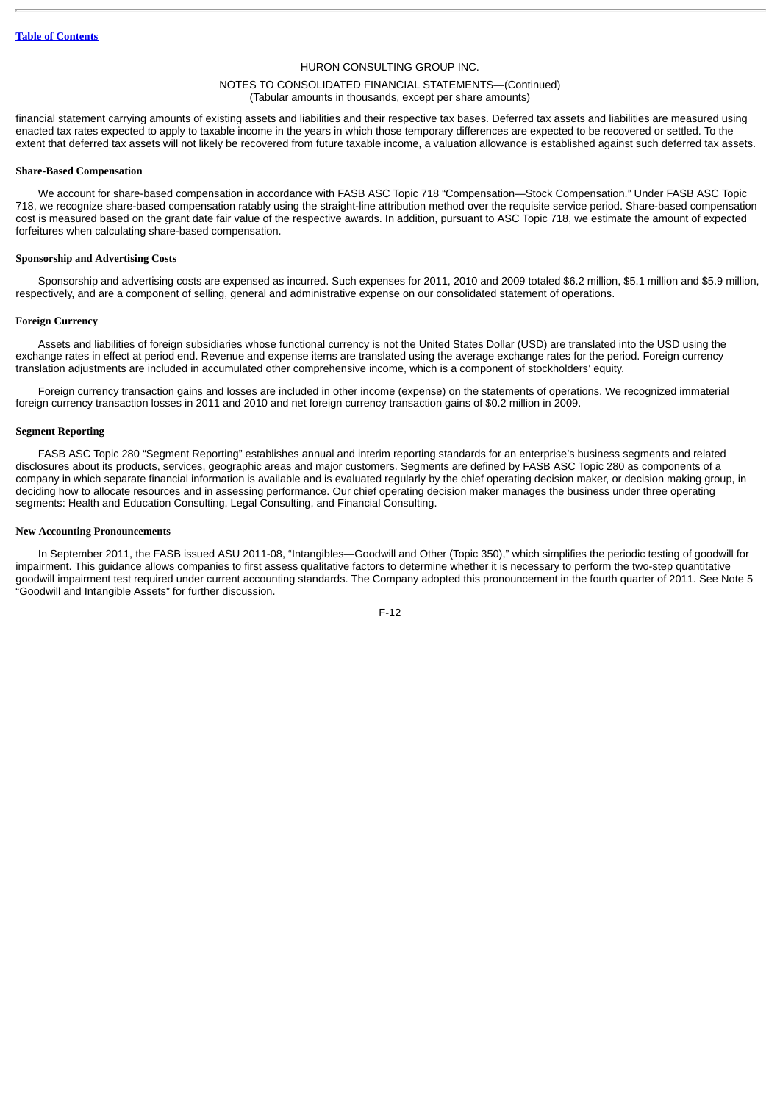## NOTES TO CONSOLIDATED FINANCIAL STATEMENTS—(Continued) (Tabular amounts in thousands, except per share amounts)

financial statement carrying amounts of existing assets and liabilities and their respective tax bases. Deferred tax assets and liabilities are measured using enacted tax rates expected to apply to taxable income in the years in which those temporary differences are expected to be recovered or settled. To the extent that deferred tax assets will not likely be recovered from future taxable income, a valuation allowance is established against such deferred tax assets.

### **Share-Based Compensation**

We account for share-based compensation in accordance with FASB ASC Topic 718 "Compensation—Stock Compensation." Under FASB ASC Topic 718, we recognize share-based compensation ratably using the straight-line attribution method over the requisite service period. Share-based compensation cost is measured based on the grant date fair value of the respective awards. In addition, pursuant to ASC Topic 718, we estimate the amount of expected forfeitures when calculating share-based compensation.

### **Sponsorship and Advertising Costs**

Sponsorship and advertising costs are expensed as incurred. Such expenses for 2011, 2010 and 2009 totaled \$6.2 million, \$5.1 million and \$5.9 million, respectively, and are a component of selling, general and administrative expense on our consolidated statement of operations.

### **Foreign Currency**

Assets and liabilities of foreign subsidiaries whose functional currency is not the United States Dollar (USD) are translated into the USD using the exchange rates in effect at period end. Revenue and expense items are translated using the average exchange rates for the period. Foreign currency translation adjustments are included in accumulated other comprehensive income, which is a component of stockholders' equity.

Foreign currency transaction gains and losses are included in other income (expense) on the statements of operations. We recognized immaterial foreign currency transaction losses in 2011 and 2010 and net foreign currency transaction gains of \$0.2 million in 2009.

### **Segment Reporting**

FASB ASC Topic 280 "Segment Reporting" establishes annual and interim reporting standards for an enterprise's business segments and related disclosures about its products, services, geographic areas and major customers. Segments are defined by FASB ASC Topic 280 as components of a company in which separate financial information is available and is evaluated regularly by the chief operating decision maker, or decision making group, in deciding how to allocate resources and in assessing performance. Our chief operating decision maker manages the business under three operating segments: Health and Education Consulting, Legal Consulting, and Financial Consulting.

#### **New Accounting Pronouncements**

In September 2011, the FASB issued ASU 2011-08, "Intangibles—Goodwill and Other (Topic 350)," which simplifies the periodic testing of goodwill for impairment. This guidance allows companies to first assess qualitative factors to determine whether it is necessary to perform the two-step quantitative goodwill impairment test required under current accounting standards. The Company adopted this pronouncement in the fourth quarter of 2011. See Note 5 "Goodwill and Intangible Assets" for further discussion.

$$
F-12
$$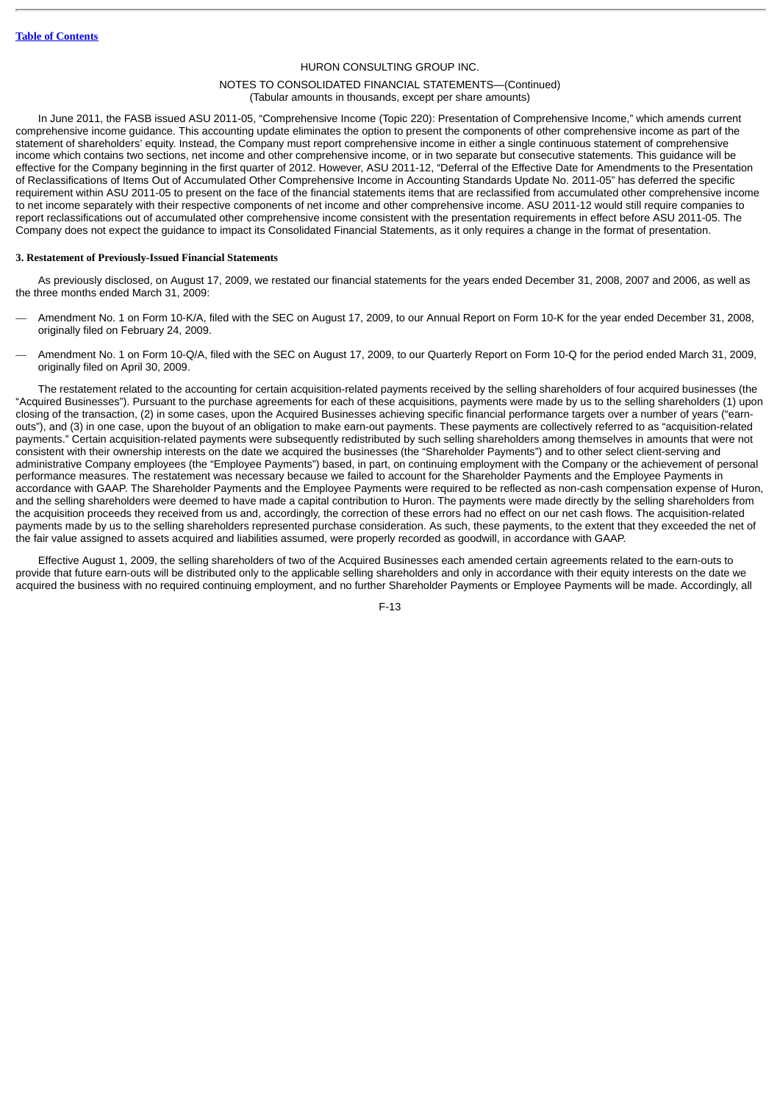## NOTES TO CONSOLIDATED FINANCIAL STATEMENTS—(Continued) (Tabular amounts in thousands, except per share amounts)

In June 2011, the FASB issued ASU 2011-05, "Comprehensive Income (Topic 220): Presentation of Comprehensive Income," which amends current comprehensive income guidance. This accounting update eliminates the option to present the components of other comprehensive income as part of the statement of shareholders' equity. Instead, the Company must report comprehensive income in either a single continuous statement of comprehensive income which contains two sections, net income and other comprehensive income, or in two separate but consecutive statements. This guidance will be effective for the Company beginning in the first quarter of 2012. However, ASU 2011-12, "Deferral of the Effective Date for Amendments to the Presentation of Reclassifications of Items Out of Accumulated Other Comprehensive Income in Accounting Standards Update No. 2011-05" has deferred the specific requirement within ASU 2011-05 to present on the face of the financial statements items that are reclassified from accumulated other comprehensive income to net income separately with their respective components of net income and other comprehensive income. ASU 2011-12 would still require companies to report reclassifications out of accumulated other comprehensive income consistent with the presentation requirements in effect before ASU 2011-05. The Company does not expect the guidance to impact its Consolidated Financial Statements, as it only requires a change in the format of presentation.

## **3. Restatement of Previously-Issued Financial Statements**

As previously disclosed, on August 17, 2009, we restated our financial statements for the years ended December 31, 2008, 2007 and 2006, as well as the three months ended March 31, 2009:

- Amendment No. 1 on Form 10-K/A, filed with the SEC on August 17, 2009, to our Annual Report on Form 10-K for the year ended December 31, 2008, originally filed on February 24, 2009.
- Amendment No. 1 on Form 10-Q/A, filed with the SEC on August 17, 2009, to our Quarterly Report on Form 10-Q for the period ended March 31, 2009, originally filed on April 30, 2009.

The restatement related to the accounting for certain acquisition-related payments received by the selling shareholders of four acquired businesses (the "Acquired Businesses"). Pursuant to the purchase agreements for each of these acquisitions, payments were made by us to the selling shareholders (1) upon closing of the transaction, (2) in some cases, upon the Acquired Businesses achieving specific financial performance targets over a number of years ("earnouts"), and (3) in one case, upon the buyout of an obligation to make earn-out payments. These payments are collectively referred to as "acquisition-related payments." Certain acquisition-related payments were subsequently redistributed by such selling shareholders among themselves in amounts that were not consistent with their ownership interests on the date we acquired the businesses (the "Shareholder Payments") and to other select client-serving and administrative Company employees (the "Employee Payments") based, in part, on continuing employment with the Company or the achievement of personal performance measures. The restatement was necessary because we failed to account for the Shareholder Payments and the Employee Payments in accordance with GAAP. The Shareholder Payments and the Employee Payments were required to be reflected as non-cash compensation expense of Huron, and the selling shareholders were deemed to have made a capital contribution to Huron. The payments were made directly by the selling shareholders from the acquisition proceeds they received from us and, accordingly, the correction of these errors had no effect on our net cash flows. The acquisition-related payments made by us to the selling shareholders represented purchase consideration. As such, these payments, to the extent that they exceeded the net of the fair value assigned to assets acquired and liabilities assumed, were properly recorded as goodwill, in accordance with GAAP.

Effective August 1, 2009, the selling shareholders of two of the Acquired Businesses each amended certain agreements related to the earn-outs to provide that future earn-outs will be distributed only to the applicable selling shareholders and only in accordance with their equity interests on the date we acquired the business with no required continuing employment, and no further Shareholder Payments or Employee Payments will be made. Accordingly, all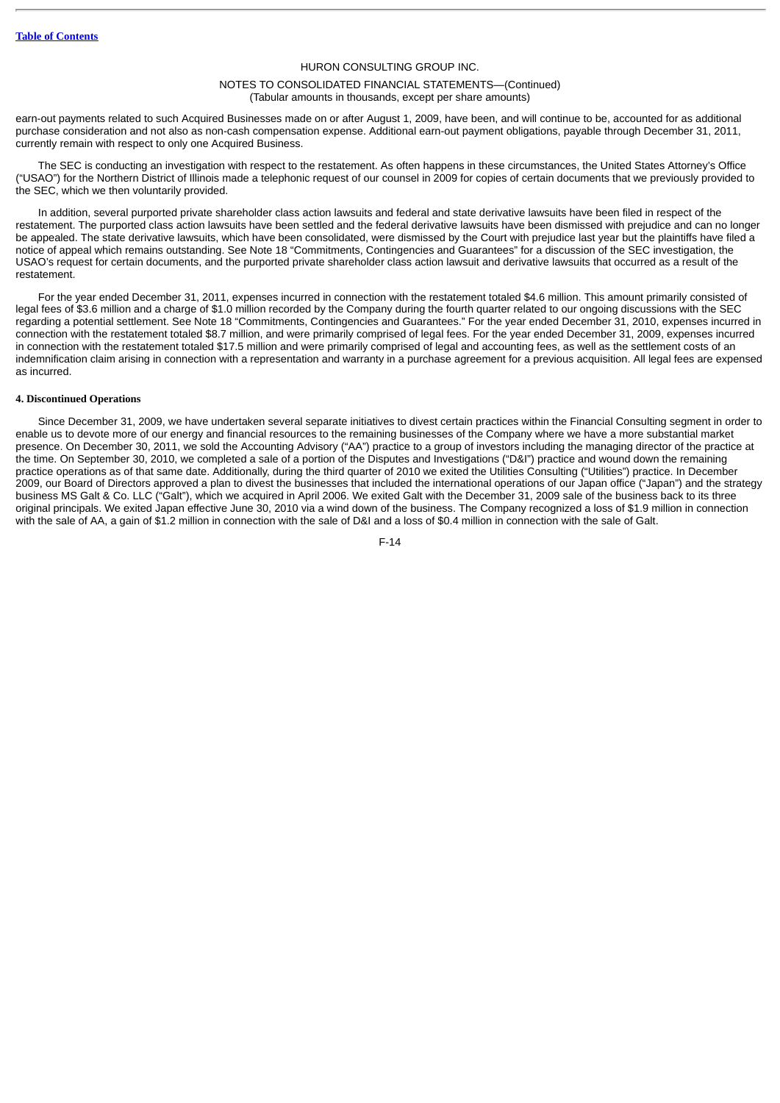## NOTES TO CONSOLIDATED FINANCIAL STATEMENTS—(Continued) (Tabular amounts in thousands, except per share amounts)

earn-out payments related to such Acquired Businesses made on or after August 1, 2009, have been, and will continue to be, accounted for as additional purchase consideration and not also as non-cash compensation expense. Additional earn-out payment obligations, payable through December 31, 2011, currently remain with respect to only one Acquired Business.

The SEC is conducting an investigation with respect to the restatement. As often happens in these circumstances, the United States Attorney's Office ("USAO") for the Northern District of Illinois made a telephonic request of our counsel in 2009 for copies of certain documents that we previously provided to the SEC, which we then voluntarily provided.

In addition, several purported private shareholder class action lawsuits and federal and state derivative lawsuits have been filed in respect of the restatement. The purported class action lawsuits have been settled and the federal derivative lawsuits have been dismissed with prejudice and can no longer be appealed. The state derivative lawsuits, which have been consolidated, were dismissed by the Court with prejudice last year but the plaintiffs have filed a notice of appeal which remains outstanding. See Note 18 "Commitments, Contingencies and Guarantees" for a discussion of the SEC investigation, the USAO's request for certain documents, and the purported private shareholder class action lawsuit and derivative lawsuits that occurred as a result of the restatement.

For the year ended December 31, 2011, expenses incurred in connection with the restatement totaled \$4.6 million. This amount primarily consisted of legal fees of \$3.6 million and a charge of \$1.0 million recorded by the Company during the fourth quarter related to our ongoing discussions with the SEC regarding a potential settlement. See Note 18 "Commitments, Contingencies and Guarantees." For the year ended December 31, 2010, expenses incurred in connection with the restatement totaled \$8.7 million, and were primarily comprised of legal fees. For the year ended December 31, 2009, expenses incurred in connection with the restatement totaled \$17.5 million and were primarily comprised of legal and accounting fees, as well as the settlement costs of an indemnification claim arising in connection with a representation and warranty in a purchase agreement for a previous acquisition. All legal fees are expensed as incurred.

### **4. Discontinued Operations**

Since December 31, 2009, we have undertaken several separate initiatives to divest certain practices within the Financial Consulting segment in order to enable us to devote more of our energy and financial resources to the remaining businesses of the Company where we have a more substantial market presence. On December 30, 2011, we sold the Accounting Advisory ("AA") practice to a group of investors including the managing director of the practice at the time. On September 30, 2010, we completed a sale of a portion of the Disputes and Investigations ("D&I") practice and wound down the remaining practice operations as of that same date. Additionally, during the third quarter of 2010 we exited the Utilities Consulting ("Utilities") practice. In December 2009, our Board of Directors approved a plan to divest the businesses that included the international operations of our Japan office ("Japan") and the strategy business MS Galt & Co. LLC ("Galt"), which we acquired in April 2006. We exited Galt with the December 31, 2009 sale of the business back to its three original principals. We exited Japan effective June 30, 2010 via a wind down of the business. The Company recognized a loss of \$1.9 million in connection with the sale of AA, a gain of \$1.2 million in connection with the sale of D&I and a loss of \$0.4 million in connection with the sale of Galt.

 $F-1A$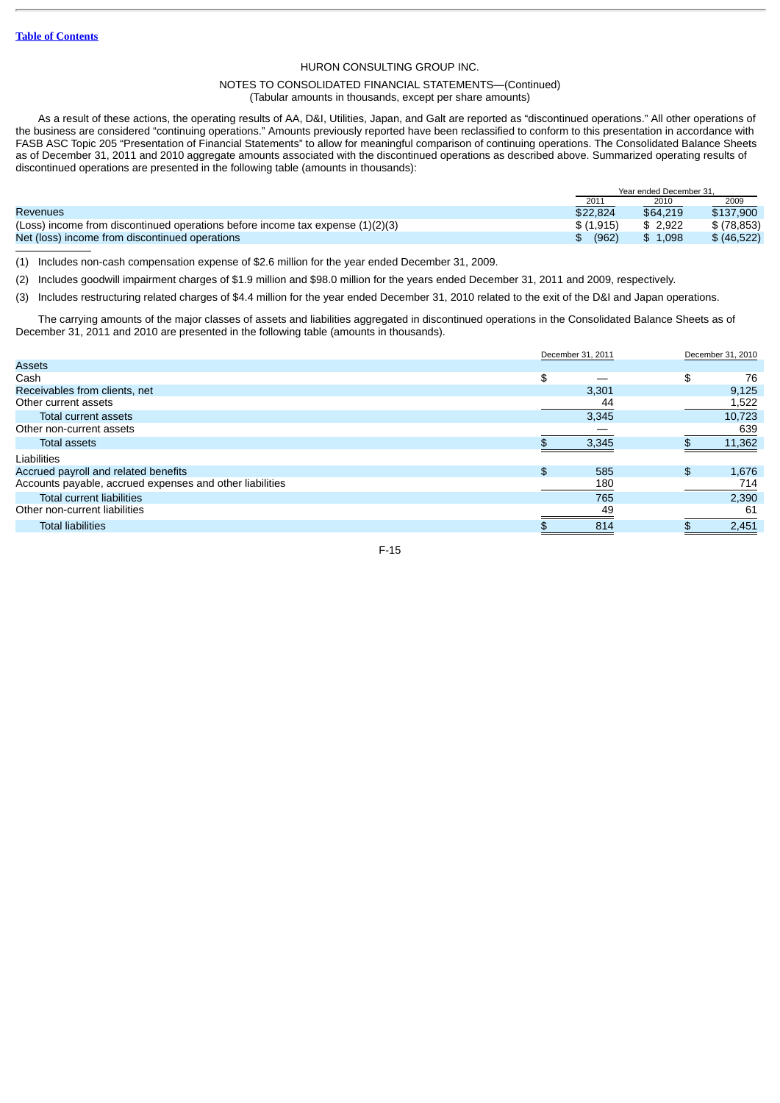## NOTES TO CONSOLIDATED FINANCIAL STATEMENTS—(Continued) (Tabular amounts in thousands, except per share amounts)

As a result of these actions, the operating results of AA, D&I, Utilities, Japan, and Galt are reported as "discontinued operations." All other operations of the business are considered "continuing operations." Amounts previously reported have been reclassified to conform to this presentation in accordance with the business are considered "continuing operations." Amounts previo FASB ASC Topic 205 "Presentation of Financial Statements" to allow for meaningful comparison of continuing operations. The Consolidated Balance Sheets as of December 31, 2011 and 2010 aggregate amounts associated with the discontinued operations as described above. Summarized operating results of discontinued operations are presented in the following table (amounts in thousands):

|                                                                                  |             | Year ended December 31. |             |  |
|----------------------------------------------------------------------------------|-------------|-------------------------|-------------|--|
|                                                                                  | 2011        | 2010                    | 2009        |  |
| Revenues                                                                         | \$22,824    | \$64.219                | \$137,900   |  |
| (Loss) income from discontinued operations before income tax expense $(1)(2)(3)$ | \$(1.915)   | \$ 2.922                | \$ (78.853) |  |
| Net (loss) income from discontinued operations                                   | (962)<br>\$ | \$1.098                 | \$ (46,522) |  |

(1) Includes non-cash compensation expense of \$2.6 million for the year ended December 31, 2009.

(2) Includes goodwill impairment charges of \$1.9 million and \$98.0 million for the years ended December 31, 2011 and 2009, respectively.

(3) Includes restructuring related charges of \$4.4 million for the year ended December 31, 2010 related to the exit of the D&I and Japan operations.

The carrying amounts of the major classes of assets and liabilities aggregated in discontinued operations in the Consolidated Balance Sheets as of December 31, 2011 and 2010 are presented in the following table (amounts in thousands).

|                                                          | December 31, 2011 | December 31, 2010 |
|----------------------------------------------------------|-------------------|-------------------|
| Assets                                                   |                   |                   |
| Cash                                                     | \$                | \$<br>76          |
| Receivables from clients, net                            | 3,301             | 9,125             |
| Other current assets                                     | 44                | 1,522             |
| Total current assets                                     | 3,345             | 10,723            |
| Other non-current assets                                 |                   | 639               |
| Total assets                                             | 3,345             | 11,362            |
| Liabilities                                              |                   |                   |
| Accrued payroll and related benefits                     | \$<br>585         | \$<br>1,676       |
| Accounts payable, accrued expenses and other liabilities | 180               | 714               |
| <b>Total current liabilities</b>                         | 765               | 2,390             |
| Other non-current liabilities                            | 49                | 61                |
| <b>Total liabilities</b>                                 | 814               | 2,451             |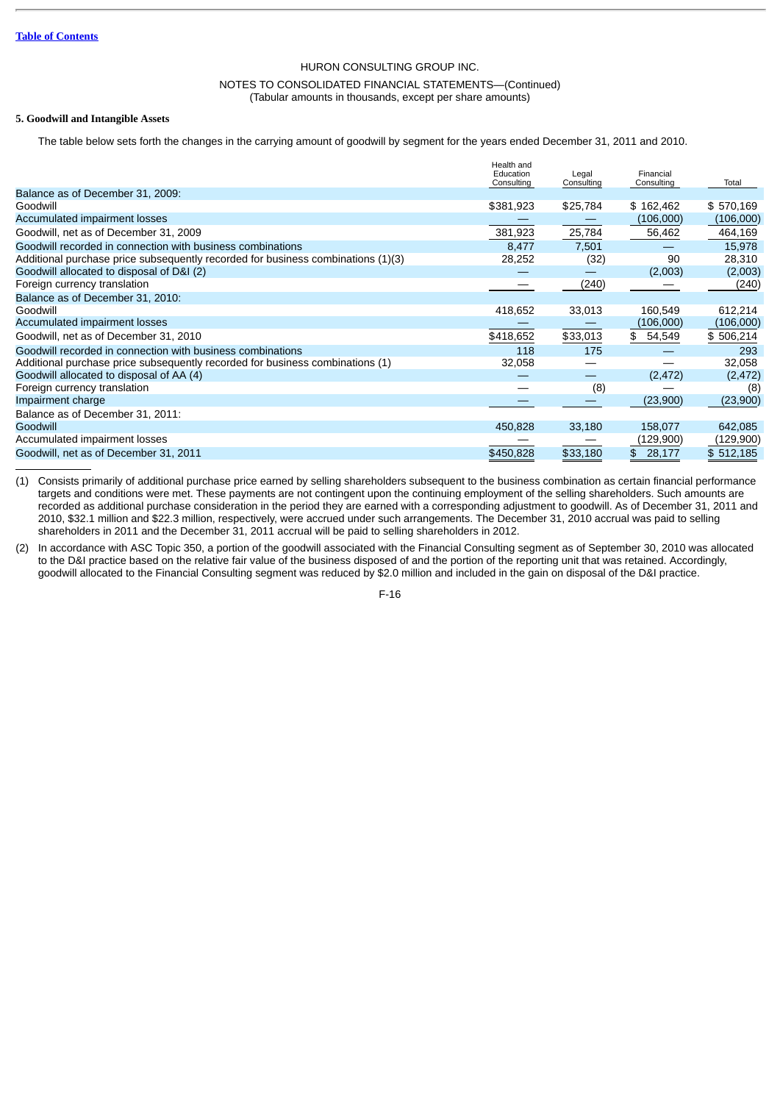## NOTES TO CONSOLIDATED FINANCIAL STATEMENTS—(Continued) (Tabular amounts in thousands, except per share amounts)

## **5. Goodwill and Intangible Assets**

The table below sets forth the changes in the carrying amount of goodwill by segment for the years ended December 31, 2011 and 2010.

|                                                                                  | Health and<br>Education<br>Consulting | Legal<br>Consulting | Financial<br>Consulting | Total     |
|----------------------------------------------------------------------------------|---------------------------------------|---------------------|-------------------------|-----------|
| Balance as of December 31, 2009:                                                 |                                       |                     |                         |           |
| Goodwill                                                                         | \$381,923                             | \$25,784            | \$162,462               | \$570,169 |
| Accumulated impairment losses                                                    |                                       |                     | (106,000)               | (106,000) |
| Goodwill, net as of December 31, 2009                                            | 381,923                               | 25,784              | 56,462                  | 464,169   |
| Goodwill recorded in connection with business combinations                       | 8.477                                 | 7,501               |                         | 15,978    |
| Additional purchase price subsequently recorded for business combinations (1)(3) | 28,252                                | (32)                | 90                      | 28,310    |
| Goodwill allocated to disposal of D&I (2)                                        |                                       |                     | (2,003)                 | (2,003)   |
| Foreign currency translation                                                     |                                       | (240)               |                         | (240)     |
| Balance as of December 31, 2010:                                                 |                                       |                     |                         |           |
| Goodwill                                                                         | 418,652                               | 33,013              | 160,549                 | 612,214   |
| Accumulated impairment losses                                                    |                                       |                     | (106,000)               | (106,000) |
| Goodwill, net as of December 31, 2010                                            | \$418,652                             | \$33,013            | \$<br>54,549            | \$506,214 |
| Goodwill recorded in connection with business combinations                       | 118                                   | 175                 |                         | 293       |
| Additional purchase price subsequently recorded for business combinations (1)    | 32,058                                |                     |                         | 32,058    |
| Goodwill allocated to disposal of AA (4)                                         |                                       |                     | (2, 472)                | (2, 472)  |
| Foreign currency translation                                                     |                                       | (8)                 |                         | (8)       |
| Impairment charge                                                                |                                       |                     | (23,900)                | (23,900)  |
| Balance as of December 31, 2011:                                                 |                                       |                     |                         |           |
| Goodwill                                                                         | 450,828                               | 33,180              | 158,077                 | 642,085   |
| Accumulated impairment losses                                                    |                                       |                     | (129,900)               | (129,900) |
| Goodwill, net as of December 31, 2011                                            | \$450,828                             | \$33,180            | 28,177<br>\$            | \$512,185 |

(1) Consists primarily of additional purchase price earned by selling shareholders subsequent to the business combination as certain financial performance targets and conditions were met. These payments are not contingent upon the continuing employment of the selling shareholders. Such amounts are recorded as additional purchase consideration in the period they are earned with a corresponding adjustment to goodwill. As of December 31, 2011 and 2010, \$32.1 million and \$22.3 million, respectively, were accrued under such arrangements. The December 31, 2010 accrual was paid to selling shareholders in 2011 and the December 31, 2011 accrual will be paid to selling shareholders in 2012.

(2) In accordance with ASC Topic 350, a portion of the goodwill associated with the Financial Consulting segment as of September 30, 2010 was allocated to the D&I practice based on the relative fair value of the business disposed of and the portion of the reporting unit that was retained. Accordingly, goodwill allocated to the Financial Consulting segment was reduced by \$2.0 million and included in the gain on disposal of the D&I practice.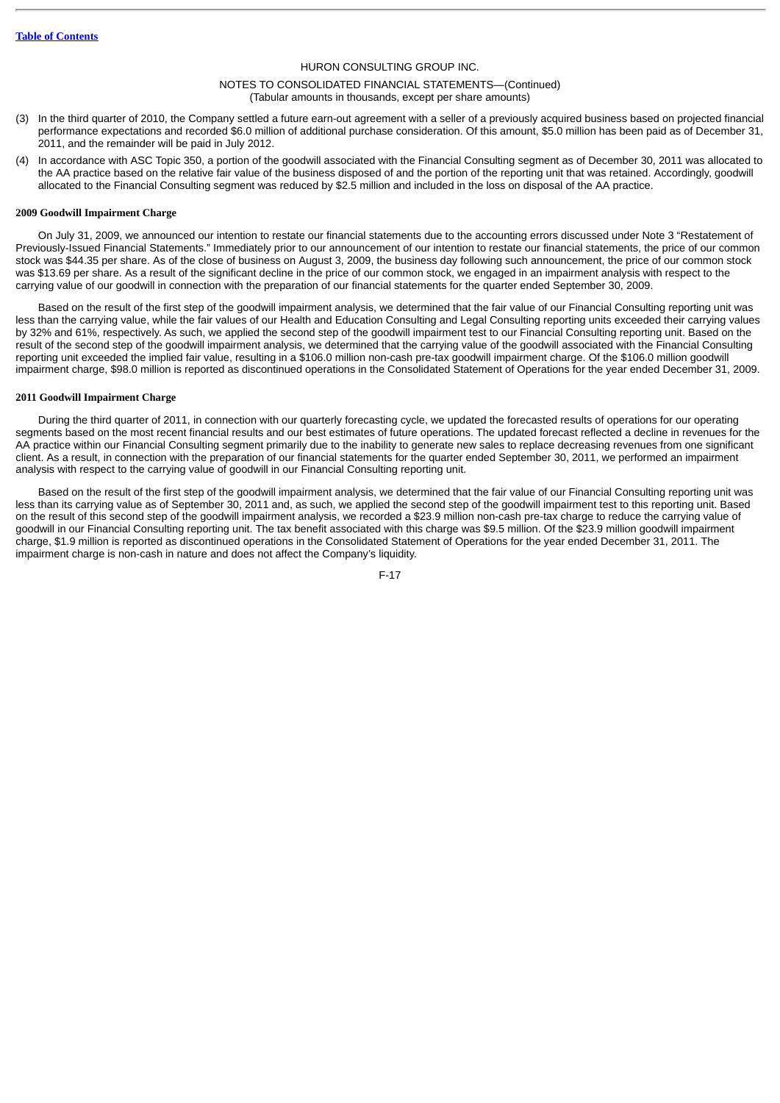#### NOTES TO CONSOLIDATED FINANCIAL STATEMENTS—(Continued) (Tabular amounts in thousands, except per share amounts)

- (3) In the third quarter of 2010, the Company settled a future earn-out agreement with a seller of a previously acquired business based on projected financial performance expectations and recorded \$6.0 million of additional purchase consideration. Of this amount, \$5.0 million has been paid as of December 31, 2011, and the remainder will be paid in July 2012.
- (4) In accordance with ASC Topic 350, a portion of the goodwill associated with the Financial Consulting segment as of December 30, 2011 was allocated to the AA practice based on the relative fair value of the business disposed of and the portion of the reporting unit that was retained. Accordingly, goodwill allocated to the Financial Consulting segment was reduced by \$2.5 million and included in the loss on disposal of the AA practice.

#### **2009 Goodwill Impairment Charge**

On July 31, 2009, we announced our intention to restate our financial statements due to the accounting errors discussed under Note 3 "Restatement of Previously-Issued Financial Statements." Immediately prior to our announcement of our intention to restate our financial statements, the price of our common stock was \$44.35 per share. As of the close of business on August 3, 2009, the business day following such announcement, the price of our common stock was \$13.69 per share. As a result of the significant decline in the price of our common stock, we engaged in an impairment analysis with respect to the carrying value of our goodwill in connection with the preparation of our financial statements for the quarter ended September 30, 2009.

Based on the result of the first step of the goodwill impairment analysis, we determined that the fair value of our Financial Consulting reporting unit was less than the carrying value, while the fair values of our Health and Education Consulting and Legal Consulting reporting units exceeded their carrying values by 32% and 61%, respectively. As such, we applied the second step of the goodwill impairment test to our Financial Consulting reporting unit. Based on the result of the second step of the goodwill impairment analysis, we determined that the carrying value of the goodwill associated with the Financial Consulting reporting unit exceeded the implied fair value, resulting in a \$106.0 million non-cash pre-tax goodwill impairment charge. Of the \$106.0 million goodwill impairment charge, \$98.0 million is reported as discontinued operations in the Consolidated Statement of Operations for the year ended December 31, 2009.

#### **2011 Goodwill Impairment Charge**

During the third quarter of 2011, in connection with our quarterly forecasting cycle, we updated the forecasted results of operations for our operating segments based on the most recent financial results and our best estimates of future operations. The updated forecast reflected a decline in revenues for the AA practice within our Financial Consulting segment primarily due to the inability to generate new sales to replace decreasing revenues from one significant client. As a result, in connection with the preparation of our financial statements for the quarter ended September 30, 2011, we performed an impairment analysis with respect to the carrying value of goodwill in our Financial Consulting reporting unit.

Based on the result of the first step of the goodwill impairment analysis, we determined that the fair value of our Financial Consulting reporting unit was less than its carrying value as of September 30, 2011 and, as such, we applied the second step of the goodwill impairment test to this reporting unit. Based on the result of this second step of the goodwill impairment analysis, we recorded a \$23.9 million non-cash pre-tax charge to reduce the carrying value of goodwill in our Financial Consulting reporting unit. The tax benefit associated with this charge was \$9.5 million. Of the \$23.9 million goodwill impairment charge, \$1.9 million is reported as discontinued operations in the Consolidated Statement of Operations for the year ended December 31, 2011. The impairment charge is non-cash in nature and does not affect the Company's liquidity.

$$
\mathsf{F}\text{-}\mathsf{17}
$$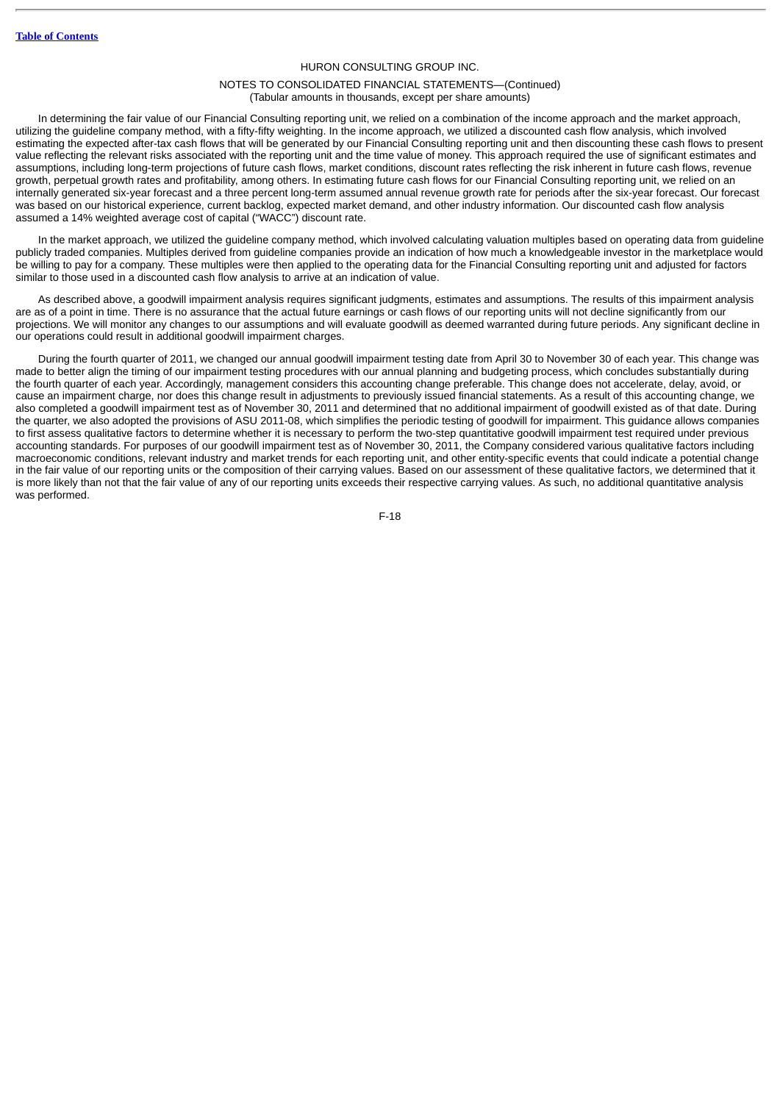#### NOTES TO CONSOLIDATED FINANCIAL STATEMENTS—(Continued) (Tabular amounts in thousands, except per share amounts)

In determining the fair value of our Financial Consulting reporting unit, we relied on a combination of the income approach and the market approach, utilizing the guideline company method, with a fifty-fifty weighting. In the income approach, we utilized a discounted cash flow analysis, which involved estimating the expected after-tax cash flows that will be generated by our Financial Consulting reporting unit and then discounting these cash flows to present value reflecting the relevant risks associated with the reporting unit and the time value of money. This approach required the use of significant estimates and assumptions, including long-term projections of future cash flows, market conditions, discount rates reflecting the risk inherent in future cash flows, revenue growth, perpetual growth rates and profitability, among others. In estimating future cash flows for our Financial Consulting reporting unit, we relied on an internally generated six-year forecast and a three percent long-term assumed annual revenue growth rate for periods after the six-year forecast. Our forecast was based on our historical experience, current backlog, expected market demand, and other industry information. Our discounted cash flow analysis assumed a 14% weighted average cost of capital ("WACC") discount rate.

In the market approach, we utilized the guideline company method, which involved calculating valuation multiples based on operating data from guideline publicly traded companies. Multiples derived from guideline companies provide an indication of how much a knowledgeable investor in the marketplace would be willing to pay for a company. These multiples were then applied to the operating data for the Financial Consulting reporting unit and adjusted for factors similar to those used in a discounted cash flow analysis to arrive at an indication of value.

As described above, a goodwill impairment analysis requires significant judgments, estimates and assumptions. The results of this impairment analysis are as of a point in time. There is no assurance that the actual future earnings or cash flows of our reporting units will not decline significantly from our projections. We will monitor any changes to our assumptions and will evaluate goodwill as deemed warranted during future periods. Any significant decline in our operations could result in additional goodwill impairment charges.

During the fourth quarter of 2011, we changed our annual goodwill impairment testing date from April 30 to November 30 of each year. This change was made to better align the timing of our impairment testing procedures with our annual planning and budgeting process, which concludes substantially during the fourth quarter of each year. Accordingly, management considers this accounting change preferable. This change does not accelerate, delay, avoid, or cause an impairment charge, nor does this change result in adjustments to previously issued financial statements. As a result of this accounting change, we also completed a goodwill impairment test as of November 30, 2011 and determined that no additional impairment of goodwill existed as of that date. During the quarter, we also adopted the provisions of ASU 2011-08, which simplifies the periodic testing of goodwill for impairment. This guidance allows companies to first assess qualitative factors to determine whether it is necessary to perform the two-step quantitative goodwill impairment test required under previous accounting standards. For purposes of our goodwill impairment test as of November 30, 2011, the Company considered various qualitative factors including macroeconomic conditions, relevant industry and market trends for each reporting unit, and other entity-specific events that could indicate a potential change in the fair value of our reporting units or the composition of their carrying values. Based on our assessment of these qualitative factors, we determined that it is more likely than not that the fair value of any of our reporting units exceeds their respective carrying values. As such, no additional quantitative analysis was performed.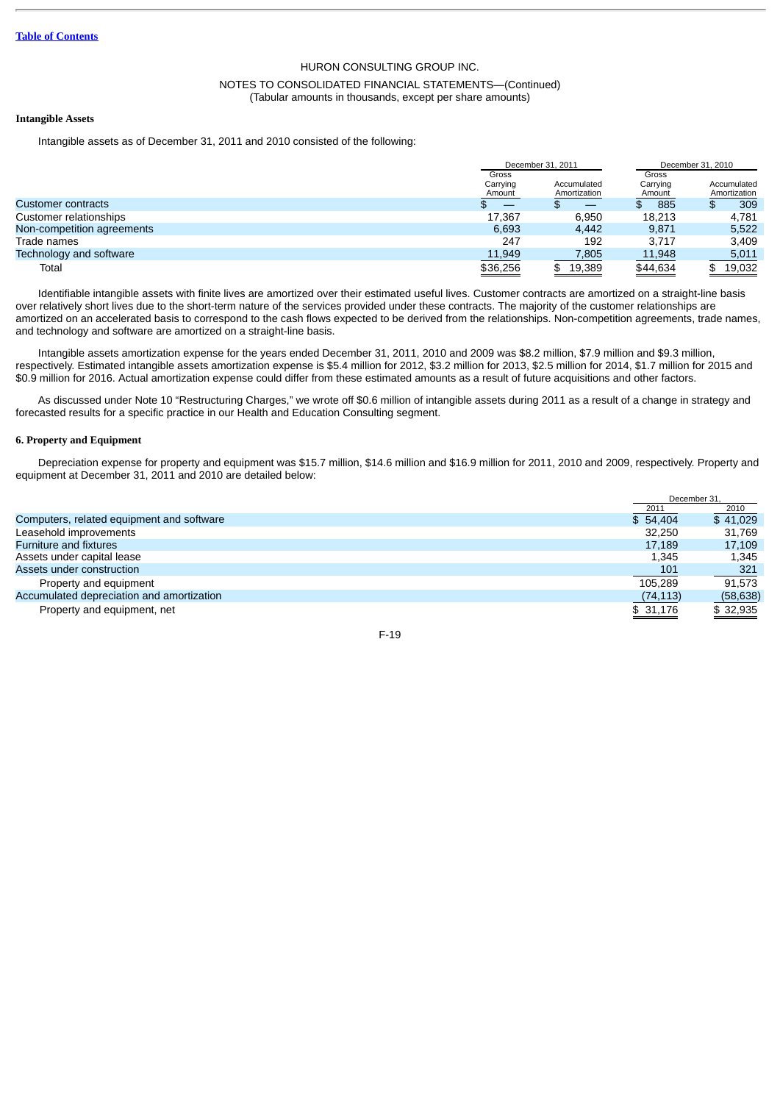#### NOTES TO CONSOLIDATED FINANCIAL STATEMENTS—(Continued) (Tabular amounts in thousands, except per share amounts)

#### **Intangible Assets**

Intangible assets as of December 31, 2011 and 2010 consisted of the following:

|                            |                             | December 31, 2011           |                             | December 31, 2010           |
|----------------------------|-----------------------------|-----------------------------|-----------------------------|-----------------------------|
|                            | Gross<br>Carrying<br>Amount | Accumulated<br>Amortization | Gross<br>Carrying<br>Amount | Accumulated<br>Amortization |
| Customer contracts         |                             |                             | 885                         | 309                         |
| Customer relationships     | 17,367                      | 6.950                       | 18.213                      | 4.781                       |
| Non-competition agreements | 6.693                       | 4.442                       | 9.871                       | 5,522                       |
| Trade names                | 247                         | 192                         | 3.717                       | 3.409                       |
| Technology and software    | 11,949                      | 7,805                       | 11,948                      | 5,011                       |
| Total                      | \$36,256                    | 19,389<br>\$                | \$44,634                    | 19,032                      |

Identifiable intangible assets with finite lives are amortized over their estimated useful lives. Customer contracts are amortized on a straight-line basis over relatively short lives due to the short-term nature of the services provided under these contracts. The majority of the customer relationships are amortized on an accelerated basis to correspond to the cash flows expected to be derived from the relationships. Non-competition agreements, trade names, and technology and software are amortized on a straight-line basis.

Intangible assets amortization expense for the years ended December 31, 2011, 2010 and 2009 was \$8.2 million, \$7.9 million and \$9.3 million, respectively. Estimated intangible assets amortization expense is \$5.4 million for 2012, \$3.2 million for 2013, \$2.5 million for 2014, \$1.7 million for 2015 and \$0.9 million for 2016. Actual amortization expense could differ from these estimated amounts as a result of future acquisitions and other factors.

As discussed under Note 10 "Restructuring Charges," we wrote off \$0.6 million of intangible assets during 2011 as a result of a change in strategy and forecasted results for a specific practice in our Health and Education Consulting segment.

#### **6. Property and Equipment**

Depreciation expense for property and equipment was \$15.7 million, \$14.6 million and \$16.9 million for 2011, 2010 and 2009, respectively. Property and equipment at December 31, 2011 and 2010 are detailed below:

|                                           | December 31. |           |
|-------------------------------------------|--------------|-----------|
|                                           | 2011         | 2010      |
| Computers, related equipment and software | \$54.404     | \$41.029  |
| Leasehold improvements                    | 32.250       | 31,769    |
| <b>Furniture and fixtures</b>             | 17.189       | 17,109    |
| Assets under capital lease                | 1.345        | 1,345     |
| Assets under construction                 | 101          | 321       |
| Property and equipment                    | 105.289      | 91.573    |
| Accumulated depreciation and amortization | (74, 113)    | (58, 638) |
| Property and equipment, net               | \$31,176     | \$32,935  |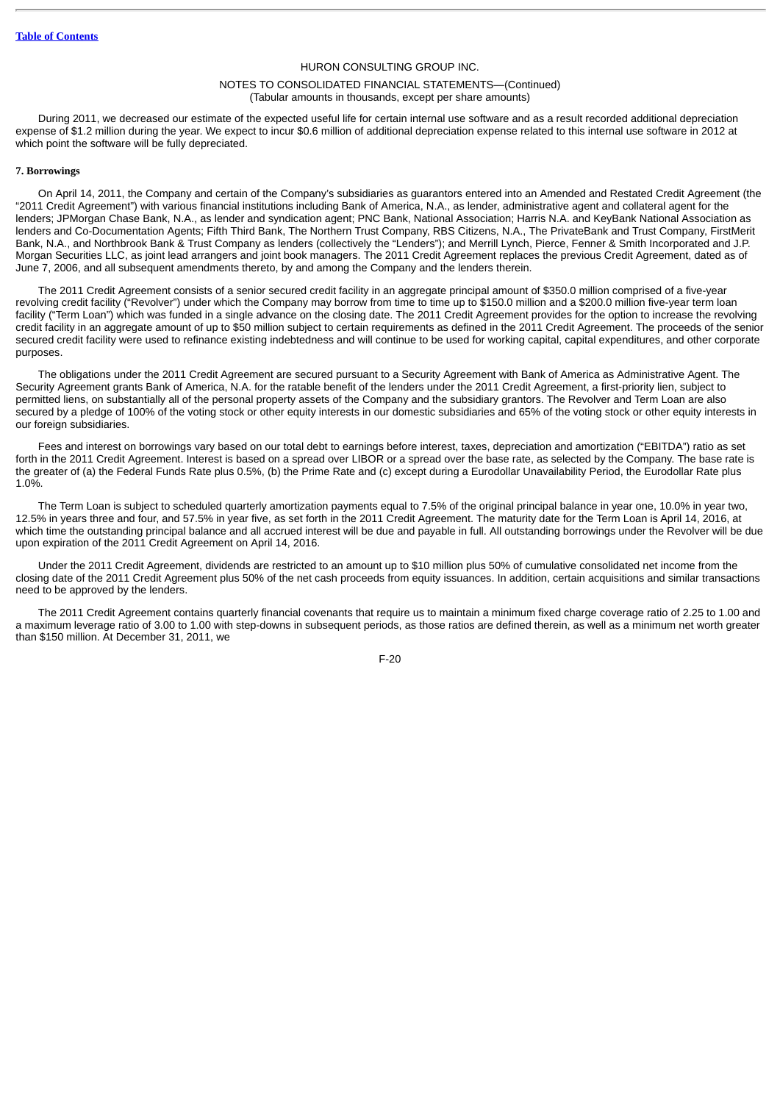#### NOTES TO CONSOLIDATED FINANCIAL STATEMENTS—(Continued) (Tabular amounts in thousands, except per share amounts)

During 2011, we decreased our estimate of the expected useful life for certain internal use software and as a result recorded additional depreciation expense of \$1.2 million during the year. We expect to incur \$0.6 million of additional depreciation expense related to this internal use software in 2012 at which point the software will be fully depreciated.

#### **7. Borrowings**

On April 14, 2011, the Company and certain of the Company's subsidiaries as guarantors entered into an Amended and Restated Credit Agreement (the "2011 Credit Agreement") with various financial institutions including Bank of America, N.A., as lender, administrative agent and collateral agent for the lenders; JPMorgan Chase Bank, N.A., as lender and syndication agent; PNC Bank, National Association; Harris N.A. and KeyBank National Association as lenders and Co-Documentation Agents; Fifth Third Bank, The Northern Trust Company, RBS Citizens, N.A., The PrivateBank and Trust Company, FirstMerit Bank, N.A., and Northbrook Bank & Trust Company as lenders (collectively the "Lenders"); and Merrill Lynch, Pierce, Fenner & Smith Incorporated and J.P. Morgan Securities LLC, as joint lead arrangers and joint book managers. The 2011 Credit Agreement replaces the previous Credit Agreement, dated as of June 7, 2006, and all subsequent amendments thereto, by and among the Company and the lenders therein.

The 2011 Credit Agreement consists of a senior secured credit facility in an aggregate principal amount of \$350.0 million comprised of a five-year revolving credit facility ("Revolver") under which the Company may borrow from time to time up to \$150.0 million and a \$200.0 million five-year term loan facility ("Term Loan") which was funded in a single advance on the closing date. The 2011 Credit Agreement provides for the option to increase the revolving credit facility in an aggregate amount of up to \$50 million subject to certain requirements as defined in the 2011 Credit Agreement. The proceeds of the senior secured credit facility were used to refinance existing indebtedness and will continue to be used for working capital, capital expenditures, and other corporate purposes.

The obligations under the 2011 Credit Agreement are secured pursuant to a Security Agreement with Bank of America as Administrative Agent. The Security Agreement grants Bank of America, N.A. for the ratable benefit of the lenders under the 2011 Credit Agreement, a first-priority lien, subject to permitted liens, on substantially all of the personal property assets of the Company and the subsidiary grantors. The Revolver and Term Loan are also secured by a pledge of 100% of the voting stock or other equity interests in our domestic subsidiaries and 65% of the voting stock or other equity interests in our foreign subsidiaries.

Fees and interest on borrowings vary based on our total debt to earnings before interest, taxes, depreciation and amortization ("EBITDA") ratio as set forth in the 2011 Credit Agreement. Interest is based on a spread over LIBOR or a spread over the base rate, as selected by the Company. The base rate is the greater of (a) the Federal Funds Rate plus 0.5%, (b) the Prime Rate and (c) except during a Eurodollar Unavailability Period, the Eurodollar Rate plus 1.0%.

The Term Loan is subject to scheduled quarterly amortization payments equal to 7.5% of the original principal balance in year one, 10.0% in year two, 12.5% in years three and four, and 57.5% in year five, as set forth in the 2011 Credit Agreement. The maturity date for the Term Loan is April 14, 2016, at which time the outstanding principal balance and all accrued interest will be due and payable in full. All outstanding borrowings under the Revolver will be due upon expiration of the 2011 Credit Agreement on April 14, 2016.

Under the 2011 Credit Agreement, dividends are restricted to an amount up to \$10 million plus 50% of cumulative consolidated net income from the closing date of the 2011 Credit Agreement plus 50% of the net cash proceeds from equity issuances. In addition, certain acquisitions and similar transactions need to be approved by the lenders.

The 2011 Credit Agreement contains quarterly financial covenants that require us to maintain a minimum fixed charge coverage ratio of 2.25 to 1.00 and a maximum leverage ratio of 3.00 to 1.00 with step-downs in subsequent periods, as those ratios are defined therein, as well as a minimum net worth greater than \$150 million. At December 31, 2011, we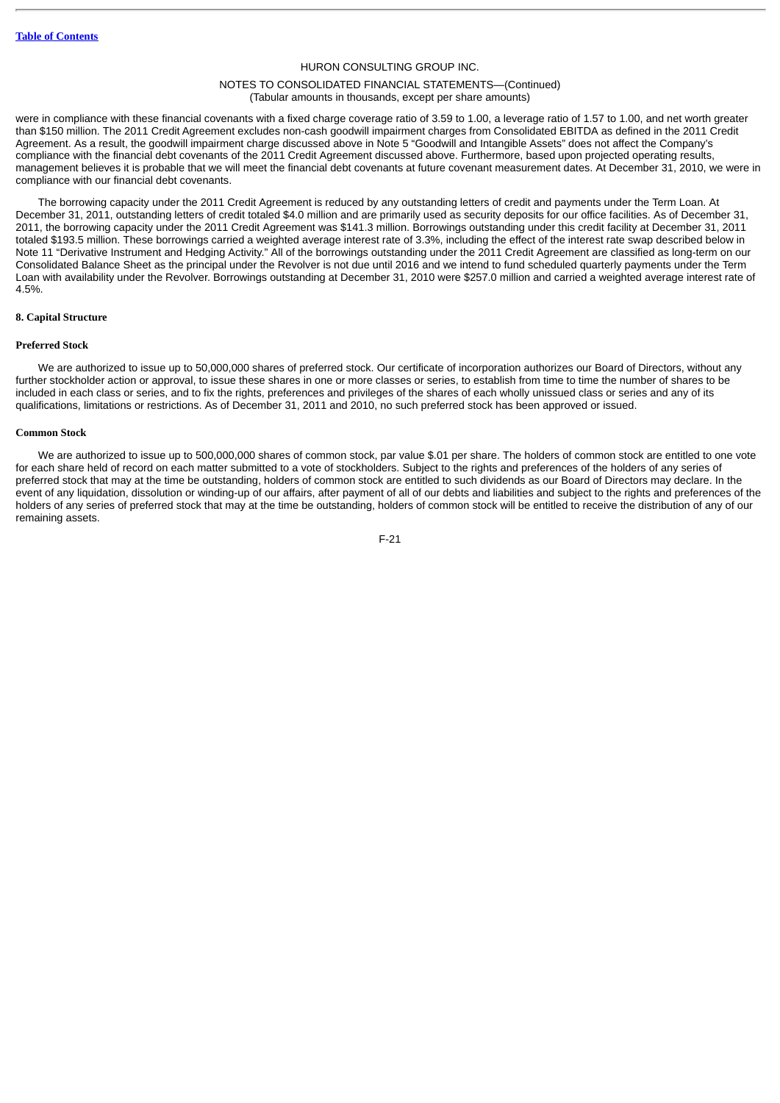#### NOTES TO CONSOLIDATED FINANCIAL STATEMENTS—(Continued) (Tabular amounts in thousands, except per share amounts)

were in compliance with these financial covenants with a fixed charge coverage ratio of 3.59 to 1.00, a leverage ratio of 1.57 to 1.00, and net worth greater than \$150 million. The 2011 Credit Agreement excludes non-cash goodwill impairment charges from Consolidated EBITDA as defined in the 2011 Credit Agreement. As a result, the goodwill impairment charge discussed above in Note 5 "Goodwill and Intangible Assets" does not affect the Company's compliance with the financial debt covenants of the 2011 Credit Agreement discussed above. Furthermore, based upon projected operating results, management believes it is probable that we will meet the financial debt covenants at future covenant measurement dates. At December 31, 2010, we were in compliance with our financial debt covenants.

The borrowing capacity under the 2011 Credit Agreement is reduced by any outstanding letters of credit and payments under the Term Loan. At December 31, 2011, outstanding letters of credit totaled \$4.0 million and are primarily used as security deposits for our office facilities. As of December 31, 2011, the borrowing capacity under the 2011 Credit Agreement was \$141.3 million. Borrowings outstanding under this credit facility at December 31, 2011 totaled \$193.5 million. These borrowings carried a weighted average interest rate of 3.3%, including the effect of the interest rate swap described below in Note 11 "Derivative Instrument and Hedging Activity." All of the borrowings outstanding under the 2011 Credit Agreement are classified as long-term on our Consolidated Balance Sheet as the principal under the Revolver is not due until 2016 and we intend to fund scheduled quarterly payments under the Term Loan with availability under the Revolver. Borrowings outstanding at December 31, 2010 were \$257.0 million and carried a weighted average interest rate of 4.5%.

#### **8. Capital Structure**

#### **Preferred Stock**

We are authorized to issue up to 50,000,000 shares of preferred stock. Our certificate of incorporation authorizes our Board of Directors, without any further stockholder action or approval, to issue these shares in one or more classes or series, to establish from time to time the number of shares to be included in each class or series, and to fix the rights, preferences and privileges of the shares of each wholly unissued class or series and any of its qualifications, limitations or restrictions. As of December 31, 2011 and 2010, no such preferred stock has been approved or issued.

#### **Common Stock**

We are authorized to issue up to 500,000,000 shares of common stock, par value \$.01 per share. The holders of common stock are entitled to one vote for each share held of record on each matter submitted to a vote of stockholders. Subject to the rights and preferences of the holders of any series of preferred stock that may at the time be outstanding, holders of common stock are entitled to such dividends as our Board of Directors may declare. In the event of any liquidation, dissolution or winding-up of our affairs, after payment of all of our debts and liabilities and subject to the rights and preferences of the holders of any series of preferred stock that may at the time be outstanding, holders of common stock will be entitled to receive the distribution of any of our remaining assets.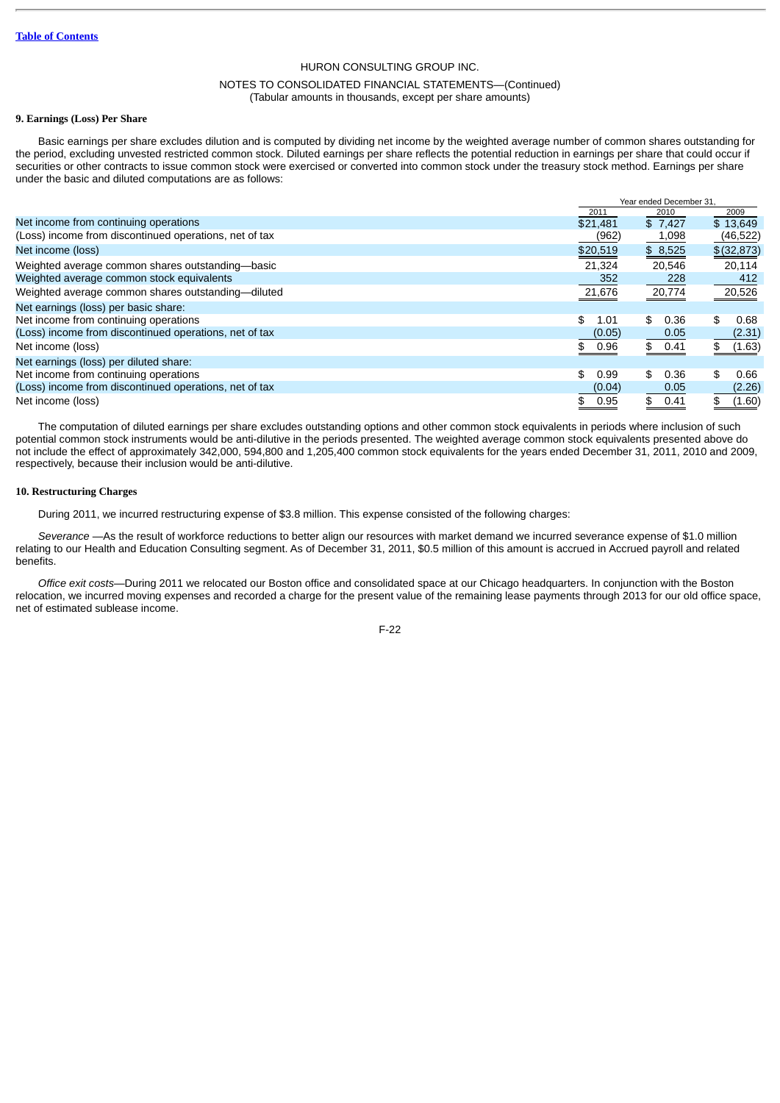#### NOTES TO CONSOLIDATED FINANCIAL STATEMENTS—(Continued) (Tabular amounts in thousands, except per share amounts)

#### **9. Earnings (Loss) Per Share**

Basic earnings per share excludes dilution and is computed by dividing net income by the weighted average number of common shares outstanding for the period, excluding unvested restricted common stock. Diluted earnings per share reflects the potential reduction in earnings per share that could occur if securities or other contracts to issue common stock were exercised or converted into common stock under the treasury stock method. Earnings per share under the basic and diluted computations are as follows:

|                                                        | Year ended December 31. |            |              |
|--------------------------------------------------------|-------------------------|------------|--------------|
|                                                        | 2011                    | 2010       | 2009         |
| Net income from continuing operations                  | \$21,481                | \$7,427    | \$13,649     |
| (Loss) income from discontinued operations, net of tax | (962)                   | 1,098      | (46, 522)    |
| Net income (loss)                                      | \$20,519                | \$8,525    | \$ (32, 873) |
| Weighted average common shares outstanding—basic       | 21,324                  | 20,546     | 20,114       |
| Weighted average common stock equivalents              | 352                     | 228        | 412          |
| Weighted average common shares outstanding-diluted     | 21,676                  | 20,774     | 20,526       |
| Net earnings (loss) per basic share:                   |                         |            |              |
| Net income from continuing operations                  | \$<br>1.01              | 0.36<br>\$ | 0.68<br>\$   |
| (Loss) income from discontinued operations, net of tax | (0.05)                  | 0.05       | (2.31)       |
| Net income (loss)                                      | 0.96<br>æ.              | \$<br>0.41 | (1.63)<br>\$ |
| Net earnings (loss) per diluted share:                 |                         |            |              |
| Net income from continuing operations                  | \$<br>0.99              | 0.36<br>\$ | 0.66<br>\$   |
| (Loss) income from discontinued operations, net of tax | (0.04)                  | 0.05       | (2.26)       |
| Net income (loss)                                      | 0.95<br>\$              | 0.41<br>\$ | (1.60)<br>\$ |

The computation of diluted earnings per share excludes outstanding options and other common stock equivalents in periods where inclusion of such potential common stock instruments would be anti-dilutive in the periods presented. The weighted average common stock equivalents presented above do not include the effect of approximately 342,000, 594,800 and 1,205,400 common stock equivalents for the years ended December 31, 2011, 2010 and 2009, respectively, because their inclusion would be anti-dilutive.

#### **10. Restructuring Charges**

During 2011, we incurred restructuring expense of \$3.8 million. This expense consisted of the following charges:

*Severance* —As the result of workforce reductions to better align our resources with market demand we incurred severance expense of \$1.0 million relating to our Health and Education Consulting segment. As of December 31, 2011, \$0.5 million of this amount is accrued in Accrued payroll and related benefits.

*Office exit costs*—During 2011 we relocated our Boston office and consolidated space at our Chicago headquarters. In conjunction with the Boston relocation, we incurred moving expenses and recorded a charge for the present value of the remaining lease payments through 2013 for our old office space, net of estimated sublease income.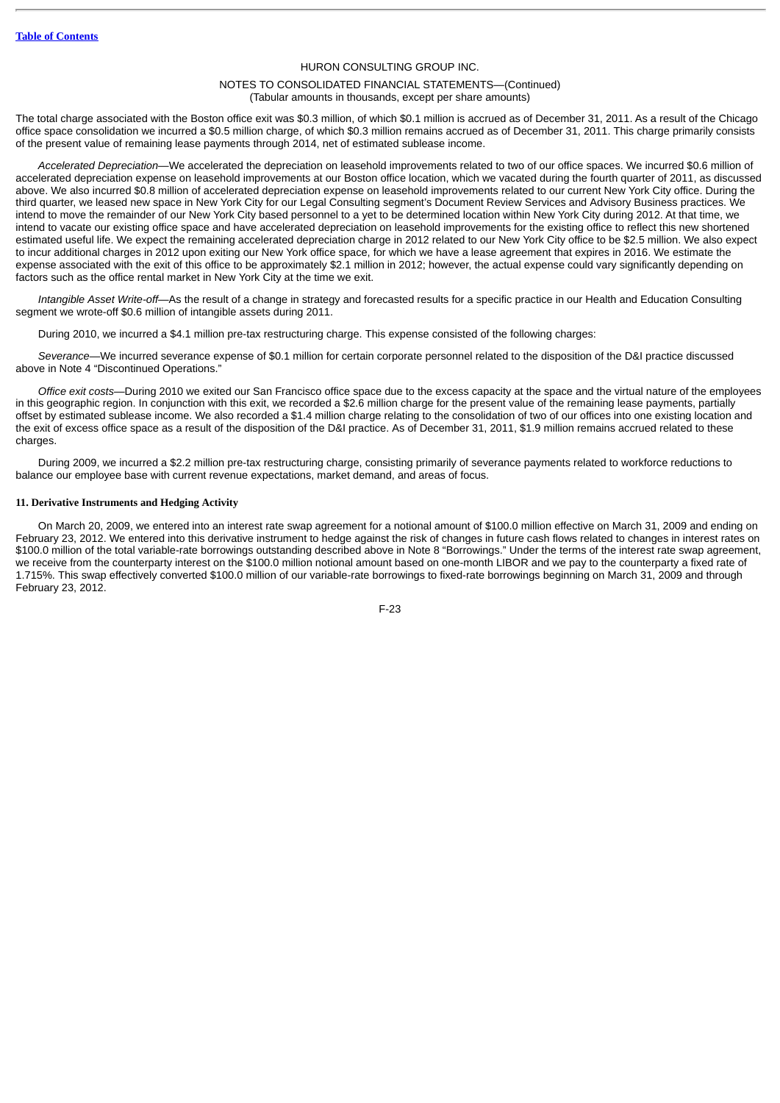#### NOTES TO CONSOLIDATED FINANCIAL STATEMENTS—(Continued) (Tabular amounts in thousands, except per share amounts)

The total charge associated with the Boston office exit was \$0.3 million, of which \$0.1 million is accrued as of December 31, 2011. As a result of the Chicago office space consolidation we incurred a \$0.5 million charge, of which \$0.3 million remains accrued as of December 31, 2011. This charge primarily consists of the present value of remaining lease payments through 2014, net of estimated sublease income.

*Accelerated Depreciation*—We accelerated the depreciation on leasehold improvements related to two of our office spaces. We incurred \$0.6 million of accelerated depreciation expense on leasehold improvements at our Boston office location, which we vacated during the fourth quarter of 2011, as discussed above. We also incurred \$0.8 million of accelerated depreciation expense on leasehold improvements related to our current New York City office. During the third quarter, we leased new space in New York City for our Legal Consulting segment's Document Review Services and Advisory Business practices. We intend to move the remainder of our New York City based personnel to a yet to be determined location within New York City during 2012. At that time, we intend to vacate our existing office space and have accelerated depreciation on leasehold improvements for the existing office to reflect this new shortened estimated useful life. We expect the remaining accelerated depreciation charge in 2012 related to our New York City office to be \$2.5 million. We also expect to incur additional charges in 2012 upon exiting our New York office space, for which we have a lease agreement that expires in 2016. We estimate the expense associated with the exit of this office to be approximately \$2.1 million in 2012; however, the actual expense could vary significantly depending on factors such as the office rental market in New York City at the time we exit.

*Intangible Asset Write-off*—As the result of a change in strategy and forecasted results for a specific practice in our Health and Education Consulting segment we wrote-off \$0.6 million of intangible assets during 2011.

During 2010, we incurred a \$4.1 million pre-tax restructuring charge. This expense consisted of the following charges:

*Severance*—We incurred severance expense of \$0.1 million for certain corporate personnel related to the disposition of the D&I practice discussed above in Note 4 "Discontinued Operations."

*Office exit costs*—During 2010 we exited our San Francisco office space due to the excess capacity at the space and the virtual nature of the employees in this geographic region. In conjunction with this exit, we recorded a \$2.6 million charge for the present value of the remaining lease payments, partially offset by estimated sublease income. We also recorded a \$1.4 million charge relating to the consolidation of two of our offices into one existing location and the exit of excess office space as a result of the disposition of the D&I practice. As of December 31, 2011, \$1.9 million remains accrued related to these charges.

During 2009, we incurred a \$2.2 million pre-tax restructuring charge, consisting primarily of severance payments related to workforce reductions to balance our employee base with current revenue expectations, market demand, and areas of focus.

#### **11. Derivative Instruments and Hedging Activity**

On March 20, 2009, we entered into an interest rate swap agreement for a notional amount of \$100.0 million effective on March 31, 2009 and ending on February 23, 2012. We entered into this derivative instrument to hedge against the risk of changes in future cash flows related to changes in interest rates on \$100.0 million of the total variable-rate borrowings outstanding described above in Note 8 "Borrowings." Under the terms of the interest rate swap agreement, we receive from the counterparty interest on the \$100.0 million notional amount based on one-month LIBOR and we pay to the counterparty a fixed rate of 1.715%. This swap effectively converted \$100.0 million of our variable-rate borrowings to fixed-rate borrowings beginning on March 31, 2009 and through February 23, 2012.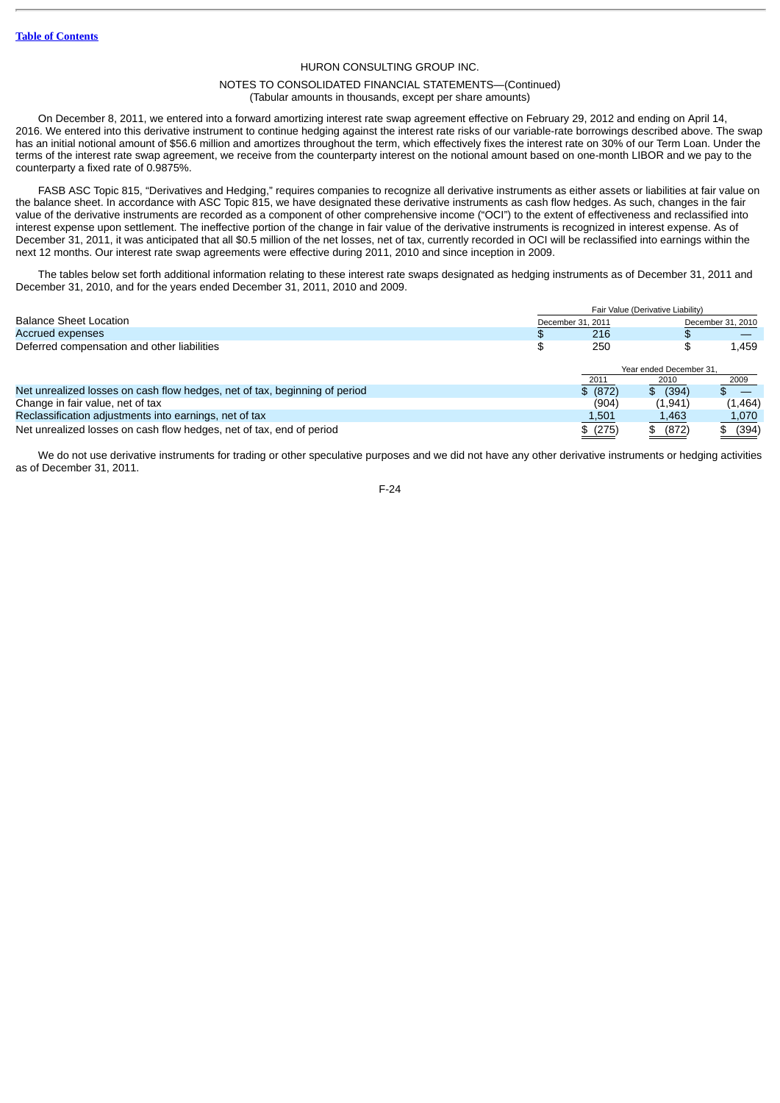#### NOTES TO CONSOLIDATED FINANCIAL STATEMENTS—(Continued) (Tabular amounts in thousands, except per share amounts)

On December 8, 2011, we entered into a forward amortizing interest rate swap agreement effective on February 29, 2012 and ending on April 14, 2016. We entered into this derivative instrument to continue hedging against the interest rate risks of our variable-rate borrowings described above. The swap has an initial notional amount of \$56.6 million and amortizes throughout the term, which effectively fixes the interest rate on 30% of our Term Loan. Under the terms of the interest rate swap agreement, we receive from the counterparty interest on the notional amount based on one-month LIBOR and we pay to the counterparty a fixed rate of 0.9875%.

FASB ASC Topic 815, "Derivatives and Hedging," requires companies to recognize all derivative instruments as either assets or liabilities at fair value on the balance sheet. In accordance with ASC Topic 815, we have designated these derivative instruments as cash flow hedges. As such, changes in the fair value of the derivative instruments are recorded as a component of other comprehensive income ("OCI") to the extent of effectiveness and reclassified into interest expense upon settlement. The ineffective portion of the change in fair value of the derivative instruments is recognized in interest expense. As of December 31, 2011, it was anticipated that all \$0.5 million of the net losses, net of tax, currently recorded in OCI will be reclassified into earnings within the next 12 months. Our interest rate swap agreements were effective during 2011, 2010 and since inception in 2009.

The tables below set forth additional information relating to these interest rate swaps designated as hedging instruments as of December 31, 2011 and December 31, 2010, and for the years ended December 31, 2011, 2010 and 2009.

|                                                                            | Fair Value (Derivative Liability) |                                 |                   |  |
|----------------------------------------------------------------------------|-----------------------------------|---------------------------------|-------------------|--|
| <b>Balance Sheet Location</b>                                              | December 31, 2011                 |                                 | December 31, 2010 |  |
| Accrued expenses                                                           | 216                               |                                 |                   |  |
| Deferred compensation and other liabilities                                | \$<br>250                         |                                 | 1,459             |  |
|                                                                            | 2011                              | Year ended December 31.<br>2010 | 2009              |  |
| Net unrealized losses on cash flow hedges, net of tax, beginning of period | \$ (872)                          | (394)                           |                   |  |
| Change in fair value, net of tax                                           | (904)                             | (1,941)                         | (1,464)           |  |
| Reclassification adjustments into earnings, net of tax                     | 1,501                             | 1,463                           | 1,070             |  |
| Net unrealized losses on cash flow hedges, net of tax, end of period       | \$ (275)                          | (872)<br>\$                     | (394)<br>\$       |  |

We do not use derivative instruments for trading or other speculative purposes and we did not have any other derivative instruments or hedging activities as of December 31, 2011.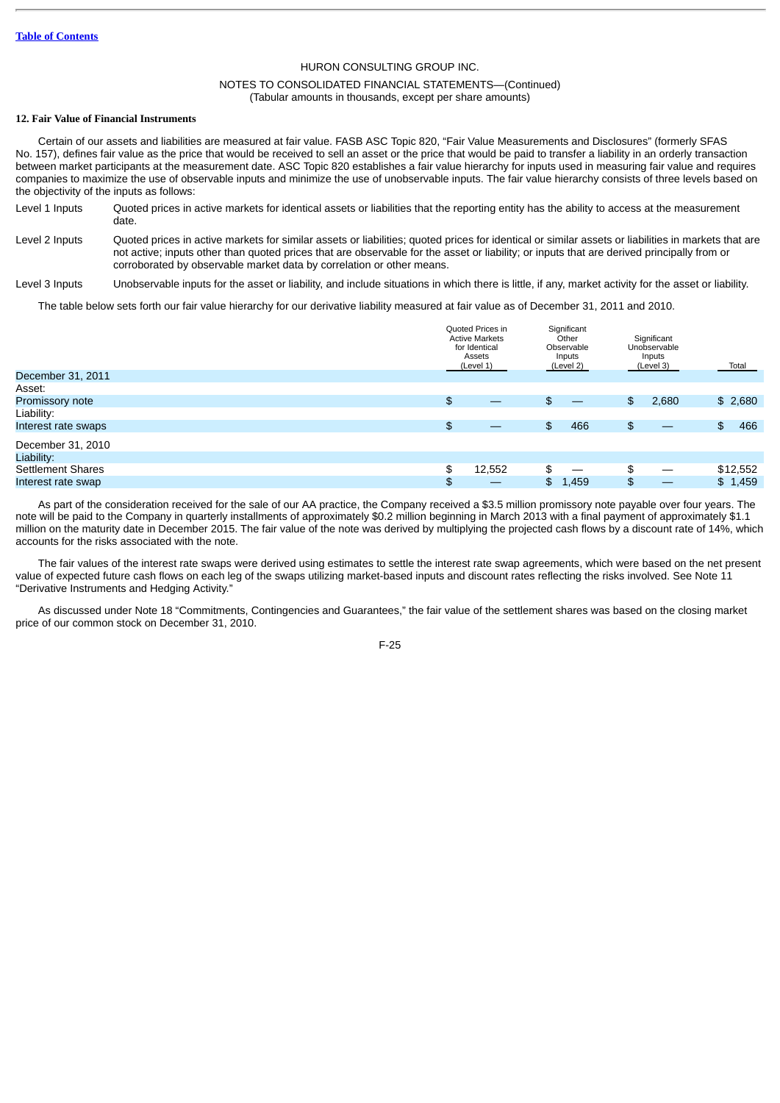#### NOTES TO CONSOLIDATED FINANCIAL STATEMENTS—(Continued) (Tabular amounts in thousands, except per share amounts)

#### **12. Fair Value of Financial Instruments**

Certain of our assets and liabilities are measured at fair value. FASB ASC Topic 820, "Fair Value Measurements and Disclosures" (formerly SFAS No. 157), defines fair value as the price that would be received to sell an asset or the price that would be paid to transfer a liability in an orderly transaction between market participants at the measurement date. ASC Topic 820 establishes a fair value hierarchy for inputs used in measuring fair value and requires companies to maximize the use of observable inputs and minimize the use of unobservable inputs. The fair value hierarchy consists of three levels based on the objectivity of the inputs as follows:

Level 1 Inputs Quoted prices in active markets for identical assets or liabilities that the reporting entity has the ability to access at the measurement date.

Level 2 Inputs Quoted prices in active markets for similar assets or liabilities; quoted prices for identical or similar assets or liabilities in markets that are not active; inputs other than quoted prices that are observable for the asset or liability; or inputs that are derived principally from or corroborated by observable market data by correlation or other means.

Level 3 Inputs Unobservable inputs for the asset or liability, and include situations in which there is little, if any, market activity for the asset or liability.

The table below sets forth our fair value hierarchy for our derivative liability measured at fair value as of December 31, 2011 and 2010.

|                     | Quoted Prices in<br><b>Active Markets</b><br>for Identical<br>Assets<br>(Level 1) | Significant<br>Other<br>Observable<br>Inputs<br>(Level 2) | Significant<br>Unobservable<br>Inputs<br>(Level 3) | <b>Total</b>         |
|---------------------|-----------------------------------------------------------------------------------|-----------------------------------------------------------|----------------------------------------------------|----------------------|
| December 31, 2011   |                                                                                   |                                                           |                                                    |                      |
| Asset:              |                                                                                   |                                                           |                                                    |                      |
| Promissory note     | \$                                                                                | \$<br>$\hspace{0.1mm}-\hspace{0.1mm}$                     | $\frac{1}{2}$<br>2,680                             | \$2,680              |
| Liability:          |                                                                                   |                                                           |                                                    |                      |
| Interest rate swaps | \$                                                                                | 466<br>\$                                                 | $\frac{1}{2}$<br>—                                 | $\frac{2}{3}$<br>466 |
| December 31, 2010   |                                                                                   |                                                           |                                                    |                      |
| Liability:          |                                                                                   |                                                           |                                                    |                      |
| Settlement Shares   | \$<br>12,552                                                                      | \$                                                        | \$                                                 | \$12,552             |
| Interest rate swap  | \$                                                                                | 1,459<br>\$                                               | \$                                                 | \$1,459              |
|                     |                                                                                   |                                                           |                                                    |                      |

As part of the consideration received for the sale of our AA practice, the Company received a \$3.5 million promissory note payable over four years. The note will be paid to the Company in quarterly installments of approximately \$0.2 million beginning in March 2013 with a final payment of approximately \$1.1 million on the maturity date in December 2015. The fair value of the note was derived by multiplying the projected cash flows by a discount rate of 14%, which accounts for the risks associated with the note.

The fair values of the interest rate swaps were derived using estimates to settle the interest rate swap agreements, which were based on the net present value of expected future cash flows on each leg of the swaps utilizing market-based inputs and discount rates reflecting the risks involved. See Note 11 "Derivative Instruments and Hedging Activity."

As discussed under Note 18 "Commitments, Contingencies and Guarantees," the fair value of the settlement shares was based on the closing market price of our common stock on December 31, 2010.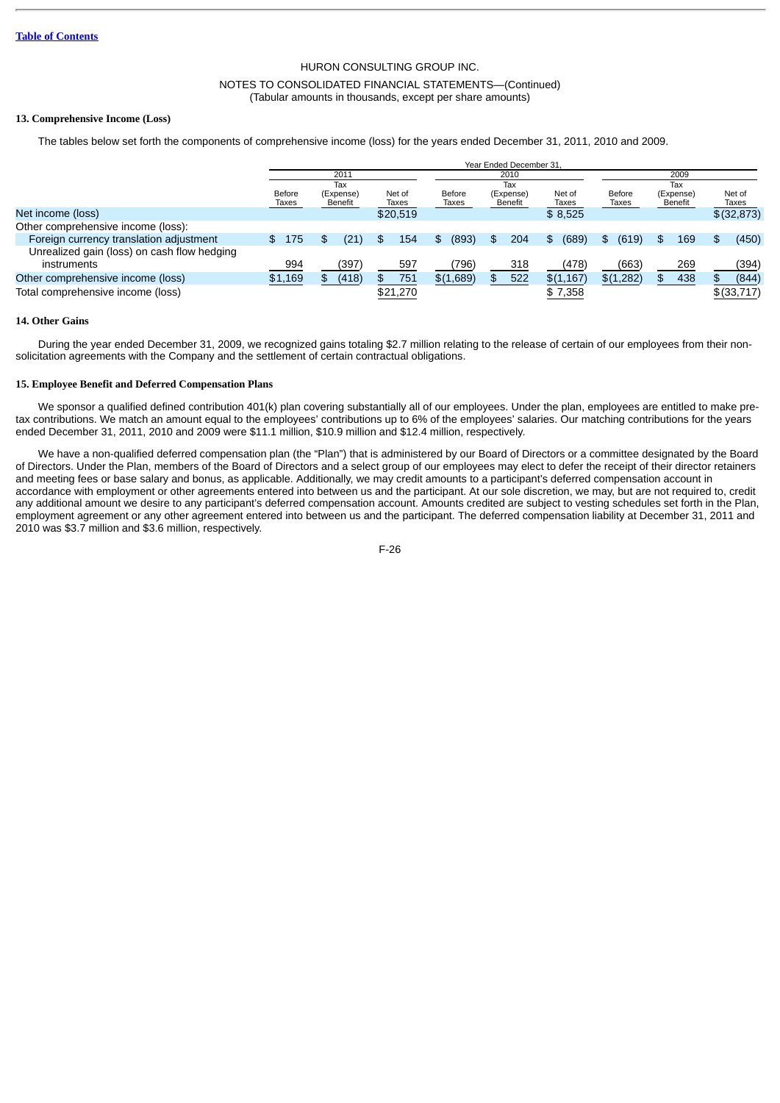#### NOTES TO CONSOLIDATED FINANCIAL STATEMENTS—(Continued) (Tabular amounts in thousands, except per share amounts)

## **13. Comprehensive Income (Loss)**

The tables below set forth the components of comprehensive income (loss) for the years ended December 31, 2011, 2010 and 2009.

|                                                                        |                 |                      |                 |                 | Year Ended December 31 |                      |                 |                       |                            |
|------------------------------------------------------------------------|-----------------|----------------------|-----------------|-----------------|------------------------|----------------------|-----------------|-----------------------|----------------------------|
|                                                                        |                 | 2011                 |                 |                 | 2010                   |                      |                 | 2009                  |                            |
|                                                                        |                 | Tax                  |                 |                 | Tax                    |                      |                 | Tax                   |                            |
|                                                                        | Before<br>Taxes | (Expense)<br>Benefit | Net of<br>Taxes | Before<br>Taxes | (Expense)<br>Benefit   | Net of<br>Taxes      | Before<br>Taxes | (Expense)<br>Benefit  | Net of<br>Taxes            |
| Net income (loss)                                                      |                 |                      | \$20,519        |                 |                        | \$8,525              |                 |                       | \$ (32, 873)               |
| Other comprehensive income (loss):                                     |                 |                      |                 |                 |                        |                      |                 |                       |                            |
| Foreign currency translation adjustment                                | 175<br>SS.      | (21)                 | 154<br>\$       | (893)<br>\$     | 204<br>\$              | (689)<br>\$          | (619)<br>\$.    | 169<br>$\mathfrak{L}$ | (450)<br>\$.               |
| Unrealized gain (loss) on cash flow hedging<br>instruments             | 994             | (397)                | 597             | (796)           | 318                    | (478)                | (663)           | 269                   | (394)                      |
| Other comprehensive income (loss)<br>Total comprehensive income (loss) | \$1,169         | (418)<br>\$          | 751<br>\$21,270 | \$(1,689)       | 522                    | \$(1,167)<br>\$7,358 | \$(1,282)       | 438<br>£.             | (844)<br>\$.<br>\$(33,717) |

#### **14. Other Gains**

During the year ended December 31, 2009, we recognized gains totaling \$2.7 million relating to the release of certain of our employees from their nonsolicitation agreements with the Company and the settlement of certain contractual obligations.

#### **15. Employee Benefit and Deferred Compensation Plans**

We sponsor a qualified defined contribution 401(k) plan covering substantially all of our employees. Under the plan, employees are entitled to make pretax contributions. We match an amount equal to the employees' contributions up to 6% of the employees' salaries. Our matching contributions for the years ended December 31, 2011, 2010 and 2009 were \$11.1 million, \$10.9 million and \$12.4 million, respectively.

We have a non-qualified deferred compensation plan (the "Plan") that is administered by our Board of Directors or a committee designated by the Board of Directors. Under the Plan, members of the Board of Directors and a select group of our employees may elect to defer the receipt of their director retainers and meeting fees or base salary and bonus, as applicable. Additionally, we may credit amounts to a participant's deferred compensation account in accordance with employment or other agreements entered into between us and the participant. At our sole discretion, we may, but are not required to, credit any additional amount we desire to any participant's deferred compensation account. Amounts credited are subject to vesting schedules set forth in the Plan, employment agreement or any other agreement entered into between us and the participant. The deferred compensation liability at December 31, 2011 and 2010 was \$3.7 million and \$3.6 million, respectively.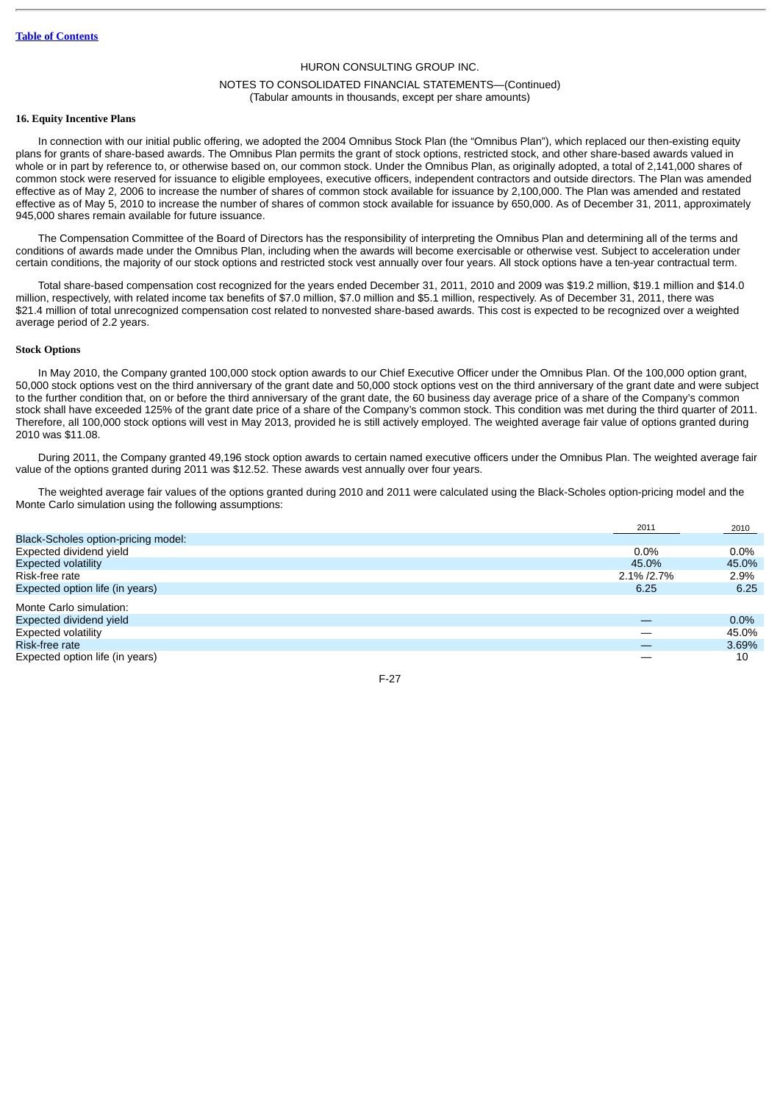#### NOTES TO CONSOLIDATED FINANCIAL STATEMENTS—(Continued) (Tabular amounts in thousands, except per share amounts)

#### **16. Equity Incentive Plans**

In connection with our initial public offering, we adopted the 2004 Omnibus Stock Plan (the "Omnibus Plan"), which replaced our then-existing equity plans for grants of share-based awards. The Omnibus Plan permits the grant of stock options, restricted stock, and other share-based awards valued in whole or in part by reference to, or otherwise based on, our common stock. Under the Omnibus Plan, as originally adopted, a total of 2,141,000 shares of common stock were reserved for issuance to eligible employees, executive officers, independent contractors and outside directors. The Plan was amended effective as of May 2, 2006 to increase the number of shares of common stock available for issuance by 2,100,000. The Plan was amended and restated effective as of May 5, 2010 to increase the number of shares of common stock available for issuance by 650,000. As of December 31, 2011, approximately 945,000 shares remain available for future issuance.

The Compensation Committee of the Board of Directors has the responsibility of interpreting the Omnibus Plan and determining all of the terms and conditions of awards made under the Omnibus Plan, including when the awards will become exercisable or otherwise vest. Subject to acceleration under certain conditions, the majority of our stock options and restricted stock vest annually over four years. All stock options have a ten-year contractual term.

Total share-based compensation cost recognized for the years ended December 31, 2011, 2010 and 2009 was \$19.2 million, \$19.1 million and \$14.0 million, respectively, with related income tax benefits of \$7.0 million, \$7.0 million and \$5.1 million, respectively. As of December 31, 2011, there was \$21.4 million of total unrecognized compensation cost related to nonvested share-based awards. This cost is expected to be recognized over a weighted average period of 2.2 years.

#### **Stock Options**

In May 2010, the Company granted 100,000 stock option awards to our Chief Executive Officer under the Omnibus Plan. Of the 100,000 option grant, 50,000 stock options vest on the third anniversary of the grant date and 50,000 stock options vest on the third anniversary of the grant date and were subject to the further condition that, on or before the third anniversary of the grant date, the 60 business day average price of a share of the Company's common stock shall have exceeded 125% of the grant date price of a share of the Company's common stock. This condition was met during the third quarter of 2011. Therefore, all 100,000 stock options will vest in May 2013, provided he is still actively employed. The weighted average fair value of options granted during 2010 was \$11.08.

During 2011, the Company granted 49,196 stock option awards to certain named executive officers under the Omnibus Plan. The weighted average fair value of the options granted during 2011 was \$12.52. These awards vest annually over four years.

The weighted average fair values of the options granted during 2010 and 2011 were calculated using the Black-Scholes option-pricing model and the Monte Carlo simulation using the following assumptions:

|                                     | 2011        | 2010    |
|-------------------------------------|-------------|---------|
| Black-Scholes option-pricing model: |             |         |
| Expected dividend yield             | $0.0\%$     | $0.0\%$ |
| <b>Expected volatility</b>          | 45.0%       | 45.0%   |
| Risk-free rate                      | 2.1% / 2.7% | 2.9%    |
| Expected option life (in years)     | 6.25        | 6.25    |
| Monte Carlo simulation:             |             |         |
| Expected dividend yield             |             | $0.0\%$ |
| <b>Expected volatility</b>          |             | 45.0%   |
| Risk-free rate                      |             | 3.69%   |
| Expected option life (in years)     |             | 10      |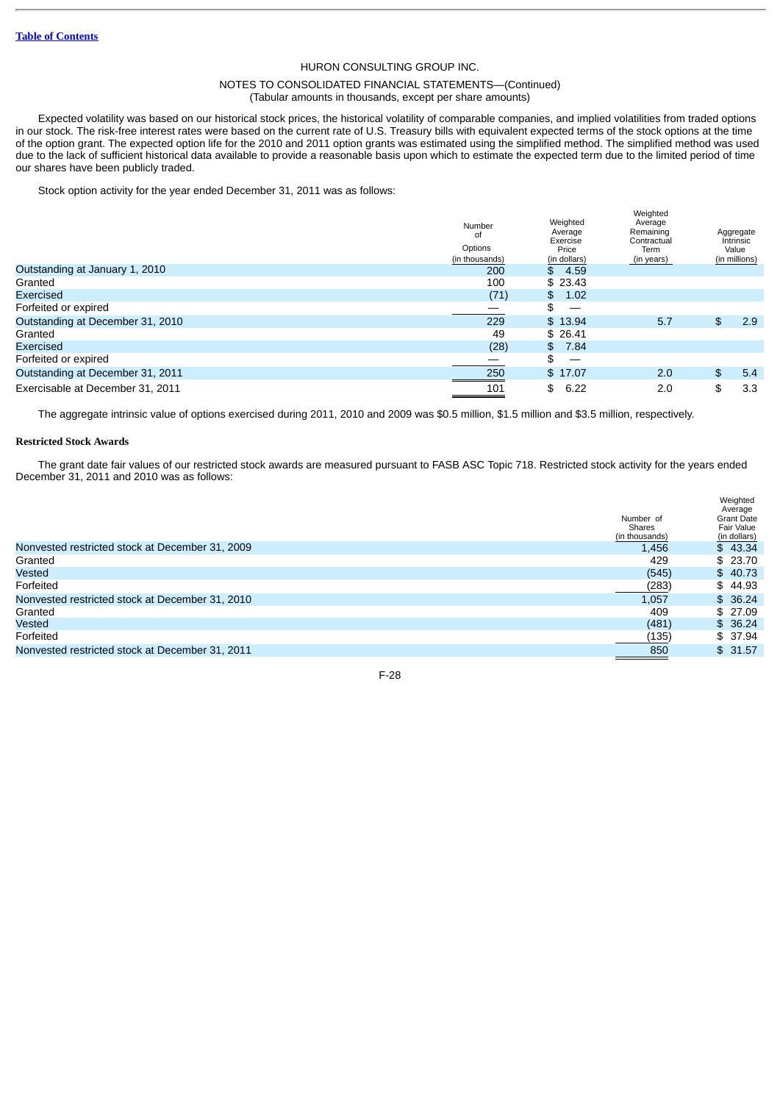#### NOTES TO CONSOLIDATED FINANCIAL STATEMENTS—(Continued) (Tabular amounts in thousands, except per share amounts)

Expected volatility was based on our historical stock prices, the historical volatility of comparable companies, and implied volatilities from traded options in our stock. The risk-free interest rates were based on the current rate of U.S. Treasury bills with equivalent expected terms of the stock options at the time of the option grant. The expected option life for the 2010 and 2011 option grants was estimated using the simplified method. The simplified method was used due to the lack of sufficient historical data available to provide a reasonable basis upon which to estimate the expected term due to the limited period of time our shares have been publicly traded.

Stock option activity for the year ended December 31, 2011 was as follows:

|                                  | Number<br>0f<br>Options<br>(in thousands) | Weighted<br>Average<br>Exercise<br>Price<br>(in dollars) | Weighted<br>Average<br>Remaining<br>Contractual<br>Term<br>(in years) | Aggregate<br>Intrinsic<br>Value<br>(in millions) |     |
|----------------------------------|-------------------------------------------|----------------------------------------------------------|-----------------------------------------------------------------------|--------------------------------------------------|-----|
| Outstanding at January 1, 2010   | 200                                       | 4.59<br>\$                                               |                                                                       |                                                  |     |
| Granted                          | 100                                       | \$23.43                                                  |                                                                       |                                                  |     |
| Exercised                        | (71)                                      | 1.02<br>\$                                               |                                                                       |                                                  |     |
| Forfeited or expired             |                                           | \$<br>$\overbrace{\phantom{12322111}}$                   |                                                                       |                                                  |     |
| Outstanding at December 31, 2010 | 229                                       | \$13.94                                                  | 5.7                                                                   | \$                                               | 2.9 |
| Granted                          | 49                                        | \$26.41                                                  |                                                                       |                                                  |     |
| Exercised                        | (28)                                      | 7.84<br>\$                                               |                                                                       |                                                  |     |
| Forfeited or expired             |                                           | \$.                                                      |                                                                       |                                                  |     |
| Outstanding at December 31, 2011 | 250                                       | \$17.07                                                  | 2.0                                                                   | \$                                               | 5.4 |
| Exercisable at December 31, 2011 | 101                                       | 6.22<br>\$                                               | 2.0                                                                   | \$                                               | 3.3 |

The aggregate intrinsic value of options exercised during 2011, 2010 and 2009 was \$0.5 million, \$1.5 million and \$3.5 million, respectively.

# **Restricted Stock Awards**

The grant date fair values of our restricted stock awards are measured pursuant to FASB ASC Topic 718. Restricted stock activity for the years ended December 31, 2011 and 2010 was as follows:

|                                                 | Number of<br>Shares<br>(in thousands) | Weighted<br>Average<br><b>Grant Date</b><br>Fair Value<br>(in dollars) |
|-------------------------------------------------|---------------------------------------|------------------------------------------------------------------------|
| Nonvested restricted stock at December 31, 2009 | 1,456                                 | \$43.34                                                                |
| Granted                                         | 429                                   | \$23.70                                                                |
| Vested                                          | (545)                                 | \$40.73                                                                |
| Forfeited                                       | (283)                                 | \$44.93                                                                |
| Nonvested restricted stock at December 31, 2010 | 1,057                                 | \$36.24                                                                |
| Granted                                         | 409                                   | \$27.09                                                                |
| Vested                                          | (481)                                 | \$36.24                                                                |
| Forfeited                                       | (135)                                 | \$37.94                                                                |
| Nonvested restricted stock at December 31, 2011 | 850                                   | \$31.57                                                                |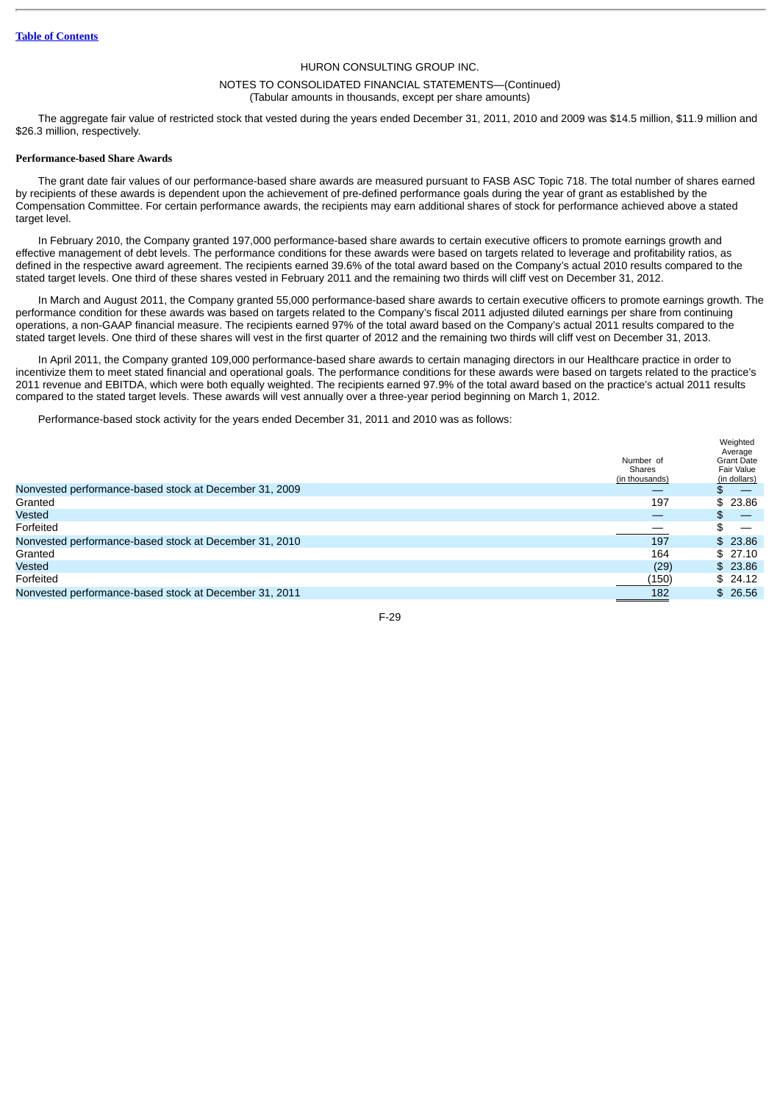#### NOTES TO CONSOLIDATED FINANCIAL STATEMENTS—(Continued) (Tabular amounts in thousands, except per share amounts)

The aggregate fair value of restricted stock that vested during the years ended December 31, 2011, 2010 and 2009 was \$14.5 million, \$11.9 million and \$26.3 million, respectively.

#### **Performance-based Share Awards**

The grant date fair values of our performance-based share awards are measured pursuant to FASB ASC Topic 718. The total number of shares earned by recipients of these awards is dependent upon the achievement of pre-defined performance goals during the year of grant as established by the Compensation Committee. For certain performance awards, the recipients may earn additional shares of stock for performance achieved above a stated target level.

In February 2010, the Company granted 197,000 performance-based share awards to certain executive officers to promote earnings growth and effective management of debt levels. The performance conditions for these awards were based on targets related to leverage and profitability ratios, as defined in the respective award agreement. The recipients earned 39.6% of the total award based on the Company's actual 2010 results compared to the stated target levels. One third of these shares vested in February 2011 and the remaining two thirds will cliff vest on December 31, 2012.

In March and August 2011, the Company granted 55,000 performance-based share awards to certain executive officers to promote earnings growth. The performance condition for these awards was based on targets related to the Company's fiscal 2011 adjusted diluted earnings per share from continuing operations, a non-GAAP financial measure. The recipients earned 97% of the total award based on the Company's actual 2011 results compared to the stated target levels. One third of these shares will vest in the first quarter of 2012 and the remaining two thirds will cliff vest on December 31, 2013.

In April 2011, the Company granted 109,000 performance-based share awards to certain managing directors in our Healthcare practice in order to incentivize them to meet stated financial and operational goals. The performance conditions for these awards were based on targets related to the practice's 2011 revenue and EBITDA, which were both equally weighted. The recipients earned 97.9% of the total award based on the practice's actual 2011 results compared to the stated target levels. These awards will vest annually over a three-year period beginning on March 1, 2012.

Performance-based stock activity for the years ended December 31, 2011 and 2010 was as follows:

|                                                        | Number of<br>Shares<br>(in thousands) | Weighted<br>Average<br><b>Grant Date</b><br>Fair Value<br>(in dollars) |
|--------------------------------------------------------|---------------------------------------|------------------------------------------------------------------------|
| Nonvested performance-based stock at December 31, 2009 |                                       |                                                                        |
| Granted                                                | 197                                   | \$23.86                                                                |
| Vested                                                 |                                       | \$.                                                                    |
| Forfeited                                              |                                       |                                                                        |
| Nonvested performance-based stock at December 31, 2010 | 197                                   | \$23.86                                                                |
| Granted                                                | 164                                   | \$27.10                                                                |
| Vested                                                 | (29)                                  | \$23.86                                                                |
| Forfeited                                              | (150)                                 | \$24.12                                                                |
| Nonvested performance-based stock at December 31, 2011 | 182                                   | \$26.56                                                                |
|                                                        |                                       |                                                                        |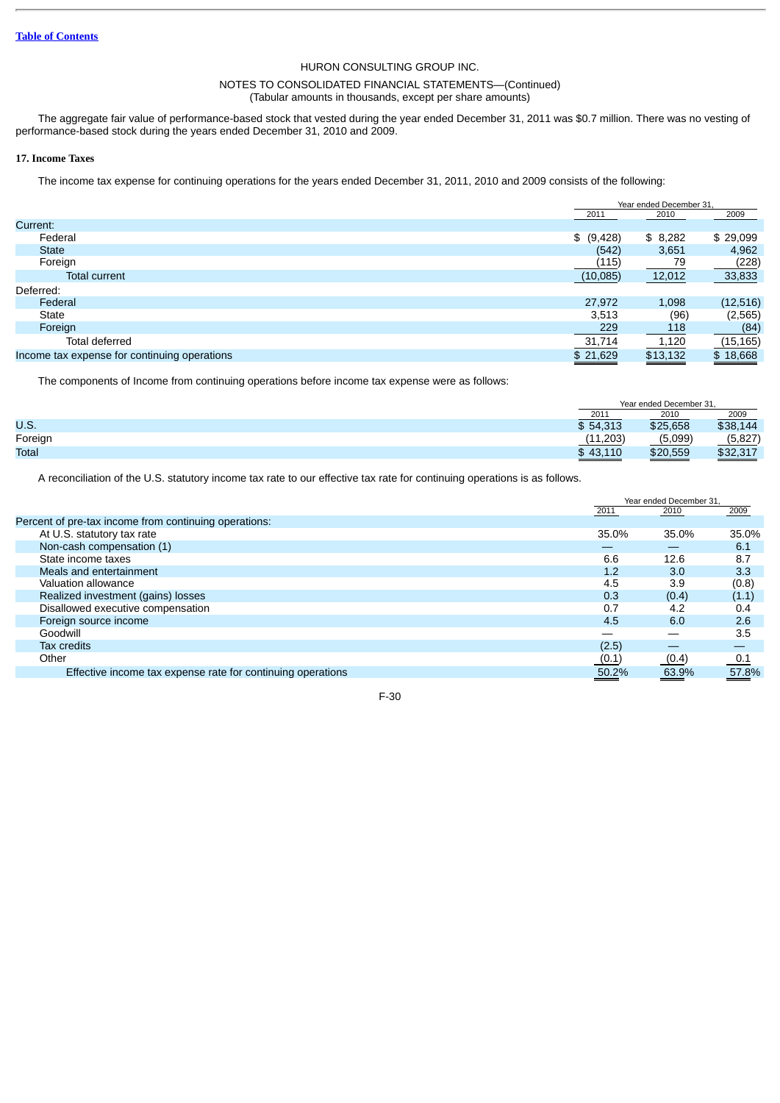#### NOTES TO CONSOLIDATED FINANCIAL STATEMENTS—(Continued) (Tabular amounts in thousands, except per share amounts)

The aggregate fair value of performance-based stock that vested during the year ended December 31, 2011 was \$0.7 million. There was no vesting of performance-based stock during the years ended December 31, 2010 and 2009.

#### **17. Income Taxes**

The income tax expense for continuing operations for the years ended December 31, 2011, 2010 and 2009 consists of the following:

|                                              |            | Year ended December 31. |           |  |  |
|----------------------------------------------|------------|-------------------------|-----------|--|--|
|                                              | 2011       | 2010                    | 2009      |  |  |
| Current:                                     |            |                         |           |  |  |
| Federal                                      | \$ (9,428) | \$8,282                 | \$29,099  |  |  |
| <b>State</b>                                 | (542)      | 3,651                   | 4,962     |  |  |
| Foreign                                      | (115)      | 79                      | (228)     |  |  |
| <b>Total current</b>                         | (10,085)   | 12,012                  | 33,833    |  |  |
| Deferred:                                    |            |                         |           |  |  |
| Federal                                      | 27,972     | 1,098                   | (12, 516) |  |  |
| <b>State</b>                                 | 3,513      | (96)                    | (2,565)   |  |  |
| Foreign                                      | 229        | 118                     | (84)      |  |  |
| <b>Total deferred</b>                        | 31,714     | 1,120                   | (15, 165) |  |  |
| Income tax expense for continuing operations | \$21,629   | \$13,132                | \$18,668  |  |  |

The components of Income from continuing operations before income tax expense were as follows:

|              |                    | Year ended December 31. |                     |  |
|--------------|--------------------|-------------------------|---------------------|--|
|              | 2011               | 2010                    | 2009                |  |
| <b>U.S.</b>  | \$54.313           | \$25,658                | \$38,144            |  |
| Foreign      | (11)<br>(11, 203)  | (5,099)                 | (5, 827)            |  |
| <b>Total</b> | \$43,110<br>______ | \$20,559                | \$32,317<br>_______ |  |

A reconciliation of the U.S. statutory income tax rate to our effective tax rate for continuing operations is as follows.

|                                                             | Year ended December 31, |       |       |
|-------------------------------------------------------------|-------------------------|-------|-------|
|                                                             | 2011                    | 2010  | 2009  |
| Percent of pre-tax income from continuing operations:       |                         |       |       |
| At U.S. statutory tax rate                                  | 35.0%                   | 35.0% | 35.0% |
| Non-cash compensation (1)                                   |                         |       | 6.1   |
| State income taxes                                          | 6.6                     | 12.6  | 8.7   |
| Meals and entertainment                                     | 1.2                     | 3.0   | 3.3   |
| Valuation allowance                                         | 4.5                     | 3.9   | (0.8) |
| Realized investment (gains) losses                          | 0.3                     | (0.4) | (1.1) |
| Disallowed executive compensation                           | 0.7                     | 4.2   | 0.4   |
| Foreign source income                                       | 4.5                     | 6.0   | 2.6   |
| Goodwill                                                    |                         |       | 3.5   |
| Tax credits                                                 | (2.5)                   |       |       |
| Other                                                       | (0.1)                   | (0.4) | 0.1   |
| Effective income tax expense rate for continuing operations | 50.2%                   | 63.9% | 57.8% |
|                                                             |                         |       |       |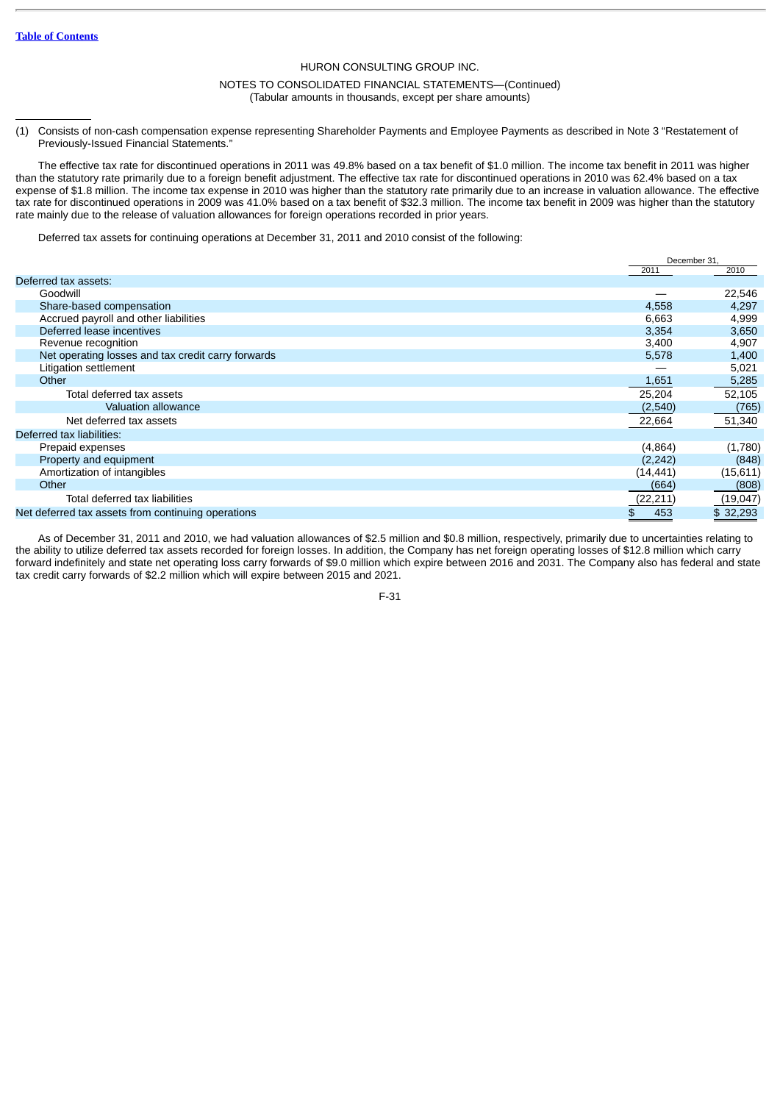#### NOTES TO CONSOLIDATED FINANCIAL STATEMENTS—(Continued) (Tabular amounts in thousands, except per share amounts)

(1) Consists of non-cash compensation expense representing Shareholder Payments and Employee Payments as described in Note 3 "Restatement of Previously-Issued Financial Statements."

The effective tax rate for discontinued operations in 2011 was 49.8% based on a tax benefit of \$1.0 million. The income tax benefit in 2011 was higher than the statutory rate primarily due to a foreign benefit adjustment. The effective tax rate for discontinued operations in 2010 was 62.4% based on a tax expense of \$1.8 million. The income tax expense in 2010 was higher than the statutory rate primarily due to an increase in valuation allowance. The effective tax rate for discontinued operations in 2009 was 41.0% based on a tax benefit of \$32.3 million. The income tax benefit in 2009 was higher than the statutory rate mainly due to the release of valuation allowances for foreign operations recorded in prior years.

Deferred tax assets for continuing operations at December 31, 2011 and 2010 consist of the following:

|                                                    |           | December 31 |
|----------------------------------------------------|-----------|-------------|
|                                                    | 2011      | 2010        |
| Deferred tax assets:                               |           |             |
| Goodwill                                           |           | 22,546      |
| Share-based compensation                           | 4,558     | 4,297       |
| Accrued payroll and other liabilities              | 6,663     | 4,999       |
| Deferred lease incentives                          | 3,354     | 3,650       |
| Revenue recognition                                | 3,400     | 4,907       |
| Net operating losses and tax credit carry forwards | 5,578     | 1,400       |
| <b>Litigation settlement</b>                       |           | 5,021       |
| Other                                              | 1,651     | 5,285       |
| Total deferred tax assets                          | 25,204    | 52,105      |
| Valuation allowance                                | (2,540)   | (765)       |
| Net deferred tax assets                            | 22,664    | 51,340      |
| Deferred tax liabilities:                          |           |             |
| Prepaid expenses                                   | (4,864)   | (1,780)     |
| Property and equipment                             | (2, 242)  | (848)       |
| Amortization of intangibles                        | (14, 441) | (15, 611)   |
| Other                                              | (664)     | (808)       |
| Total deferred tax liabilities                     | (22, 211) | (19, 047)   |
| Net deferred tax assets from continuing operations | 453<br>\$ | \$32,293    |

As of December 31, 2011 and 2010, we had valuation allowances of \$2.5 million and \$0.8 million, respectively, primarily due to uncertainties relating to the ability to utilize deferred tax assets recorded for foreign losses. In addition, the Company has net foreign operating losses of \$12.8 million which carry forward indefinitely and state net operating loss carry forwards of \$9.0 million which expire between 2016 and 2031. The Company also has federal and state tax credit carry forwards of \$2.2 million which will expire between 2015 and 2021.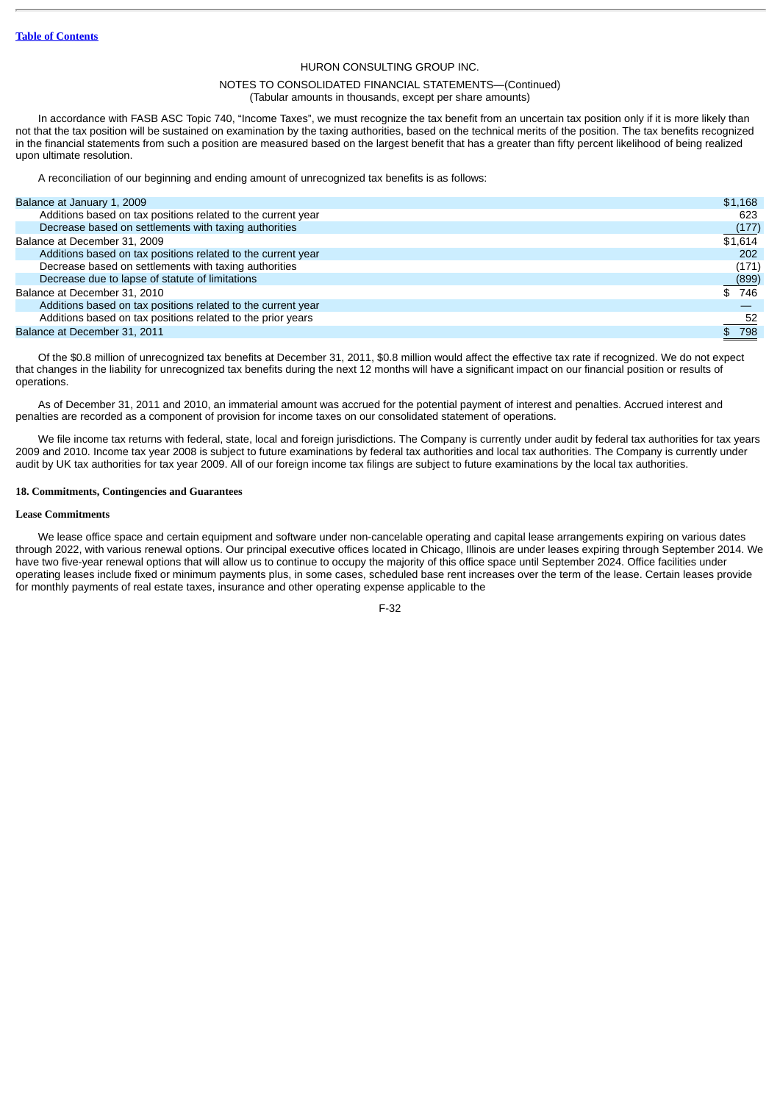#### NOTES TO CONSOLIDATED FINANCIAL STATEMENTS—(Continued) (Tabular amounts in thousands, except per share amounts)

In accordance with FASB ASC Topic 740, "Income Taxes", we must recognize the tax benefit from an uncertain tax position only if it is more likely than not that the tax position will be sustained on examination by the taxing authorities, based on the technical merits of the position. The tax benefits recognized in the financial statements from such a position are measured based on the largest benefit that has a greater than fifty percent likelihood of being realized upon ultimate resolution.

A reconciliation of our beginning and ending amount of unrecognized tax benefits is as follows:

| Balance at January 1, 2009                                   | \$1,168           |
|--------------------------------------------------------------|-------------------|
| Additions based on tax positions related to the current year | 623               |
| Decrease based on settlements with taxing authorities        | (177)             |
| Balance at December 31, 2009                                 | \$1,614           |
| Additions based on tax positions related to the current year | 202               |
| Decrease based on settlements with taxing authorities        | (171)             |
| Decrease due to lapse of statute of limitations              | (899)             |
| Balance at December 31, 2010                                 | \$ 746            |
| Additions based on tax positions related to the current year |                   |
| Additions based on tax positions related to the prior years  | $-52$             |
| Balance at December 31, 2011                                 | $\frac{1}{2}$ 798 |

Of the \$0.8 million of unrecognized tax benefits at December 31, 2011, \$0.8 million would affect the effective tax rate if recognized. We do not expect that changes in the liability for unrecognized tax benefits during the next 12 months will have a significant impact on our financial position or results of operations.

As of December 31, 2011 and 2010, an immaterial amount was accrued for the potential payment of interest and penalties. Accrued interest and penalties are recorded as a component of provision for income taxes on our consolidated statement of operations.

We file income tax returns with federal, state, local and foreign jurisdictions. The Company is currently under audit by federal tax authorities for tax vears 2009 and 2010. Income tax year 2008 is subject to future examinations by federal tax authorities and local tax authorities. The Company is currently under audit by UK tax authorities for tax year 2009. All of our foreign income tax filings are subject to future examinations by the local tax authorities.

#### **18. Commitments, Contingencies and Guarantees**

#### **Lease Commitments**

We lease office space and certain equipment and software under non-cancelable operating and capital lease arrangements expiring on various dates through 2022, with various renewal options. Our principal executive offices located in Chicago, Illinois are under leases expiring through September 2014. We have two five-year renewal options that will allow us to continue to occupy the majority of this office space until September 2024. Office facilities under operating leases include fixed or minimum payments plus, in some cases, scheduled base rent increases over the term of the lease. Certain leases provide for monthly payments of real estate taxes, insurance and other operating expense applicable to the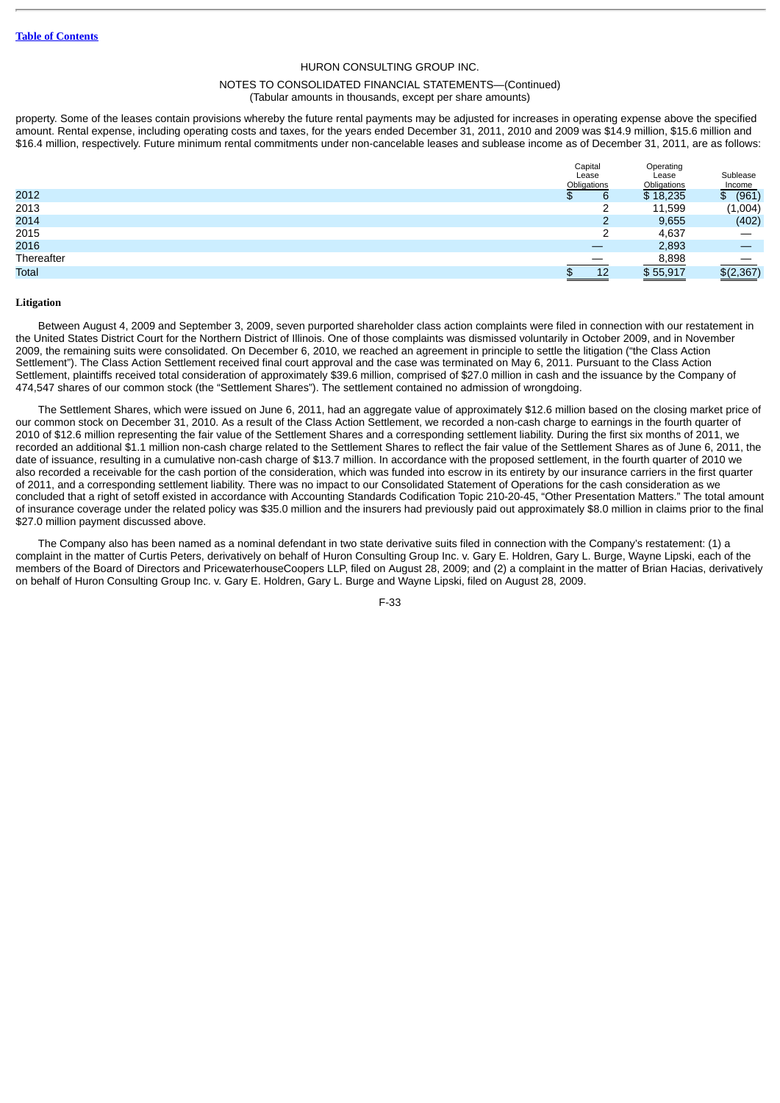#### NOTES TO CONSOLIDATED FINANCIAL STATEMENTS—(Continued) (Tabular amounts in thousands, except per share amounts)

property. Some of the leases contain provisions whereby the future rental payments may be adjusted for increases in operating expense above the specified amount. Rental expense, including operating costs and taxes, for the years ended December 31, 2011, 2010 and 2009 was \$14.9 million, \$15.6 million and \$16.4 million, respectively. Future minimum rental commitments under non-cancelable leases and sublease income as of December 31, 2011, are as follows:

|              | Capital     | Operating   |             |
|--------------|-------------|-------------|-------------|
|              | Lease       | Lease       | Sublease    |
|              | Obligations | Obligations | Income      |
| 2012         | $\circ$     | \$18,235    | (961)<br>\$ |
| 2013         | ົ           | 11,599      | (1,004)     |
| 2014         |             | 9,655       | (402)       |
| 2015         |             | 4,637       |             |
| 2016         |             | 2,893       |             |
| Thereafter   |             | 8,898       |             |
| <b>Total</b> | 12          | \$55,917    | \$(2,367)   |
|              |             |             |             |

#### **Litigation**

Between August 4, 2009 and September 3, 2009, seven purported shareholder class action complaints were filed in connection with our restatement in the United States District Court for the Northern District of Illinois. One of those complaints was dismissed voluntarily in October 2009, and in November 2009, the remaining suits were consolidated. On December 6, 2010, we reached an agreement in principle to settle the litigation ("the Class Action Settlement"). The Class Action Settlement received final court approval and the case was terminated on May 6, 2011. Pursuant to the Class Action Settlement, plaintiffs received total consideration of approximately \$39.6 million, comprised of \$27.0 million in cash and the issuance by the Company of 474,547 shares of our common stock (the "Settlement Shares"). The settlement contained no admission of wrongdoing.

The Settlement Shares, which were issued on June 6, 2011, had an aggregate value of approximately \$12.6 million based on the closing market price of our common stock on December 31, 2010. As a result of the Class Action Settlement, we recorded a non-cash charge to earnings in the fourth quarter of 2010 of \$12.6 million representing the fair value of the Settlement Shares and a corresponding settlement liability. During the first six months of 2011, we recorded an additional \$1.1 million non-cash charge related to the Settlement Shares to reflect the fair value of the Settlement Shares as of June 6, 2011, the date of issuance, resulting in a cumulative non-cash charge of \$13.7 million. In accordance with the proposed settlement, in the fourth quarter of 2010 we also recorded a receivable for the cash portion of the consideration, which was funded into escrow in its entirety by our insurance carriers in the first quarter of 2011, and a corresponding settlement liability. There was no impact to our Consolidated Statement of Operations for the cash consideration as we concluded that a right of setoff existed in accordance with Accounting Standards Codification Topic 210-20-45, "Other Presentation Matters." The total amount of insurance coverage under the related policy was \$35.0 million and the insurers had previously paid out approximately \$8.0 million in claims prior to the final \$27.0 million payment discussed above.

The Company also has been named as a nominal defendant in two state derivative suits filed in connection with the Company's restatement: (1) a complaint in the matter of Curtis Peters, derivatively on behalf of Huron Consulting Group Inc. v. Gary E. Holdren, Gary L. Burge, Wayne Lipski, each of the members of the Board of Directors and PricewaterhouseCoopers LLP, filed on August 28, 2009; and (2) a complaint in the matter of Brian Hacias, derivatively on behalf of Huron Consulting Group Inc. v. Gary E. Holdren, Gary L. Burge and Wayne Lipski, filed on August 28, 2009.

F-33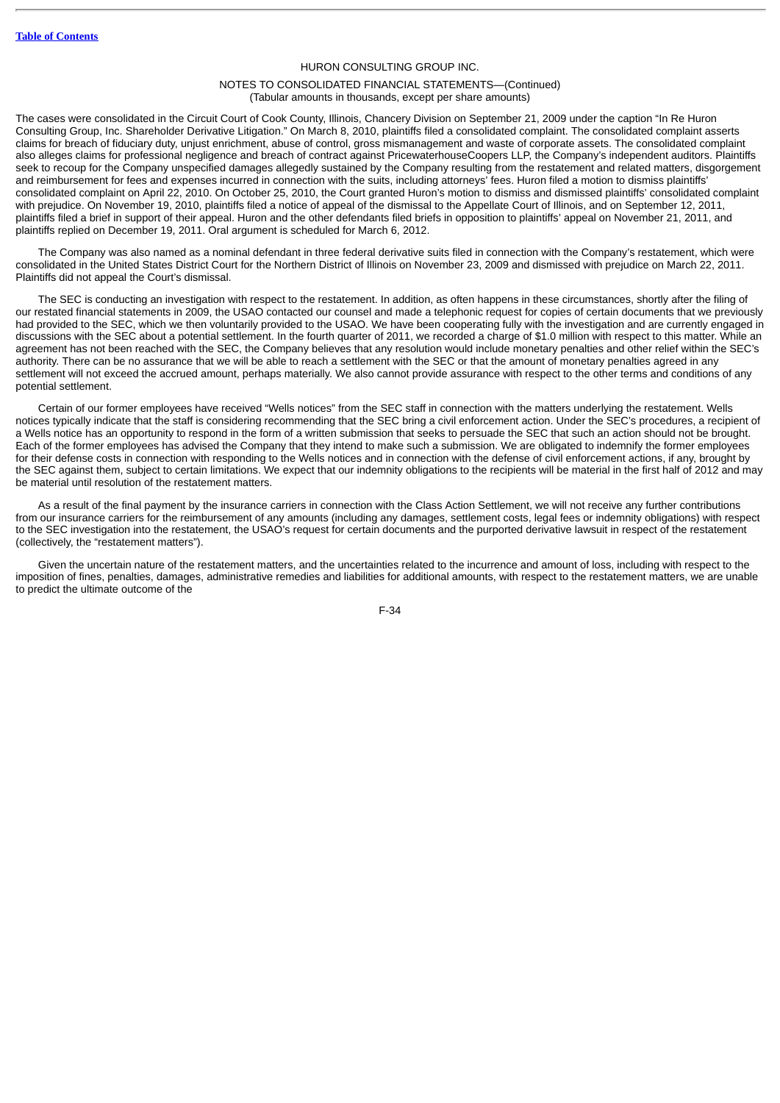#### NOTES TO CONSOLIDATED FINANCIAL STATEMENTS—(Continued) (Tabular amounts in thousands, except per share amounts)

The cases were consolidated in the Circuit Court of Cook County, Illinois, Chancery Division on September 21, 2009 under the caption "In Re Huron Consulting Group, Inc. Shareholder Derivative Litigation." On March 8, 2010, plaintiffs filed a consolidated complaint. The consolidated complaint asserts claims for breach of fiduciary duty, unjust enrichment, abuse of control, gross mismanagement and waste of corporate assets. The consolidated complaint also alleges claims for professional negligence and breach of contract against PricewaterhouseCoopers LLP, the Company's independent auditors. Plaintiffs seek to recoup for the Company unspecified damages allegedly sustained by the Company resulting from the restatement and related matters, disgorgement and reimbursement for fees and expenses incurred in connection with the suits, including attorneys' fees. Huron filed a motion to dismiss plaintiffs' consolidated complaint on April 22, 2010. On October 25, 2010, the Court granted Huron's motion to dismiss and dismissed plaintiffs' consolidated complaint with prejudice. On November 19, 2010, plaintiffs filed a notice of appeal of the dismissal to the Appellate Court of Illinois, and on September 12, 2011, plaintiffs filed a brief in support of their appeal. Huron and the other defendants filed briefs in opposition to plaintiffs' appeal on November 21, 2011, and plaintiffs replied on December 19, 2011. Oral argument is scheduled for March 6, 2012.

The Company was also named as a nominal defendant in three federal derivative suits filed in connection with the Company's restatement, which were consolidated in the United States District Court for the Northern District of Illinois on November 23, 2009 and dismissed with prejudice on March 22, 2011. Plaintiffs did not appeal the Court's dismissal.

The SEC is conducting an investigation with respect to the restatement. In addition, as often happens in these circumstances, shortly after the filing of our restated financial statements in 2009, the USAO contacted our counsel and made a telephonic request for copies of certain documents that we previously had provided to the SEC, which we then voluntarily provided to the USAO. We have been cooperating fully with the investigation and are currently engaged in discussions with the SEC about a potential settlement. In the fourth quarter of 2011, we recorded a charge of \$1.0 million with respect to this matter. While an agreement has not been reached with the SEC, the Company believes that any resolution would include monetary penalties and other relief within the SEC's authority. There can be no assurance that we will be able to reach a settlement with the SEC or that the amount of monetary penalties agreed in any settlement will not exceed the accrued amount, perhaps materially. We also cannot provide assurance with respect to the other terms and conditions of any potential settlement.

Certain of our former employees have received "Wells notices" from the SEC staff in connection with the matters underlying the restatement. Wells notices typically indicate that the staff is considering recommending that the SEC bring a civil enforcement action. Under the SEC's procedures, a recipient of a Wells notice has an opportunity to respond in the form of a written submission that seeks to persuade the SEC that such an action should not be brought. Each of the former employees has advised the Company that they intend to make such a submission. We are obligated to indemnify the former employees for their defense costs in connection with responding to the Wells notices and in connection with the defense of civil enforcement actions, if any, brought by the SEC against them, subject to certain limitations. We expect that our indemnity obligations to the recipients will be material in the first half of 2012 and may be material until resolution of the restatement matters.

As a result of the final payment by the insurance carriers in connection with the Class Action Settlement, we will not receive any further contributions from our insurance carriers for the reimbursement of any amounts (including any damages, settlement costs, legal fees or indemnity obligations) with respect to the SEC investigation into the restatement, the USAO's request for certain documents and the purported derivative lawsuit in respect of the restatement (collectively, the "restatement matters").

Given the uncertain nature of the restatement matters, and the uncertainties related to the incurrence and amount of loss, including with respect to the imposition of fines, penalties, damages, administrative remedies and liabilities for additional amounts, with respect to the restatement matters, we are unable to predict the ultimate outcome of the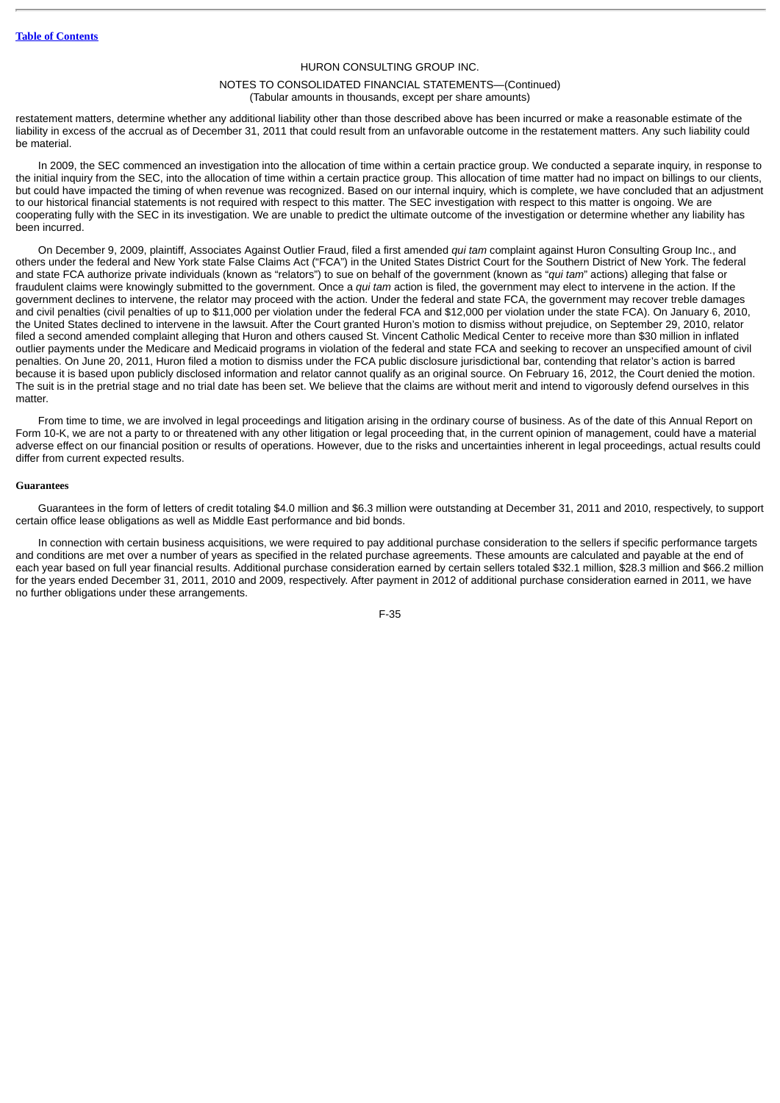#### NOTES TO CONSOLIDATED FINANCIAL STATEMENTS—(Continued) (Tabular amounts in thousands, except per share amounts)

restatement matters, determine whether any additional liability other than those described above has been incurred or make a reasonable estimate of the liability in excess of the accrual as of December 31, 2011 that could result from an unfavorable outcome in the restatement matters. Any such liability could be material.

In 2009, the SEC commenced an investigation into the allocation of time within a certain practice group. We conducted a separate inquiry, in response to the initial inquiry from the SEC, into the allocation of time within a certain practice group. This allocation of time matter had no impact on billings to our clients, but could have impacted the timing of when revenue was recognized. Based on our internal inquiry, which is complete, we have concluded that an adjustment to our historical financial statements is not required with respect to this matter. The SEC investigation with respect to this matter is ongoing. We are cooperating fully with the SEC in its investigation. We are unable to predict the ultimate outcome of the investigation or determine whether any liability has been incurred.

On December 9, 2009, plaintiff, Associates Against Outlier Fraud, filed a first amended *qui tam* complaint against Huron Consulting Group Inc., and others under the federal and New York state False Claims Act ("FCA") in the United States District Court for the Southern District of New York. The federal and state FCA authorize private individuals (known as "relators") to sue on behalf of the government (known as "*qui tam*" actions) alleging that false or fraudulent claims were knowingly submitted to the government. Once a *qui tam* action is filed, the government may elect to intervene in the action. If the government declines to intervene, the relator may proceed with the action. Under the federal and state FCA, the government may recover treble damages and civil penalties (civil penalties of up to \$11,000 per violation under the federal FCA and \$12,000 per violation under the state FCA). On January 6, 2010, the United States declined to intervene in the lawsuit. After the Court granted Huron's motion to dismiss without prejudice, on September 29, 2010, relator filed a second amended complaint alleging that Huron and others caused St. Vincent Catholic Medical Center to receive more than \$30 million in inflated outlier payments under the Medicare and Medicaid programs in violation of the federal and state FCA and seeking to recover an unspecified amount of civil penalties. On June 20, 2011, Huron filed a motion to dismiss under the FCA public disclosure jurisdictional bar, contending that relator's action is barred because it is based upon publicly disclosed information and relator cannot qualify as an original source. On February 16, 2012, the Court denied the motion. The suit is in the pretrial stage and no trial date has been set. We believe that the claims are without merit and intend to vigorously defend ourselves in this matter

From time to time, we are involved in legal proceedings and litigation arising in the ordinary course of business. As of the date of this Annual Report on Form 10-K, we are not a party to or threatened with any other litigation or legal proceeding that, in the current opinion of management, could have a material adverse effect on our financial position or results of operations. However, due to the risks and uncertainties inherent in legal proceedings, actual results could differ from current expected results.

#### **Guarantees**

Guarantees in the form of letters of credit totaling \$4.0 million and \$6.3 million were outstanding at December 31, 2011 and 2010, respectively, to support certain office lease obligations as well as Middle East performance and bid bonds.

In connection with certain business acquisitions, we were required to pay additional purchase consideration to the sellers if specific performance targets and conditions are met over a number of years as specified in the related purchase agreements. These amounts are calculated and payable at the end of each year based on full year financial results. Additional purchase consideration earned by certain sellers totaled \$32.1 million, \$28.3 million and \$66.2 million for the years ended December 31, 2011, 2010 and 2009, respectively. After payment in 2012 of additional purchase consideration earned in 2011, we have no further obligations under these arrangements.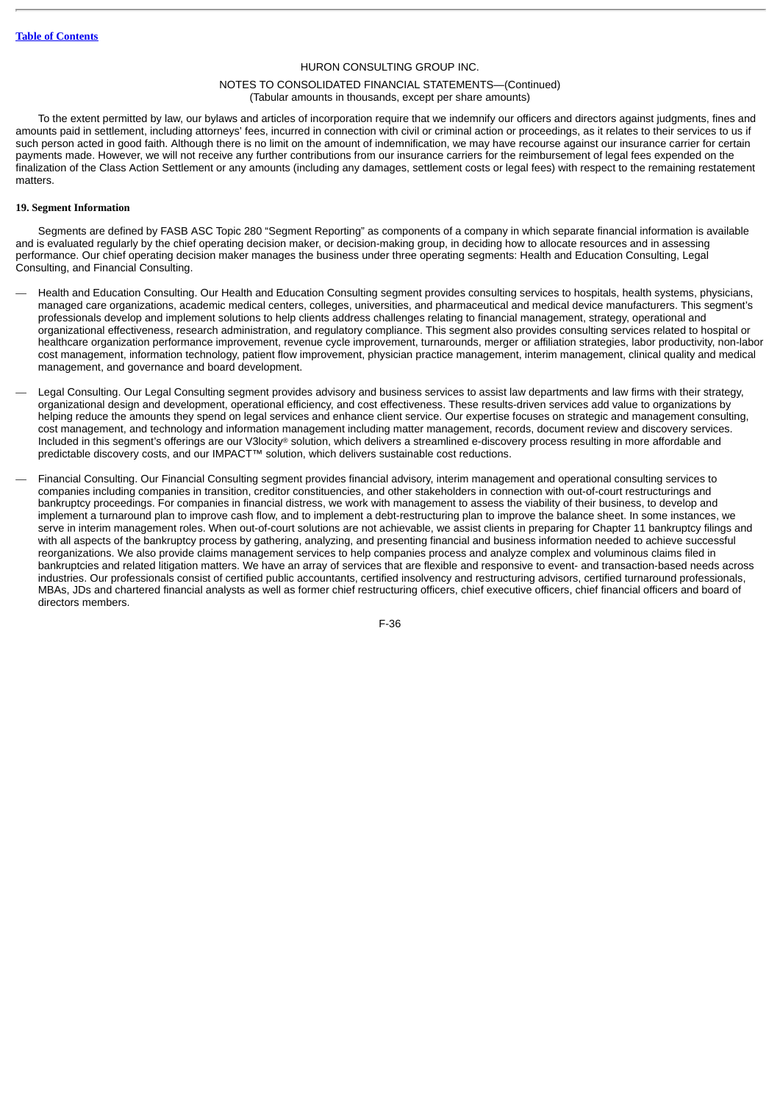#### NOTES TO CONSOLIDATED FINANCIAL STATEMENTS—(Continued) (Tabular amounts in thousands, except per share amounts)

To the extent permitted by law, our bylaws and articles of incorporation require that we indemnify our officers and directors against judgments, fines and amounts paid in settlement, including attorneys' fees, incurred in connection with civil or criminal action or proceedings, as it relates to their services to us if such person acted in good faith. Although there is no limit on the amount of indemnification, we may have recourse against our insurance carrier for certain payments made. However, we will not receive any further contributions from our insurance carriers for the reimbursement of legal fees expended on the finalization of the Class Action Settlement or any amounts (including any damages, settlement costs or legal fees) with respect to the remaining restatement matters.

## **19. Segment Information**

Segments are defined by FASB ASC Topic 280 "Segment Reporting" as components of a company in which separate financial information is available and is evaluated regularly by the chief operating decision maker, or decision-making group, in deciding how to allocate resources and in assessing performance. Our chief operating decision maker manages the business under three operating segments: Health and Education Consulting, Legal Consulting, and Financial Consulting.

- Health and Education Consulting. Our Health and Education Consulting segment provides consulting services to hospitals, health systems, physicians, managed care organizations, academic medical centers, colleges, universities, and pharmaceutical and medical device manufacturers. This segment's professionals develop and implement solutions to help clients address challenges relating to financial management, strategy, operational and organizational effectiveness, research administration, and regulatory compliance. This segment also provides consulting services related to hospital or healthcare organization performance improvement, revenue cycle improvement, turnarounds, merger or affiliation strategies, labor productivity, non-labor cost management, information technology, patient flow improvement, physician practice management, interim management, clinical quality and medical management, and governance and board development.
- Legal Consulting. Our Legal Consulting segment provides advisory and business services to assist law departments and law firms with their strategy, organizational design and development, operational efficiency, and cost effectiveness. These results-driven services add value to organizations by helping reduce the amounts they spend on legal services and enhance client service. Our expertise focuses on strategic and management consulting. cost management, and technology and information management including matter management, records, document review and discovery services. Included in this segment's offerings are our V3locity® solution, which delivers a streamlined e-discovery process resulting in more affordable and predictable discovery costs, and our IMPACT™ solution, which delivers sustainable cost reductions.
- Financial Consulting. Our Financial Consulting segment provides financial advisory, interim management and operational consulting services to companies including companies in transition, creditor constituencies, and other stakeholders in connection with out-of-court restructurings and bankruptcy proceedings. For companies in financial distress, we work with management to assess the viability of their business, to develop and implement a turnaround plan to improve cash flow, and to implement a debt-restructuring plan to improve the balance sheet. In some instances, we serve in interim management roles. When out-of-court solutions are not achievable, we assist clients in preparing for Chapter 11 bankruptcy filings and with all aspects of the bankruptcy process by gathering, analyzing, and presenting financial and business information needed to achieve successful reorganizations. We also provide claims management services to help companies process and analyze complex and voluminous claims filed in bankruptcies and related litigation matters. We have an array of services that are flexible and responsive to event- and transaction-based needs across industries. Our professionals consist of certified public accountants, certified insolvency and restructuring advisors, certified turnaround professionals, MBAs, JDs and chartered financial analysts as well as former chief restructuring officers, chief executive officers, chief financial officers and board of directors members.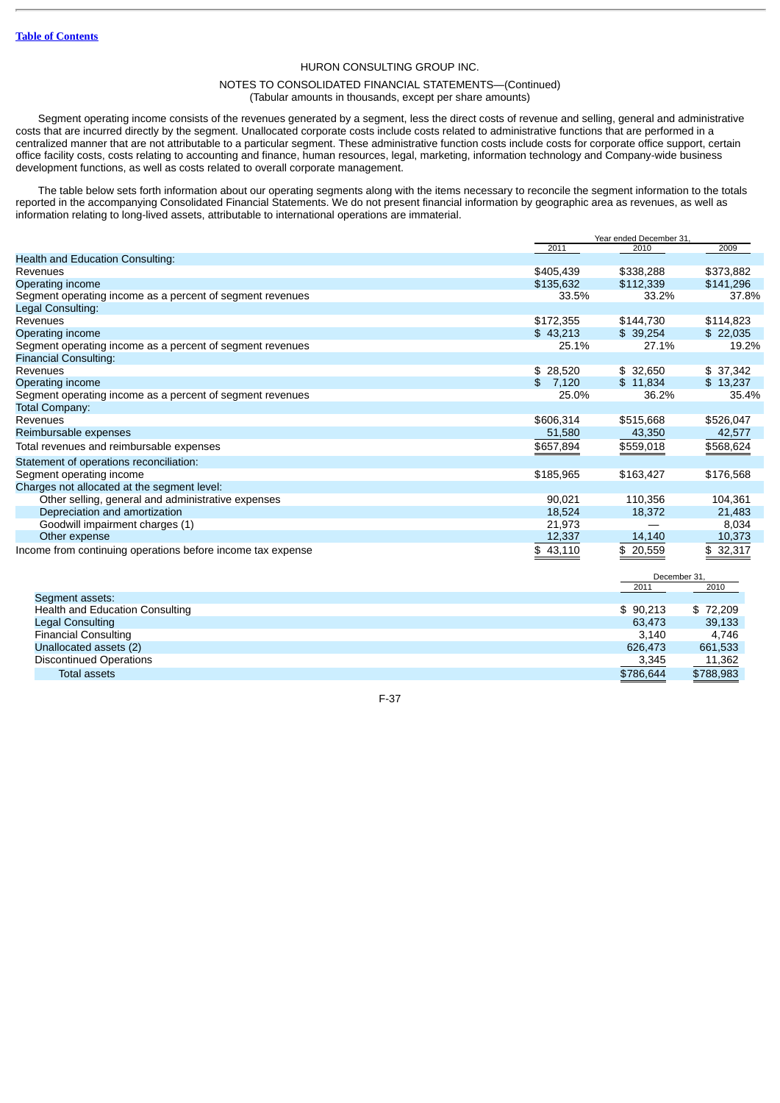#### NOTES TO CONSOLIDATED FINANCIAL STATEMENTS—(Continued) (Tabular amounts in thousands, except per share amounts)

Segment operating income consists of the revenues generated by a segment, less the direct costs of revenue and selling, general and administrative costs that are incurred directly by the segment. Unallocated corporate costs include costs related to administrative functions that are performed in a centralized manner that are not attributable to a particular segment. These administrative function costs include costs for corporate office support, certain office facility costs, costs relating to accounting and finance, human resources, legal, marketing, information technology and Company-wide business development functions, as well as costs related to overall corporate management.

The table below sets forth information about our operating segments along with the items necessary to reconcile the segment information to the totals reported in the accompanying Consolidated Financial Statements. We do not present financial information by geographic area as revenues, as well as information relating to long-lived assets, attributable to international operations are immaterial.

|                                                             |             | Year ended December 31, |           |  |
|-------------------------------------------------------------|-------------|-------------------------|-----------|--|
|                                                             | 2011        | 2010                    | 2009      |  |
| Health and Education Consulting:                            |             |                         |           |  |
| Revenues                                                    | \$405,439   | \$338,288               | \$373,882 |  |
| Operating income                                            | \$135,632   | \$112,339               | \$141,296 |  |
| Segment operating income as a percent of segment revenues   | 33.5%       | 33.2%                   | 37.8%     |  |
| Legal Consulting:                                           |             |                         |           |  |
| Revenues                                                    | \$172,355   | \$144,730               | \$114,823 |  |
| Operating income                                            | \$43,213    | \$39,254                | \$22,035  |  |
| Segment operating income as a percent of segment revenues   | 25.1%       | 27.1%                   | 19.2%     |  |
| <b>Financial Consulting:</b>                                |             |                         |           |  |
| Revenues                                                    | \$28,520    | \$32,650                | \$37,342  |  |
| Operating income                                            | 7,120<br>\$ | \$11,834                | \$13,237  |  |
| Segment operating income as a percent of segment revenues   | 25.0%       | 36.2%                   | 35.4%     |  |
| <b>Total Company:</b>                                       |             |                         |           |  |
| Revenues                                                    | \$606,314   | \$515,668               | \$526,047 |  |
| Reimbursable expenses                                       | 51,580      | 43,350                  | 42,577    |  |
| Total revenues and reimbursable expenses                    | \$657,894   | \$559,018               | \$568,624 |  |
| Statement of operations reconciliation:                     |             |                         |           |  |
| Segment operating income                                    | \$185,965   | \$163,427               | \$176,568 |  |
| Charges not allocated at the segment level:                 |             |                         |           |  |
| Other selling, general and administrative expenses          | 90,021      | 110,356                 | 104,361   |  |
| Depreciation and amortization                               | 18,524      | 18,372                  | 21,483    |  |
| Goodwill impairment charges (1)                             | 21,973      |                         | 8,034     |  |
| Other expense                                               | 12,337      | 14,140                  | 10,373    |  |
| Income from continuing operations before income tax expense | \$43,110    | \$20,559                | \$32,317  |  |

|                                 |           | December 31. |
|---------------------------------|-----------|--------------|
|                                 | 2011      | 2010         |
| Segment assets:                 |           |              |
| Health and Education Consulting | \$90.213  | \$72,209     |
| <b>Legal Consulting</b>         | 63,473    | 39,133       |
| <b>Financial Consulting</b>     | 3.140     | 4.746        |
| Unallocated assets (2)          | 626,473   | 661,533      |
| <b>Discontinued Operations</b>  | 3,345     | 11,362       |
| Total assets                    | \$786,644 | \$788,983    |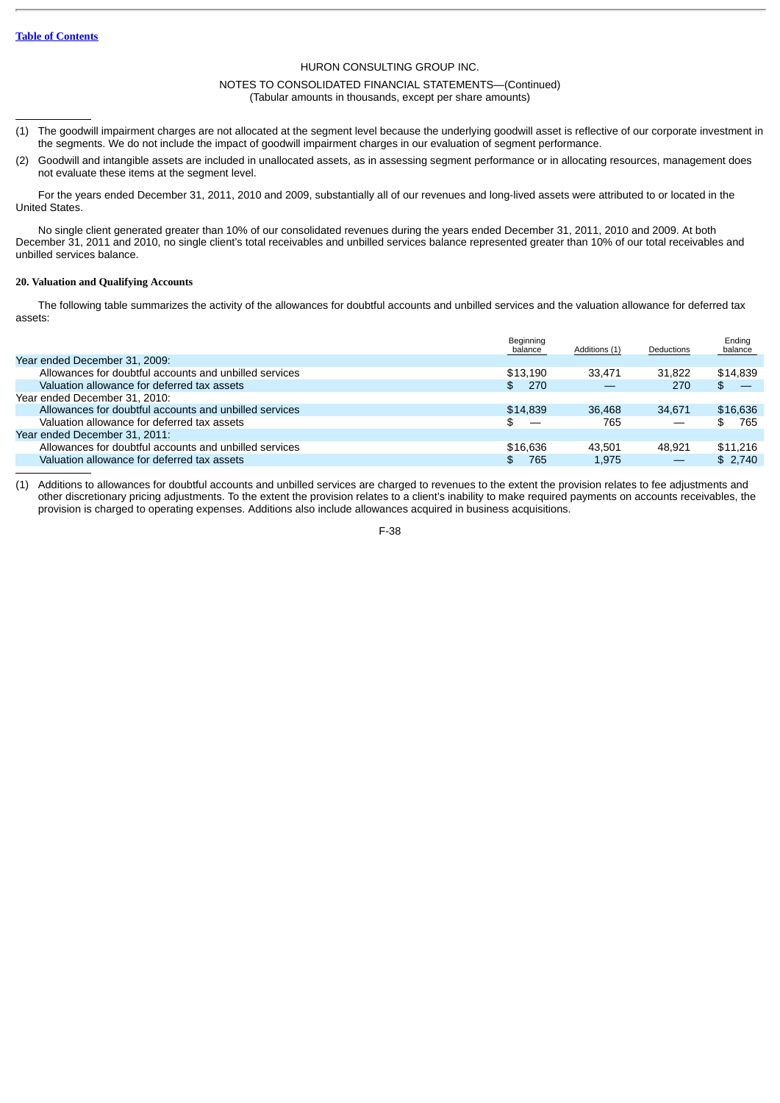#### NOTES TO CONSOLIDATED FINANCIAL STATEMENTS—(Continued) (Tabular amounts in thousands, except per share amounts)

- (1) The goodwill impairment charges are not allocated at the segment level because the underlying goodwill asset is reflective of our corporate investment in the segments. We do not include the impact of goodwill impairment charges in our evaluation of segment performance.
- (2) Goodwill and intangible assets are included in unallocated assets, as in assessing segment performance or in allocating resources, management does not evaluate these items at the segment level.

For the years ended December 31, 2011, 2010 and 2009, substantially all of our revenues and long-lived assets were attributed to or located in the United States.

No single client generated greater than 10% of our consolidated revenues during the years ended December 31, 2011, 2010 and 2009. At both December 31, 2011 and 2010, no single client's total receivables and unbilled services balance represented greater than 10% of our total receivables and unbilled services balance.

#### **20. Valuation and Qualifying Accounts**

The following table summarizes the activity of the allowances for doubtful accounts and unbilled services and the valuation allowance for deferred tax assets:

|                                                        | Beginning<br>balance | Additions (1) | Deductions               | Ending<br>balance |
|--------------------------------------------------------|----------------------|---------------|--------------------------|-------------------|
| Year ended December 31, 2009:                          |                      |               |                          |                   |
| Allowances for doubtful accounts and unbilled services | \$13.190             | 33.471        | 31.822                   | \$14.839          |
| Valuation allowance for deferred tax assets            | \$ 270               |               | 270                      |                   |
| Year ended December 31, 2010:                          |                      |               |                          |                   |
| Allowances for doubtful accounts and unbilled services | \$14,839             | 36.468        | 34.671                   | \$16,636          |
| Valuation allowance for deferred tax assets            |                      | 765           |                          | 765<br>\$.        |
| Year ended December 31, 2011:                          |                      |               |                          |                   |
| Allowances for doubtful accounts and unbilled services | \$16,636             | 43.501        | 48.921                   | \$11,216          |
| Valuation allowance for deferred tax assets            | 765                  | 1.975         | $\overline{\phantom{a}}$ | \$2.740           |

(1) Additions to allowances for doubtful accounts and unbilled services are charged to revenues to the extent the provision relates to fee adjustments and other discretionary pricing adjustments. To the extent the provision relates to a client's inability to make required payments on accounts receivables, the provision is charged to operating expenses. Additions also include allowances acquired in business acquisitions.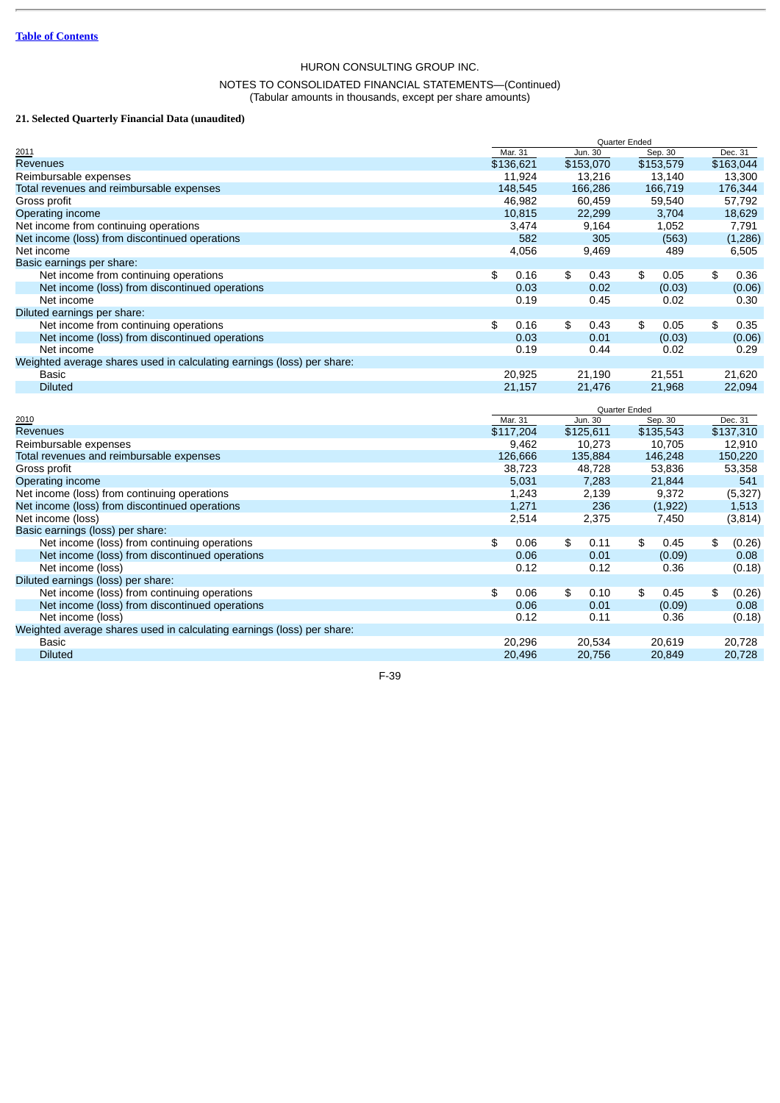# NOTES TO CONSOLIDATED FINANCIAL STATEMENTS—(Continued) (Tabular amounts in thousands, except per share amounts)

# **21. Selected Quarterly Financial Data (unaudited)**

|                                                                        |                  | Quarter Ended    |                                 |                  |  |  |
|------------------------------------------------------------------------|------------------|------------------|---------------------------------|------------------|--|--|
| 2011                                                                   | Mar. 31          | Jun. 30          | Sep. 30                         | Dec. 31          |  |  |
| <b>Revenues</b>                                                        | \$136,621        | \$153,070        | \$153,579                       | \$163,044        |  |  |
| Reimbursable expenses                                                  | 11.924           | 13.216           | 13,140                          | 13,300           |  |  |
| Total revenues and reimbursable expenses                               | 148,545          | 166,286          | 166,719                         | 176,344          |  |  |
| Gross profit                                                           | 46,982           | 60,459           | 59,540                          | 57,792           |  |  |
| Operating income                                                       | 10,815           | 22,299           | 3,704                           | 18,629           |  |  |
| Net income from continuing operations                                  | 3,474            | 9,164            | 1,052                           | 7,791            |  |  |
| Net income (loss) from discontinued operations                         | 582              | 305              | (563)                           | (1, 286)         |  |  |
| Net income                                                             | 4,056            | 9,469            | 489                             | 6,505            |  |  |
| Basic earnings per share:                                              |                  |                  |                                 |                  |  |  |
| Net income from continuing operations                                  | \$<br>0.16       | 0.43<br>\$       | 0.05<br>\$                      | \$<br>0.36       |  |  |
| Net income (loss) from discontinued operations                         | 0.03             | 0.02             | (0.03)                          | (0.06)           |  |  |
| Net income                                                             | 0.19             | 0.45             | 0.02                            | 0.30             |  |  |
| Diluted earnings per share:                                            |                  |                  |                                 |                  |  |  |
| Net income from continuing operations                                  | \$<br>0.16       | \$<br>0.43       | 0.05<br>\$                      | \$<br>0.35       |  |  |
| Net income (loss) from discontinued operations                         | 0.03             | 0.01             | (0.03)                          | (0.06)           |  |  |
| Net income                                                             | 0.19             | 0.44             | 0.02                            | 0.29             |  |  |
| Weighted average shares used in calculating earnings (loss) per share: |                  |                  |                                 |                  |  |  |
| <b>Basic</b>                                                           | 20,925           | 21,190           | 21,551                          | 21,620           |  |  |
| <b>Diluted</b>                                                         | 21,157           | 21,476           | 21,968                          | 22,094           |  |  |
|                                                                        |                  |                  |                                 |                  |  |  |
| 2010                                                                   | Mar. 31          | Jun. 30          | <b>Quarter Ended</b><br>Sep. 30 | Dec. 31          |  |  |
| <b>Revenues</b>                                                        | \$117,204        | \$125,611        | \$135,543                       | \$137,310        |  |  |
| Reimbursable expenses                                                  | 9,462            | 10,273           | 10,705                          | 12,910           |  |  |
| Total revenues and reimbursable expenses                               | 126,666          | 135,884          | 146,248                         | 150,220          |  |  |
| Gross profit                                                           | 38,723           | 48,728           | 53,836                          | 53,358           |  |  |
| Operating income                                                       | 5,031            | 7,283            | 21,844                          | 541              |  |  |
| Net income (loss) from continuing operations                           | 1,243            | 2,139            | 9,372                           | (5, 327)         |  |  |
| Net income (loss) from discontinued operations                         | 1,271            | 236              | (1,922)                         | 1,513            |  |  |
| Net income (loss)                                                      | 2,514            | 2,375            | 7,450                           | (3, 814)         |  |  |
| Basic earnings (loss) per share:                                       |                  |                  |                                 |                  |  |  |
| Net income (loss) from continuing operations                           | \$<br>0.06       | \$<br>0.11       | \$<br>0.45                      | \$<br>(0.26)     |  |  |
| Net income (loss) from discontinued operations                         | 0.06             | 0.01             | (0.09)                          | 0.08             |  |  |
| Net income (loss)                                                      | 0.12             | 0.12             | 0.36                            | (0.18)           |  |  |
| Diluted earnings (loss) per share:                                     |                  |                  |                                 |                  |  |  |
|                                                                        | \$<br>0.06       | \$               | \$<br>0.45                      | \$               |  |  |
| Net income (loss) from continuing operations                           |                  | 0.10             |                                 | (0.26)           |  |  |
|                                                                        |                  |                  |                                 |                  |  |  |
| Net income (loss) from discontinued operations                         | 0.06             | 0.01             | (0.09)                          | 0.08             |  |  |
| Net income (loss)                                                      | 0.12             | 0.11             | 0.36                            | (0.18)           |  |  |
| Weighted average shares used in calculating earnings (loss) per share: |                  |                  |                                 |                  |  |  |
| <b>Basic</b><br><b>Diluted</b>                                         | 20,296<br>20.496 | 20,534<br>20,756 | 20,619<br>20,849                | 20,728<br>20,728 |  |  |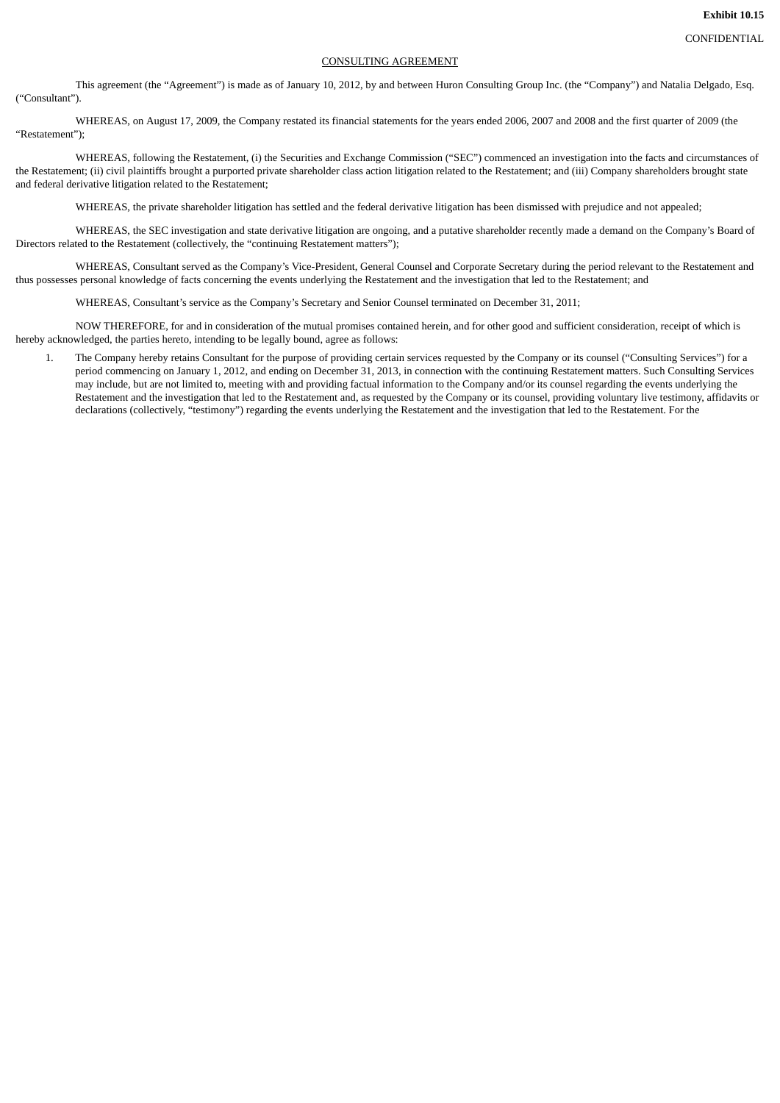#### CONSULTING AGREEMENT

This agreement (the "Agreement") is made as of January 10, 2012, by and between Huron Consulting Group Inc. (the "Company") and Natalia Delgado, Esq. ("Consultant").

WHEREAS, on August 17, 2009, the Company restated its financial statements for the years ended 2006, 2007 and 2008 and the first quarter of 2009 (the "Restatement");

WHEREAS, following the Restatement, (i) the Securities and Exchange Commission ("SEC") commenced an investigation into the facts and circumstances of the Restatement; (ii) civil plaintiffs brought a purported private shareholder class action litigation related to the Restatement; and (iii) Company shareholders brought state and federal derivative litigation related to the Restatement;

WHEREAS, the private shareholder litigation has settled and the federal derivative litigation has been dismissed with prejudice and not appealed;

WHEREAS, the SEC investigation and state derivative litigation are ongoing, and a putative shareholder recently made a demand on the Company's Board of Directors related to the Restatement (collectively, the "continuing Restatement matters");

WHEREAS, Consultant served as the Company's Vice-President, General Counsel and Corporate Secretary during the period relevant to the Restatement and thus possesses personal knowledge of facts concerning the events underlying the Restatement and the investigation that led to the Restatement; and

WHEREAS, Consultant's service as the Company's Secretary and Senior Counsel terminated on December 31, 2011;

NOW THEREFORE, for and in consideration of the mutual promises contained herein, and for other good and sufficient consideration, receipt of which is hereby acknowledged, the parties hereto, intending to be legally bound, agree as follows:

1. The Company hereby retains Consultant for the purpose of providing certain services requested by the Company or its counsel ("Consulting Services") for a period commencing on January 1, 2012, and ending on December 31, 2013, in connection with the continuing Restatement matters. Such Consulting Services may include, but are not limited to, meeting with and providing factual information to the Company and/or its counsel regarding the events underlying the Restatement and the investigation that led to the Restatement and, as requested by the Company or its counsel, providing voluntary live testimony, affidavits or declarations (collectively, "testimony") regarding the events underlying the Restatement and the investigation that led to the Restatement. For the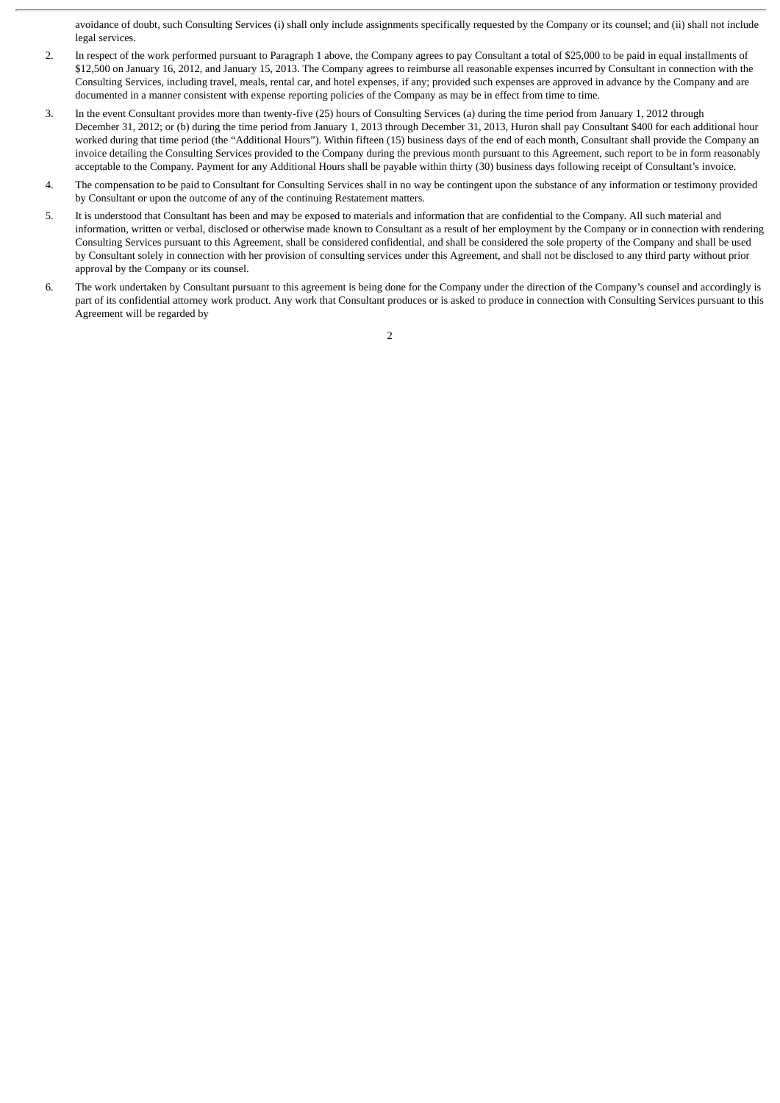avoidance of doubt, such Consulting Services (i) shall only include assignments specifically requested by the Company or its counsel; and (ii) shall not include legal services.

- 2. In respect of the work performed pursuant to Paragraph 1 above, the Company agrees to pay Consultant a total of \$25,000 to be paid in equal installments of \$12,500 on January 16, 2012, and January 15, 2013. The Company agrees to reimburse all reasonable expenses incurred by Consultant in connection with the Consulting Services, including travel, meals, rental car, and hotel expenses, if any; provided such expenses are approved in advance by the Company and are documented in a manner consistent with expense reporting policies of the Company as may be in effect from time to time.
- 3. In the event Consultant provides more than twenty-five (25) hours of Consulting Services (a) during the time period from January 1, 2012 through December 31, 2012; or (b) during the time period from January 1, 2013 through December 31, 2013, Huron shall pay Consultant \$400 for each additional hour worked during that time period (the "Additional Hours"). Within fifteen (15) business days of the end of each month, Consultant shall provide the Company an invoice detailing the Consulting Services provided to the Company during the previous month pursuant to this Agreement, such report to be in form reasonably acceptable to the Company. Payment for any Additional Hours shall be payable within thirty (30) business days following receipt of Consultant's invoice.
- 4. The compensation to be paid to Consultant for Consulting Services shall in no way be contingent upon the substance of any information or testimony provided by Consultant or upon the outcome of any of the continuing Restatement matters.
- 5. It is understood that Consultant has been and may be exposed to materials and information that are confidential to the Company. All such material and information, written or verbal, disclosed or otherwise made known to Consultant as a result of her employment by the Company or in connection with rendering Consulting Services pursuant to this Agreement, shall be considered confidential, and shall be considered the sole property of the Company and shall be used by Consultant solely in connection with her provision of consulting services under this Agreement, and shall not be disclosed to any third party without prior approval by the Company or its counsel.
- 6. The work undertaken by Consultant pursuant to this agreement is being done for the Company under the direction of the Company's counsel and accordingly is part of its confidential attorney work product. Any work that Consultant produces or is asked to produce in connection with Consulting Services pursuant to this Agreement will be regarded by

2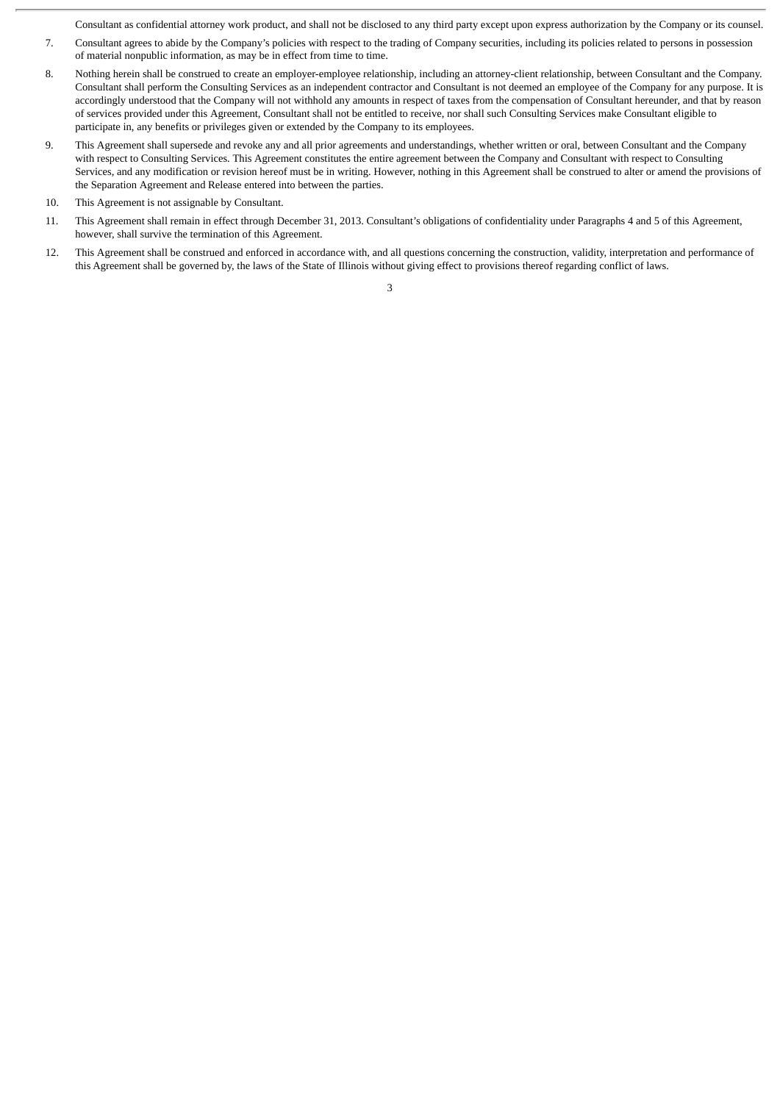Consultant as confidential attorney work product, and shall not be disclosed to any third party except upon express authorization by the Company or its counsel.

- 7. Consultant agrees to abide by the Company's policies with respect to the trading of Company securities, including its policies related to persons in possession of material nonpublic information, as may be in effect from time to time.
- 8. Nothing herein shall be construed to create an employer-employee relationship, including an attorney-client relationship, between Consultant and the Company. Consultant shall perform the Consulting Services as an independent contractor and Consultant is not deemed an employee of the Company for any purpose. It is accordingly understood that the Company will not withhold any amounts in respect of taxes from the compensation of Consultant hereunder, and that by reason of services provided under this Agreement, Consultant shall not be entitled to receive, nor shall such Consulting Services make Consultant eligible to participate in, any benefits or privileges given or extended by the Company to its employees.
- 9. This Agreement shall supersede and revoke any and all prior agreements and understandings, whether written or oral, between Consultant and the Company with respect to Consulting Services. This Agreement constitutes the entire agreement between the Company and Consultant with respect to Consulting Services, and any modification or revision hereof must be in writing. However, nothing in this Agreement shall be construed to alter or amend the provisions of the Separation Agreement and Release entered into between the parties.
- 10. This Agreement is not assignable by Consultant.
- 11. This Agreement shall remain in effect through December 31, 2013. Consultant's obligations of confidentiality under Paragraphs 4 and 5 of this Agreement, however, shall survive the termination of this Agreement.
- 12. This Agreement shall be construed and enforced in accordance with, and all questions concerning the construction, validity, interpretation and performance of this Agreement shall be governed by, the laws of the State of Illinois without giving effect to provisions thereof regarding conflict of laws.

3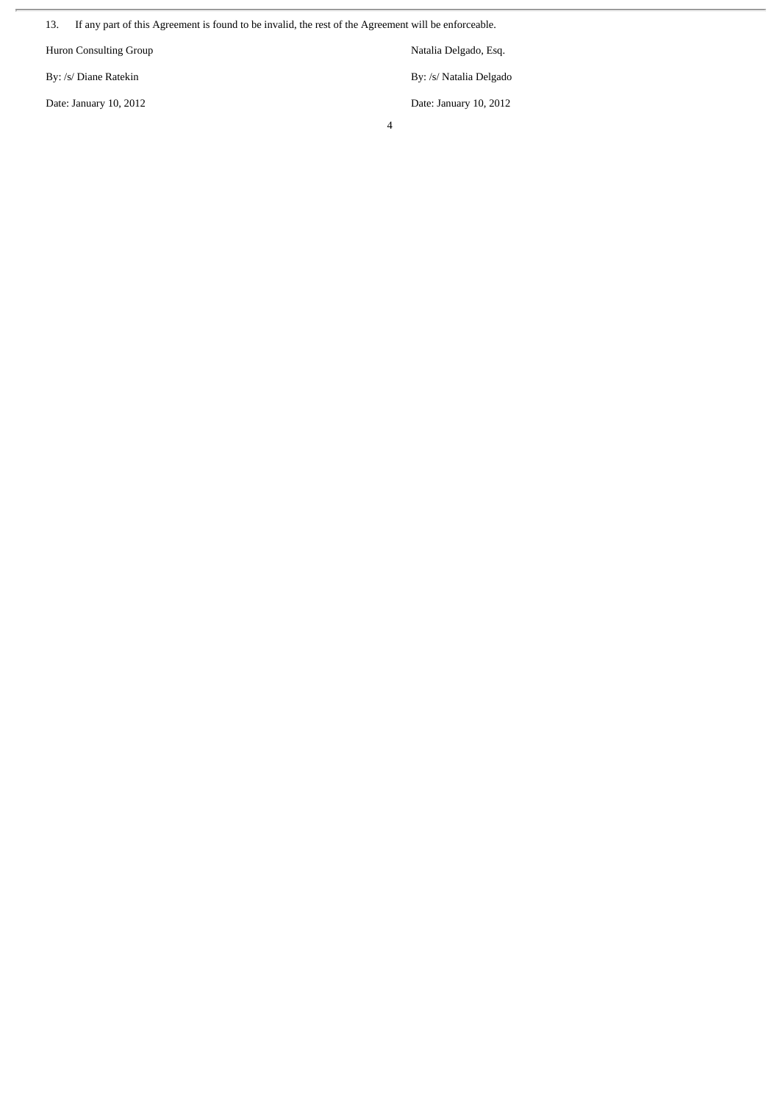13. If any part of this Agreement is found to be invalid, the rest of the Agreement will be enforceable.

Huron Consulting Group **Natalia Delgado**, Esq.

By: /s/ Diane Ratekin By: /s/ Natalia Delgado

Date: January 10, 2012 Date: January 10, 2012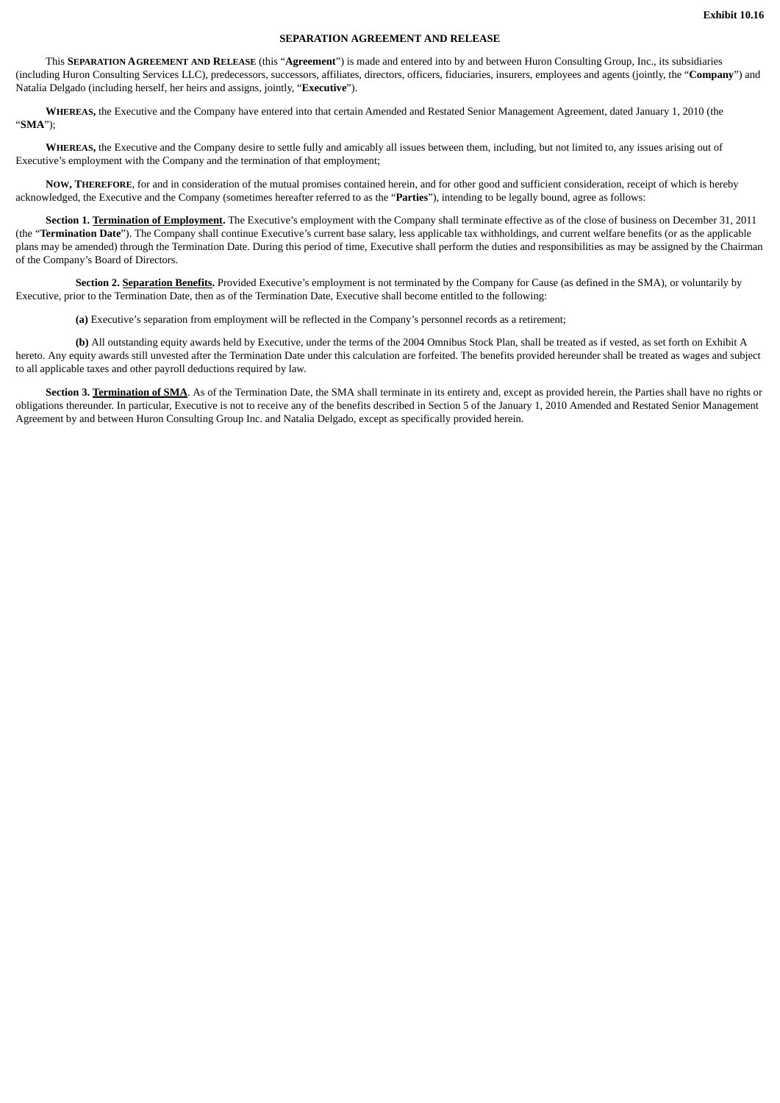#### **SEPARATION AGREEMENT AND RELEASE**

This **SEPARATION AGREEMENT AND RELEASE** (this "**Agreement**") is made and entered into by and between Huron Consulting Group, Inc., its subsidiaries (including Huron Consulting Services LLC), predecessors, successors, affiliates, directors, officers, fiduciaries, insurers, employees and agents (jointly, the "**Company**") and Natalia Delgado (including herself, her heirs and assigns, jointly, "**Executive**").

**WHEREAS,** the Executive and the Company have entered into that certain Amended and Restated Senior Management Agreement, dated January 1, 2010 (the "**SMA**");

**WHEREAS,** the Executive and the Company desire to settle fully and amicably all issues between them, including, but not limited to, any issues arising out of Executive's employment with the Company and the termination of that employment;

**NOW, THEREFORE**, for and in consideration of the mutual promises contained herein, and for other good and sufficient consideration, receipt of which is hereby acknowledged, the Executive and the Company (sometimes hereafter referred to as the "**Parties**"), intending to be legally bound, agree as follows:

**Section 1. Termination of Employment.** The Executive's employment with the Company shall terminate effective as of the close of business on December 31, 2011 (the "**Termination Date**"). The Company shall continue Executive's current base salary, less applicable tax withholdings, and current welfare benefits (or as the applicable plans may be amended) through the Termination Date. During this period of time, Executive shall perform the duties and responsibilities as may be assigned by the Chairman of the Company's Board of Directors.

**Section 2. Separation Benefits.** Provided Executive's employment is not terminated by the Company for Cause (as defined in the SMA), or voluntarily by Executive, prior to the Termination Date, then as of the Termination Date, Executive shall become entitled to the following:

**(a)** Executive's separation from employment will be reflected in the Company's personnel records as a retirement;

**(b)** All outstanding equity awards held by Executive, under the terms of the 2004 Omnibus Stock Plan, shall be treated as if vested, as set forth on Exhibit A hereto. Any equity awards still unvested after the Termination Date under this calculation are forfeited. The benefits provided hereunder shall be treated as wages and subject to all applicable taxes and other payroll deductions required by law.

Section 3. **Termination of SMA**. As of the Termination Date, the SMA shall terminate in its entirety and, except as provided herein, the Parties shall have no rights or obligations thereunder. In particular, Executive is not to receive any of the benefits described in Section 5 of the January 1, 2010 Amended and Restated Senior Management Agreement by and between Huron Consulting Group Inc. and Natalia Delgado, except as specifically provided herein.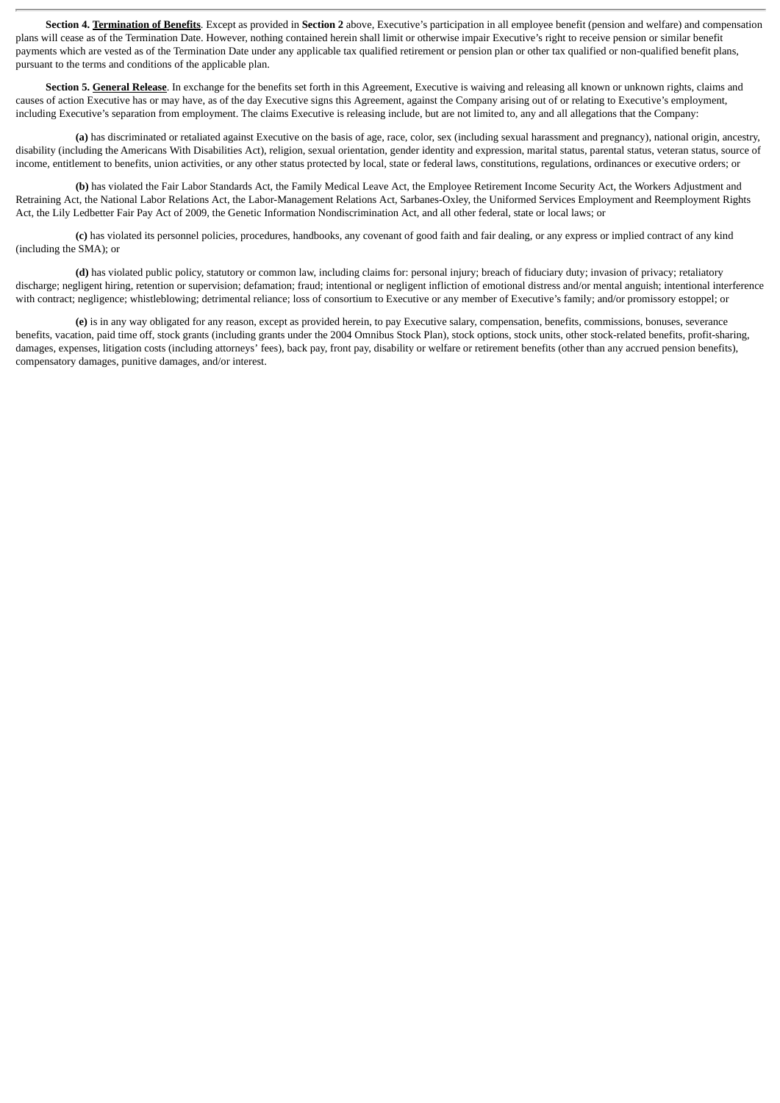**Section 4. Termination of Benefits**. Except as provided in **Section 2** above, Executive's participation in all employee benefit (pension and welfare) and compensation plans will cease as of the Termination Date. However, nothing contained herein shall limit or otherwise impair Executive's right to receive pension or similar benefit payments which are vested as of the Termination Date under any applicable tax qualified retirement or pension plan or other tax qualified or non-qualified benefit plans, pursuant to the terms and conditions of the applicable plan.

**Section 5. General Release**. In exchange for the benefits set forth in this Agreement, Executive is waiving and releasing all known or unknown rights, claims and causes of action Executive has or may have, as of the day Executive signs this Agreement, against the Company arising out of or relating to Executive's employment, including Executive's separation from employment. The claims Executive is releasing include, but are not limited to, any and all allegations that the Company:

**(a)** has discriminated or retaliated against Executive on the basis of age, race, color, sex (including sexual harassment and pregnancy), national origin, ancestry, disability (including the Americans With Disabilities Act), religion, sexual orientation, gender identity and expression, marital status, parental status, veteran status, source of income, entitlement to benefits, union activities, or any other status protected by local, state or federal laws, constitutions, regulations, ordinances or executive orders; or

**(b)** has violated the Fair Labor Standards Act, the Family Medical Leave Act, the Employee Retirement Income Security Act, the Workers Adjustment and Retraining Act, the National Labor Relations Act, the Labor-Management Relations Act, Sarbanes-Oxley, the Uniformed Services Employment and Reemployment Rights Act, the Lily Ledbetter Fair Pay Act of 2009, the Genetic Information Nondiscrimination Act, and all other federal, state or local laws; or

**(c)** has violated its personnel policies, procedures, handbooks, any covenant of good faith and fair dealing, or any express or implied contract of any kind (including the SMA); or

**(d)** has violated public policy, statutory or common law, including claims for: personal injury; breach of fiduciary duty; invasion of privacy; retaliatory discharge; negligent hiring, retention or supervision; defamation; fraud; intentional or negligent infliction of emotional distress and/or mental anguish; intentional interference with contract; negligence; whistleblowing; detrimental reliance; loss of consortium to Executive or any member of Executive's family; and/or promissory estoppel; or

**(e)** is in any way obligated for any reason, except as provided herein, to pay Executive salary, compensation, benefits, commissions, bonuses, severance benefits, vacation, paid time off, stock grants (including grants under the 2004 Omnibus Stock Plan), stock options, stock units, other stock-related benefits, profit-sharing, damages, expenses, litigation costs (including attorneys' fees), back pay, front pay, disability or welfare or retirement benefits (other than any accrued pension benefits), compensatory damages, punitive damages, and/or interest.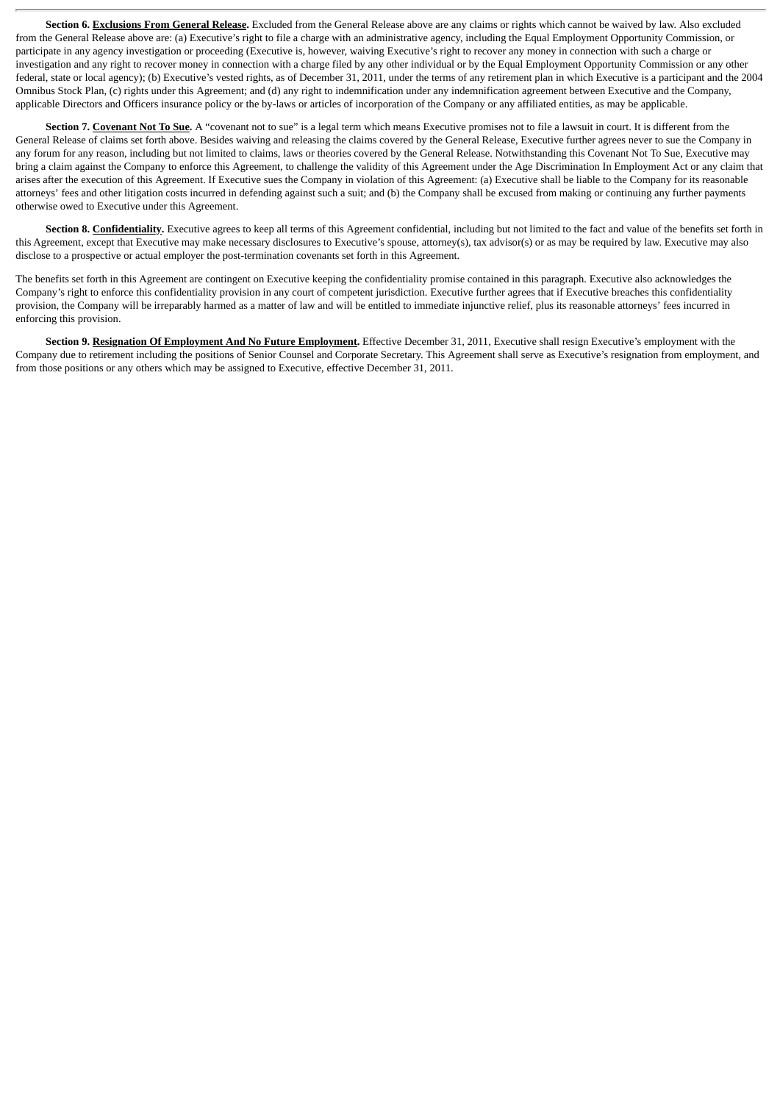**Section 6. Exclusions From General Release.** Excluded from the General Release above are any claims or rights which cannot be waived by law. Also excluded from the General Release above are: (a) Executive's right to file a charge with an administrative agency, including the Equal Employment Opportunity Commission, or participate in any agency investigation or proceeding (Executive is, however, waiving Executive's right to recover any money in connection with such a charge or investigation and any right to recover money in connection with a charge filed by any other individual or by the Equal Employment Opportunity Commission or any other federal, state or local agency); (b) Executive's vested rights, as of December 31, 2011, under the terms of any retirement plan in which Executive is a participant and the 2004 Omnibus Stock Plan, (c) rights under this Agreement; and (d) any right to indemnification under any indemnification agreement between Executive and the Company, applicable Directors and Officers insurance policy or the by-laws or articles of incorporation of the Company or any affiliated entities, as may be applicable.

Section 7. Covenant Not To Sue. A "covenant not to sue" is a legal term which means Executive promises not to file a lawsuit in court. It is different from the General Release of claims set forth above. Besides waiving and releasing the claims covered by the General Release, Executive further agrees never to sue the Company in any forum for any reason, including but not limited to claims, laws or theories covered by the General Release. Notwithstanding this Covenant Not To Sue, Executive may bring a claim against the Company to enforce this Agreement, to challenge the validity of this Agreement under the Age Discrimination In Employment Act or any claim that arises after the execution of this Agreement. If Executive sues the Company in violation of this Agreement: (a) Executive shall be liable to the Company for its reasonable attorneys' fees and other litigation costs incurred in defending against such a suit; and (b) the Company shall be excused from making or continuing any further payments otherwise owed to Executive under this Agreement.

**Section 8. Confidentiality.** Executive agrees to keep all terms of this Agreement confidential, including but not limited to the fact and value of the benefits set forth in this Agreement, except that Executive may make necessary disclosures to Executive's spouse, attorney(s), tax advisor(s) or as may be required by law. Executive may also disclose to a prospective or actual employer the post-termination covenants set forth in this Agreement.

The benefits set forth in this Agreement are contingent on Executive keeping the confidentiality promise contained in this paragraph. Executive also acknowledges the Company's right to enforce this confidentiality provision in any court of competent jurisdiction. Executive further agrees that if Executive breaches this confidentiality provision, the Company will be irreparably harmed as a matter of law and will be entitled to immediate injunctive relief, plus its reasonable attorneys' fees incurred in enforcing this provision.

**Section 9. Resignation Of Employment And No Future Employment.** Effective December 31, 2011, Executive shall resign Executive's employment with the Company due to retirement including the positions of Senior Counsel and Corporate Secretary. This Agreement shall serve as Executive's resignation from employment, and from those positions or any others which may be assigned to Executive, effective December 31, 2011.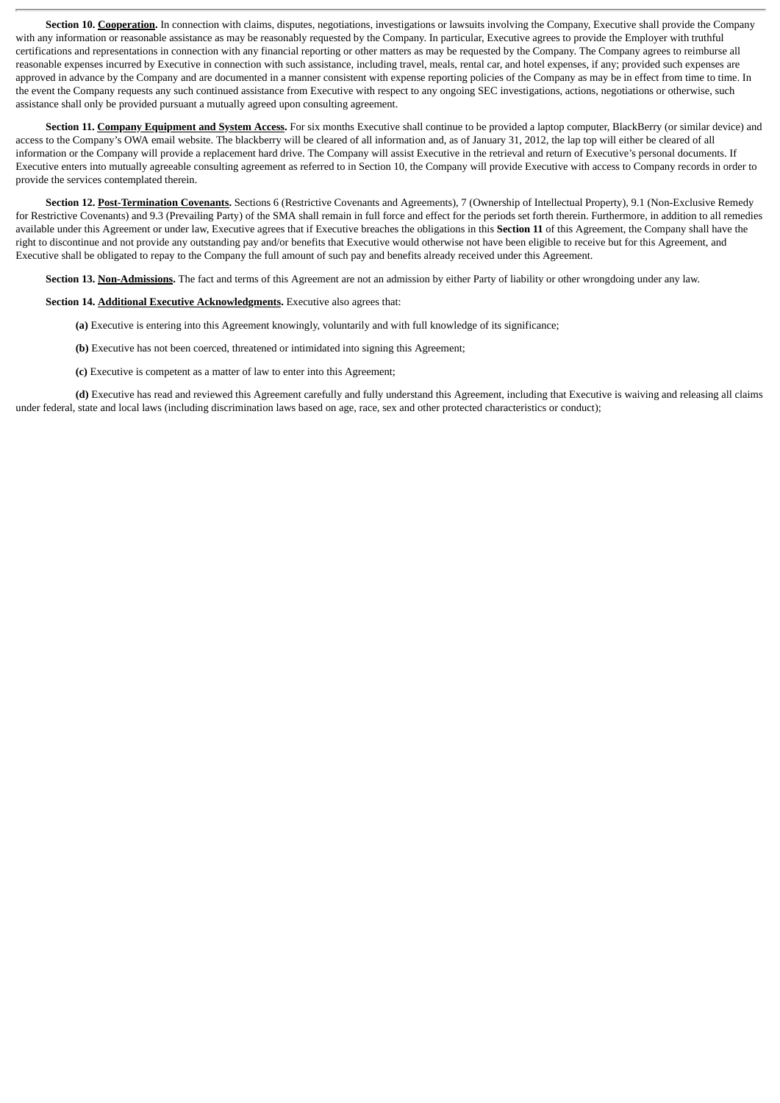Section 10. Cooperation. In connection with claims, disputes, negotiations, investigations or lawsuits involving the Company, Executive shall provide the Company with any information or reasonable assistance as may be reasonably requested by the Company. In particular, Executive agrees to provide the Employer with truthful certifications and representations in connection with any financial reporting or other matters as may be requested by the Company. The Company agrees to reimburse all reasonable expenses incurred by Executive in connection with such assistance, including travel, meals, rental car, and hotel expenses, if any; provided such expenses are approved in advance by the Company and are documented in a manner consistent with expense reporting policies of the Company as may be in effect from time to time. In the event the Company requests any such continued assistance from Executive with respect to any ongoing SEC investigations, actions, negotiations or otherwise, such assistance shall only be provided pursuant a mutually agreed upon consulting agreement.

Section 11. Company Equipment and System Access. For six months Executive shall continue to be provided a laptop computer, BlackBerry (or similar device) and access to the Company's OWA email website. The blackberry will be cleared of all information and, as of January 31, 2012, the lap top will either be cleared of all information or the Company will provide a replacement hard drive. The Company will assist Executive in the retrieval and return of Executive's personal documents. If Executive enters into mutually agreeable consulting agreement as referred to in Section 10, the Company will provide Executive with access to Company records in order to provide the services contemplated therein.

**Section 12. Post-Termination Covenants.** Sections 6 (Restrictive Covenants and Agreements), 7 (Ownership of Intellectual Property), 9.1 (Non-Exclusive Remedy for Restrictive Covenants) and 9.3 (Prevailing Party) of the SMA shall remain in full force and effect for the periods set forth therein. Furthermore, in addition to all remedies available under this Agreement or under law, Executive agrees that if Executive breaches the obligations in this **Section 11** of this Agreement, the Company shall have the right to discontinue and not provide any outstanding pay and/or benefits that Executive would otherwise not have been eligible to receive but for this Agreement, and Executive shall be obligated to repay to the Company the full amount of such pay and benefits already received under this Agreement.

Section 13. Non-Admissions. The fact and terms of this Agreement are not an admission by either Party of liability or other wrongdoing under any law.

**Section 14. Additional Executive Acknowledgments.** Executive also agrees that:

- **(a)** Executive is entering into this Agreement knowingly, voluntarily and with full knowledge of its significance;
- **(b)** Executive has not been coerced, threatened or intimidated into signing this Agreement;
- **(c)** Executive is competent as a matter of law to enter into this Agreement;

**(d)** Executive has read and reviewed this Agreement carefully and fully understand this Agreement, including that Executive is waiving and releasing all claims under federal, state and local laws (including discrimination laws based on age, race, sex and other protected characteristics or conduct);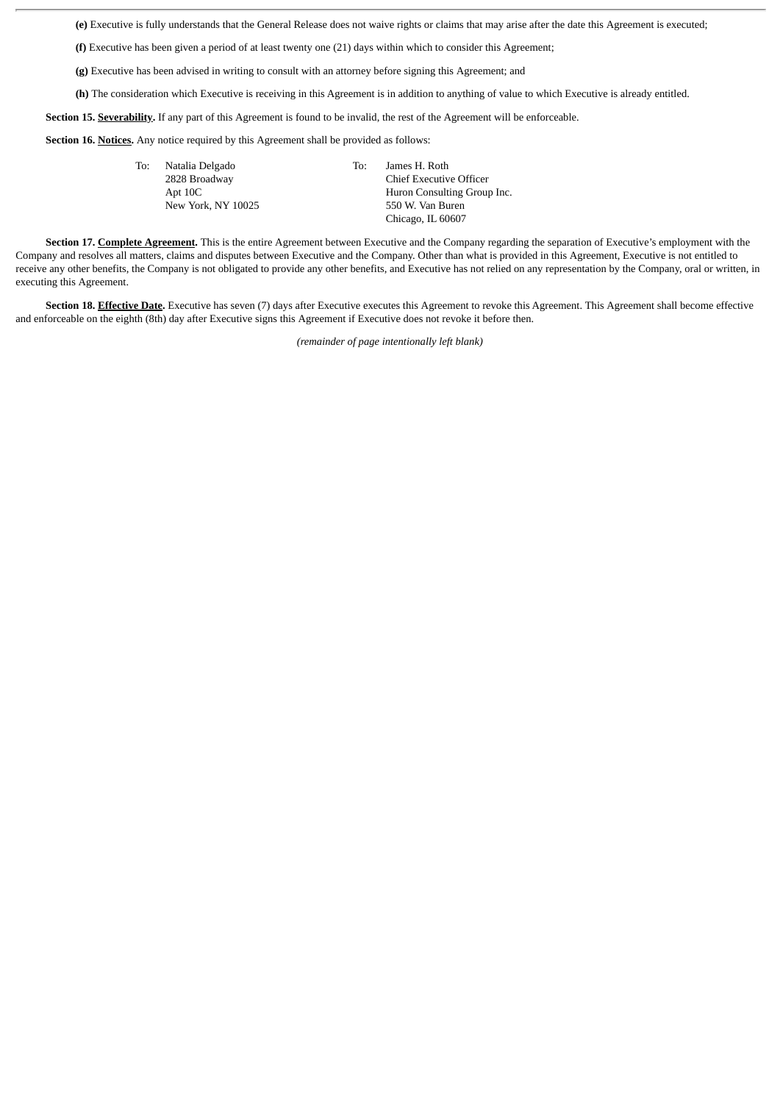**(e)** Executive is fully understands that the General Release does not waive rights or claims that may arise after the date this Agreement is executed;

**(f)** Executive has been given a period of at least twenty one (21) days within which to consider this Agreement;

**(g)** Executive has been advised in writing to consult with an attorney before signing this Agreement; and

**(h)** The consideration which Executive is receiving in this Agreement is in addition to anything of value to which Executive is already entitled.

Section 15. Severability. If any part of this Agreement is found to be invalid, the rest of the Agreement will be enforceable.

**Section 16. Notices.** Any notice required by this Agreement shall be provided as follows:

| To: | Natalia Delgado    | To: | James H. Roth               |
|-----|--------------------|-----|-----------------------------|
|     | 2828 Broadway      |     | Chief Executive Officer     |
|     | Apt 10C            |     | Huron Consulting Group Inc. |
|     | New York, NY 10025 |     | 550 W. Van Buren            |
|     |                    |     | Chicago, IL 60607           |

**Section 17. Complete Agreement.** This is the entire Agreement between Executive and the Company regarding the separation of Executive's employment with the Company and resolves all matters, claims and disputes between Executive and the Company. Other than what is provided in this Agreement, Executive is not entitled to receive any other benefits, the Company is not obligated to provide any other benefits, and Executive has not relied on any representation by the Company, oral or written, in executing this Agreement.

Section 18. Effective Date. Executive has seven (7) days after Executive executes this Agreement to revoke this Agreement. This Agreement shall become effective and enforceable on the eighth (8th) day after Executive signs this Agreement if Executive does not revoke it before then.

*(remainder of page intentionally left blank)*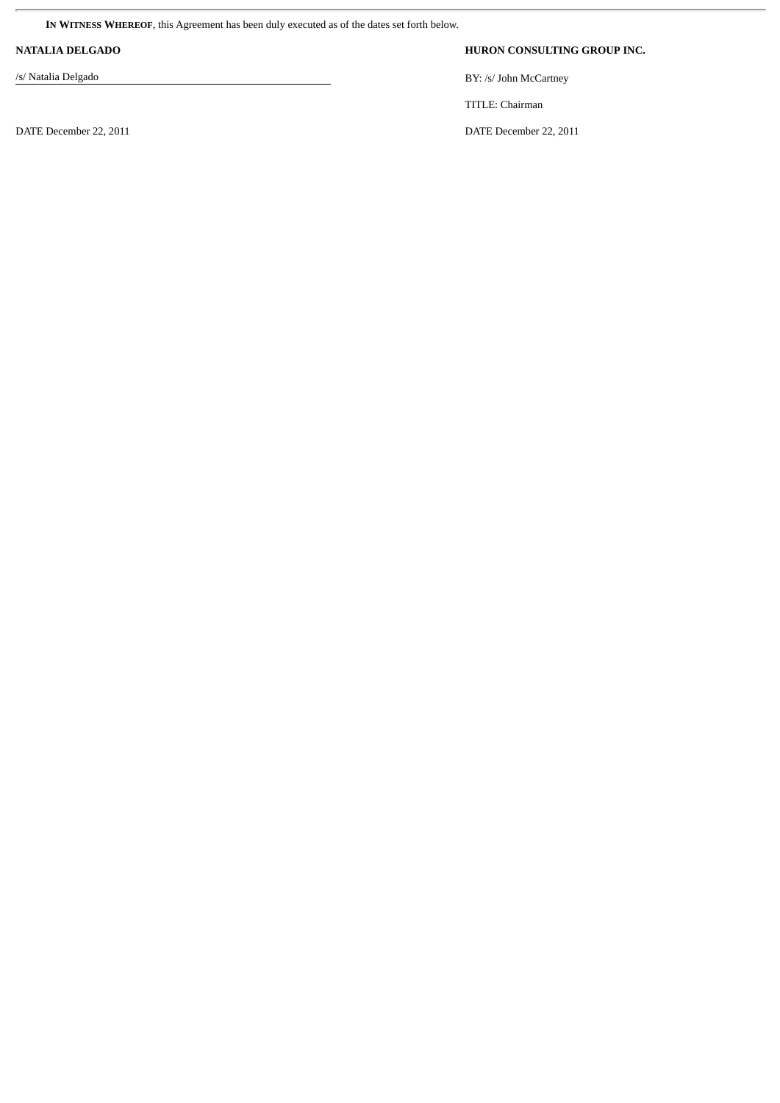**IN WITNESS WHEREOF**, this Agreement has been duly executed as of the dates set forth below.

DATE December 22, 2011 DATE December 22, 2011

**NATALIA DELGADO HURON CONSULTING GROUP INC.**

/s/ Natalia Delgado BY: /s/ John McCartney

TITLE: Chairman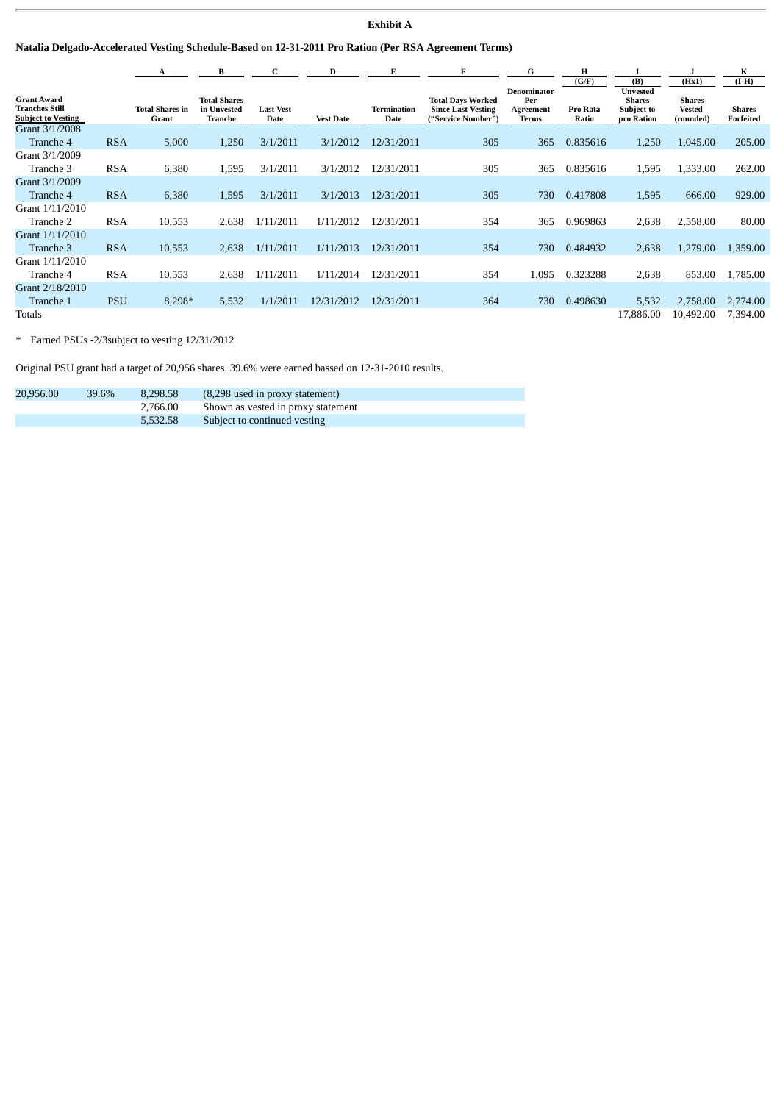# **Exhibit A**

# **Natalia Delgado-Accelerated Vesting Schedule-Based on 12-31-2011 Pro Ration (Per RSA Agreement Terms)**

|                                                            |            | A                               | В                                             | C                        | D                | Е                          | Е                                                                           | G                                               | н                          |                                                              |                                                      | K                                     |
|------------------------------------------------------------|------------|---------------------------------|-----------------------------------------------|--------------------------|------------------|----------------------------|-----------------------------------------------------------------------------|-------------------------------------------------|----------------------------|--------------------------------------------------------------|------------------------------------------------------|---------------------------------------|
| Grant Award<br>Tranches Still<br><b>Subject to Vesting</b> |            | <b>Total Shares in</b><br>Grant | <b>Total Shares</b><br>in Unvested<br>Tranche | <b>Last Vest</b><br>Date | <b>Vest Date</b> | <b>Termination</b><br>Date | <b>Total Days Worked</b><br><b>Since Last Vesting</b><br>("Service Number") | Denominator<br>Per<br>Agreement<br><b>Terms</b> | (G/F)<br>Pro Rata<br>Ratio | (B)<br>Unvested<br>Shares<br><b>Subject to</b><br>pro Ration | (Hx1)<br><b>Shares</b><br><b>Vested</b><br>(rounded) | $(H-H)$<br><b>Shares</b><br>Forfeited |
| Grant 3/1/2008                                             |            |                                 |                                               |                          |                  |                            |                                                                             |                                                 |                            |                                                              |                                                      |                                       |
| Tranche 4                                                  | <b>RSA</b> | 5,000                           | 1,250                                         | 3/1/2011                 | 3/1/2012         | 12/31/2011                 | 305                                                                         | 365                                             | 0.835616                   | 1,250                                                        | 1,045.00                                             | 205.00                                |
| Grant 3/1/2009                                             |            |                                 |                                               |                          |                  |                            |                                                                             |                                                 |                            |                                                              |                                                      |                                       |
| Tranche 3                                                  | <b>RSA</b> | 6,380                           | 1,595                                         | 3/1/2011                 | 3/1/2012         | 12/31/2011                 | 305                                                                         | 365                                             | 0.835616                   | 1,595                                                        | 1,333.00                                             | 262.00                                |
| Grant 3/1/2009                                             |            |                                 |                                               |                          |                  |                            |                                                                             |                                                 |                            |                                                              |                                                      |                                       |
| Tranche 4                                                  | <b>RSA</b> | 6,380                           | 1,595                                         | 3/1/2011                 | 3/1/2013         | 12/31/2011                 | 305                                                                         | 730                                             | 0.417808                   | 1,595                                                        | 666.00                                               | 929.00                                |
| Grant 1/11/2010                                            |            |                                 |                                               |                          |                  |                            |                                                                             |                                                 |                            |                                                              |                                                      |                                       |
| Tranche 2                                                  | <b>RSA</b> | 10,553                          | 2,638                                         | 1/11/2011                | 1/11/2012        | 12/31/2011                 | 354                                                                         | 365                                             | 0.969863                   | 2,638                                                        | 2,558.00                                             | 80.00                                 |
| Grant 1/11/2010                                            |            |                                 |                                               |                          |                  |                            |                                                                             |                                                 |                            |                                                              |                                                      |                                       |
| Tranche 3                                                  | <b>RSA</b> | 10,553                          | 2,638                                         | 1/11/2011                | 1/11/2013        | 12/31/2011                 | 354                                                                         | 730                                             | 0.484932                   | 2,638                                                        | 1,279.00                                             | 1,359.00                              |
| Grant 1/11/2010                                            |            |                                 |                                               |                          |                  |                            |                                                                             |                                                 |                            |                                                              |                                                      |                                       |
| Tranche 4                                                  | <b>RSA</b> | 10,553                          | 2,638                                         | 1/11/2011                | 1/11/2014        | 12/31/2011                 | 354                                                                         | 1,095                                           | 0.323288                   | 2,638                                                        | 853.00                                               | 1,785.00                              |
| Grant 2/18/2010                                            |            |                                 |                                               |                          |                  |                            |                                                                             |                                                 |                            |                                                              |                                                      |                                       |
| Tranche 1                                                  | <b>PSU</b> | 8,298*                          | 5,532                                         | 1/1/2011                 | 12/31/2012       | 12/31/2011                 | 364                                                                         | 730                                             | 0.498630                   | 5,532                                                        | 2,758.00                                             | 2,774.00                              |
| Totals                                                     |            |                                 |                                               |                          |                  |                            |                                                                             |                                                 |                            | 17,886.00                                                    | 10,492.00                                            | 7,394.00                              |

\* Earned PSUs -2/3subject to vesting 12/31/2012

Original PSU grant had a target of 20,956 shares. 39.6% were earned bassed on 12-31-2010 results.

| 20.956.00 | 39.6% | 8.298.58 | (8,298 used in proxy statement)    |
|-----------|-------|----------|------------------------------------|
|           |       | 2.766.00 | Shown as vested in proxy statement |
|           |       | 5.532.58 | Subject to continued vesting       |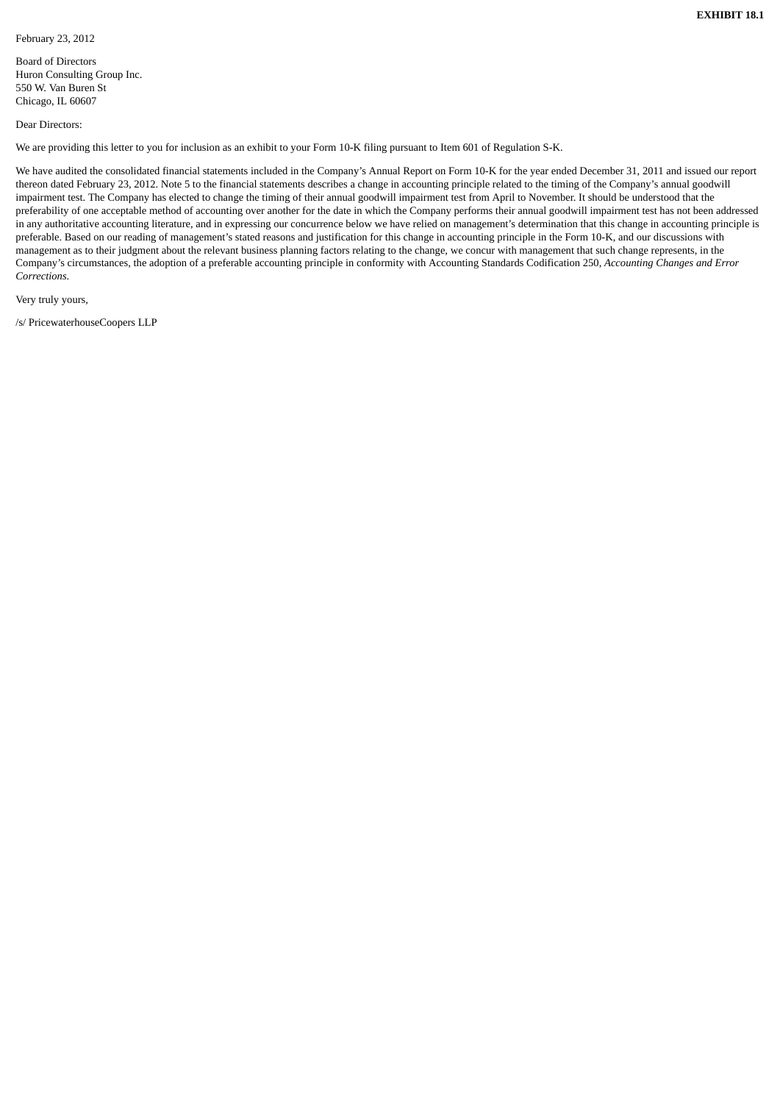February 23, 2012

Board of Directors Huron Consulting Group Inc. 550 W. Van Buren St Chicago, IL 60607

Dear Directors:

We are providing this letter to you for inclusion as an exhibit to your Form 10-K filing pursuant to Item 601 of Regulation S-K.

We have audited the consolidated financial statements included in the Company's Annual Report on Form 10-K for the year ended December 31, 2011 and issued our report thereon dated February 23, 2012. Note 5 to the financial statements describes a change in accounting principle related to the timing of the Company's annual goodwill impairment test. The Company has elected to change the timing of their annual goodwill impairment test from April to November. It should be understood that the preferability of one acceptable method of accounting over another for the date in which the Company performs their annual goodwill impairment test has not been addressed in any authoritative accounting literature, and in expressing our concurrence below we have relied on management's determination that this change in accounting principle is preferable. Based on our reading of management's stated reasons and justification for this change in accounting principle in the Form 10-K, and our discussions with management as to their judgment about the relevant business planning factors relating to the change, we concur with management that such change represents, in the Company's circumstances, the adoption of a preferable accounting principle in conformity with Accounting Standards Codification 250, *Accounting Changes and Error Corrections*.

Very truly yours,

/s/ PricewaterhouseCoopers LLP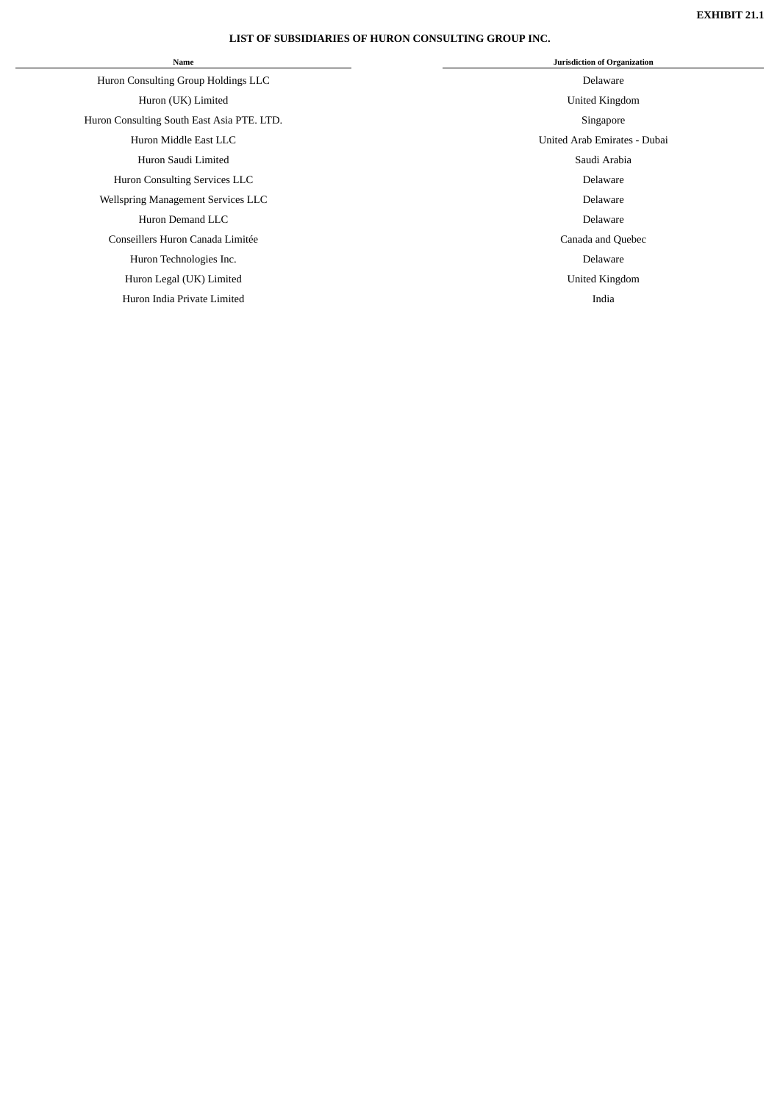# **LIST OF SUBSIDIARIES OF HURON CONSULTING GROUP INC.**

| Name                                       | Jurisdiction of Organization |
|--------------------------------------------|------------------------------|
| Huron Consulting Group Holdings LLC        | Delaware                     |
| Huron (UK) Limited                         | United Kingdom               |
| Huron Consulting South East Asia PTE. LTD. | Singapore                    |
| Huron Middle East LLC                      | United Arab Emirates - Dubai |
| Huron Saudi Limited                        | Saudi Arabia                 |
| Huron Consulting Services LLC              | Delaware                     |
| Wellspring Management Services LLC         | Delaware                     |
| Huron Demand LLC                           | Delaware                     |
| Conseillers Huron Canada Limitée           | Canada and Quebec            |
| Huron Technologies Inc.                    | Delaware                     |
| Huron Legal (UK) Limited                   | United Kingdom               |
| Huron India Private Limited                | India                        |
|                                            |                              |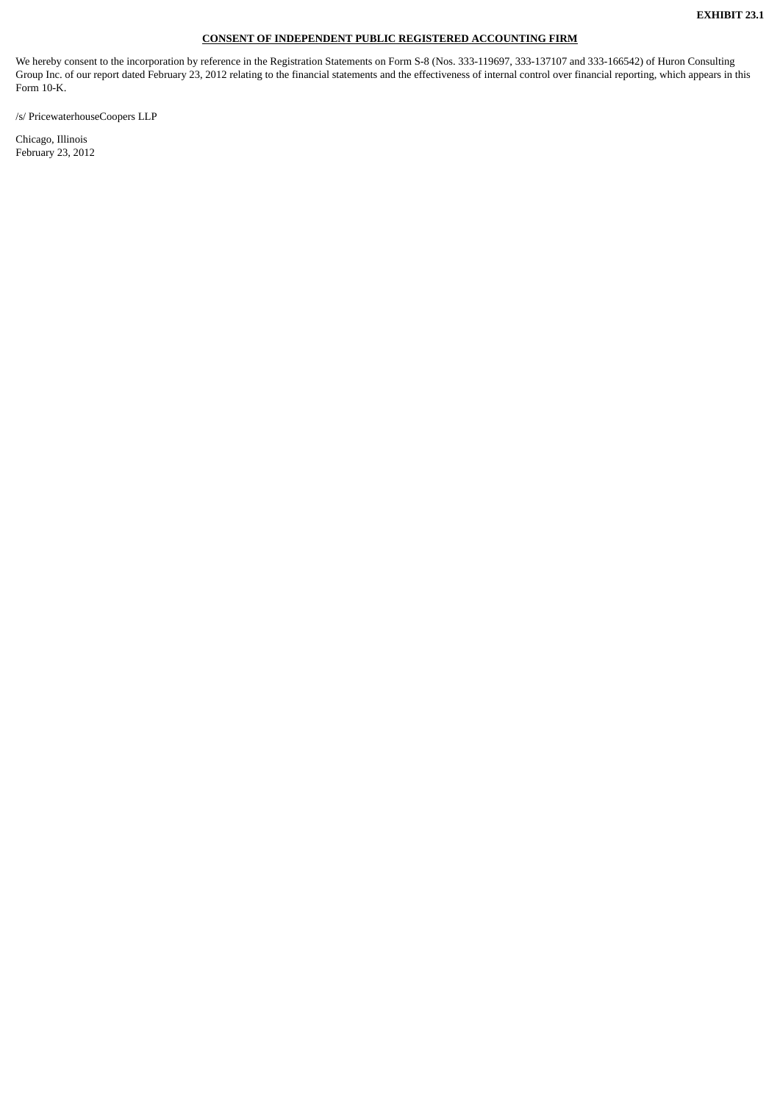# **CONSENT OF INDEPENDENT PUBLIC REGISTERED ACCOUNTING FIRM**

We hereby consent to the incorporation by reference in the Registration Statements on Form S-8 (Nos. 333-119697, 333-137107 and 333-166542) of Huron Consulting Group Inc. of our report dated February 23, 2012 relating to the financial statements and the effectiveness of internal control over financial reporting, which appears in this Form 10-K.

/s/ PricewaterhouseCoopers LLP

Chicago, Illinois February 23, 2012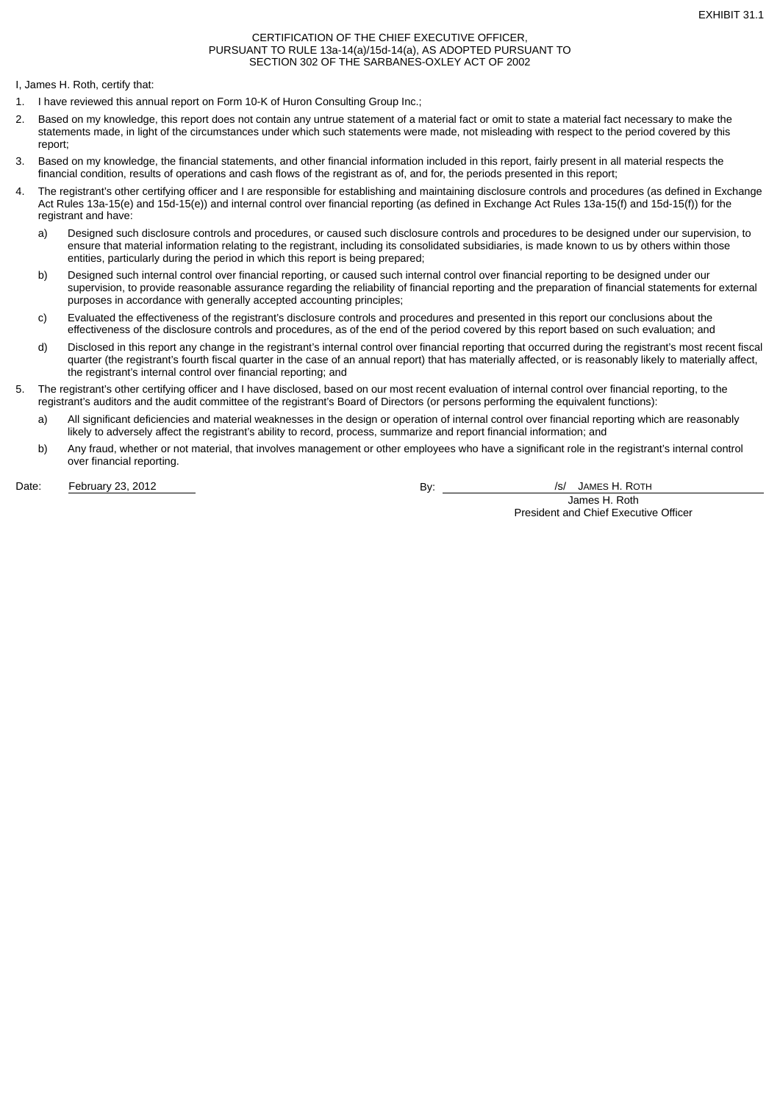## CERTIFICATION OF THE CHIEF EXECUTIVE OFFICER, PURSUANT TO RULE 13a-14(a)/15d-14(a), AS ADOPTED PURSUANT TO SECTION 302 OF THE SARBANES-OXLEY ACT OF 2002

I, James H. Roth, certify that:

- 1. I have reviewed this annual report on Form 10-K of Huron Consulting Group Inc.;
- 2. Based on my knowledge, this report does not contain any untrue statement of a material fact or omit to state a material fact necessary to make the statements made, in light of the circumstances under which such statements were made, not misleading with respect to the period covered by this report;
- 3. Based on my knowledge, the financial statements, and other financial information included in this report, fairly present in all material respects the financial condition, results of operations and cash flows of the registrant as of, and for, the periods presented in this report;
- 4. The registrant's other certifying officer and I are responsible for establishing and maintaining disclosure controls and procedures (as defined in Exchange Act Rules 13a-15(e) and 15d-15(e)) and internal control over financial reporting (as defined in Exchange Act Rules 13a-15(f) and 15d-15(f)) for the registrant and have:
	- a) Designed such disclosure controls and procedures, or caused such disclosure controls and procedures to be designed under our supervision, to ensure that material information relating to the registrant, including its consolidated subsidiaries, is made known to us by others within those entities, particularly during the period in which this report is being prepared;
	- b) Designed such internal control over financial reporting, or caused such internal control over financial reporting to be designed under our supervision, to provide reasonable assurance regarding the reliability of financial reporting and the preparation of financial statements for external purposes in accordance with generally accepted accounting principles;
	- c) Evaluated the effectiveness of the registrant's disclosure controls and procedures and presented in this report our conclusions about the effectiveness of the disclosure controls and procedures, as of the end of the period covered by this report based on such evaluation; and
	- d) Disclosed in this report any change in the registrant's internal control over financial reporting that occurred during the registrant's most recent fiscal quarter (the registrant's fourth fiscal quarter in the case of an annual report) that has materially affected, or is reasonably likely to materially affect, the registrant's internal control over financial reporting; and
- 5. The registrant's other certifying officer and I have disclosed, based on our most recent evaluation of internal control over financial reporting, to the registrant's auditors and the audit committee of the registrant's Board of Directors (or persons performing the equivalent functions):
	- a) All significant deficiencies and material weaknesses in the design or operation of internal control over financial reporting which are reasonably likely to adversely affect the registrant's ability to record, process, summarize and report financial information; and
	- b) Any fraud, whether or not material, that involves management or other employees who have a significant role in the registrant's internal control over financial reporting.

Date: February 23, 2012 **By:** By: *By:* By: *ISI* JAMES H. ROTH

James H. Roth President and Chief Executive Officer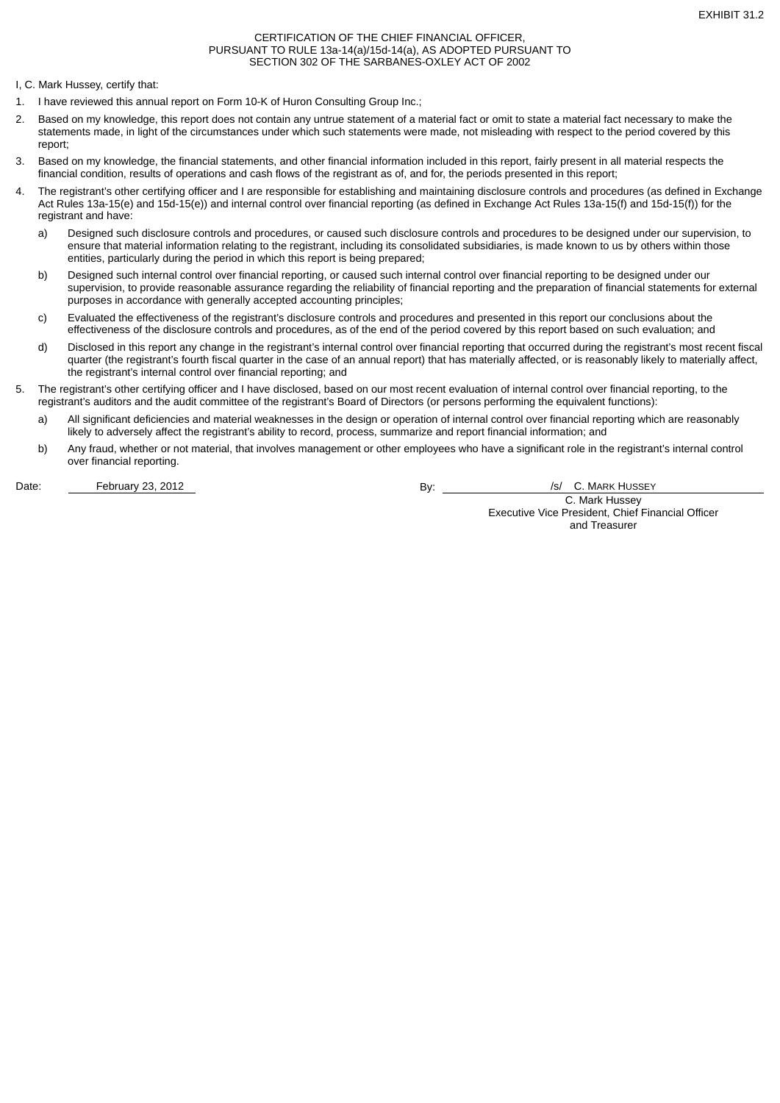## CERTIFICATION OF THE CHIEF FINANCIAL OFFICER, PURSUANT TO RULE 13a-14(a)/15d-14(a), AS ADOPTED PURSUANT TO SECTION 302 OF THE SARBANES-OXLEY ACT OF 2002

I, C. Mark Hussey, certify that:

- 1. I have reviewed this annual report on Form 10-K of Huron Consulting Group Inc.;
- 2. Based on my knowledge, this report does not contain any untrue statement of a material fact or omit to state a material fact necessary to make the statements made, in light of the circumstances under which such statements were made, not misleading with respect to the period covered by this report;
- 3. Based on my knowledge, the financial statements, and other financial information included in this report, fairly present in all material respects the financial condition, results of operations and cash flows of the registrant as of, and for, the periods presented in this report;
- 4. The registrant's other certifying officer and I are responsible for establishing and maintaining disclosure controls and procedures (as defined in Exchange Act Rules 13a-15(e) and 15d-15(e)) and internal control over financial reporting (as defined in Exchange Act Rules 13a-15(f) and 15d-15(f)) for the registrant and have:
	- a) Designed such disclosure controls and procedures, or caused such disclosure controls and procedures to be designed under our supervision, to ensure that material information relating to the registrant, including its consolidated subsidiaries, is made known to us by others within those entities, particularly during the period in which this report is being prepared;
	- b) Designed such internal control over financial reporting, or caused such internal control over financial reporting to be designed under our supervision, to provide reasonable assurance regarding the reliability of financial reporting and the preparation of financial statements for external purposes in accordance with generally accepted accounting principles;
	- c) Evaluated the effectiveness of the registrant's disclosure controls and procedures and presented in this report our conclusions about the effectiveness of the disclosure controls and procedures, as of the end of the period covered by this report based on such evaluation; and
	- d) Disclosed in this report any change in the registrant's internal control over financial reporting that occurred during the registrant's most recent fiscal quarter (the registrant's fourth fiscal quarter in the case of an annual report) that has materially affected, or is reasonably likely to materially affect, the registrant's internal control over financial reporting; and
- 5. The registrant's other certifying officer and I have disclosed, based on our most recent evaluation of internal control over financial reporting, to the registrant's auditors and the audit committee of the registrant's Board of Directors (or persons performing the equivalent functions):
	- a) All significant deficiencies and material weaknesses in the design or operation of internal control over financial reporting which are reasonably likely to adversely affect the registrant's ability to record, process, summarize and report financial information; and
	- b) Any fraud, whether or not material, that involves management or other employees who have a significant role in the registrant's internal control over financial reporting.

Date: February 23, 2012 **By:** By: By: **/s/ C. MARK HUSSEY** 

C. Mark Hussey Executive Vice President, Chief Financial Officer and Treasurer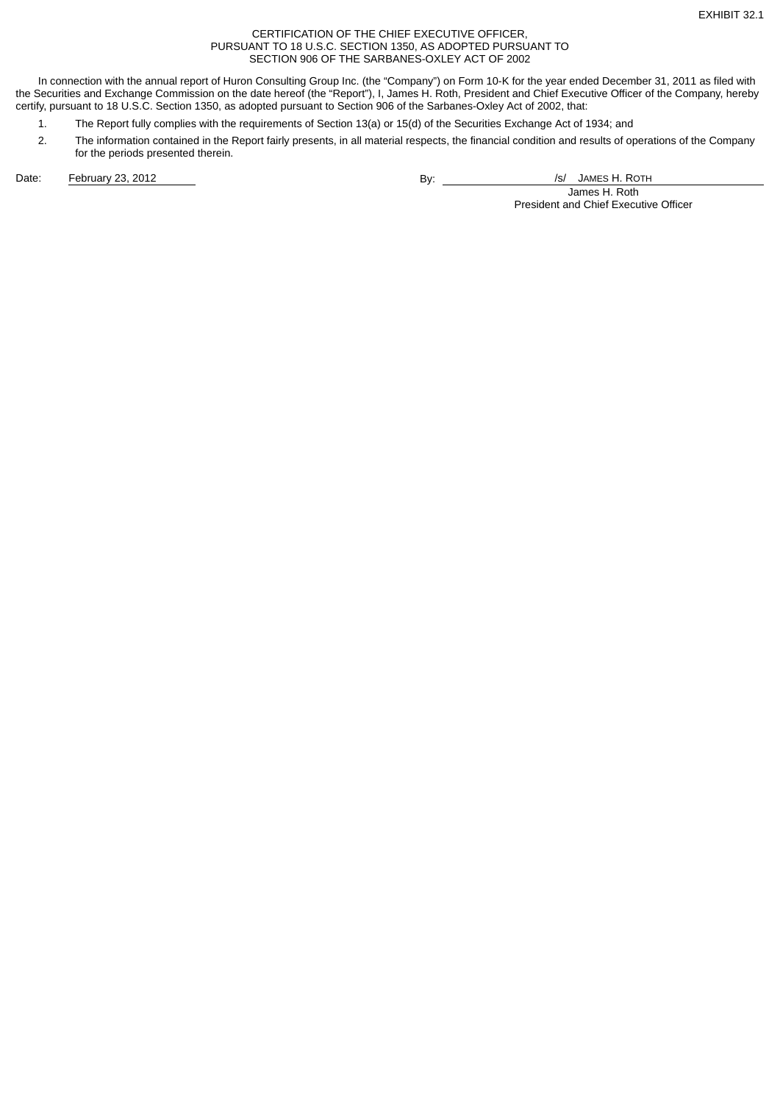#### CERTIFICATION OF THE CHIEF EXECUTIVE OFFICER, PURSUANT TO 18 U.S.C. SECTION 1350, AS ADOPTED PURSUANT TO SECTION 906 OF THE SARBANES-OXLEY ACT OF 2002

In connection with the annual report of Huron Consulting Group Inc. (the "Company") on Form 10-K for the year ended December 31, 2011 as filed with the Securities and Exchange Commission on the date hereof (the "Report"), I, James H. Roth, President and Chief Executive Officer of the Company, hereby certify, pursuant to 18 U.S.C. Section 1350, as adopted pursuant to Section 906 of the Sarbanes-Oxley Act of 2002, that:

- 1. The Report fully complies with the requirements of Section 13(a) or 15(d) of the Securities Exchange Act of 1934; and
- 2. The information contained in the Report fairly presents, in all material respects, the financial condition and results of operations of the Company for the periods presented therein.

Date: February 23, 2012 The Second State: February 23, 2012

James H. Roth President and Chief Executive Officer